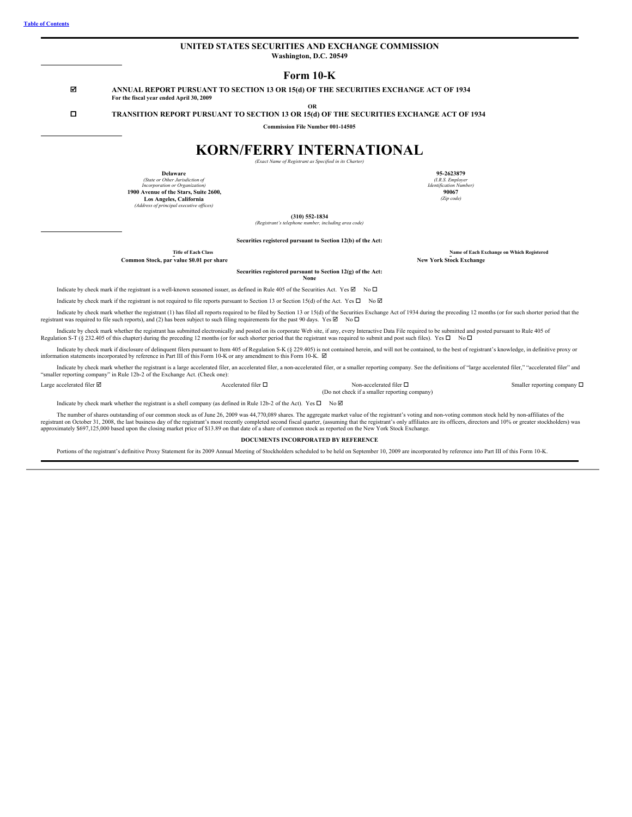<span id="page-0-0"></span>

|   |                                                                                                                                  | UNITED STATES SECURITIES AND EACHANGE COMMISSION<br>Washington, D.C. 20549 |
|---|----------------------------------------------------------------------------------------------------------------------------------|----------------------------------------------------------------------------|
|   |                                                                                                                                  | Form 10-K                                                                  |
| ☑ | ANNUAL REPORT PURSUANT TO SECTION 13 OR 15(d) OF THE SECURITIES EXCHANGE ACT OF 1934<br>For the fiscal year ended April 30, 2009 |                                                                            |
| О | TRANSITION REPORT PURSUANT TO SECTION 13 OR 15(d) OF THE SECURITIES EXCHANGE ACT OF 1934                                         | <b>OR</b>                                                                  |
|   |                                                                                                                                  | <b>Commission File Number 001-14505</b>                                    |
|   | <b>Delaware</b>                                                                                                                  | 95-2623879                                                                 |
|   | (State or Other Jurisdiction of                                                                                                  | (I.R.S. Employer                                                           |
|   | Incorporation or Organization)                                                                                                   | <b>Identification Number)</b>                                              |
|   | 1900 Avenue of the Stars, Suite 2600,                                                                                            | 90067                                                                      |
|   | Los Angeles, California<br>(Address of principal executive offices)                                                              | (Zip code)                                                                 |
|   |                                                                                                                                  | $(310) 552 - 1834$<br>(Registrant's telephone number, including area code) |
|   |                                                                                                                                  | Securities registered pursuant to Section 12(b) of the Act:                |
|   | <b>Title of Each Class</b>                                                                                                       | Name of Each Exchange on Which Registered                                  |
|   | Common Stock, par value \$0.01 per share                                                                                         | <b>New York Stock Exchange</b>                                             |

**UNITED STATES SECURITIES AND EXCHANGE COMMISSION**

**Securities registered pursuant to Section 12(g) of the Act: None**

Indicate by check mark if the registrant is a well-known seasoned issuer, as defined in Rule 405 of the Securities Act. Yes  $\boxtimes$  No  $\Box$ 

Indicate by check mark if the registrant is not required to file reports pursuant to Section 13 or Section 15(d) of the Act. Yes  $\Box$  No  $\boxtimes$ 

Indicate by check mark whether the registrant (1) has filed all reports required to be filed by Section 13 or 15(d) of the Securities Exchange Act of 1934 during the preceding 12 months (or for such shorter period that the registrant was required to file such reports), and (2) has been subject to such filing requirements for the past 90 days. Yes  $\boxtimes$  No  $\Box$ 

Indicate by check mark whether the registrant has submitted electronically and posted on its corporate Web site, if any, every Interactive Data File required to be submitted and posted pursuant to Rule 405 of Regulation S

Indicate by check mark if disclosure of delinquent filers pursuant to Item 405 of Regulation S-K (§ 229.405) is not contained herein, and will not be contained, to the best of registrant's knowledge, in definitive proxy or information statements incorporated by reference in Part III of this Form 10-K or any amendment to this Form 10-K.  $\boxtimes$ 

Indicate by check mark whether the registrant is a large accelerated filer, an accelerated filer, a non-accelerated filer, or a smaller reporting company. See the definitions of "large accelerated filer," "accelerated file "smaller reporting company" in Rule 12b-2 of the Exchange Act. (Check one):

Large accelerated filer  $\square$ <br>Accelerated filer  $\square$  Mon-accelerated filer  $\square$  Smaller reporting company  $\square$ (Do not check if a smaller reporting company)

Indicate by check mark whether the registrant is a shell company (as defined in Rule 12b-2 of the Act). Yes  $\Box$  No  $\Box$ 

The number of shares outstanding of our common stock as of June 26, 2009 was 44,770,089 shares. The aggregate market value of the registrant's voting and non-voting common stock held by non-affiliates of the registrant on October 31, 2008, the last business day of the registrant's most recently completed second fiscal quarter, (assuming that the registrant's only affiliates are its officers, directors and 10% or greater stockh approximately \$697,125,000 based upon the closing market price of \$13.89 on that date of a share of common stock as reported on the New York Stock Exchange.

### **DOCUMENTS INCORPORATED BY REFERENCE**

Portions of the registrant's definitive Proxy Statement for its 2009 Annual Meeting of Stockholders scheduled to be held on September 10, 2009 are incorporated by reference into Part III of this Form 10-K.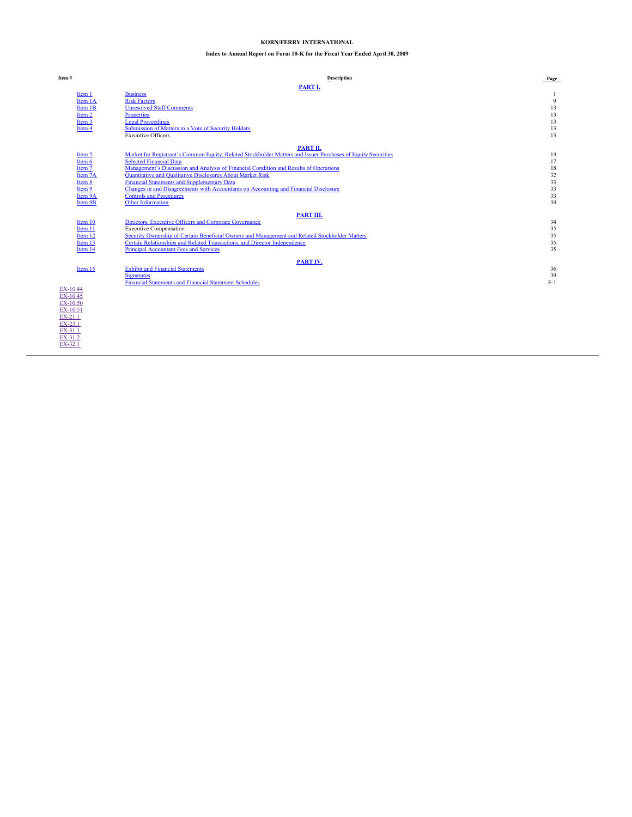# **KORN/FERRY INTERNATIONAL**

# **Index to Annual Report on Form 10-K for the Fiscal Year Ended April 30, 2009**

<span id="page-1-0"></span>

| Item#    | <b>Description</b>                                                                                           | Page            |
|----------|--------------------------------------------------------------------------------------------------------------|-----------------|
|          | PART I.                                                                                                      |                 |
| Item 1   | <b>Business</b>                                                                                              | -1              |
| Item 1A  | <b>Risk Factors</b>                                                                                          | 9               |
| Item 1B  | <b>Unresolved Staff Comments</b>                                                                             | 13              |
| Item 2   | Properties                                                                                                   | 13              |
| Item 3   | <b>Legal Proceedings</b>                                                                                     | 13              |
| Item 4   | Submission of Matters to a Vote of Security Holders                                                          | 13              |
|          | <b>Executive Officers</b>                                                                                    | 13              |
|          | PART II.                                                                                                     |                 |
| Item 5   | Market for Registrant's Common Equity, Related Stockholder Matters and Issuer Purchases of Equity Securities | 14              |
| Item 6   | <b>Selected Financial Data</b>                                                                               | 17              |
| Item 7   | Management's Discussion and Analysis of Financial Condition and Results of Operations                        | $18\,$          |
| Item 7A  | Quantitative and Qualitative Disclosures About Market Risk                                                   |                 |
| Item 8   | <b>Financial Statements and Supplementary Data</b>                                                           | $\frac{32}{33}$ |
| Item 9   | Changes in and Disagreements with Accountants on Accounting and Financial Disclosure                         | $33\,$          |
| Item 9A  | <b>Controls and Procedures</b>                                                                               | 33              |
| Item 9B  | Other Information                                                                                            | 34              |
|          |                                                                                                              |                 |
|          | PART III.                                                                                                    |                 |
| Item 10  | Directors, Executive Officers and Corporate Governance                                                       | 34              |
| Item 11  | <b>Executive Compensation</b>                                                                                | 35              |
| Item 12  | Security Ownership of Certain Beneficial Owners and Management and Related Stockholder Matters               | 35              |
| Item 13  | Certain Relationships and Related Transactions, and Director Independence                                    | 35              |
| Item 14  | <b>Principal Accountant Fees and Services</b>                                                                | 35              |
|          | PART IV.                                                                                                     |                 |
| Item 15  | <b>Exhibit and Financial Statements</b>                                                                      | 36              |
|          | <b>Signatures</b>                                                                                            | 39              |
|          | <b>Financial Statements and Financial Statement Schedules</b>                                                | $F-1$           |
| EX-10.44 |                                                                                                              |                 |
| EX-10.45 |                                                                                                              |                 |
| EX-10.50 |                                                                                                              |                 |
| EX-10.51 |                                                                                                              |                 |
| EX-21.1  |                                                                                                              |                 |
| EX-23.1  |                                                                                                              |                 |
| EX-31.1  |                                                                                                              |                 |
| EX-31.2  |                                                                                                              |                 |
| EX-32.1  |                                                                                                              |                 |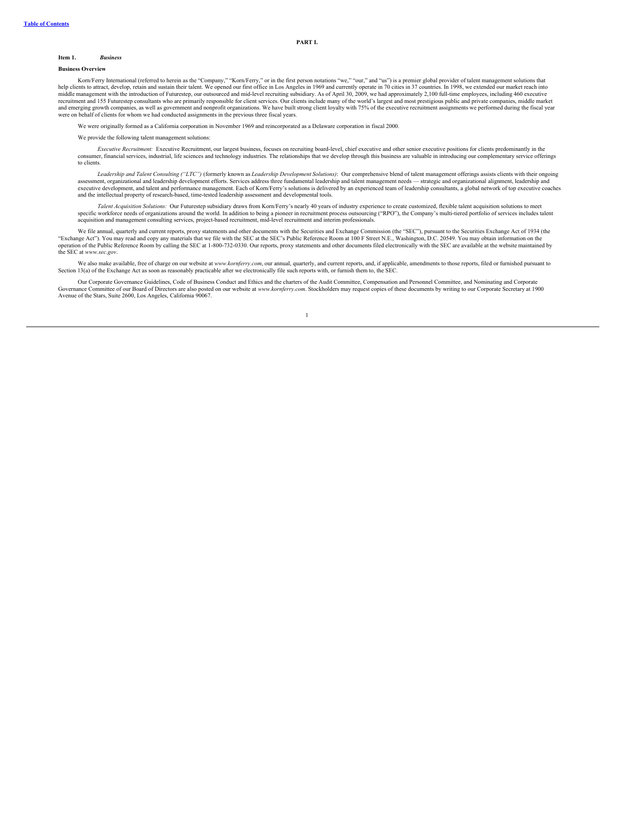**PART I.**

## <span id="page-2-0"></span>**Item 1.** *Business*

#### **Business Overview**

Kom/Ferry International (referred to herein as the "Company," "Kom/Ferry," or in the first person notations "we," "our," and "us") is a premier global provider of talent management solutions that<br>help clients to attract, d middle management with the introduction of Futurestep, our outsourced and mid-level recruiting subsidiary. As of April 30, 2009, we had approximately 2,100 full-time employees, including 460 executive<br>recruitment and 155 F and emerging growth companies, as well as government and nonprofit organizations. We have built strong client loyalty with 75% of the executive recruitment assignments we performed during the fiscal year<br>were on behalf of

We were originally formed as a California corporation in November 1969 and reincorporated as a Delaware corporation in fiscal 2000.

We provide the following talent management solutions:

Executivent: Executive Recruitment; our largest business, focuses on recruiting board-level, chief executive and other senior executive positions for clients predominantly in the consumer, financial services, industrial, l to clients.

Leadership and Talent Consulting ("LTC") (formerly known as Leadership Development Solutions): Our comprehensive blend of talent management offerings assists clients with their ongoing assessment, organizational and leadership development efforts. Services address three fundamental leadership and talent management needs — strategic and organizational alignment, leadership and<br>executive development, and t and the intellectual property of research-based, time-tested leadership assessment and developmental tools.

Talent Acquisition Solutions: Our Futurestep subsidiary draws from Korn/Ferry's nearly 40 years of industry experience to create customized, flexible talent acquisition solutions to meet<br>specific workforce needs of organiz acquisition and management consulting services, project-based recruitment, mid-level recruitment and interim professionals.

We file annual, quarterly and current reports, proxy statements and other documents with the Securities and Exchange Commission (the "SEC"), pursuant to the Securities Exchange Act of 1934 (the "Exchange Act"). You may read and copy any materials that we file with the SEC at the SEC's Public Reference Room at 100 F Street N.E., Washington, D.C. 20549. You may obtain information on the<br>operation of the Public Refe the SEC at *www.sec.gov*.

We also make available, free of charge on our website at www.kornferry.com, our annual, quarterly, and current reports, and, if applicable, amendments to those reports, filed or furnished pursuant to Section 13(a) of the E

Our Corporate Governance Guidelines, Code of Business Conduct and Ethics and the charters of the Audit Committee, Compensation and Personnel Committee, and Nominating and Corporate Governance Committee of our Board of Directors are also posted on our website at *www.kornferry.com*. Stockholders may request copies of these documents by writing to our Corporate Secretary at 1900 Avenue of the Stars, Suite 2600, Los Angeles, California 90067.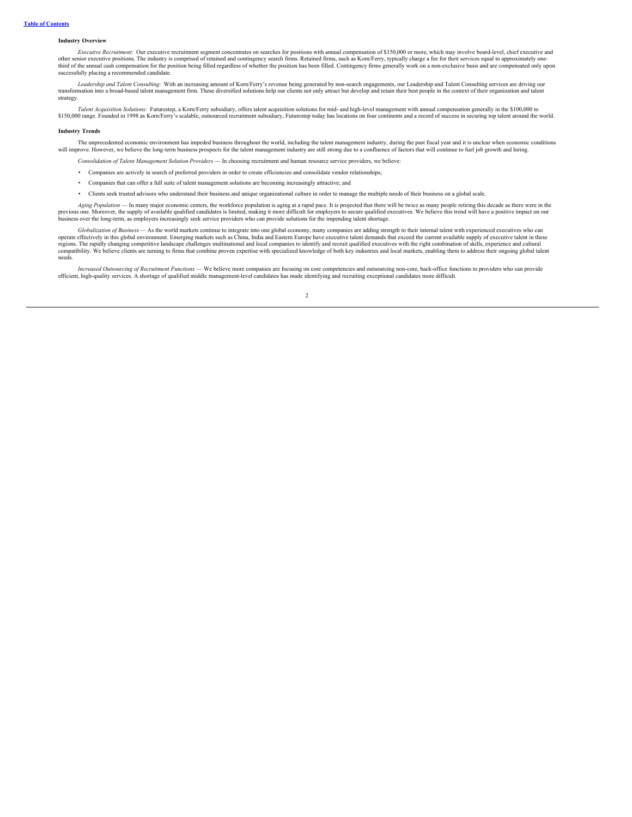## **Industry Overview**

*Executive Recruitment:* Our executive recruitment segment concentrates on searches for positions with annual compensation of \$150,000 or more, which may involve board-level, chief executive and other senior executive positions. The industry is comprised of retained and contingency search firms. Retained firms, such as Kom/Ferry, typically charge a fee for their services equal to approximately one-<br>third of the an successfully placing a recommended candidate.

*Leadership and Talent Consulting:* With an increasing amount of Korn/Ferry's revenue being generated by non-search engagements, our Leadership and Talent Consulting services are driving our transformation into a broad-based talent management firm. These diversified solutions help our clients not only attract but develop and retain their best people in the context of their organization and talent strategy.

*Talent Acquisition Solutions:* Futurestep, a Korn/Ferry subsidiary, offers talent acquisition solutions for mid- and high-level management with annual compensation generally in the \$100,000 to \$150,000 range. Founded in 1998 as Korn/Ferry's scalable, outsourced recruitment subsidiary, Futurestep today has locations on four continents and a record of success in securing top talent around the world.

#### **Industry Trends**

The unprecedented economic environment has impeded business throughout the world, including the talent management industry, during the past fiscal year and it is unclear when economic conditions will improve. However, we believe the long-term business prospects for the talent management industry are still strong due to a confluence of factors that will continue to fuel job growth and hiring.

*Consolidation of Talent Management Solution Providers* — In choosing recruitment and human resource service providers, we believe:

- Companies are actively in search of preferred providers in order to create efficiencies and consolidate vendor relationships;
- Companies that can offer a full suite of talent management solutions are becoming increasingly attractive; and
- Clients seek trusted advisors who understand their business and unique organizational culture in order to manage the multiple needs of their business on a global scale.

Aging Population — In many major economic centers, the workforce population is aging at a rapid pace. It is projected that there will be twice as many people retiring this decade as there were in the previous one. Moreover

*Globalization of Business*— As the world markets continue to integrate into one global economy, many companies are adding strength to their internal talent with experienced executives who can operate effectively in this global environment. Emerging markets such as China, India and Eastern Europe have executive talent demands that exceed the current available supply of executive talent in these regions. The rapidly changing competitive landscape challenges multinational and local companies to identify and recruit qualified executives with the right combination of skills, experience and cultural<br>compatibility. We needs.

Increased Outsourcing of Recruitment Functions — We believe more companies are focusing on core competencies and outsourcing non-core, back-office functions to providers who can provide<br>efficient, high-quality services. A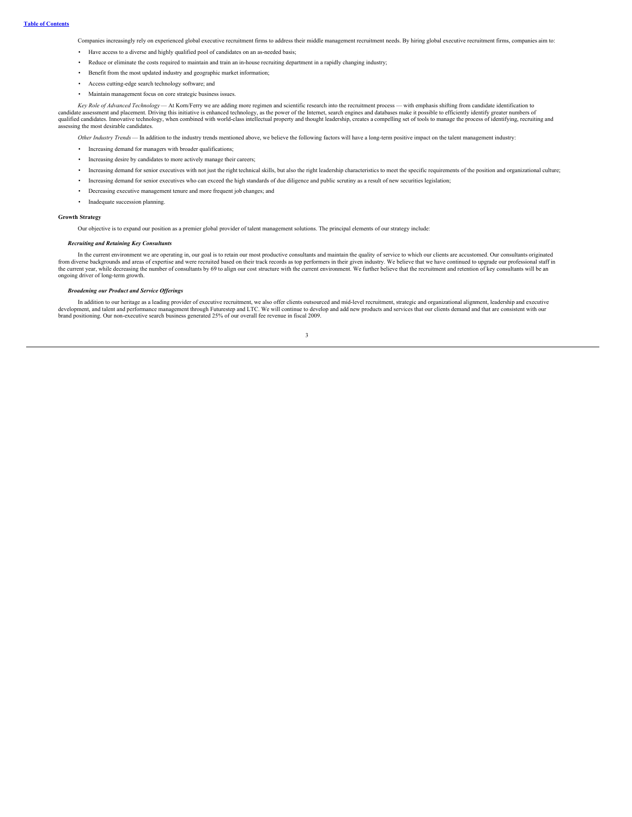Companies increasingly rely on experienced global executive recruitment firms to address their middle management recruitment needs. By hiring global executive recruitment firms, companies aim to:

- Have access to a diverse and highly qualified pool of candidates on an as-needed basis;
- Reduce or eliminate the costs required to maintain and train an in-house recruiting department in a rapidly changing industry;
- Benefit from the most updated industry and geographic market information;
- Access cutting-edge search technology software; and
- Maintain management focus on core strategic business issues.

*Key Role of Advanced Technology* — At Korn/Ferry we are adding more regimen and scientific research into the recruitment process — with emphasis shifting from candidate identification to candidate assessment and placement. Driving this initiative is enhanced technology, as the power of the Internet, search engines and databases make it possible to efficiently identify greater numbers of qualified candidates. Innovative technology, when combined with world-class intellectual property and thought leadership, creates a compelling set of tools to manage the process of identifying, recruiting and assessing the most desirable candidates.

*Other Industry Trends*— In addition to the industry trends mentioned above, we believe the following factors will have a long-term positive impact on the talent management industry:

- Increasing demand for managers with broader qualifications;
- Increasing desire by candidates to more actively manage their careers;
- Increasing demand for senior executives with not just the right technical skills, but also the right leadership characteristics to meet the specific requirements of the position and organizational culture;
- Increasing demand for senior executives who can exceed the high standards of due diligence and public scrutiny as a result of new securities legislation;
- Decreasing executive management tenure and more frequent job changes; and
- Inadequate succession planning.

## **Growth Strategy**

Our objective is to expand our position as a premier global provider of talent management solutions. The principal elements of our strategy include:

## *Recruiting and Retaining Key Consultants*

In the current environment we are operating in, our goal is to retain our most productive consultants and maintain the quality of service to which our clients are accustomed. Our consultants originated<br>from diverse backgro the current year, while decreasing the number of consultants by 69 to align our cost structure with the current environment. We further believe that the recruitment and retention of key consultants will be an ongoing driver of long-term growth.

## *Broadening our Product and Service Of erings*

In addition to our heritage as a leading provider of executive recruitment, we also offer clients outsourced and mid-level recruitment, strategic and organizational alignment, leadership and executive develops and add new

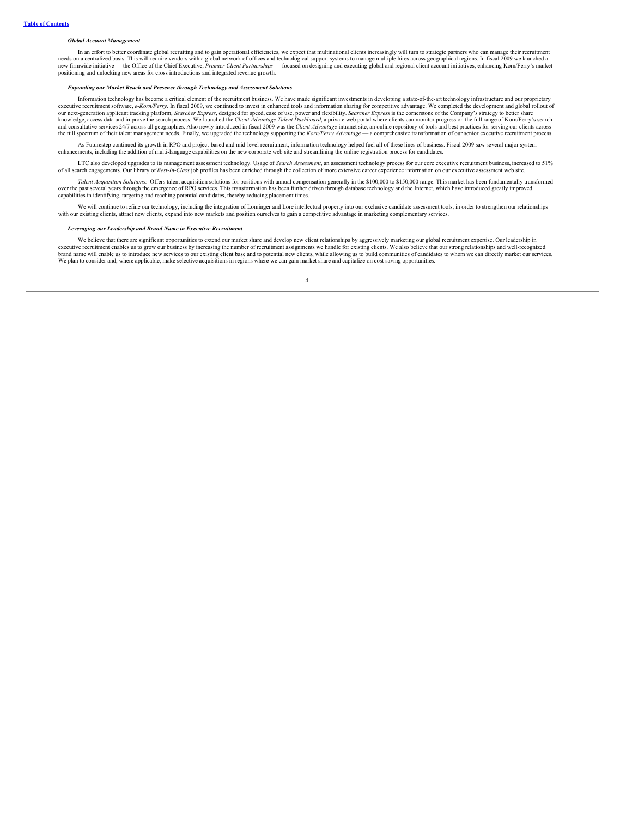#### *Global Account Management*

In an effort to better coordinate global recruiting and to gain operational efficiencies, we expect that multinational clients increasingly will turn to strategic partners who can manage their recruitment needs on a centralized basis. This will require vendors with a global network of offices and technological support systems to manage multiple hires across geographical regions. In fiscal 2009 we launched a<br>new firmwide ini positioning and unlocking new areas for cross introductions and integrated revenue growth.

### *Expanding our Market Reach and Presence through Technology and Assessment Solutions*

Information technology has become a critical element of the recruitment business. We have made significant investments in developing a state-of-the-art technology infrastructure and our proprietary executive recruitment software, *e-Korn/Ferry*. In fiscal 2009, we continued to invest in enhanced tools and information sharing for competitive advantage. We completed the development and global rollout of our next-generation applicant tracking platform, Searcher Express, designed for speed, ease of use, power and flexibility. Searcher Express is the comerstone of the Company's strategy to better share<br>knowledge, access data and consultative services 24/7 across all geographies. Also newly introduced in fiscal 2009 was the *Client Advantage* intranet site, an online repository of tools and best practices for serving our clients across<br>the full

As Futurestep continued its growth in RPO and project-based and mid-level recruitment, information technology helped fuel all of these lines of business. Fiscal 2009 saw several major system enhancements, including the addition of multi-language capabilities on the new corporate web site and streamlining the online registration process for candidates.

LTC also developed upgrades to its management assessment technology. Usage of *Search Assessment*, an assessment technology process for our core executive recruitment business, increased to 51% of all search engagements. Our library of *Best-In-Class* job profiles has been enriched through the collection of more extensive career experience information on our executive assessment web site.

Talent Acquisition Solutions: Offers talent acquisition solutions for positions with annual compensation generally in the \$100,000 to \$150,000 range. This market has been fundamentally transformed over the past several yea capabilities in identifying, targeting and reaching potential candidates, thereby reducing placement times.

We will continue to refine our technology, including the integration of Lominger and Lore intellectual property into our exclusive candidate assessment tools, in order to strengthen our relationships with our existing clients, attract new clients, expand into new markets and position ourselves to gain a competitive advantage in marketing complementary services.

### *Leveraging our Leadership and Brand Name in Executive Recruitment*

We believe that there are significant opportunities to extend our market share and develop new client relationships by aggressively marketing our global recruitment expertise. Our leadership in executive recruitment enables us to grow our business by increasing the number of recruitment assignments we handle for existing clients. We also believe that our strong relationships and well-recognized<br>brand name will en We plan to consider and, where applicable, make selective acquisitions in regions where we can gain market share and capitalize on cost saving opportunities.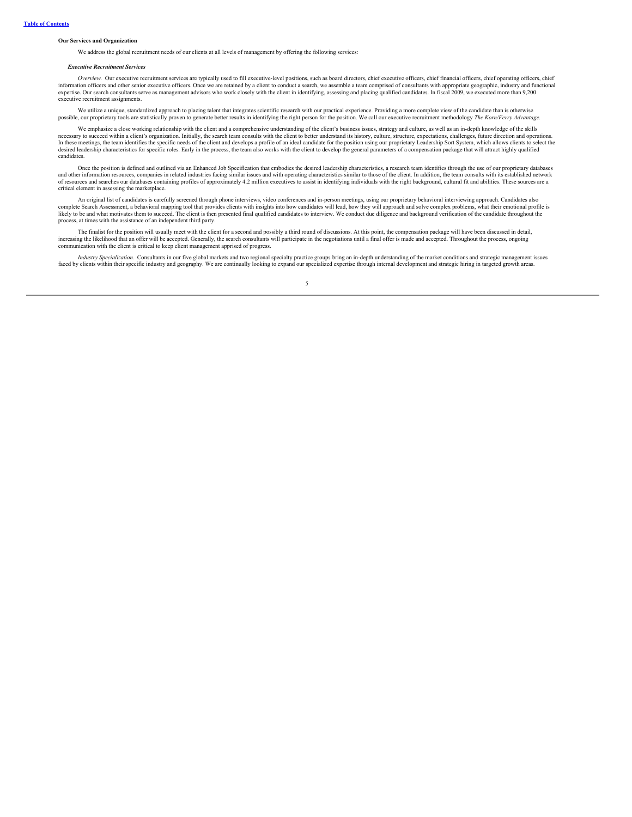## **Our Services and Organization**

We address the global recruitment needs of our clients at all levels of management by offering the following services:

### *Executive Recruitment Services*

*Overview.* Our executive recruitment services are typically used to fill executive-level positions, such as board directors, chief executive officers, chief financial officers, chief operating officers, chief information officers and other senior executive officers. Once we are retained by a client to conduct a search, we assemble a team comprised of consultants with appropriate geographic, industry and functional<br>expertise. Ou executive recruitment assignments.

We utilize a unique, standardized approach to placing talent that integrates scientific research with our practical experience. Providing a more complete view of the candidate than is otherwise possible, our proprietary tools are statistically proven to generate better results in identifying the right person for the position. We call our executive recruitment methodology The Korn/Ferry Advantage.

We emphasize a close working relationship with the client and a comprehensive understanding of the client's business issues, strategy and culture, as well as an in-depth knowledge of the skills necessary to succeed within a client's organization. Initially, the search team consults with the client to better understand its history, culture, structure, expectations, challenges, future direction and operations. In these meetings, the team identifies the specific needs of the client and develops a profile of an ideal candidate for the position using our proprietary Leadership Sort System, which allows clients to select the desired leadership characteristics for specific roles. Early in the process, the team also works with the client to develop the general parameters of a compensation package that will attract highly qualified candidates.

Once the position is defined and outlined via an Enhanced Job Specification that embodies the desired leadership characteristics, a research team identifies through the use of our proprietary databases and other information resources, companies in related industries facing similar issues and with operating characteristics similar to those of the client. In addition, the team consults with its established network and othe of resources and searches our databases containing profiles of approximately 4.2 million executives to assist in identifying individuals with the right background, cultural fit and abilities. These sources are a critical element in assessing the marketplace.

An original list of candidates is carefully screened through phone interviews, video conferences and in-person meetings, using our proprietary behavioral interviewing approach. Candidates also<br>Complete Search Assessment, a process, at times with the assistance of an independent third party.

The finalist for the position will usually meet with the client for a second and possibly a third round of discussions. At this point, the compensation package will have been discussed in detail, increasing the likelihood

Industry Specialization. Consultants in our five global markets and two regional specialty practice groups bring an in-depth understanding of the market conditions and strategic management issues faced by clients within th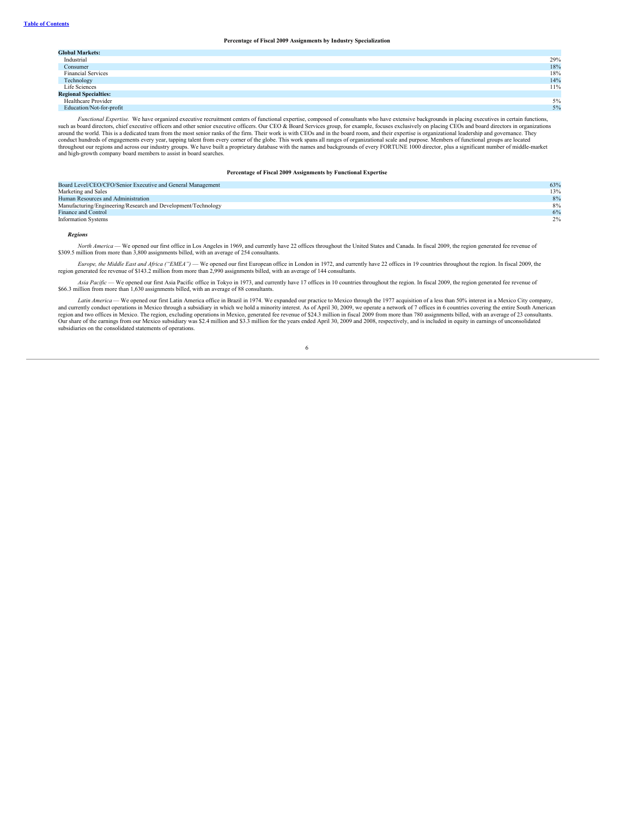# **Percentage of Fiscal 2009 Assignments by Industry Specialization**

| 29% |
|-----|
| 18% |
| 18% |
| 14% |
| 11% |
|     |
| 5%  |
| 5%  |
|     |

*Functional Expertise.* We have organized executive recruitment centers of functional expertise, composed of consultants who have extensive backgrounds in placing executives in certain functions, such as board directors, chief executive officers and other senior executive officers. Our CEO & Board Services group, for example, focuses exclusively on placing CEOs and board directors in organizations<br>around the world. conduct hundreds of engagements every year, tapping talent from every comer of the globe. This work spans all ranges of organizational scale and purpose. Members of functional groups are located<br>throughout our regions and

### **Percentage of Fiscal 2009 Assignments by Functional Expertise**

| Board Level/CEO/CFO/Senior Executive and General Management   | 63% |
|---------------------------------------------------------------|-----|
| Marketing and Sales                                           | 13% |
| Human Resources and Administration                            | 8%  |
| Manufacturing/Engineering/Research and Development/Technology | 8%  |
| Finance and Control                                           | 6%  |
| <b>Information Systems</b>                                    | 2%  |

*Regions*

*North America* — We opened our first office in Los Angeles in 1969, and currently have 22 offices throughout the United States and Canada. In fiscal 2009, the region generated fee revenue of  $$309.5$  million from more than  $3,800$  assignments billed, with an average of 254 consultants.

Europe, the Middle East and Africa ("EMEA") - We opened our first European office in London in 1972, and currently have 22 offices in 19 countries throughout the region. In fiscal 2009, the region generated fee revenue of \$143.2 million from more than 2,990 assignments billed, with an average of 144 consultants.

*Asia Pacific* — We opened our first Asia Pacific office in Tokyo in 1973, and currently have 17 offices in 10 countries throughout the region. In fiscal 2009, the region generated fee revenue of \$66.3 million from more than 1,630 assignments billed, with an average of 88 consultants.

*Latin America* — We opened our first Latin America office in Brazil in 1974. We expanded our practice to Mexico through the 1977 acquisition of a less than 50% interest in a Mexico City company, and currently conduct operations in Mexico through a subsidiary in which we hold a minority interest. As of April 30, 2009, we operate a network of 7 offices in 6 countries covering the entire South American and currently region and two offices in Mexico. The region, excluding operations in Mexico, generated fee revenue of \$24.3 million in fiscal 2009 from more than 780 assignments billed, with an average of 23 consultants.<br>Our share of the subsidiaries on the consolidated statements of operations.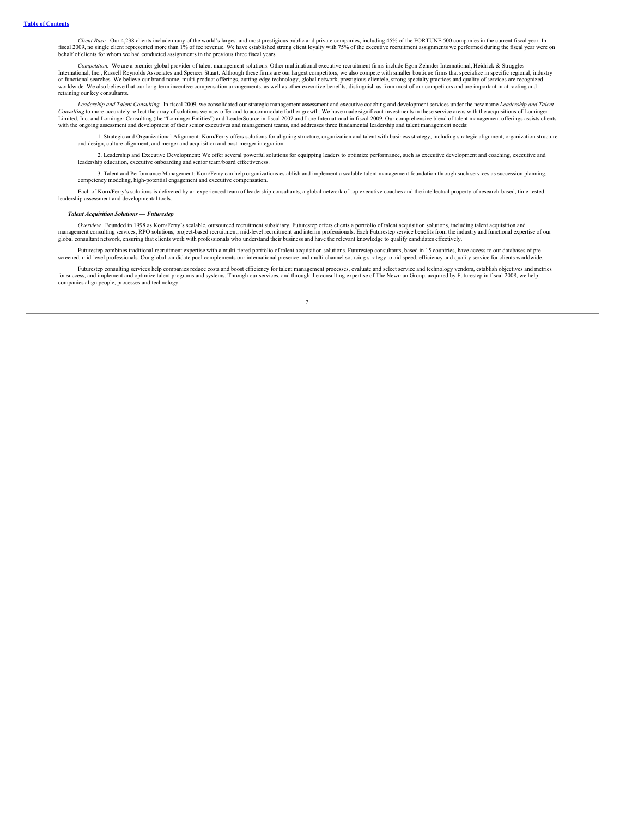Client Base. Our 4,238 clients include many of the world's largest and most prestigious public and private companies, including 45% of the FORTUNE 500 companies in the current fiscal year. In<br>fiscal 2009, no single client behalf of clients for whom we had conducted assignments in the previous three fiscal years.

Competition. We are a premier global provider of talent management solutions. Other multinational executive recruitment firms include Egon Zehnder International, Heidrick & Struggles (Struggles) International, Inc., Russel worldwide. We also believe that our long-term incentive compensation arrangements, as well as other executive benefits, distinguish us from most of our competitors and are important in attracting and retaining our key consultants.

Leadership and Talent Consulting. In fiscal 2009, we consolidated our strategic management assessment and executive coaching and development services under the new name Leadership and Talent *Consulting* to more accurately reflect the array of solutions we now offer and to accommodate further growth. We have made significant investments in these service areas with the acquisitions of Lominger Limited, Inc. and Lominger Consulting (the "Lominger Entities") and LeaderSource in fiscal 2007 and Lore International in fiscal 2009. Our comprehensive blend of talent management offerings assists clients with the ongoing assessment and development of their senior executives and management teams, and addresses three fundamental leadership and talent management needs

1. Strategic and Organizational Alignment: Korn/Ferry offers solutions for aligning structure, organization and talent with business strategy, including strategic alignment, organization structure and design, culture alignment, and merger and acquisition and post-merger integration.

2. Leadership and Executive Development: We offer several powerful solutions for equipping leaders to optimize performance, such as executive development and coaching, executive and leadership education, executive onboarding and senior team/board effectiveness.

3. Talent and Performance Management: Korn/Ferry can help organizations establish and implement a scalable talent management foundation through such services as succession planning, competency modeling, high-potential engagement and executive compensation.

Each of Korn/Ferry's solutions is delivered by an experienced team of leadership consultants, a global network of top executive coaches and the intellectual property of research-based, time-tested leadership assessment and developmental tools.

### *Talent Acquisition Solutions — Futurestep*

*Overview.* Founded in 1998 as Korn/Ferry's scalable, outsourced recruitment subsidiary, Futurestep offers clients a portfolio of talent acquisition solutions, including talent acquisition and management consulting services, RPO solutions, project-based recruitment, mid-level recruitment and interim professionals. Each Futurestep service benefits from the industry and functional expertise of our<br>global consultan

Futurestep combines traditional recruitment expertise with a multi-tiered portfolio of talent acquisition solutions. Futurestep consultants, based in 15 countries, have access to our databases of prescreened, mid-level professionals. Our global candidate pool complements our international presence and multi-channel sourcing strategy to aid speed, efficiency and quality service for clients worldwide.

Futurestep consulting services help companies reduce costs and boost efficiency for talent management processes, evaluate and select service and technology vendors, establish objectives and metrics<br>for success, and impleme companies align people, processes and technology.

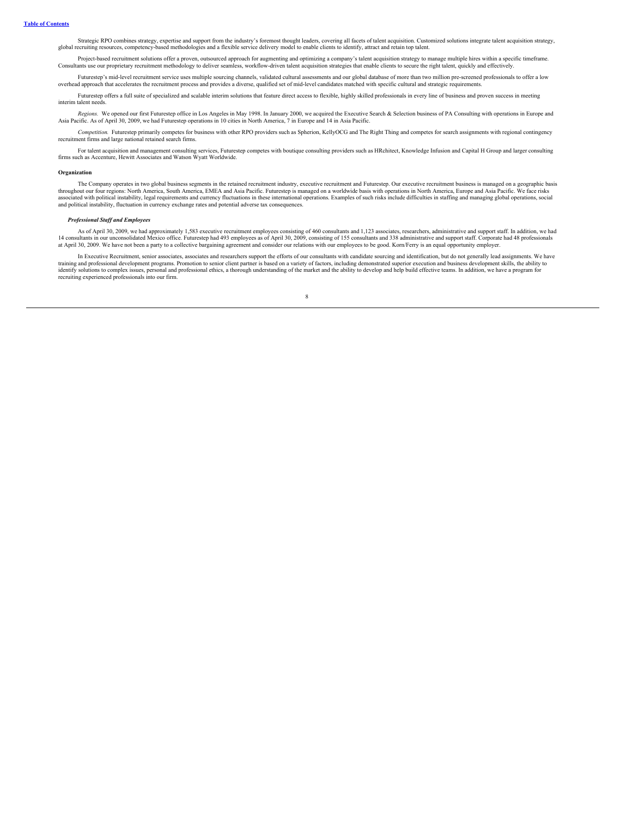Strategic RPO combines strategy, expertise and support from the industry's foremost thought leaders, covering all facets of talent acquisition. Customized solutions integrate talent acquisition strategy, global recruiting resources, competency-based methodologies and a flexible service delivery model to enable clients to identify, attract and retain top talent.

.Project-based recruitment solutions offer a proven, outsourced approach for augmenting and optimizing a company's talent acquisition strategy to manage multiple hires within a specific timeframe.<br>Consultants use our propr

Futurestep's mid-level recruitment service uses multiple sourcing channels, validated cultural assessments and our global database of more than two million pre-screened professionals to offer a low overhead approach that accelerates the recruitment process and provides a diverse, qualified set of mid-level candidates matched with specific cultural and strategic requirements.

Futurestep offers a full suite of specialized and scalable interim solutions that feature direct access to flexible, highly skilled professionals in every line of business and proven success in meeting interim talent needs.

*Regions.* We opened our first Futurestep office in Los Angeles in May 1998. In January 2000, we acquired the Executive Search & Selection business of PA Consulting with operations in Europe and Asia Pacific. As of April 30, 2009, we had Futurestep operations in 10 cities in North America, 7 in Europe and 14 in Asia Pacific.

*Competition.* Futurestep primarily competes for business with other RPO providers such as Spherion, KellyOCG and The Right Thing and competes for search assignments with regional contingency recruitment firms and large national retained search firms.

For talent acquisition and management consulting services, Futurestep competes with boutique consulting providers such as HRchitect, Knowledge Infusion and Capital H Group and larger consulting firms such as Accenture, Hewitt Associates and Watson Wyatt Worldwide.

#### **Organization**

The Company operates in two global business segments in the retained recruitment industry, executive recruitment and Futurestep. Our executive recruitment business is managed on a geographic basis throughout our four regions: North America, South America, EMEA and Asia Pacific. Futurestep is managed on a worldwide basis with operations in North America, Europe and Asia Pacific. We face risks associated with political instability, legal requirements and currency fluctuations in these international operations. Examples of such risks include difficulties in staffing and managing global operations, social and political instability, fluctuation in currency exchange rates and potential adverse tax consequences.

## *Professional Staf and Employees*

As of April 30, 2009, we had approximately 1,583 executive recruitment employees consisting of 460 consultants and 1,123 associates, researchers, administrative and support staff. In addition, we had approximately 1,583 ex at April 30, 2009. We have not been a party to a collective bargaining agreement and consider our relations with our employees to be good. Korn/Ferry is an equal opportunity employer.

In Executive Recruitment, senior associates, associates and researchers support the efforts of our consultants with candidate sourcing and identification, but do not generally lead assignments. We have training and professional development programs. Promotion to senior client partner is based on a variety of factors, including demonstrated superior execution and business development skills, the ability to<br>identify soluti recruiting experienced professionals into our firm.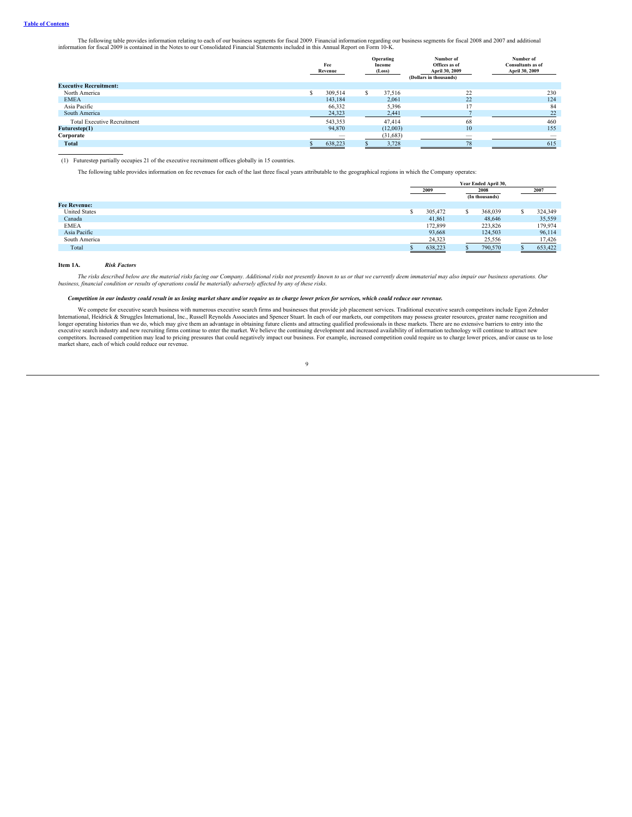The following table provides information relating to each of our business segments for fiscal 2009. Financial information regarding our business segments for fiscal 2008 and 2007 and additional information for fiscal 2009

|                                    |  | Fee<br>Revenue | Operating<br>Income<br>(Loss) | Number of<br>Offices as of<br>April 30, 2009<br>(Dollars in thousands) | Number of<br><b>Consultants as of</b><br>April 30, 2009 |
|------------------------------------|--|----------------|-------------------------------|------------------------------------------------------------------------|---------------------------------------------------------|
| <b>Executive Recruitment:</b>      |  |                |                               |                                                                        |                                                         |
| North America                      |  | 309,514        | 37,516                        | 22                                                                     | 230                                                     |
| <b>EMEA</b>                        |  | 143,184        | 2,061                         | 22                                                                     | 124                                                     |
| Asia Pacific                       |  | 66,332         | 5,396                         |                                                                        | 84                                                      |
| South America                      |  | 24,323         | 2,441                         |                                                                        | 22                                                      |
| <b>Total Executive Recruitment</b> |  | 543,353        | 47.414                        | 68                                                                     | 460                                                     |
| Futurestep(1)                      |  | 94,870         | (12,003)                      | 10                                                                     | 155                                                     |
| Corporate                          |  |                | (31,683)                      |                                                                        |                                                         |
| <b>Total</b>                       |  | 638,223        | 3,728                         | 78                                                                     | 615                                                     |

(1) Futurestep partially occupies 21 of the executive recruitment offices globally in 15 countries.

The following table provides information on fee revenues for each of the last three fiscal years attributable to the geographical regions in which the Company operates:

|                      |   | Year Ended April 30,           |  |         |   |         |
|----------------------|---|--------------------------------|--|---------|---|---------|
|                      |   | 2009<br>2008<br>(In thousands) |  |         |   | 2007    |
| <b>Fee Revenue:</b>  |   |                                |  |         |   |         |
| <b>United States</b> | S | 305,472                        |  | 368,039 | s | 324,349 |
| Canada               |   | 41,861                         |  | 48,646  |   | 35,559  |
| <b>EMEA</b>          |   | 172,899                        |  | 223,826 |   | 179,974 |
| Asia Pacific         |   | 93,668                         |  | 124,503 |   | 96,114  |
| South America        |   | 24,323                         |  | 25,556  |   | 17,426  |
| Total                |   | 638,223                        |  | 790,570 |   | 653,422 |

## **Item 1A.** *Risk Factors*

<span id="page-10-0"></span>The risks described below are the material risks facing our Company. Additional risks not presently known to us or that we currently deem immaterial may also impair our business operations. Our<br>business, financial conditio

## Competition in our industry could result in us losing market share and/or require us to charge lower prices for services, which could reduce our revenue.

We compete for executive search business with numerous executive search firms and businesses that provide job placement services. Traditional executive search competitors include Egon Zehnder International, Heidrick & Struggles International, Inc., Russell Reynolds Associates and Spencer Stuart. In each of our markets, our competitors may possess greater resources, greater name recognition and longer operating market share, each of which could reduce our revenue.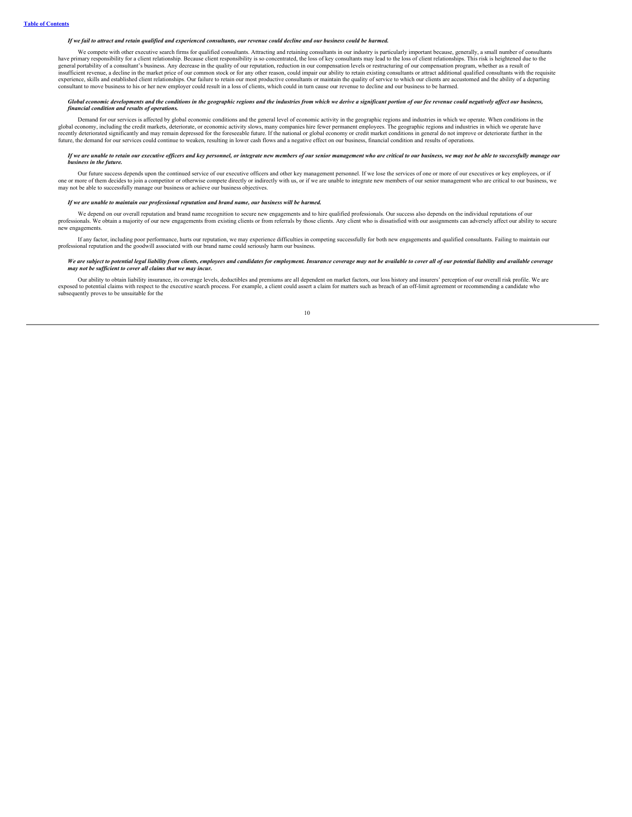# If we fail to attract and retain qualified and experienced consultants, our revenue could decline and our business could be harmed.

We compete with other executive search firms for qualified consultants. Attracting and retaining consultants in our industry is particularly important because, generally, a small number of consultants have primary responsibility for a client relationship. Because client responsibility is so concentrated, the loss of key consultants may lead to the loss of client relationships. This risk is heightened due to the general portability of a consultant's business. Any decrease in the quality of our reputation, reduction in our compensation levels or restructuring of our compensation program, whether as a result of<br>insufficient revenue, consultant to move business to his or her new employer could result in a loss of clients, which could in turn cause our revenue to decline and our business to be harmed.

### Global economic developments and the conditions in the geographic regions and the industries from which we derive a significant portion of our fee revenue could negatively affect our business, *financial condition and results of operations.*

Demand for our services is affected by global economic conditions and the general level of economic activity in the geographic regions and industries in which we operate. When conditions in the global economy, including the credit markets, deteriorate, or economic activity slows, many companies hire fewer permanent employees. The geographic regions and industries in which we operate have<br>recently deteriorated sig future, the demand for our services could continue to weaken, resulting in lower cash flows and a negative effect on our business, financial condition and results of operations.

## If we are unable to retain our executive officers and key personnel, or integrate new members of our senior management who are critical to our business, we may not be able to successfully manage our *business in the future.*

Our future success depends upon the continued service of our executive officers and other key management personnel. If we lose the services of one or more of our executives or key employees, or if one or more of them decid may not be able to successfully manage our business or achieve our business objectives.

## *If we are unable to maintain our professional reputation and brand name, our business will be harmed.*

We depend on our overall reputation and brand name recognition to secure new engagements and to hire qualified professionals. Our success also depends on the individual reputations of our<br>professionals. We obtain a majorit new engagements.

If any factor, including poor performance, hurts our reputation, we may experience difficulties in competing successfully for both new engagements and qualified consultants. Failing to maintain our professional reputation and the goodwill associated with our brand name could seriously harm our business.

### .<br>We are subject to potential legal liability from clients, employees and candidates for employment. Insurance coverage may not be available to cover all of our potential liability and available coverage *may not be suf icient to cover all claims that we may incur.*

Our ability to obtain liability insurance, its coverage levels, deductibles and premiums are all dependent on market factors, our loss history and insurers' perception of our overall risk profile. We are<br>exposed to potenti subsequently proves to be unsuitable for the

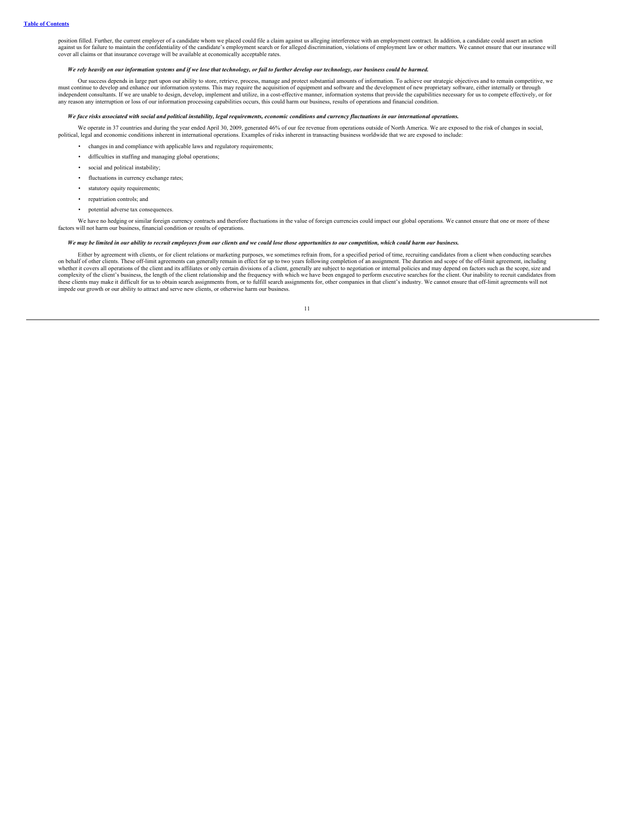position filled. Further, the current employer of a candidate whom we placed could file a claim against us alleging interference with an employment contract. In addition, a candidate could assert an action against us for failure to maintain the confidentiality of the candidate's employment search or for alleged discrimination, violations of employment law or other matters. We cannot ensure that our insurance will cover all claims or that insurance coverage will be available at economically acceptable rates.

#### We rely heavily on our information systems and if we lose that technology, or fail to further develop our technology, our business could be harmed.

Our success depends in large part upon our ability to store, retrieve, process, manage and protect substantial amounts of information. To achieve our strategic objectives and to remain competitive, we must continue to develop and enhance our information systems. This may require the acquisition of equipment and software and the development of new proprietary software, either internally or through independent consultants. If we are unable to design, develop, implement and utilize, in a cost-effective manner, information systems that provide the capabilities necessary for us to compete effectively, or for any reason any interruption or loss of our information processing capabilities occurs, this could harm our business, results of operations and financial condition.

## We face risks associated with social and political instability, legal requirements, economic conditions and currency fluctuations in our international operations.

We operate in 37 countries and during the year ended April 30, 2009, generated 46% of our fee revenue from operations outside of North America. We are exposed to the risk of changes in social, political, legal and economic conditions inherent in international operations. Examples of risks inherent in transacting business worldwide that we are exposed to include:

- changes in and compliance with applicable laws and regulatory requirements;
- difficulties in staffing and managing global operations;
- social and political instability;
- fluctuations in currency exchange rates;
- statutory equity requirements;
- repatriation controls; and
- potential adverse tax consequences.

We have no hedging or similar foreign currency contracts and therefore fluctuations in the value of foreign currencies could impact our global operations. We cannot ensure that one or more of these factors will not harm our business, financial condition or results of operations

## We may be limited in our ability to recruit employees from our clients and we could lose those opportunities to our competition, which could harm our business.

Either by agreement with clients, or for client relations or marketing purposes, we sometimes refrain from, for a specified period of time, recruiting candidates from a client when conducting searches<br>on behalf of other cl whether it covers all operations of the client and its affiliates or only certain divisions of a client, generally are subject to negotiation or internal policies and may depend on factors such as the scope, size and<br>compl these clients may make it difficult for us to obtain search assignments from, or to fulfill search assignments for, other companies in that client's industry. We cannot ensure that off-limit agreements will not<br>impede our

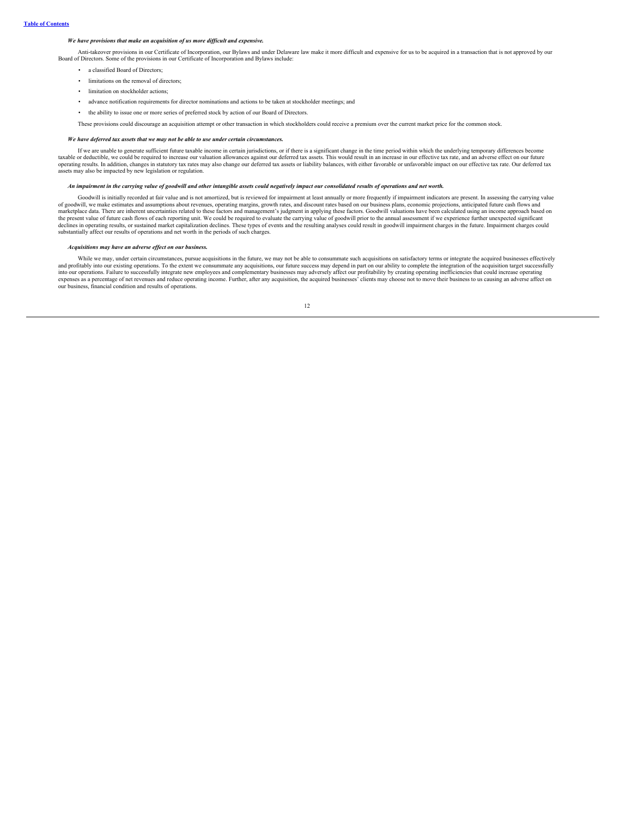# *We have provisions that make an acquisition of us more dif icult and expensive.*

Anti-takeover provisions in our Certificate of Incorporation, our Bylaws and under Delaware law make it more difficult and expensive for us to be acquired in a transaction that is not approved by our Board of Directors. Some of the provisions in our Certificate of Incorporation and Bylaws include:

- a classified Board of Directors;
- limitations on the removal of directors;
- limitation on stockholder actions;
- advance notification requirements for director nominations and actions to be taken at stockholder meetings; and
- the ability to issue one or more series of preferred stock by action of our Board of Directors.

These provisions could discourage an acquisition attempt or other transaction in which stockholders could receive a premium over the current market price for the common stock.

## *We have deferred tax assets that we may not be able to use under certain circumstances.*

If we are unable to generate sufficient future taxable income in certain jurisdictions, or if there is a significant change in the time period within which the underlying temporary differences become taxable or deductible, we could be required to increase our valuation allowances against our deferred tax assets. This would result in an increase in our effective tax rate, and an adverse effect on our future<br>operating re assets may also be impacted by new legislation or regulation.

# An impairment in the carrying value of goodwill and other intangible assets could negatively impact our consolidated results of operations and net worth.

Goodwill is initially recorded at fair value and is not amortized, but is reviewed for impairment at least annually or more frequently if impairment indicators are present. In assessing the carrying value of goodwill, we make estimates and assumptions about revenues, operating margins, growth rates, and discount rates based on our business plans, economic projections, anticipated future cash flows and marketplace data. There are inherent uncertainties related to these factors and management's judgment in applying these factors. Goodwill valuations have been calculated using an income approach based on<br>the present value declines in operating results, or sustained market capitalization declines. These types of events and the resulting analyses could result in goodwill impairment charges in the future. Impairment charges could substantially affect our results of operations and net worth in the periods of such charges.

## *Acquisitions may have an adverse ef ect on our business.*

While we may, under certain circumstances, pursue acquisitions in the future, we may not be able to consummate such acquisitions on satisfactory terms or integrate the acquired businesses effectively and profitably into our existing operations. To the extent we consummate any acquisitions, our future success may depend in part on our ability to complete the integration of the acquisition target successfully<br>into our op expenses as a percentage of net revenues and reduce operating income. Further, after any acquisition, the acquired businesses' clients may choose not to move their business to us causing an adverse affect on<br>our business,

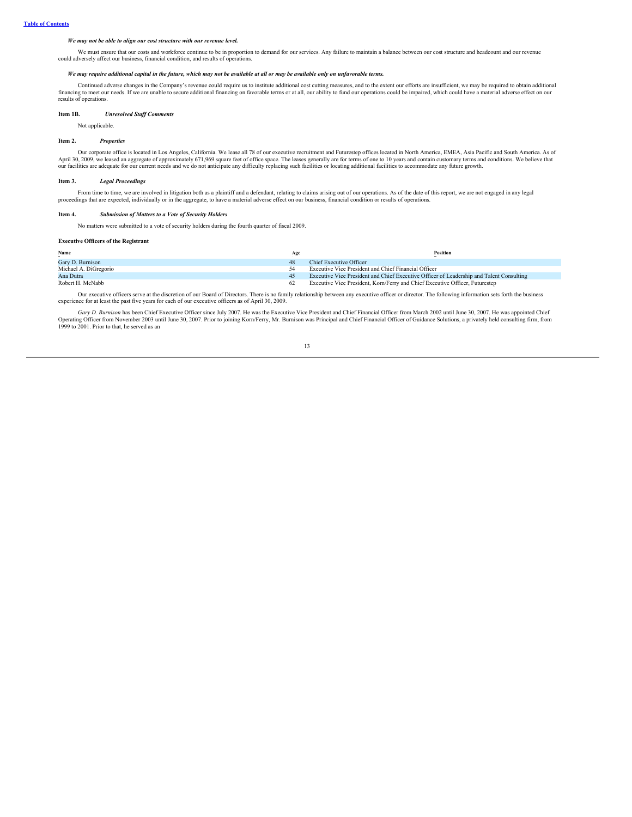# *We may not be able to align our cost structure with our revenue level.*

We must ensure that our costs and workforce continue to be in proportion to demand for our services. Any failure to maintain a balance between our cost structure and headcount and our revenue could adversely affect our business, financial condition, and results of operations.

# We may require additional capital in the future, which may not be available at all or may be available only on unfavorable terms.

Continued adverse changes in the Company's revenue could require us to institute additional cost cutting measures, and to the extent our efforts are insufficient, we may be required to obtain additional financing to meet our needs. If we are unable to secure additional financing on favorable terms or at all, our ability to fund our operations could be impaired, which could have a material adverse effect on our results of operations.

# **Item 1B.** *Unresolved Staf Comments*

<span id="page-14-1"></span><span id="page-14-0"></span>Not applicable.

# **Item 2.** *Properties*

Our corporate office is located in Los Angeles, California. We lease all 78 of our executive recruitment and Futurestep offices located in North America, EMEA, Asia Pacific and South America. As of April 30, 2009, we leased an aggregate of approximately 671,969 square feet of office space. The leases generally are for terms of one to 10 years and contain customary terms and conditions. We believe that<br>our facilities

### <span id="page-14-2"></span>**Item 3.** *Legal Proceedings*

From time to time, we are involved in litigation both as a plaintiff and a defendant, relating to claims arising out of our operations. As of the date of this report, we are not engaged in any legal proceedings that are expected, individually or in the aggregate, to have a material adverse effect on our business, financial condition or results of operations.

## **Item 4.** *Submission of Matters to a Vote of Security Holders*

<span id="page-14-3"></span>No matters were submitted to a vote of security holders during the fourth quarter of fiscal 2009.

### **Executive Officers of the Registrant**

| Name                  | Age | Position                                                                                 |
|-----------------------|-----|------------------------------------------------------------------------------------------|
| Gary D. Burnison      | 48  | Chief Executive Officer                                                                  |
| Michael A. DiGregorio |     | Executive Vice President and Chief Financial Officer                                     |
| Ana Dutra             | -45 | Executive Vice President and Chief Executive Officer of Leadership and Talent Consulting |
| Robert H. McNabb      |     | Executive Vice President, Korn/Ferry and Chief Executive Officer, Futurestep             |

Our executive officers serve at the discretion of our Board of Directors. There is no family relationship between any executive officer or director. The following information sets forth the business experience for at least the past five years for each of our executive officers as of April 30, 2009.

*Gary D. Burnison* has been Chief Executive Officer since July 2007. He was the Executive Vice President and Chief Financial Officer from March 2002 until June 30, 2007. He was appointed Chief Operating Officer from November 2003 until June 30, 2007. Prior to joining Korn/Ferry, Mr. Burnison was Principal and Chief Financial Officer of Guidance Solutions, a privately held consulting firm, from 1999 to 2001. Prior to that, he served as an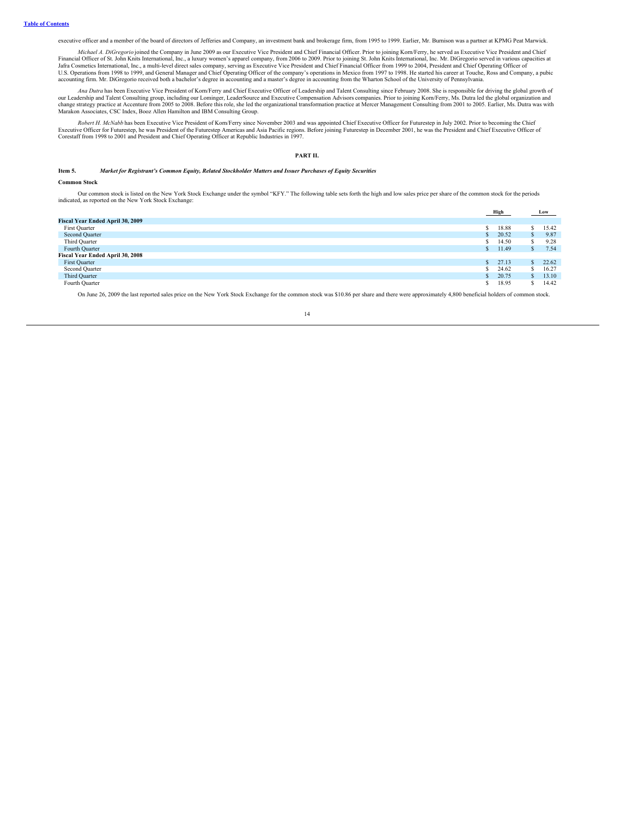executive officer and a member of the board of directors of Jefferies and Company, an investment bank and brokerage firm, from 1995 to 1999. Earlier, Mr. Burnison was a partner at KPMG Peat Marwick.

*Michael A. DiGregorio* joined the Company in June 2009 as our Executive Vice President and Chief Financial Officer. Prior to joining Korn/Ferry, he served as Executive Vice President and Chief Financial Officer of St. John Knits International, Inc., a luxury women's apparel company, from 2006 to 2009. Prior to joining St. John Knits International, Inc. Mr. DiGregorio served in various capacities at Jafa Cosmetic

*Ana Dutra* has been Executive Vice President of Korn/Ferry and Chief Executive Officer of Leadership and Talent Consulting since February 2008. She is responsible for driving the global growth of our Leadership and Talent Consulting group, including our Lominger, LeaderSource and Executive Compensation Advisors companies. Prior to joining Kom/Ferry, Ms. Dutra led the global organization and<br>change strategy practice

*Robert H. McNabb* has been Executive Vice President of Korn/Ferry since November 2003 and was appointed Chief Executive Officer for Futurestep in July 2002. Prior to becoming the Chief Executive Officer for Futurestep, he was President of the Futurestep Americas and Asia Pacific regions. Before joining Futurestep in December 2001, he was the President and Chief Executive Officer of<br>Corestaff from 1998 to

# **PART II.**

<span id="page-15-0"></span>Item 5. Market for Registrant's Common Equity, Related Stockholder Matters and Issuer Purchases of Equity Securities

## **Common Stock**

Our common stock is listed on the New York Stock Exchange under the symbol "KFY." The following table sets forth the high and low sales price per share of the common stock for the periods indicated, as reported on the New York Stock Exchange:

|                                  |              | High  | Low |                    |
|----------------------------------|--------------|-------|-----|--------------------|
| Fiscal Year Ended April 30, 2009 |              |       |     |                    |
| First Quarter                    | S.           | 18.88 | S.  | 15.42              |
| Second Quarter                   | S.           | 20.52 | S.  | 9.87               |
| Third Quarter                    |              | 14.50 | S.  | 9.28               |
| Fourth Quarter                   | S.           | 11.49 | S.  | 7.54               |
| Fiscal Year Ended April 30, 2008 |              |       |     |                    |
| First Quarter                    | $\mathbf{s}$ | 27.13 |     | $\frac{\$}{22.62}$ |
| Second Quarter                   | S.           | 24.62 | S.  | 16.27              |
| Third Quarter                    | S.           | 20.75 | S.  | 13.10              |
| Fourth Quarter                   |              | 18.95 | S.  | 14.42              |

On June 26, 2009 the last reported sales price on the New York Stock Exchange for the common stock was \$10.86 per share and there were approximately 4,800 beneficial holders of common stock.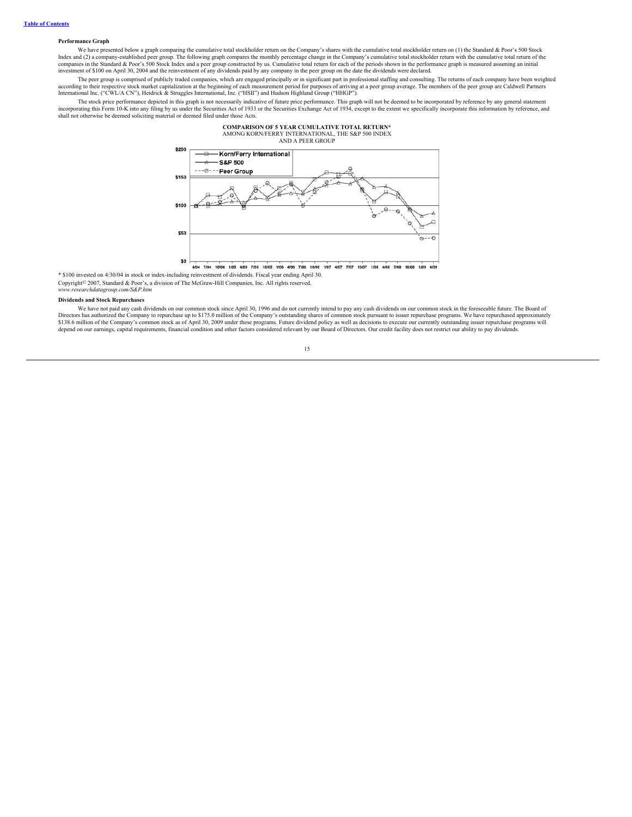## **Performance Graph**

We have presented below a graph comparing the cumulative total stockholder return on the Company's shares with the cumulative total stockholder return on (1) the Standard & Poor's 500 Stock Index and (2) a company-established peer group. The following graph compares the monthly percentage change in the Company's cumulative total stockholder return with the cumulative total return of the cumulative total retur companies in the Standard & Poor's 500 Stock Index and a peer group constructed by us. Cumulative total return for each of the periods shown in the performance graph is measured assuming an initial<br>investment of \$100 on Ap

The peer group is comprised of publicly traded companies, which are engaged principally or in significant part in professional staffing and consulting. The returns of each company have been weighted according to their respective stock market capitalization at the beginning of each measurement period for purposes of arriving at a peer group average. The members of the peer group are Caldwell Partners<br>International Inc.

The stock price performance depicted in this graph is not necessarily indicative of future price performance. This graph will not be deemed to be incorporated by reference by any general statement<br>incorporating this Form 1



\* \$100 invested on 4/30/04 in stock or index-including reinvestment of dividends. Fiscal year ending April 30.

Copyright© 2007, Standard & Poor's, a division of The McGraw-Hill Companies, Inc. All rights reserved. *www.researchdatagroup.com/S&P.htm*

## **Dividends and Stock Repurchases**

We have not paid any cash dividends on our common stock since April 30, 1996 and do not currently intend to pay any cash dividends on our common stock in the foreseeable future. The Board of Directors has authorized the Company to repurchase up to \$175.0 million of the Company's outstanding shares of common stock pursuant to issuer repurchase programs. We have repurchased approximately<br>\$138.6 million of the Co depend on our earnings, capital requirements, financial condition and other factors considered relevant by our Board of Directors. Our credit facility does not restrict our ability to pay dividends.

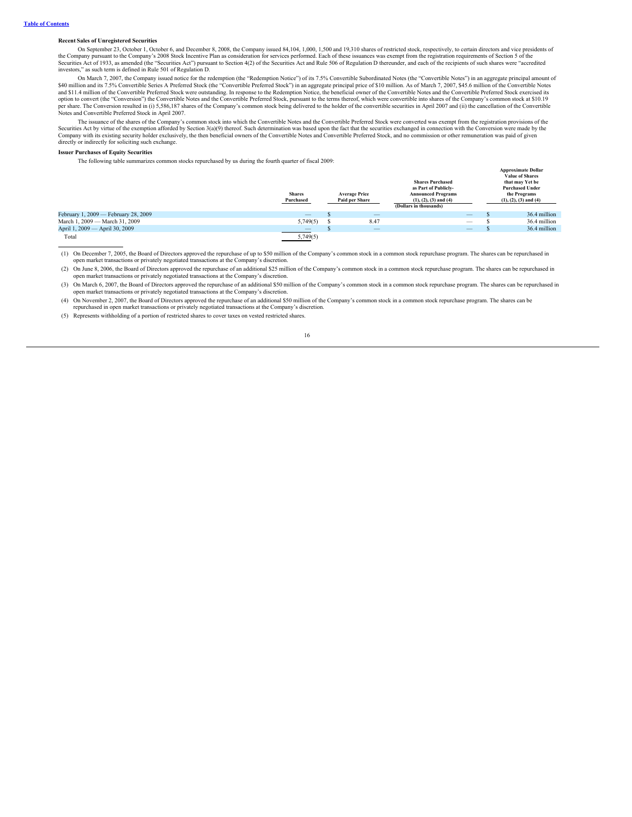## **Recent Sales of Unregistered Securities**

On September 23, October 1, October 6, and December 8, 2008, the Company issued 84,104, 1,000, 1,500 and 19,310 shares of restricted stock, respectively, to certain directors and vice presidents of the Company pursuant to the Company's 2008 Stock Incentive Plan as consideration for services performed. Each of these issuances was exempt from the registration requirements of Section 5 of the<br>Securities Act of 1933, as investors," as such term is defined in Rule 501 of Regulation D.

On March 7, 2007, the Company issued notice for the redemption (the "Redemption Notice") of its 7.5% Convertible Subordinated Notes (the "Convertible Notes") in an aggregate principal amount of (40) and its 7.5% Convertibl option to convert (the "Conversion") the Convertible Notes and the Convertible Preferred Stock, pursuant to the terms thereof, which were convertible into shares of the Company's common stock at \$10.19 per share. The Conversion resulted in (i) 5,586,187 shares of the Company's common stock being delivered to the holder of the convertible securities in April 2007 and (ii) the cancellation of the Convertible Notes and Convertible Preferred Stock in April 2007.

The issuance of the shares of the Company's common stock into which the Convertible Notes and the Convertible Preferred Stock were converted was exempt from the registration provisions of the Securities Act by virtue of th Company with its existing security holder exclusively, the then beneficial owners of the Convertible Notes and Convertible Preferred Stock, and no commission or other remuneration was paid of given<br>directly or indirectly f

# **Issuer Purchases of Equity Securities**

The following table summarizes common stocks repurchased by us during the fourth quarter of fiscal 2009:

|                                      | <b>Shares</b><br>Purchased | <b>Average Price</b><br>Paid per Share |                          | <b>Shares Purchased</b><br>as Part of Publicly-<br><b>Announced Programs</b><br>$(1), (2), (3)$ and $(4)$<br>(Dollars in thousands) |  | <b>Approximate Dollar</b><br><b>Value of Shares</b><br>that may Yet be<br><b>Purchased Under</b><br>the Programs<br>$(1), (2), (3)$ and $(4)$ |
|--------------------------------------|----------------------------|----------------------------------------|--------------------------|-------------------------------------------------------------------------------------------------------------------------------------|--|-----------------------------------------------------------------------------------------------------------------------------------------------|
| February 1, 2009 - February 28, 2009 | _                          |                                        | $-$                      |                                                                                                                                     |  | 36.4 million                                                                                                                                  |
| March 1, 2009 - March 31, 2009       | 5,749(5)                   |                                        | 8.47                     |                                                                                                                                     |  | 36.4 million                                                                                                                                  |
| April 1, 2009 - April 30, 2009       | __                         |                                        | $\overline{\phantom{a}}$ |                                                                                                                                     |  | 36.4 million                                                                                                                                  |
| Total                                | 5,749(5)                   |                                        |                          |                                                                                                                                     |  |                                                                                                                                               |

(1) On December 7, 2005, the Board of Directors approved the repurchase of up to \$50 million of the Company's common stock in a common stock repurchase program. The shares can be repurchased in open market transactions or privately negotiated transactions at the Company's discretion.

(2) On June 8, 2006, the Board of Directors approved the repurchase of an additional \$25 million of the Company's common stock in a common stock repurchase program. The shares can be repurchased in open market transactions

(3) On March 6, 2007, the Board of Directors approved the repurchase of an additional \$50 million of the Company's common stock in a common stock repurchase program. The shares can be repurchased in open market transactions or privately negotiated transactions at the Company's discretion.

(4) On November 2, 2007, the Board of Directors approved the repurchase of an additional \$50 million of the Company's common stock in a common stock repurchase program. The shares can be repurchased in open market transactions or privately negotiated transactions at the Company's discretion.

(5) Represents withholding of a portion of restricted shares to cover taxes on vested restricted shares.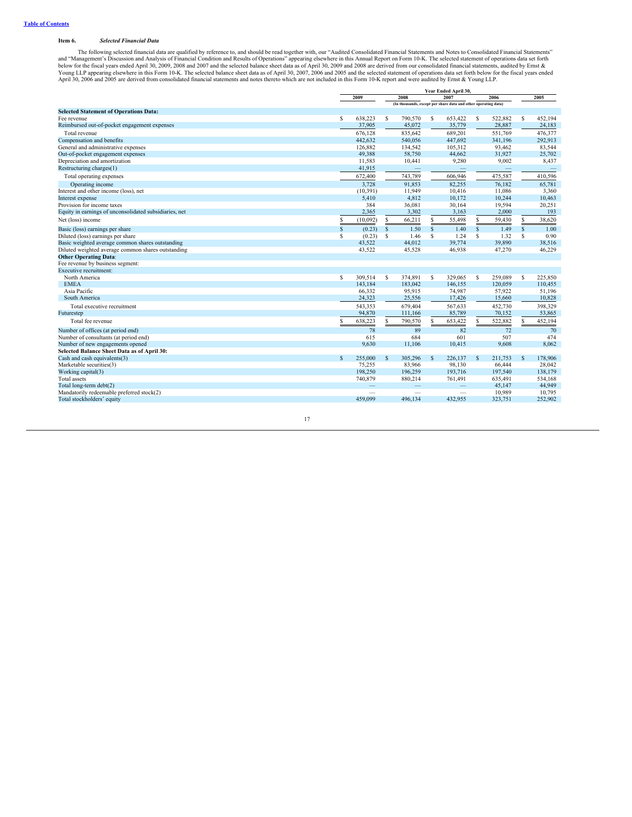## <span id="page-18-0"></span>**Item 6.** *Selected Financial Data*

The following selected financial data are qualified by reference to, and should be read together with, our "Audited Consolidated Financial Statements and Notes to Consolidated Financial Statements"<br>and "Management"s Discus

|                                                        | Year Ended April 30, |           |              |         |              |                                                                |              |         |              |         |
|--------------------------------------------------------|----------------------|-----------|--------------|---------|--------------|----------------------------------------------------------------|--------------|---------|--------------|---------|
|                                                        | 2009                 |           |              | 2008    |              | 2007                                                           | 2006         |         |              | 2005    |
|                                                        |                      |           |              |         |              | (In thousands, except per share data and other operating data) |              |         |              |         |
| <b>Selected Statement of Operations Data:</b>          |                      |           |              |         |              |                                                                |              |         |              |         |
| Fee revenue                                            | S.                   | 638,223   | \$.          | 790,570 | s            | 653,422                                                        | s            | 522,882 | s            | 452.194 |
| Reimbursed out-of-pocket engagement expenses           |                      | 37,905    |              | 45,072  |              | 35,779                                                         |              | 28,887  |              | 24,183  |
| Total revenue                                          |                      | 676.128   |              | 835.642 |              | 689.201                                                        |              | 551.769 |              | 476,377 |
| Compensation and benefits                              |                      | 442,632   |              | 540,056 |              | 447.692                                                        |              | 341.196 |              | 292,913 |
| General and administrative expenses                    |                      | 126,882   |              | 134,542 |              | 105,312                                                        |              | 93,462  |              | 83,544  |
| Out-of-pocket engagement expenses                      |                      | 49.388    |              | 58,750  |              | 44,662                                                         |              | 31,927  |              | 25,702  |
| Depreciation and amortization                          |                      | 11,583    |              | 10,441  |              | 9,280                                                          |              | 9,002   |              | 8,437   |
| Restructuring charges(1)                               |                      | 41,915    |              |         |              |                                                                |              |         |              |         |
| Total operating expenses                               |                      | 672,400   |              | 743,789 |              | 606,946                                                        |              | 475,587 |              | 410,596 |
| Operating income                                       |                      | 3,728     |              | 91,853  |              | 82,255                                                         |              | 76,182  |              | 65,781  |
| Interest and other income (loss), net                  |                      | (10, 391) |              | 11,949  |              | 10,416                                                         |              | 11.086  |              | 3,360   |
| Interest expense                                       |                      | 5,410     |              | 4,812   |              | 10.172                                                         |              | 10,244  |              | 10,463  |
| Provision for income taxes                             |                      | 384       |              | 36,081  |              | 30,164                                                         |              | 19,594  |              | 20,251  |
| Equity in earnings of unconsolidated subsidiaries, net |                      | 2,365     |              | 3,302   |              | 3,163                                                          |              | 2,000   |              | 193     |
| Net (loss) income                                      | $\mathbf{\hat{S}}$   | (10,092)  | S.           | 66,211  | S            | 55,498                                                         | S.           | 59,430  | S.           | 38,620  |
| Basic (loss) earnings per share                        | <sup>\$</sup>        | (0.23)    | $\mathbf{s}$ | 1.50    | S            | 1.40                                                           | $\mathbf{s}$ | 1.49    | $\mathbf S$  | 1.00    |
| Diluted (loss) earnings per share                      | \$.                  | (0.23)    | -S           | 1.46    | S.           | 1.24                                                           | s            | 1.32    | S.           | 0.90    |
| Basic weighted average common shares outstanding       |                      | 43,522    |              | 44,012  |              | 39,774                                                         |              | 39,890  |              | 38,516  |
| Diluted weighted average common shares outstanding     |                      | 43,522    |              | 45,528  |              | 46,938                                                         |              | 47,270  |              | 46,229  |
| <b>Other Operating Data:</b>                           |                      |           |              |         |              |                                                                |              |         |              |         |
| Fee revenue by business segment:                       |                      |           |              |         |              |                                                                |              |         |              |         |
| Executive recruitment:                                 |                      |           |              |         |              |                                                                |              |         |              |         |
| North America                                          | S                    | 309,514   | \$.          | 374,891 | s            | 329,065                                                        | s            | 259,089 | S.           | 225,850 |
| <b>EMEA</b>                                            |                      | 143,184   |              | 183,042 |              | 146,155                                                        |              | 120,059 |              | 110,455 |
| Asia Pacific                                           |                      | 66,332    |              | 95,915  |              | 74,987                                                         |              | 57,922  |              | 51,196  |
| South America                                          |                      | 24,323    |              | 25,556  |              | 17,426                                                         |              | 15,660  |              | 10,828  |
| Total executive recruitment                            |                      | 543,353   |              | 679,404 |              | 567,633                                                        |              | 452,730 |              | 398,329 |
| Futurestep                                             |                      | 94,870    |              | 111,166 |              | 85,789                                                         |              | 70,152  |              | 53,865  |
| Total fee revenue                                      |                      | 638,223   | \$           | 790,570 | Ś.           | 653,422                                                        | s.           | 522,882 | \$.          | 452,194 |
| Number of offices (at period end)                      |                      | 78        |              | 89      |              | 82                                                             |              | 72      |              | 70      |
| Number of consultants (at period end)                  |                      | 615       |              | 684     |              | 601                                                            |              | 507     |              | 474     |
| Number of new engagements opened                       |                      | 9.630     |              | 11,106  |              | 10,415                                                         |              | 9,608   |              | 8,062   |
| Selected Balance Sheet Data as of April 30:            |                      |           |              |         |              |                                                                |              |         |              |         |
| Cash and cash equivalents(3)                           | $\mathcal{S}$        | 255,000   | <sup>S</sup> | 305.296 | $\mathbf{s}$ | 226.137                                                        | S.           | 211.753 | <sup>S</sup> | 178,906 |
| Marketable securities(3)                               |                      | 75.255    |              | 83.966  |              | 98.130                                                         |              | 66,444  |              | 28.042  |
| Working capital(3)                                     |                      | 198.250   |              | 196,259 |              | 193,716                                                        |              | 197.540 |              | 138,179 |
| <b>Total</b> assets                                    |                      | 740,879   |              | 880,214 |              | 761,491                                                        |              | 635,491 |              | 534,168 |
| Total long-term debt(2)                                |                      |           |              |         |              |                                                                |              | 45,147  |              | 44,949  |
| Mandatorily redeemable preferred stock(2)              |                      |           |              |         |              | $\overline{\phantom{a}}$                                       |              | 10,989  |              | 10,795  |
| Total stockholders' equity                             |                      | 459,099   |              | 496.134 |              | 432.955                                                        |              | 323,751 |              | 252,902 |
|                                                        |                      |           |              |         |              |                                                                |              |         |              |         |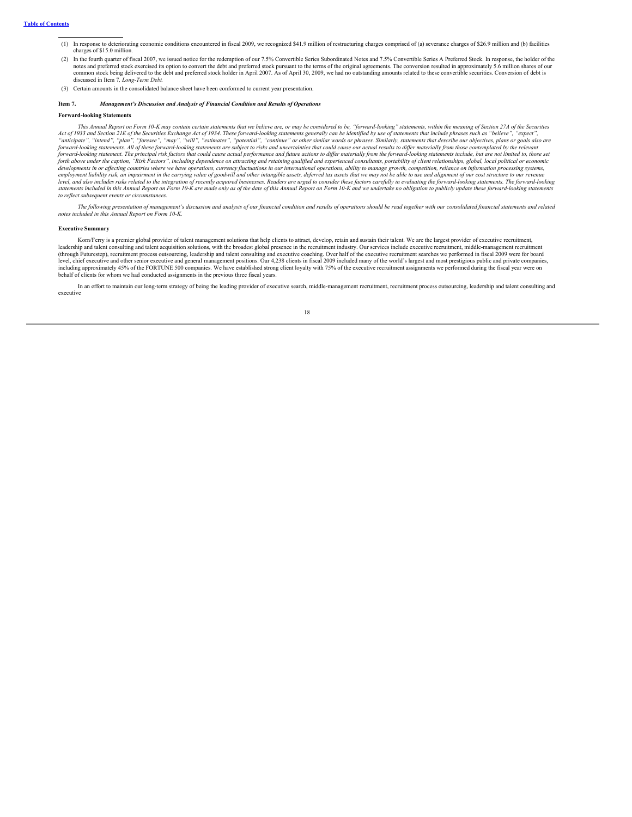- (1) In response to deteriorating economic conditions encountered in fiscal 2009, we recognized \$41.9 million of restructuring charges comprised of (a) severance charges of \$26.9 million and (b) facilities charges of \$15.0 million.
- (2) In the fourth quarter of fiscal 2007, we issued notice for the redemption of our 7.5% Convertible Series Subordinated Notes and 7.5% Convertible Series A Preferred Stock. In response, the holder of the notes and prefer common stock being delivered to the debt and preferred stock holder in April 2007. As of April 30, 2009, we had no outstanding amounts related to these convertible securities. Conversion of debt is discussed in Item 7*, Long-Term Debt*.
- (3) Certain amounts in the consolidated balance sheet have been conformed to current year presentation.

## <span id="page-19-0"></span>**Item 7.** *Management's Discussion and Analysis of Financial Condition and Results of Operations*

#### **Forward-looking Statements**

This Annual Report on Form 10-K may contain certain statements that we believe are, or may be considered to be, "forward-looking" statements, within the meaning of Section 27A of the Securities Act of 1933 and Section 21E of the Securities Exchange Act of 1934. These forward-looking statements generally can be identified by use of statements that include phrases such as "believe", "expect "anticipate", "intend", "plan", "foresee", "may", "will", "estimates", "potential", "continue" or other similar words or phrases. Similarly, statements that describe our objectives, plans or goals also are<br>forward-looking forward-looking statement. The principal risk factors that could cause actual performance and future actions to differ materially from the forward-looking statements include, but are not limited to, those set<br>forth above u developments in or affecting countries where we have operations, currency fluctuations in our international operations, ability to manage growth, competition, reliance on information processing systems,<br>level, and also inc *to reflect subsequent events or circumstances.*

The following presentation of management's discussion and analysis of our financial condition and results of operations should be read together with our consolidated financial statements and related *notes included in this Annual Report on Form 10-K.*

## **Executive Summary**

Korn/Ferry is a premier global provider of talent management solutions that help clients to attract, develop, retain and sustain their talent. We are the largest provider of executive recruitment, leadership and talent consulting and talent acquisition solutions, with the broadest global presence in the recruitment industry. Our services include executive recruitment, middle-management recruitment<br>(through Futureste level, chief executive and other senior executive and general management positions. Our 4,238 clients in fiscal 2009 included many of the world's largest and most prestigious public and private companies, including approximately 45% of the FORTUNE 500 companies. We have established strong client loyalty with 75% of the executive recruitment assignments we performed during the fiscal year were on behalf of clients for whom we had conducted assignments in the previous three fiscal years.

In an effort to maintain our long-term strategy of being the leading provider of executive search, middle-management recruitment, recruitment process outsourcing, leadership and talent consulting and executive

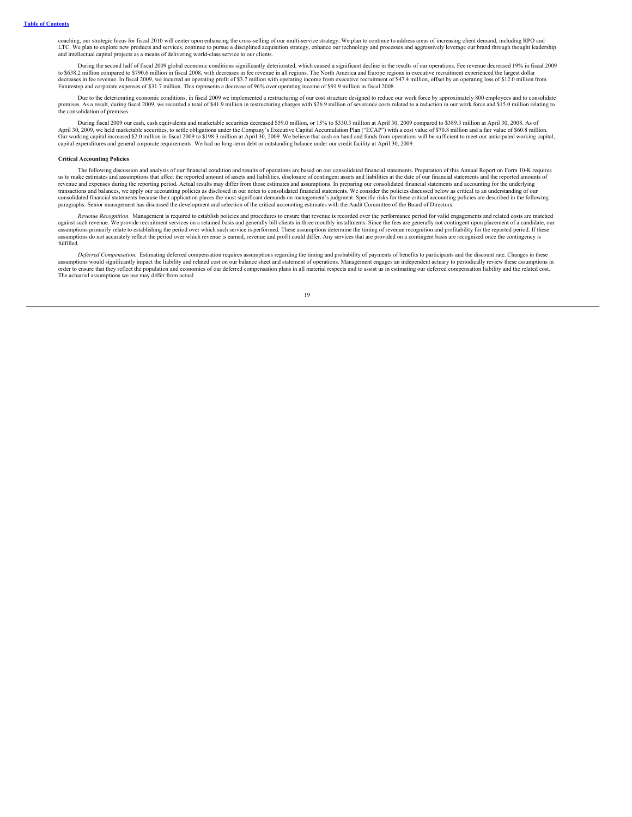oaching, our strategic focus for fiscal 2010 will center upon enhancing the cross-selling of our multi-service strategy. We plan to continue to address areas of increasing client demand, including RPO and LTC. We plan to explore new products and services, continue to pursue a disciplined acquisition strategy, enhance our technology and processes and aggressively leverage our brand through thought leadership and intellectual capital projects as a means of delivering world-class service to our clients.

During the second half of fiscal 2009 global economic conditions significantly deteriorated, which caused a significant decline in the results of our operations. Fee revenue decreased 19% in fiscal 2009 to \$638.2 million compared to \$790.6 million in fiscal 2008, with decreases in fee revenue in all regions. The North America and Europe regions in executive recruitment experienced the largest dollar<br>decreases in fee reven Futurestep and corporate expenses of \$31.7 million. This represents a decrease of 96% over operating income of \$91.9 million in fiscal 2008.

Due to the deteriorating economic conditions, in fiscal 2009 we implemented a restructuring of our cost structure designed to reduce our work force by approximately 800 employees and to consolidate premises. As a result, during fiscal 2009, we recorded a total of \$41.9 million in restructuring charges with \$26.9 million of severance costs related to a reduction in our work force and \$15.0 million relating to the consolidation of prem

During fiscal 2009 our cash, cash equivalents and marketable securities decreased \$59.0 million, or 15% to \$330.3 million at April 30, 2009 compared to \$389.3 million at April 30, 2008. As of April 30, 2009, we held marketable securities, to settle obligations under the Company's Executive Capital Accumulation Plan ("ECAP") with a cost value of \$70.8 million and a fair value of \$60.8 million.<br>Our working capita capital expenditures and general corporate requirements. We had no long-term debt or outstanding balance under our credit facility at April 30, 2009.

#### **Critical Accounting Policies**

The following discussion and analysis of our financial condition and results of operations are based on our consolidated financial statements. Preparation of this Annual Report on Form 10-K requires us to make estimates and assumptions that affect the reported amount of assets and liabilities, disclosure of contingent assets and liabilities at the date of our financial statements and the reported amounts of revenue and expenses during the reporting period. Actual results may differ from those estimates and assumptions. In preparing our consolidated financial statements and accounting for the underlying transactions and balances, we apply our accounting policies as disclosed in our notes to consolidated financial statements. We consider the policies discussed below as critical to an understanding of our consolidated financial statements because their application places the most significant demands on management's judgment. Specific risks for these critical accounting policies are described in the following<br>paragraphs. Sen

*Revenue Recognition.* Management is required to establish policies and procedures to ensure that revenue is recorded over the performance period for valid engagements and related costs are matched against such revenue. We provide recruitment services on a retained basis and generally bill clients in three monthly installments. Since the fees are generally not contingent upon placement of a candidate, our assumptions primarily relate to establishing the period over which such service is performed. These assumptions determine the timing of revenue recognition and profitability for the reported period. If these<br>assumptions do fulfilled.

Deferred Compensation. Estimating deferred compensation requires assumptions regarding the timing and probability of payments of benefits to participants and the discount rate. Changes in these assumptions would significan order to ensure that they reflect the population and economics of our deferred compensation plans in all material respects and to assist us in estimating our deferred compensation liability and the related cost. The actuarial assumptions we use may differ from actual

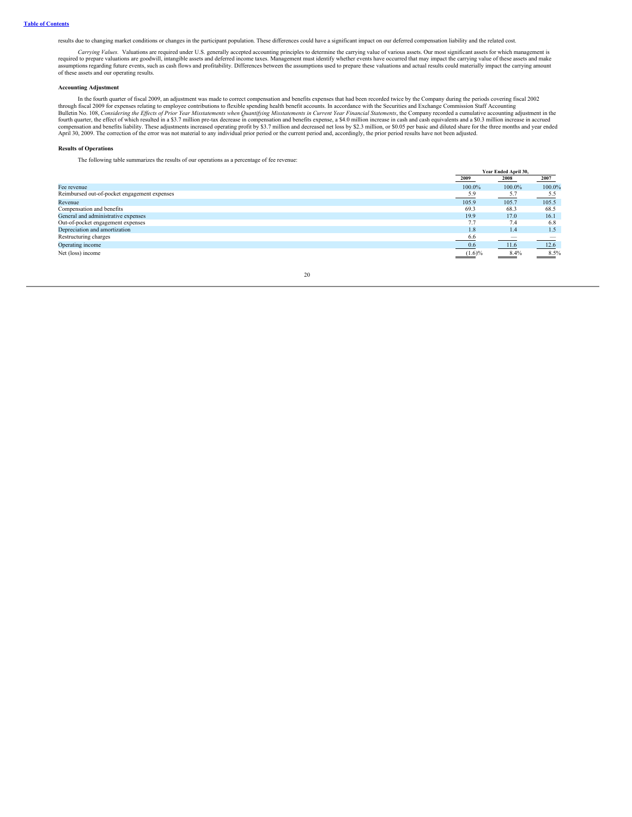results due to changing market conditions or changes in the participant population. These differences could have a significant impact on our deferred compensation liability and the related cost.

*Carrying Values.* Valuations are required under U.S. generally accepted accounting principles to determine the carrying value of various assets. Our most significant assets for which management is required to prepare valuations are goodwill, intangible assets and deferred income taxes. Management must identify whether events have occurred that may impact the carrying value of these assets and make arrying value of t

## **Accounting Adjustment**

In the fourth quarter of fiscal 2009, an adjustment was made to correct compensation and benefits expenses that had been recorded twice by the Company during the periods covering fiscal 2002<br>through fiscal 2009, an adjustm

## **Results of Operations**

The following table summarizes the results of our operations as a percentage of fee revenue:

|                                              | Year Ended April 30, |           |        |
|----------------------------------------------|----------------------|-----------|--------|
|                                              | 2009                 | 2008      | 2007   |
| Fee revenue                                  | 100.0%               | $100.0\%$ | 100.0% |
| Reimbursed out-of-pocket engagement expenses | 5.9                  | 5.7       | $-5.5$ |
| Revenue                                      | 105.9                | 105.7     | 105.5  |
| Compensation and benefits                    | 69.3                 | 68.3      | 68.5   |
| General and administrative expenses          | 19.9                 | 17.0      | 16.1   |
| Out-of-pocket engagement expenses            | 7.7                  | 7.4       | 6.8    |
| Depreciation and amortization                | 1.8                  | 1.4       | 1.5    |
| Restructuring charges                        | 6.6                  |           |        |
| Operating income                             | 0.6                  | 11.6      | 12.6   |
| Net (loss) income                            | $(1.6)\%$            | 8.4%      | 8.5%   |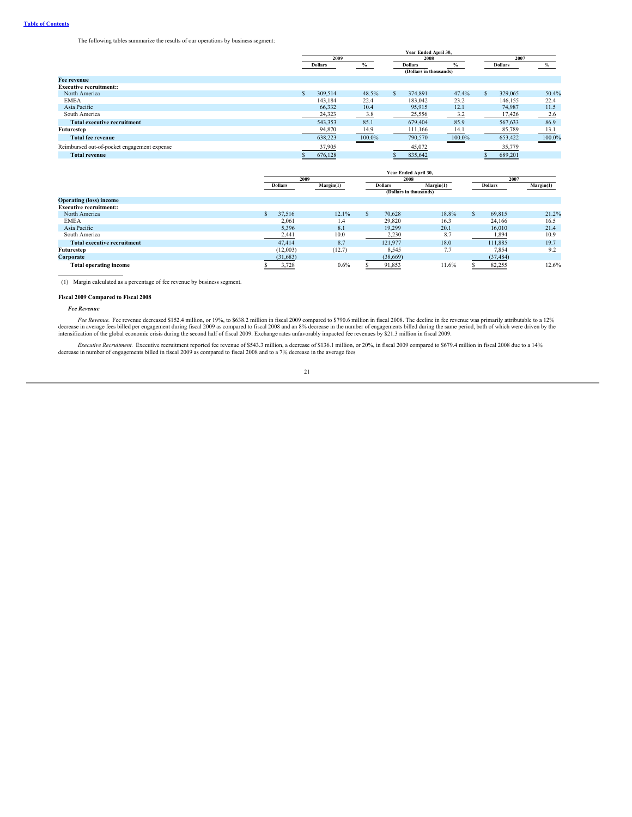The following tables summarize the results of our operations by business segment:

|                                             |                |                                             | Year Ended April 30,   |               |                |         |           |
|---------------------------------------------|----------------|---------------------------------------------|------------------------|---------------|----------------|---------|-----------|
|                                             | 2009           |                                             | 2008                   |               |                | 2007    |           |
|                                             | <b>Dollars</b> |                                             | <b>Dollars</b>         | $\%$          | <b>Dollars</b> |         | $\%$      |
|                                             |                |                                             | (Dollars in thousands) |               |                |         |           |
| <b>Fee revenue</b>                          |                |                                             |                        |               |                |         |           |
| <b>Executive recruitment::</b>              |                |                                             |                        |               |                |         |           |
| North America                               | 309,514        | 48.5%                                       | 374,891                | 47.4%         |                | 329,065 | 50.4%     |
| <b>EMEA</b>                                 | 143.184        | 22.4                                        | 183,042                | 23.2          |                | 146,155 | 22.4      |
| Asia Pacific                                | 66,332         | 10.4                                        | 95,915                 | 12.1          |                | 74.987  | 11.5      |
| South America                               | 24,323         | 3.8                                         | 25,556                 | 3.2           |                | 17,426  | 2.6       |
| <b>Total executive recruitment</b>          | 543,353        | 85.1                                        | 679,404                | 85.9          |                | 567,633 | 86.9      |
| Futurestep                                  | 94,870         | 14.9                                        | 111,166                | 14.1          |                | 85,789  | 13.1      |
| Total fee revenue                           | 638.223        | 100.0%<br><b>Contract Contract Contract</b> | 790,570                | 100.0%<br>___ |                | 653,422 | $100.0\%$ |
| Reimbursed out-of-pocket engagement expense | 37,905         |                                             | 45,072                 |               |                | 35,779  |           |
| <b>Total revenue</b>                        | 676,128        |                                             | 835,642                |               |                | 689,201 |           |

|                                    |                | Year Ended April 30, |                        |           |                |           |  |  |  |  |  |  |
|------------------------------------|----------------|----------------------|------------------------|-----------|----------------|-----------|--|--|--|--|--|--|
|                                    | 2009           |                      | 2008                   |           | 2007           |           |  |  |  |  |  |  |
|                                    | <b>Dollars</b> | Margin(1)            | <b>Dollars</b>         | Margin(1) | <b>Dollars</b> | Margin(1) |  |  |  |  |  |  |
|                                    |                |                      | (Dollars in thousands) |           |                |           |  |  |  |  |  |  |
| <b>Operating (loss) income</b>     |                |                      |                        |           |                |           |  |  |  |  |  |  |
| <b>Executive recruitment::</b>     |                |                      |                        |           |                |           |  |  |  |  |  |  |
| North America                      | 37.516<br>S    | 12.1%                | 70.628                 | 18.8%     | 69.815         | 21.2%     |  |  |  |  |  |  |
| <b>EMEA</b>                        | 2,061          | 1.4                  | 29,820                 | 16.3      | 24,166         | 16.5      |  |  |  |  |  |  |
| Asia Pacific                       | 5,396          | 8.1                  | 19.299                 | 20.1      | 16,010         | 21.4      |  |  |  |  |  |  |
| South America                      | 2,441          | 10.0                 | 2,230                  | 8.7       | 1,894          | 10.9      |  |  |  |  |  |  |
| <b>Total executive recruitment</b> | 47,414         | 8.7                  | 121.977                | 18.0      | 111.885        | 19.7      |  |  |  |  |  |  |
| Futurestep                         | (12,003)       | (12.7)               | 8,545                  | 7.7       | 7,854          | 9.2       |  |  |  |  |  |  |
| Corporate                          | (31,683)       |                      | (38,669)               |           | (37, 484)      |           |  |  |  |  |  |  |
| Total operating income             | 3,728          | 0.6%                 | 91,853                 | 11.6%     | 82,255         | 12.6%     |  |  |  |  |  |  |

(1) Margin calculated as a percentage of fee revenue by business segment.

## **Fiscal 2009 Compared to Fiscal 2008**

# *Fee Revenue*

Fee Revenue. Fee revenue decreased \$152.4 million, or 19%, to \$638.2 million in fiscal 2009 compared to \$790.6 million in fiscal 2008. The decline in fee revenue was primarily attributable to a 12%<br>decrease in average fees

*Executive Recruitment.* Executive recruitment reported fee revenue of \$543.3 million, a decrease of \$136.1 million, or 20%, in fiscal 2009 compared to \$679.4 million in fiscal 2008 due to a 14% decrease in number of engag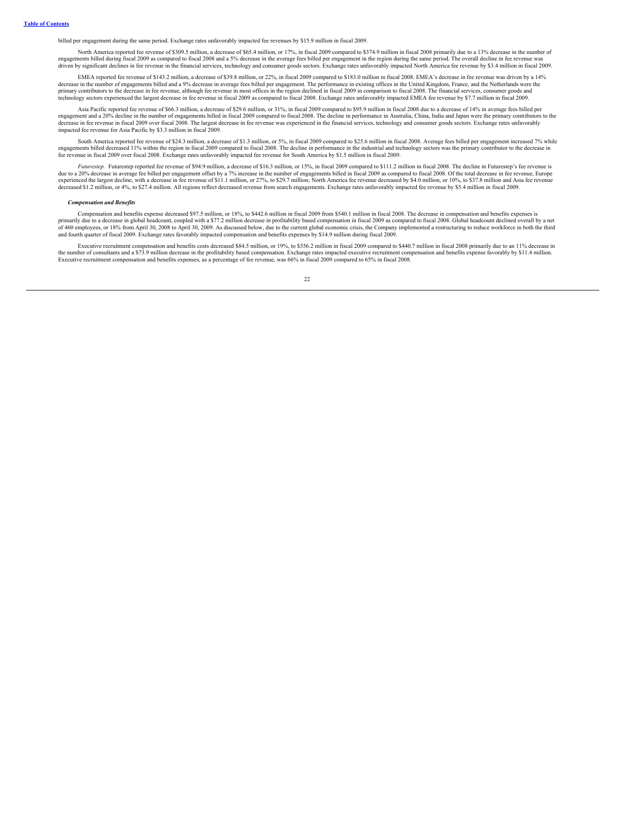billed per engagement during the same period. Exchange rates unfavorably impacted fee revenues by \$15.9 million in fiscal 2009.

North America reported fee revenue of \$309.5 million, a decrease of \$65.4 million, or 17%, in fiscal 2009 compared to \$374.9 million in fiscal 2008 primarily due to a 13% decrease in the number of engagements billed during fiscal 2009 as compared to fiscal 2008 and a 5% decrease in the average fees billed per engagement in the region during the same period. The overall decline in fee revenue was<br>driven by significan

EMEA reported fee revenue of \$143.2 million, a decrease of \$39.8 million, or 22%, in fiscal 2009 compared to \$183.0 million in fiscal 2008. EMEA's decrease in fee revenue was driven by a 14% decrease in the number of engagements billed and a 9% decrease in average fees billed per engagement. The performance in existing offices in the United Kingdom, France, and the Netherlands were the<br>primary contributors to .<br>technology sectors experienced the largest decrease in fee revenue in fiscal 2009 as compared to fiscal 2008. Exchange rates unfavorably impacted EMEA fee revenue by \$7.7 million in fisc

Asia Pacific reported fee revenue of \$66.3 million, a decrease of \$29.6 million, or 31%, in fiscal 2009 compared to \$95.9 million in fiscal 2008 due to a decrease of 14% in average fees billed per engagement and a 20% decline in the number of engagements billed in fiscal 2009 compared to fiscal 2008. The decline in performance in Australia, China, India and Japan were the primary contributors to the<br>decrease in fee impacted fee revenue for Asia Pacific by \$3.3 million in fiscal 2009.

South America reported fee revenue of \$24.3 million, a decrease of \$1.3 million, or 5%, in fiscal 2009 compared to \$25.6 million in fiscal 2008. Average fees billed per engagement increased 7% while engagements billed decreased 11% within the region in fiscal 2009 compared to fiscal 2008. The decline in performance in the industrial and technology sectors was the primary contributor to the decrease in fee revenue in fiscal 2009 over fiscal 2008. Exchange rates unfavorably impacted fee revenue for South America by \$1.5 million in fiscal 2009.

*Futurestep.* Futurestep reported fee revenue of \$94.9 million, a decrease of \$16.3 million, or 15%, in fiscal 2009 compared to \$111.2 million in fiscal 2008. The decline in Futurestep's fee revenue is due to a 20% decrease in average fee billed per engagement offset by a 7% increase in the number of engagements billed in fiscal 2009 as compared to fiscal 2008. Of the total decrease in fee revenue, Europe<br>experienced the decreased \$1.2 million, or 4%, to \$27.4 million. All regions reflect decreased revenue from search engagements. Exchange rates unfavorably impacted fee revenue by \$5.4 million in fiscal 2009.

#### *Compensation and Benefits*

Compensation and benefits expense decreased \$97.5 million, or 18%, to \$442.6 million in fiscal 2009 from \$540.1 million in fiscal 2008. The decrease in compensation and benefits expenses is primarily due to a decrease in global headcount, coupled with a \$77.2 million decrease in profitability based compensation in fiscal 2009 as compared to fiscal 2008. Global headcount declined overall by a net of 460 employees, or 18% from April 30, 2008 to April 30, 2009. As discussed below, due to the current global economic crisis, the Company implemented a restructuring to reduce workforce in both the third and fourth quarter of fiscal 2009. Exchange rates favorably impacted compensation and benefits expenses by \$14.9 million during fiscal 2009.

Executive recruitment compensation and benefits costs decreased \$84.5 million, or 19%, to \$356.2 million in fiscal 2009 compared to \$440.7 million in fiscal 2008 primarily due to an 11% decrease in<br>ber of consultants and a the number of consultants and a \$73.9 million decrease in the profitability based compensation. Exchange rates impacted executive recruitment compensation and benefits expense favorably by \$11.4 million.<br>Executive recruitm

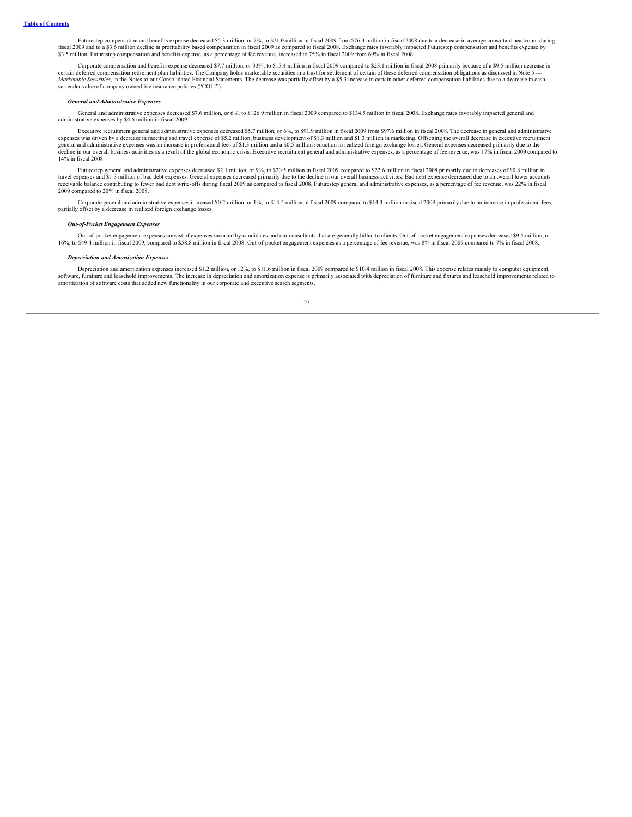Futurestep compensation and benefits expense decreased \$5.3 million, or 7%, to \$71.0 million in fiscal 2009 from \$76.3 million in fiscal 2008 due to a decrease in average consultant headcount during fiscal 2009 and to a \$3.6 million decline in profitability based compensation in fiscal 2009 as compared to fiscal 2008. Exchange rates favorably impacted Futurestep compensation and benefits expense by<br>\$3.5 million. Futur

Corporate compensation and benefits expense decreased \$7.7 million, or 33%, to \$15.4 million in fiscal 2009 compared to \$23.1 million in fiscal 2008 primarily because of a \$9.5 million decrease in certain deferred compensation retirement plan liabilities. The Company holds marketable securities in a trust for settlement of certain of these deferred compensation obligations as discussed in Note 5 —<br>Marketable Securit surrender value of company owned life insurance policies ("COLI").

#### *General and Administrative Expenses*

General and administrative expenses decreased \$7.6 million, or 6%, to \$126.9 million in fiscal 2009 compared to \$134.5 million in fiscal 2008. Exchange rates favorably impacted general and<br>administrative expenses by \$4.6 m

Executive recruitment general and administrative expenses decreased \$5.7 million, or 6%, to \$91.9 million in fiscal 2009 from \$97.6 million in fiscal 2008. The decrease in general and administrative expenses was driven by a decrease in meeting and travel expense of \$5.2 million, business development of \$1.3 million and \$1.3 million in marketing. Offsetting the overall decrease in executive recruitment<br>general and admi decline in our overall business activities as a result of the global economic crisis. Executive recruitment general and administrative expenses, as a percentage of fee revenue, was 17% in fiscal 2009 compared to 14% in fiscal 2008.

Futurestep general and administrative expenses decreased \$2.1 million, or 9%, to \$20.5 million in fiscal 2009 compared to \$22.6 million in fiscal 2008 primarily due to decreases of \$0.8 million in futurestep general and ad 2009 compared to 20% in fiscal 2008.

Corporate general and administrative expenses increased \$0.2 million, or 1%, to \$14.5 million in fiscal 2009 compared to \$14.3 million in fiscal 2008 primarily due to an increase in professional fees, partially offset by a decrease in realized foreign exchange losses.

### *Out-of-Pocket Engagement Expenses*

Out-of-pocket engagement expenses consist of expenses incurred by candidates and our consultants that are generally billed to clients. Out-of-pocket engagement expenses decreased \$9.4 million, or 0% in fiscal 2009, compare

#### *Depreciation and Amortization Expenses*

Depreciation and amortization expenses increased \$1.2 million, or 12%, to \$11.6 million in fiscal 2009 compared to \$10.4 million in fiscal 2008. This expense relates mainly to computer equipment,<br>software, furniture and le amortization of software costs that added new functionality in our corporate and executive search segments.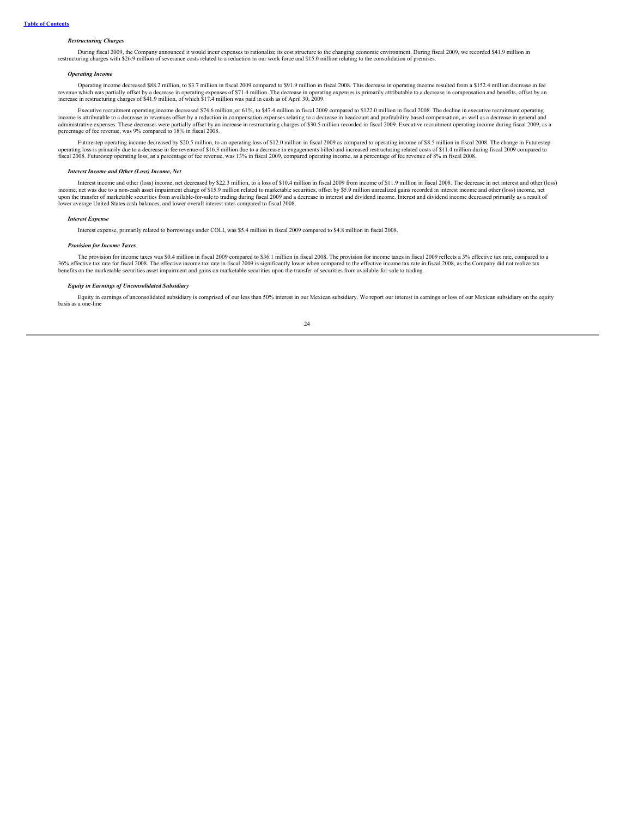# *Restructuring Charges*

During fiscal 2009, the Company announced it would incur expenses to rationalize its cost structure to the changing economic environment. During fiscal 2009, we recorded \$41.9 million in restructuring charges with \$26.9 million of severance costs related to a reduction in our work force and \$15.0 million relating to the consolidation of premises.

## *Operating Income*

Operating income decreased \$88.2 million, to \$3.7 million in fiscal 2009 compared to \$91.9 million in fiscal 2008. This decrease in operating income resulted from a \$152.4 million decrease in fee revenue which was partially offset by a decrease in operating expenses of \$71.4 million. The decrease in operating expenses is primarily attributable to a decrease in compensation and benefits, offset by an<br>increase in res

Executive recruitment operating income decreased \$74.6 million, or 61%, to \$47.4 million in fiscal 2009 compared to \$122.0 million in fiscal 2008. The decline in executive recruitment operating<br>income is attributable to a percentage of fee revenue, was 9% compared to 18% in fiscal 2008.

Futurestep operating income decreased by \$20.5 million, to an operating loss of \$12.0 million in fiscal 2009 as compared to operating income of \$8.5 million in fiscal 2008. The change in Futurestep operating loss is primarily due to a decrease in fee revenue of \$16.3 million due to a decrease in engagements billed and increased restructuring related costs of \$11.4 million during fiscal 2009 compared to<br>fiscal 2008. F

#### *Interest Income and Other (Loss) Income, Net*

Interest income and other (loss) income, net decreased by \$22.3 million, to a loss of \$10.4 million in fiscal 2009 from income of \$11.9 million in fiscal 2008. The decrease in net interest and other (loss) income, net was due to a non-cash asset impairment charge of \$15.9 million related to marketable securities, offset by \$5.9 million unrealized gains recorded in interest income and other (loss) income, net<br>upon the transfe lower average United States cash balances, and lower overall interest rates compared to fiscal 2008.

# *Interest Expense*

Interest expense, primarily related to borrowings under COLI, was \$5.4 million in fiscal 2009 compared to \$4.8 million in fiscal 2008.

### *Provision for Income Taxes*

The provision for income taxes was \$0.4 million in fiscal 2009 compared to \$36.1 million in fiscal 2008. The provision for income taxes in fiscal 2009 reflects a 3% effective tax rate, compared to a<br>36% effective tax rate

## *Equity in Earnings of Unconsolidated Subsidiary*

Equity in earnings of unconsolidated subsidiary is comprised of our less than 50% interest in our Mexican subsidiary. We report our interest in earnings or loss of our Mexican subsidiary on the equity basis as a one-line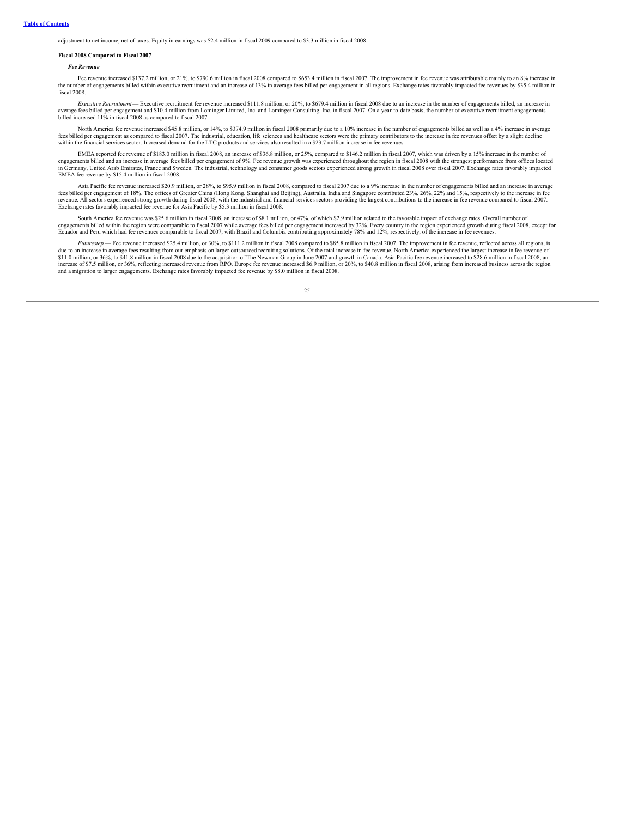adjustment to net income, net of taxes. Equity in earnings was \$2.4 million in fiscal 2009 compared to \$3.3 million in fiscal 2008.

#### **Fiscal 2008 Compared to Fiscal 2007**

#### *Fee Revenue*

Fee revenue increased \$137.2 million, or 21%, to \$790.6 million in fiscal 2008 compared to \$653.4 million in fiscal 2007. The improvement in fee revenue was attributable mainly to an 8% increase in the number of engagements billed within executive recruitment and an increase of 13% in average fees billed per engagement in all regions. Exchange rates favorably impacted fee revenues by \$35.4 million in fiscal 2008.

*Executive Recruitment*— Executive recruitment fee revenue increased \$111.8 million, or 20%, to \$679.4 million in fiscal 2008 due to an increase in the number of engagements billed, an increase in average fees billed per engagement and \$10.4 million from Lominger Limited, Inc. and Lominger Consulting, Inc. in fiscal 2007. On a year-to-date basis, the number of executive recruitment engagements billed increased 11% in fiscal 2008 as compared to fiscal 2007.

North America fee revenue increased \$45.8 million, or 14%, to \$374.9 million in fiscal 2008 primarily due to a 10% increase in the number of engagements billed as well as a 4% increase in average fees billed per engagement as compared to fiscal 2007. The industrial, education, life sciences and healthcare sectors were the primary contributors to the increase in fee revenues offset by a slight decline<br>within the fin

EMEA reported fee revenue of \$183.0 million in fiscal 2008, an increase of \$36.8 million, or 25%, compared to \$146.2 million in fiscal 2007, which was driven by a 15% increase in the number of engagements billed and an increase in average fees billed per engagement of 9%. Fee revenue growth was experienced throughout the region in fiscal 2008 with the strongest performance from offices located in Germany, United Arab Emirates, France and Sweden. The industrial, technology and consumer goods sectors experienced strong growth in fiscal 2008 over fiscal 2007. Exchange rates favorably impacted EMEA fee revenue by \$15.4 million in fiscal 2008.

Asia Pacific fee revenue increased \$20.9 million, or 28%, to \$95.9 million in fiscal 2008, compared to fiscal 2007 due to a 9% increase in the number of engagements billed and an increase in average fees billed per engagement of 18%. The offices of Greater China (Hong Kong, Shanghai and Beijing), Australia, India and Singapore contributed 23%, 26%, 22% and 15%, respectively to the increase in fee revenue. All sectors experienced strong growth during fiscal 2008, with the industrial and financial services sectors providing the largest contributions to the increase in fee revenue compared to fiscal 2007. Exchange rates favorably impacted fee revenue for Asia Pacific by \$5.3 million in fiscal 2008.

South America fee revenue was \$25.6 million in fiscal 2008, an increase of \$8.1 million, or 47%, of which \$2.9 million related to the favorable impact of exchange rates. Overall number of engagements billed within the region were comparable to fiscal 2007 while average fees billed per engagement increased by 32%. Every country in the region experienced growth during fiscal 2008, except for<br>Ecuador and Peru

*Futurestep* — Fee revenue increased \$25.4 million, or 30%, to \$111.2 million in fiscal 2008 compared to \$85.8 million in fiscal 2007. The improvement in fee revenue, reflected across all regions, is due to an increase in average fees resulting from our emphasis on larger outsourced recruiting solutions. Of the total increase in fee revenue, North America experienced the largest increase in fee revenue of S1% to S4%. t and a migration to larger engagements. Exchange rates favorably impacted fee revenue by \$8.0 million in fiscal 2008.

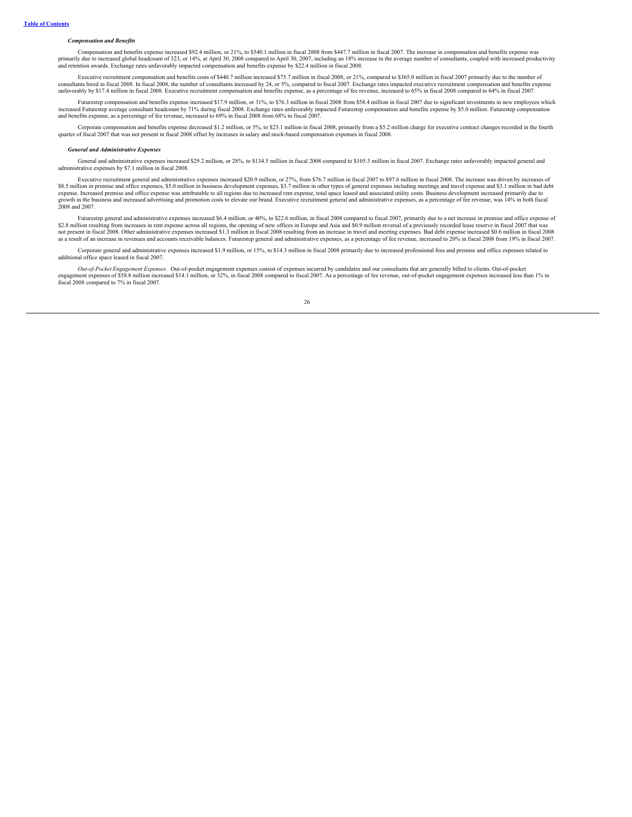### *Compensation and Benefits*

Compensation and benefits expense increased \$92.4 million, or 21%, to \$540.1 million in fiscal 2008 from \$447.7 million in fiscal 2007. The increase in compensation and benefits expense was primarily due to increased global headcount of 323, or 14%, at April 30, 2008 compared to April 30, 2007, including an 18% increase in the average number of consultants, coupled with increased productivity<br>and retention aw

Executive recruitment compensation and benefits costs of \$440.7 million increased \$75.7 million in fiscal 2008, or 21%, compared to \$365.0 million in fiscal 2007 primarily due to the number of consultants hired in fiscal 2008. In fiscal 2008, the number of consultants increased by 24, or 5%, compared to fiscal 2007. Exchange rates impacted executive recruitment compensation and benefits expense unfavorably by \$17.4 million in fiscal 2008. Executive recruitment compensation and benefits expense, as a percentage of fee revenue, increased to 65% in fiscal 2008 compared to 64% in fiscal 2007.

Futurestep compensation and benefits expense increased \$17.9 million, or 31%, to \$76.3 million in fiscal 2008 from \$58.4 million in fiscal 2007 due to significant investments in new employees which increased Futurestep average consultant headcount by 71% during fiscal 2008. Exchange rates unfavorably impacted Futurestep compensation and benefits expense by \$5.0 million. Futurestep compensation and benefits expense, as a percentage of fee revenue, increased to 69% in fiscal 2008 from 68% in fiscal 2007.

Corporate compensation and benefits expense decreased \$1.2 million, or 5%, to \$23.1 million in fiscal 2008, primarily from a \$5.2 million charge for executive contract changes recorded in the fourth quarter of fiscal 2007

### *General and Administrative Expenses*

General and administrative expenses increased \$29.2 million, or 28%, to \$134.5 million in fiscal 2008 compared to \$105.3 million in fiscal 2007. Exchange rates unfavorably impacted general and administrative expenses by \$7.1 million in fiscal 2008.

Executive recruitment general and administrative expenses increased \$20.9 million, or 27%, from \$76.7 million in fiscal 2007 to \$97.6 million in fiscal 2008. The increase was driven by increases of \$8.5 million in premise and office expenses, \$5.0 million in business development expenses, \$3.7 million in other types of general expenses including meetings and travel expense and \$3.1 million in bad debt expense. Increased premise and office expense was attributable to all regions due to increased rent expense, total space leased and associated utility costs. Business development increased primarily due to growth in the business and increased advertising and promotion costs to elevate our brand. Executive recruitment general and administrative expenses, as a percentage of fee revenue, was 14% in both fiscal 2008 and 2007.

Futurestep general and administrative expenses increased \$6.4 million, or 40%, to \$22.6 million, in fiscal 2008 compared to fiscal 2007, primarily due to a net increase in premise and office expense of \$2.8 million resulting from increases in rent expense across all regions, the opening of new offices in Europe and Asia and \$0.9 million reversal of a previously recorded lease reserve in fiscal 2007 that was<br>not present i

Corporate general and administrative expenses increased \$1.9 million, or 15%, to \$14.3 million in fiscal 2008 primarily due to increased professional fees and premise and office expenses related to additional office space leased in fiscal 2007.

Out-of-Pocket Engagement Expenses. Out-of-pocket engagement expenses consist of expenses incurred by candidates and our consultants that are generally billed to clients. Out-of-pocket Engagement expenses of \$58.8 million i fiscal 2008 compared to 7% in fiscal 2007.

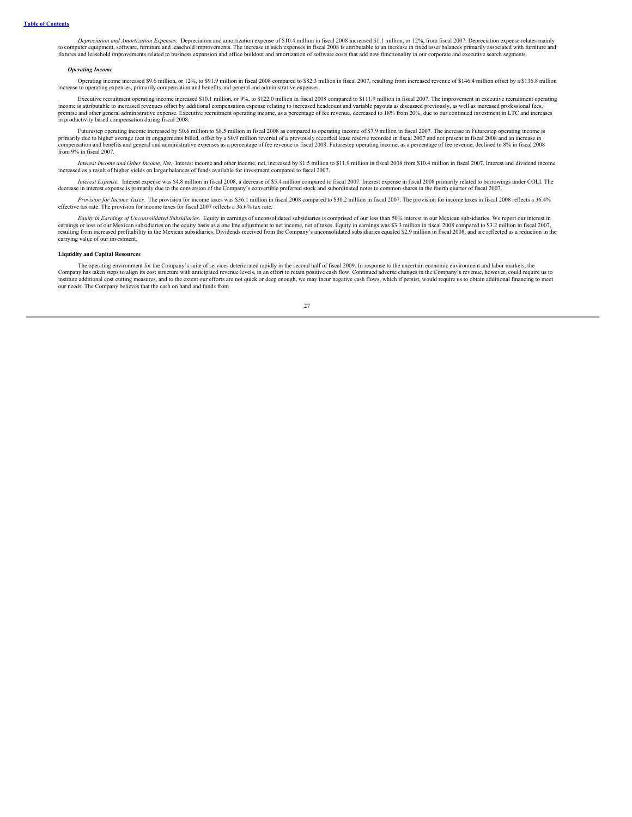*Depreciation and Amortization Expenses.* Depreciation and amortization expense of \$10.4 million in fiscal 2008 increased \$1.1 million, or 12%, from fiscal 2007. Depreciation expense relates mainly to computer equipment, software, furniture and leasehold improvements. The increase in such expenses in fiscal 2008 is attributable to an increase in fixed asset balances primarily associated with furniture and fixtures and leasehold improvements related to business expansion and office buildout and amortization of software costs that add new functionality in our corporate and executive search segments.

#### *Operating Income*

Operating income increased \$9.6 million, or 12%, to \$91.9 million in fiscal 2008 compared to \$82.3 million in fiscal 2007, resulting from increased revenue of \$146.4 million offset by a \$136.8 million increase to operating expenses, primarily compensation and benefits and general and administrative expenses.

Executive recruitment operating income increased \$10.1 million, or 9%, to \$122.0 million in fiscal 2008 compared to \$111.9 million in fiscal 2007. The improvement in executive recruitment operating to increased revenues of premise and other general administrative expense. Executive recruitment operating income, as a percentage of fee revenue, decreased to 18% from 20%, due to our continued investment in LTC and increases<br>in productivity base

Futurestep operating income increased by \$0.6 million to \$8.5 million in fiscal 2008 as compared to operating income of \$7.9 million in fiscal 2007. The increase in Futurestep operating income is primarily due to higher average fees in engagements billed, offset by a \$0.9 million reversal of a previously recorded lease reserve recorded in fiscal 2007 and not present in fiscal 2008 and an increase in<br>compensation an from 9% in fiscal 2007

Interest Income and Other Income, Net. Interest income and other income, net, increased by \$1.5 million to \$11.9 million in fiscal 2008 from \$10.4 million in fiscal 2007. Interest and dividend income increased as a result of higher yields on larger balances of funds available for investment compared to fiscal 2007.

Interest Expense. Interest expense was \$4.8 million in fiscal 2008, a decrease of \$5.4 million compared to fiscal 2007. Interest expense in fiscal 2008 primarily related to borrowings under COLI. The decrease in interest e

*Provision for Income Taxes.* The provision for income taxes was \$36.1 million in fiscal 2008 compared to \$30.2 million in fiscal 2007. The provision for income taxes in fiscal 2008 reflects a 36.4% effective tax rate. The provision for income taxes for fiscal 2007 reflects a 36.6% tax rate.

Equity in Earnings of Unconsolidated Subsidiaries. Equity in earnings of unconsolidated subsidiaries is comprised of our less than 50% interest in our Mexican subsidiaries. We report our interest in earnings or loss of our Mexican subsidiaries on the equity basis as a one line adjustment to net income, net of taxes. Equity in earnings was \$3.3 million in fiscal 2008 compared to \$3.2 million in fiscal 2007,<br>resulting f carrying value of our investment.

## **Liquidity and Capital Resources**

The operating environment for the Company's suite of services deteriorated rapidly in the second half of fiscal 2009. In response to the uncertain economic environment and labor markets, the Company has taken steps to align its cost structure with anticipated revenue levels, in an effort to retain positive cash flow. Continued adverse changes in the Company's revenue, however, could require us to institute additional cost cutting measures, and to the extent our efforts are not quick or deep enough, we may incur negative cash flows, which if persist, would require us to obtain additional financing to meet<br>our needs.

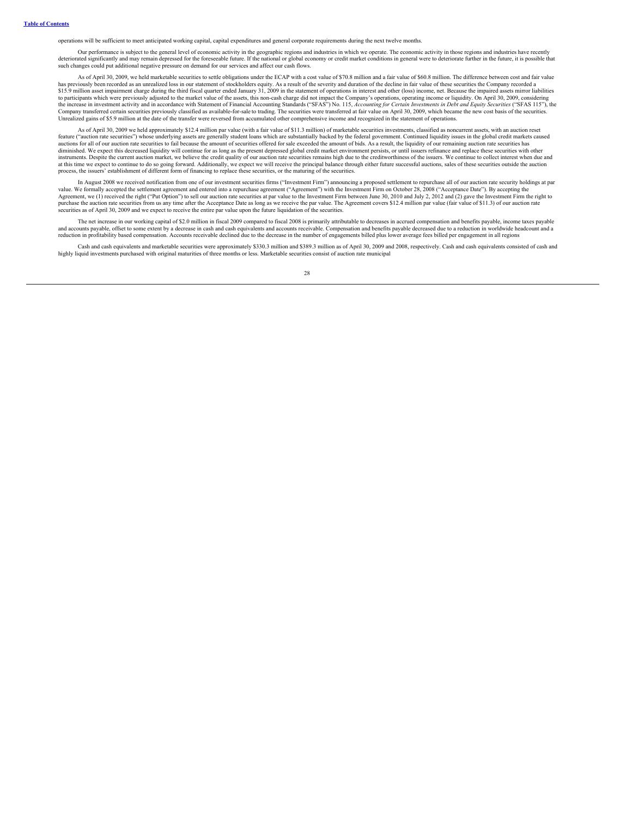operations will be sufficient to meet anticipated working capital, capital expenditures and general corporate requirements during the next twelve months.

Our performance is subject to the general level of economic activity in the geographic regions and industries in which we operate. The economic activity in those regions and industries have recently deteriorated significantly and may remain depressed for the foreseeable future. If the national or global economy or credit market conditions in general were to deteriorate further in the future, it is possible that such changes could put additional negative pressure on demand for our services and affect our cash flows.

As of April 30, 2009, we held marketable securities to settle obligations under the ECAP with a cost value of \$70.8 million and a fair value of \$60.8 million. The difference between cost and fair value has previously been recorded as an unrealized loss in our statement of stockholders equity. As a result of the severity and duration of the decline in fair value of these securities the Company recorded a<br>\$15.9 million ass to participants which were previously adjusted to the market value of the assets, this non-cash charge did not impact the Company's operations, operating income or liquidity. On April 30, 2009, considering the increase in investment activity and in accordance with Statement of Financial Accounting Standards ("SFAS") No. 115, Accounting for Certain Investments in Debt and Equity Securities ("SFAS 115"), the<br>Company transferre Unrealized gains of \$5.9 million at the date of the transfer were reversed from accumulated other comprehensive income and recognized in the statement of operations.

As of April 30, 2009 we held approximately \$12.4 million par value (with a fair value of \$11.3 million) of marketable securities investments, classified as noncurrent assets, with an auction reset<br>feature ("auction rate se auctions for all of our auction rate securities to fail because the amount of securities offered for sale exceeded the amount of bids. As a result, the liquidity of our remaining auction rate securities has<br>diminished. We instruments. Despite the current auction market, we believe the credit quality of our auction rate securities remains high due to the creditworthiness of the issuers. We continue to collect interest when due and at this time we expect to continue to do so going forward. Additionally, we expect we will receive the principal balance through either future successful auctions, sales of these securities outside the auction at this tim process, the issuers' establishment of different form of financing to replace these securities, or the maturing of the securities.

In August 2008 we received notification from one of our investment securities firms ("Investment Firm") announcing a proposed settlement to repurchase all of our auction rate security holdings at par<br>we formally accepted t purchase the auction rate securities from us any time after the Acceptance Date as long as we receive the par value. The Agreement covers \$12.4 million par value (fair value of \$11.3) of our auction rate<br>securities as of A

The net increase in our working capital of \$2.0 million in fiscal 2009 compared to fiscal 2008 is primarily attributable to decreases in accrued compensation and benefits payable, income taxes payable and accounts payable, offset to some extent by a decrease in cash and cash equivalents and accounts receivable. Compensation and benefits payable decreased due to a reduction in worldwide headcount and a reduction in profitability based compensation. Accounts receivable declined due to the decrease in the number of engagements billed plus lower average fees billed per engagement in all regions

Cash and cash equivalents and marketable securities were approximately \$330.3 million and \$389.3 million as of April 30, 2009 and 2008, respectively. Cash and cash equivalents consisted of cash and<br>highly liquid investment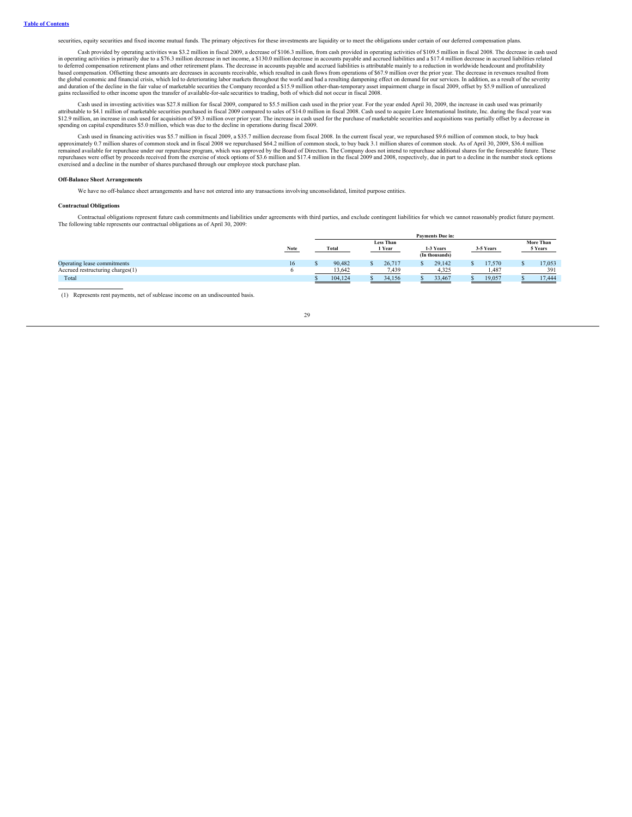securities, equity securities and fixed income mutual funds. The primary objectives for these investments are liquidity or to meet the obligations under certain of our deferred compensation plans.

Cash provided by operating activities was \$3.2 million in fiscal 2009, a decrease of \$106.3 million, from cash provided in operating activities of \$109.5 million in fiscal 2008. The decrease in cash used in operating activities is primarily due to a \$76.3 million decrease in net income, a \$130.0 million decrease in accounts payable and accrued liabilities and a \$17.4 million decrease in accrued liabilities related<br>to defer based compensation. Offsetting these amounts are decreases in accounts receivable, which resulted in cash flows from operations of \$67.9 million over the prior year. The decrease in revenues resulted from once compute the global economic and financial crisis, which led to deteriorating labor markets throughout the world and had a resulting dampening effect on demand for our services. In addition, as a result of the severity and duration of the decline in the fair value of marketable securities the Company recorded a \$15.9 million other-than-temporary asset impairment charge in fiscal 2009, offset by \$5.9 million of unrealized<br>gains reclassifi

Cash used in investing activities was \$27.8 million for fiscal 2009, compared to \$5.5 million cash used in the prior year. For the year ended April 30, 2009, the increase in cash used was primarily<br>attributable to \$4.1 mil \$12.9 million, an increase in cash used for acquisition of \$9.3 million over prior year. The increase in cash used for the purchase of marketable securities and acquisitions was partially offset by a decrease in<br>spending o

Cash used in financing activities was \$5.7 million in fiscal 2009, a \$35.7 million decrease from fiscal 2008. In the current fiscal year, we repurchased \$9.6 million of common stock, to buy back approximately 0.7 million shares of common stock and in fiscal 2008 we repurchased \$64.2 million of common stock, to buy back 3.1 million shares of common stock. As of April 30, 2009, \$36.4 million<br>remained available for r repurchases were offset by proceeds received from the exercise of stock options of \$3.6 million and \$17.4 million in the fiscal 2009 and 2008, respectively, due in part to a decline in the number stock options exercised and a decline in the number of shares purchased through our employee stock purchase plan.

# **Off-Balance Sheet Arrangements**

We have no off-balance sheet arrangements and have not entered into any transactions involving unconsolidated, limited purpose entities.

### **Contractual Obligations**

Contractual obligations represent future cash commitments and liabilities under agreements with third parties, and exclude contingent liabilities for which we cannot reasonably predict future payment. The following table represents our contractual obligations as of April 30, 2009:

|                                  |      | <b>Payments Due in:</b> |         |                   |        |           |                |           |        |                  |        |  |
|----------------------------------|------|-------------------------|---------|-------------------|--------|-----------|----------------|-----------|--------|------------------|--------|--|
|                                  |      | <b>Less Than</b>        |         |                   |        |           |                |           |        | <b>More Than</b> |        |  |
|                                  | Note | Total                   |         | <sup>1</sup> Year |        | 1-3 Years |                | 3-5 Years |        | 5 Years          |        |  |
|                                  |      |                         |         |                   |        |           | (In thousands) |           |        |                  |        |  |
| Operating lease commitments      | 16   |                         | 90.482  |                   | 26.717 |           | 29.142         |           | 17.570 |                  | 17,053 |  |
| Accrued restructuring charges(1) |      |                         | 13.642  |                   | 7,439  |           | 4.325          |           | 1.487  |                  | 391    |  |
| Total                            |      |                         | 104.124 |                   | 34.156 |           | 33,467         |           | 19.057 |                  | 17,444 |  |

(1) Represents rent payments, net of sublease income on an undiscounted basis.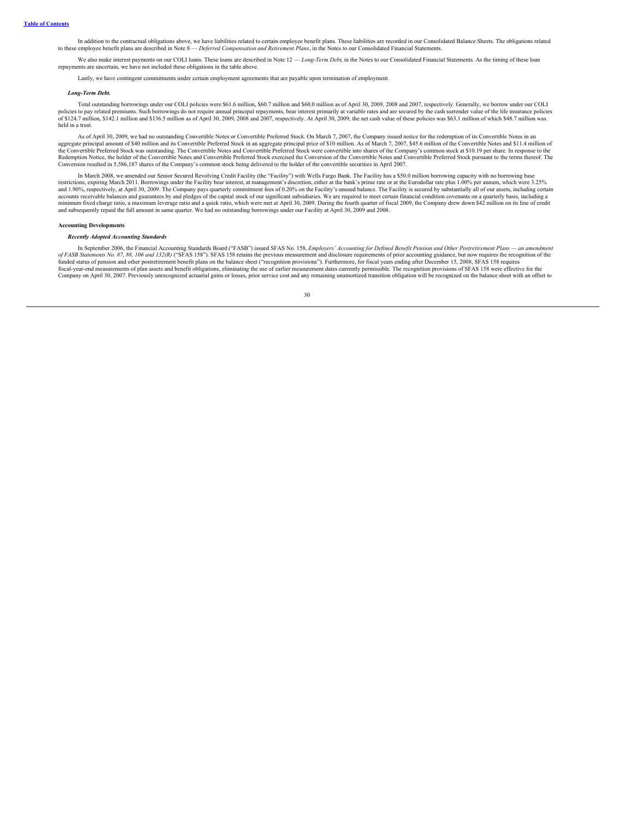In addition to the contractual obligations above, we have liabilities related to certain employee benefit plans. These liabilities are recorded in our Consolidated Balance Sheets. The obligations related to these employee benefit plans are described in Note 8 — *Deferred Compensation and Retirement Plans*, in the Notes to our Consolidated Financial Statements.

We also make interest payments on our COLI loans. These loans are described in Note 12 — *Long-Term Debt*, in the Notes to our Consolidated Financial Statements. As the timing of these loan repayments are uncertain, we have not included these obligations in the table above.

Lastly, we have contingent commitments under certain employment agreements that are payable upon termination of employment.

#### *Long-Term Debt.*

Total outstanding borrowings under our COLI policies were \$61.6 million, \$60.7 million and \$60.0 million as of April 30, 2009, 2008 and 2007, respectively. Generally, we borrow under our COLI policies to pay related premiums. Such borrowings do not require annual principal repayments, bear interest primarily at variable rates and are secured by the cash surrender value of the life insurance policies of \$124.7 million, \$142.1 million and \$136.5 million as of April 30, 2009, 2008 and 2007, respectively. At April 30, 2009, the net cash value of these policies was \$63.1 million of which \$48.7 million was held in a trust.

As of April 30, 2009, we had no outstanding Convertible Notes or Convertible Preferred Stock. On March 7, 2007, the Company issued notice for the redemption of its Convertible Notes in an aggregate principal amount of \$40 million and its Convertible Preferred Stock in an aggregate principal price of \$10 million. As of March 7, 2007, \$45.6 million of the Convertible Protes and \$11.4 million of<br>the Convertibl Redemption Notice, the holder of the Convertible Notes and Convertible Preferred Stock exercised the Conversion of the Convertible Notes and Convertible Preferred Stock pursuant to the terms thereof. The Conversion resulte

In March 2008, we amended our Senior Secured Revolving Credit Facility (the "Facility") with Wells Fargo Bank. The Facility has a \$50.0 million borrowing capacity with no borrowing base restrictions, expiring March 2011. Borrowings under the Facility bear interest, at management's discretion, either at the bank's prime rate or at the Eurodollar rate plus 1.00% per annum, which were 3.25%<br>and 1.90%, respec minimum fixed charge ratio, a maximum leverage ratio and a quick ratio, which were met at April 30, 2009. During the fourth quarter of fiscal 2009, the Company drew down \$42 million on its line of credit<br>and subsequently r

## **Accounting Developments**

## *Recently Adopted Accounting Standards*

In September 2006, the Financial Accounting Standards Board ("FASB") issued SFAS No. 158, Employers' Accounting for Defined Benefit Pension and Other Postretirement Plans - an amendment of FASB Statements No. 87, 88, 106 and 132(R) ("SFAS 158"). SFAS 158 retains the previous measurement and disclosure requirements of prior accounting guidance, but now requires the recognition of the funded status of pensi fiscal-year-end measurements of plan assets and benefit obligations, eliminating the use of earlier measurement dates currently permissible. The recognition provisions of SFAS 158 were effective for the<br>Company on April 30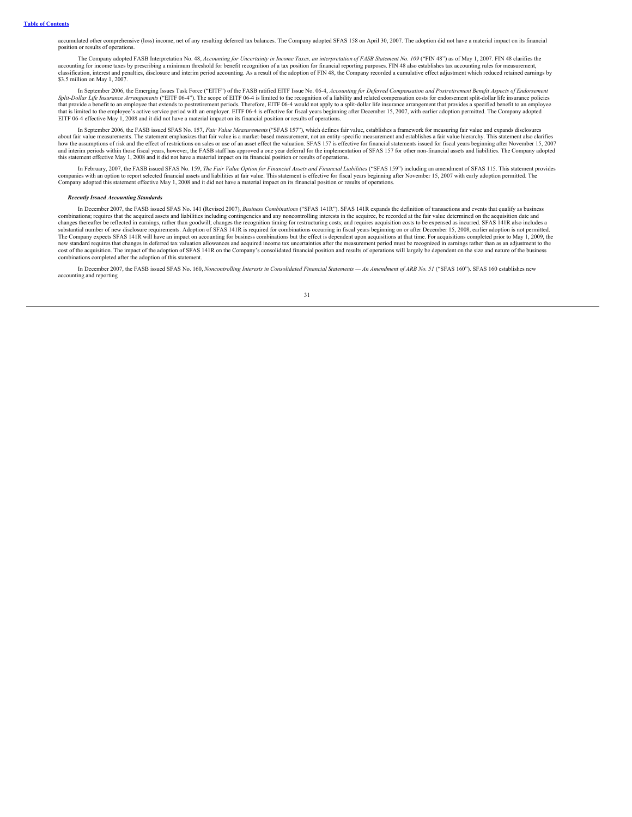accumulated other comprehensive (loss) income, net of any resulting deferred tax balances. The Company adopted SFAS 158 on April 30, 2007. The adoption did not have a material impact on its financial position or results of operations.

The Company adopted FASB Interpretation No. 48, Accounting for Uncertainty in Income Taxes, an interpretation of FASB Statement No. 109 ("FIN 48") as of May 1, 2007. FIN 48 clarifies the accounting for income taxes by prescribing a minimum threshold for benefit recognition of a tax position for financial reporting purposes. FIN 48 also establishes tax accounting rules for measurement,<br>classification, inter \$3.5 million on May 1, 2007.

In September 2006, the Emerging Issues Task Force ("EITF") of the FASB ratified EITF Issue No. 06-4, Accounting for Deferred Compensation and Postretirement Benefit Aspects of Endorsement Split-Dollar Life Insurance Arrangements ("EITF 06-4"). The scope of EITF 06-4 is limited to the recognition of a liability and related compensation costs for endorsement split-dollar life insurance policies that provide a benefit to an employee that extends to postretirement periods. Therefore, EITF 06-4 would not apply to a split-dollar life insurance arrangement that provides a specified benefit to an employee<br>that is limit EITF 06-4 effective May 1, 2008 and it did not have a material impact on its financial position or results of operations.

In September 2006, the FASB issued SFAS No. 157, Fair Value Measurements ("SFAS 157"), which defines fair value, establishes a framework for measuring fair value and expands disclosures about fair value measurements. The s how the assumptions of risk and the effect of restrictions on sales or use of an asset effect the valuation. SFAS 157 is effective for financial statements issued for fiscal years beginning after November 15, 2007<br>and inte this statement effective May 1, 2008 and it did not have a material impact on its financial position or results of operations.

In February, 2007, the FASB issued SFAS No. 159, The Fair Value Option for Financial Assets and Financial Liabilities ("SFAS 159") including an amendment of SFAS 115. This statement provides companies with an option to report selected financial assets and liabilities at fair value. This statement is effective for fiscal years beginning after November 15, 2007 with early adoption permitted. The<br>Company adopted

### *Recently Issued Accounting Standards*

In December 2007, the FASB issued SFAS No. 141 (Revised 2007), *Business Combinations* ("SFAS 141R"). SFAS 141R expands the definition of transactions and events that qualify as business combinations; requires that the acquired assets and liabilities including contingencies and any noncontrolling interests in the acquiree, be recorded at the fair value determined on the acquisition date and changes thereafter be reflected in earnings, rather than goodwill; changes the recognition timing for restructuring costs; and requires acquisition costs to be expensed as incurred. SFAS 141R also includes a substantial number of new disclosure requirements. Adoption of SFAS 141R is required for combinations occurring in fiscal years beginning on or after December 15, 2008, earlier adoption is not permitted.<br>The Company expect cost of the acquisition. The impact of the adoption of SFAS 141R on the Company's consolidated financial position and results of operations will largely be dependent on the size and nature of the business combinations completed after the adoption of this statement.

In December 2007, the FASB issued SFAS No. 160, Noncontrolling Interests in Consolidated Financial Statements - An Amendment of ARB No. 51 ("SFAS 160"). SFAS 160 establishes new accounting and reporting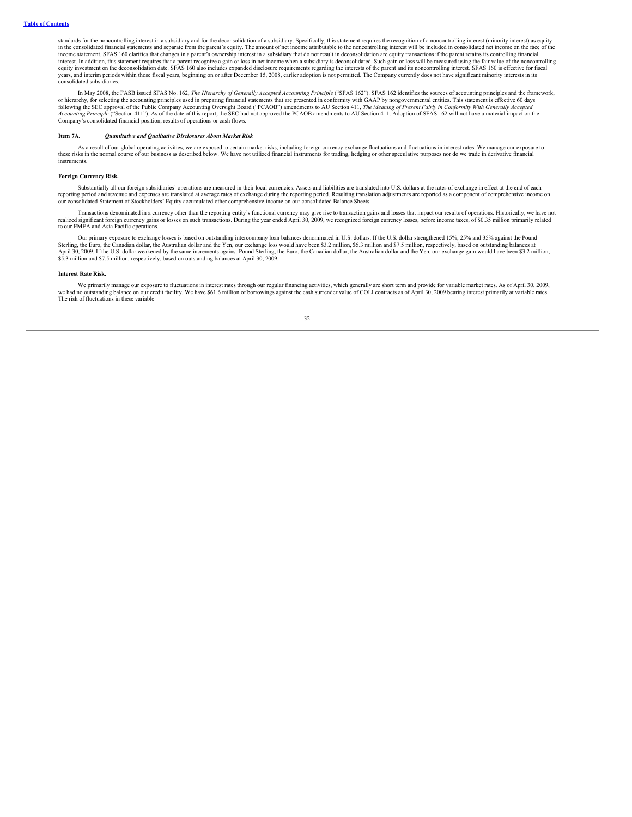standards for the noncontrolling interest in a subsidiary and for the deconsolidation of a subsidiary. Specifically, this statement requires the recognition of a noncontrolling interest (minority interest) as equity in the consolidated financial statements and separate from the parent's equity. The amount of net income attributable to the noncontrolling interest will be included in consolidated net income on the face of the income statement. SFAS 160 clarifies that changes in a parent's ownership interest in a subsidiary that do not result in deconsolidation are equity transactions if the parent retains its controlling financial interest. In addition, this statement requires that a parent recognize a gain or loss in net income when a subsidiary is deconsolidated. Such gain or loss will be measured using the fair value of the noncontrolling equity consolidated subsidiaries.

In May 2008, the FASB issued SFAS No. 162, The Hierarchy of Generally Accepted Accounting Principle ("SFAS 162"). SFAS 162 identifies the sources of accounting principles and the framework, or hierarchy, for selecting the accounting principles used in preparing financial statements that are presented in conformity with GAAP by nongovernmental entities. This statement is effective 60 days<br>following the SEC app *Accounting Principle* ("Section 411"). As of the date of this report, the SEC had not approved the PCAOB amendments to AU Section 411. Adoption of SFAS 162 will not have a material impact on the Company's consolidated financial position, results of operations or cash flows.

## <span id="page-33-0"></span>**Item 7A.** *Quantitative and Qualitative Disclosures About Market Risk*

As a result of our global operating activities, we are exposed to certain market risks, including foreign currency exchange fluctuations and fluctuations in interest rates. We manage our exposure to these risks in the normal course of our business as described below. We have not utilized financial instruments for trading, hedging or other speculative purposes nor do we trade in derivative financial instruments.

#### **Foreign Currency Risk.**

Substantially all our foreign subsidiaries' operations are measured in their local currencies. Assets and liabilities are translated into U.S. dollars at the rates of exchange in effect at the end of each reporting period and revenue and expenses are translated at average rates of exchange during the reporting period. Resulting translation adjustments are reported as a component of comprehensive income on<br>our consolidated S

Transactions denominated in a currency other than the reporting entity's functional currency may give rise to transaction gains and losses that impact our results of operations. Historically, we have not realized significa

Our primary exposure to exchange losses is based on outstanding intercompany loan balances denominated in U.S. dollars. If the U.S. dollar strengthened 15%, 25% and 35% against the Pound Sterling, the Euro, the Canadian dollar, the Australian dollar and the Yen, our exchange loss would have been \$3.2 million, \$5.3 million and \$7.5 million, respectively, based on outstanding balances at<br>April 30, 2009. If t

#### **Interest Rate Risk.**

We primarily manage our exposure to fluctuations in interest rates through our regular financing activities, which generally are short term and provide for variable market rates. As of April 30, 2009, we had no outstanding The risk of fluctuations in these variable

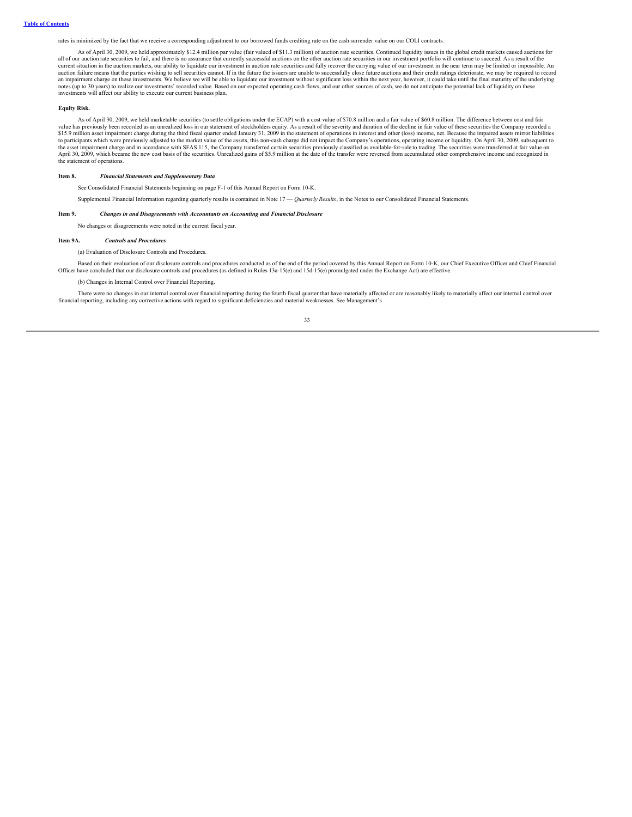rates is minimized by the fact that we receive a corresponding adjustment to our borrowed funds crediting rate on the cash surrender value on our COLI contracts.

As of April 30, 2009, we held approximately \$12.4 million par value (fair valued of \$11.3 million) of auction rate securities. Continued liquidity issues in the global credit markets caused auctions for all of our auction rate securities to fail, and there is no assurance that currently successful auctions on the other auction rate securities in our investment portfolio will continue to succeed. As a result of the<br>current auction failure means that the parties wishing to sell securities cannot. If in the future the issuers are unable to successfully close future auctions and their credit ratings deteriorate, we may be required to record<br>an notes (up to 30 years) to realize our investments' recorded value. Based on our expected operating cash flows, and our other sources of cash, we do not anticipate the potential lack of liquidity on these investments will affect our ability to execute our current business plan.

#### **Equity Risk.**

As of April 30, 2009, we held marketable securities (to settle obligations under the ECAP) with a cost value of \$70.8 million and a fair value of \$60.8 million. The difference between cost and fair value has previously been recorded as an unrealized loss in our statement of stockholders equity. As a result of the severity and duration of the decline in fair value of these securities the Company recorded a<br>\$15.9 milli to participants which were previously adjusted to the market value of the assets, this non-cash charge did not impact the Company's operations, operating income or liquidity. On April 30, 2009, subsequent to<br>the asset impa April 30, 2009, which became the new cost basis of the securities. Unrealized gains of \$5.9 million at the date of the transfer were reversed from accumulated other comprehensive income and recognized in the statement of operations.

## **Item 8.** *Financial Statements and Supplementary Data*

<span id="page-34-0"></span>See Consolidated Financial Statements beginning on page F-1 of this Annual Report on Form 10-K.

Supplemental Financial Information regarding quarterly results is contained in Note 17 — *Quarterly Results*, in the Notes to our Consolidated Financial Statements.

## **Item 9.** *Changes in and Disagreements with Accountants on Accounting and Financial Disclosure*

<span id="page-34-2"></span><span id="page-34-1"></span>No changes or disagreements were noted in the current fiscal year.

### **Item 9A.** *Controls and Procedures*

(a) Evaluation of Disclosure Controls and Procedures.

Based on their evaluation of our disclosure controls and procedures conducted as of the end of the period covered by this Annual Report on Form 10-K, our Chief Executive Officer and Chief Financial Officer have concluded t

(b) Changes in Internal Control over Financial Reporting.

There were no changes in our internal control over financial reporting during the fourth fiscal quarter that have materially affected or are reasonably likely to materially affect our internal control over financial reporting, including any corrective actions with regard to significant deficiencies and material weaknesses. See Management's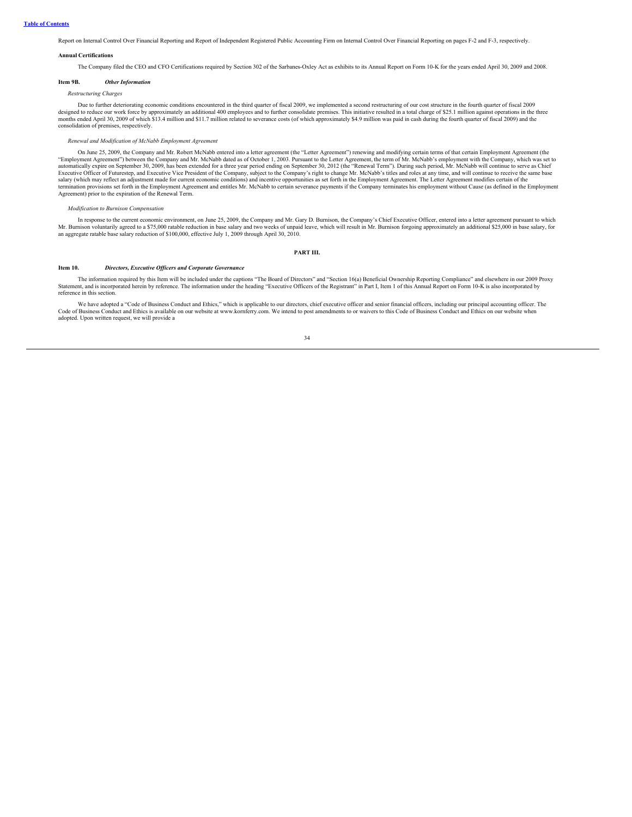Report on Internal Control Over Financial Reporting and Report of Independent Registered Public Accounting Firm on Internal Control Over Financial Reporting on pages F-2 and F-3, respectively.

#### **Annual Certifications**

The Company filed the CEO and CFO Certifications required by Section 302 of the Sarbanes-Oxley Act as exhibits to its Annual Report on Form 10-K for the years ended April 30, 2009 and 2008.

## **Item 9B.** *Other Information*

# <span id="page-35-0"></span>*Restructuring Charges*

Due to further deteriorating economic conditions encountered in the third quarter of fiscal 2009, we implemented a second restructuring of our cost structure in the fourth quarter of fiscal 2009<br>designed to reduce our work months ended April 30, 2009 of which \$13.4 million and \$11.7 million related to severance costs (of which approximately \$4.9 million was paid in cash during the fourth quarter of fiscal 2009) and the consolidation of premises, respectively.

## *Renewal and Modification of McNabb Employment Agreement*

On June 25, 2009, the Company and Mr. Robert McNabb entered into a letter agreement (the "Letter Agreement") renewing and modifying certain terms of that certain Employment Agreement (the "Employment Agreement") between th Executive Officer of Futurestep, and Executive Vice President of the Company, subject to the Company's right to change Mr. McNabb's titles and roles at any time, and will continue to receive the same base<br>salary (which may termination provisions set forth in the Employment Agreement and entitles Mr. McNabb to certain severance payments if the Company terminates his employment without Cause (as defined in the Employment<br>Agreement) prior to th

### *Modification to Burnison Compensation*

In response to the current economic environment, on June 25, 2009, the Company and Mr. Gary D. Burnison, the Company's Chief Executive Officer, entered into a letter agreement pursuant to which<br>Mr. Burnison forgoing approx an aggregate ratable base salary reduction of \$100,000, effective July 1, 2009 through April 30, 2010.

#### **PART III.**

### <span id="page-35-1"></span>**Item 10.** *Directors, Executive Of icers and Corporate Governance*

The information required by this Item will be included under the captions "The Board of Directors" and "Section 16(a) Beneficial Ownership Reporting Compliance" and elsewhere in our 2009 Proxy<br>Statement, and is incorporate reference in this section.

We have adopted a "Code of Business Conduct and Ethics," which is applicable to our directors, chief executive officer and senior financial officers, including our principal accounting officer. The Code of Business Conduct adopted. Upon written request, we will provide a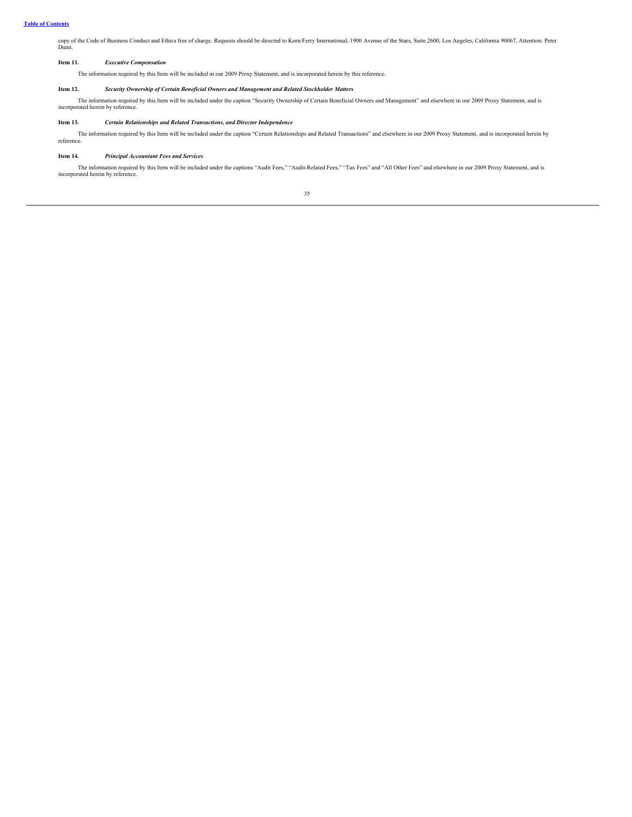copy of the Code of Business Conduct and Ethics free of charge. Requests should be directed to Korn/Ferry International, 1900 Avenue of the Stars, Suite 2600, Los Angeles, California 90067, Attention: Peter Dunn.

## **Item 11.** *Executive Compensation*

The information required by this Item will be included in our 2009 Proxy Statement, and is incorporated herein by this reference.

## **Item 12.** *Security Ownership of Certain Beneficial Owners and Management and Related Stockholder Matters*

The information required by this Item will be included under the caption "Security Ownership of Certain Beneficial Owners and Management" and elsewhere in our 2009 Proxy Statement, and is incorporated herein by reference.

### **Item 13.** *Certain Relationships and Related Transactions, and Director Independence*

The information required by this Item will be included under the caption "Certain Relationships and Related Transactions" and elsewhere in our 2009 Proxy Statement, and is incorporated herein by reference.

#### **Item 14.** *Principal Accountant Fees and Services*

The information required by this Item will be included under the captions "Audit Fees," "Audit-Related Fees," "Tax Fees" and "All Other Fees" and elsewhere in our 2009 Proxy Statement, and is incorporated herein by reference.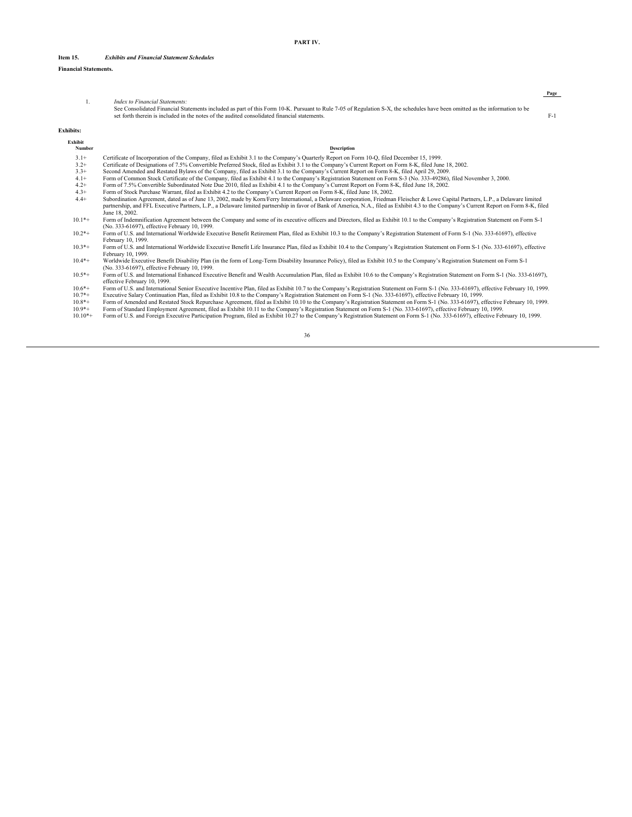## **PART IV.**

## **Financial Statements.**

**Exhibits:**

*Index to Financial Statements:*<br>See Consolidated Financial Statements included as part of this Form 10-K. Pursuant to Rule 7-05 of Regulation S-X, the schedules have been omitted as the information to be<br>set forth therein

**Page**

| Exhibit<br>Number | Description                                                                                                                                                                                                                                                                                                                                                                                      |
|-------------------|--------------------------------------------------------------------------------------------------------------------------------------------------------------------------------------------------------------------------------------------------------------------------------------------------------------------------------------------------------------------------------------------------|
| $3.1+$            | Certificate of Incorporation of the Company, filed as Exhibit 3.1 to the Company's Quarterly Report on Form 10-Q, filed December 15, 1999.                                                                                                                                                                                                                                                       |
| $3.2+$            | Certificate of Designations of 7.5% Convertible Preferred Stock, filed as Exhibit 3.1 to the Company's Current Report on Form 8-K, filed June 18, 2002.                                                                                                                                                                                                                                          |
| $3.3+$            | Second Amended and Restated Bylaws of the Company, filed as Exhibit 3.1 to the Company's Current Report on Form 8-K, filed April 29, 2009.                                                                                                                                                                                                                                                       |
| $4.1+$            | Form of Common Stock Certificate of the Company, filed as Exhibit 4.1 to the Company's Registration Statement on Form S-3 (No. 333-49286), filed November 3, 2000.                                                                                                                                                                                                                               |
| $4.2+$            | Form of 7.5% Convertible Subordinated Note Due 2010, filed as Exhibit 4.1 to the Company's Current Report on Form 8-K, filed June 18, 2002.                                                                                                                                                                                                                                                      |
| $4.3+$            | Form of Stock Purchase Warrant, filed as Exhibit 4.2 to the Company's Current Report on Form 8-K, filed June 18, 2002.                                                                                                                                                                                                                                                                           |
| $4.4+$            | Subordination Agreement, dated as of June 13, 2002, made by Korn/Ferry International, a Delaware corporation, Friedman Fleischer & Lowe Capital Partners, L.P., a Delaware limited<br>partnership, and FFL Executive Partners, L.P., a Delaware limited partnership in favor of Bank of America, N.A., filed as Exhibit 4.3 to the Company's Current Report on Form 8-K, filed<br>June 18, 2002. |
| $10.1*+$          | Form of Indemnification Agreement between the Company and some of its executive officers and Directors, filed as Exhibit 10.1 to the Company's Registration Statement on Form S-1<br>(No. 333-61697), effective February 10, 1999.                                                                                                                                                               |
| $10.2*+$          | Form of U.S. and International Worldwide Executive Benefit Retirement Plan, filed as Exhibit 10.3 to the Company's Registration Statement of Form S-1 (No. 333-61697), effective<br>February 10, 1999.                                                                                                                                                                                           |
| $10.3*+$          | Form of U.S. and International Worldwide Executive Benefit Life Insurance Plan, filed as Exhibit 10.4 to the Company's Registration Statement on Form S-1 (No. 333-61697), effective<br>February 10, 1999.                                                                                                                                                                                       |
| $10.4*+$          | Worldwide Executive Benefit Disability Plan (in the form of Long-Term Disability Insurance Policy), filed as Exhibit 10.5 to the Company's Registration Statement on Form S-1<br>(No. 333-61697), effective February 10, 1999.                                                                                                                                                                   |
| $10.5*+$          | Form of U.S. and International Enhanced Executive Benefit and Wealth Accumulation Plan, filed as Exhibit 10.6 to the Company's Registration Statement on Form S-1 (No. 333-61697),<br>effective February 10, 1999.                                                                                                                                                                               |
| $10.6*+$          | Form of U.S. and International Senior Executive Incentive Plan, filed as Exhibit 10.7 to the Company's Registration Statement on Form S-1 (No. 333-61697), effective February 10, 1999.                                                                                                                                                                                                          |
| $10.7*+$          | Executive Salary Continuation Plan, filed as Exhibit 10.8 to the Company's Registration Statement on Form S-1 (No. 333-61697), effective February 10, 1999.                                                                                                                                                                                                                                      |
| $10.8*+$          | Form of Amended and Restated Stock Repurchase Agreement, filed as Exhibit 10.10 to the Company's Registration Statement on Form S-1 (No. 333-61697), effective February 10, 1999.                                                                                                                                                                                                                |
| $10.9*+$          | Form of Standard Employment Agreement, filed as Exhibit 10.11 to the Company's Registration Statement on Form S-1 (No. 333-61697), effective February 10, 1999.                                                                                                                                                                                                                                  |
| $10.10*+$         | Form of U.S. and Foreign Executive Participation Program, filed as Exhibit 10.27 to the Company's Registration Statement on Form S-1 (No. 333-61697), effective February 10, 1999.                                                                                                                                                                                                               |

## 36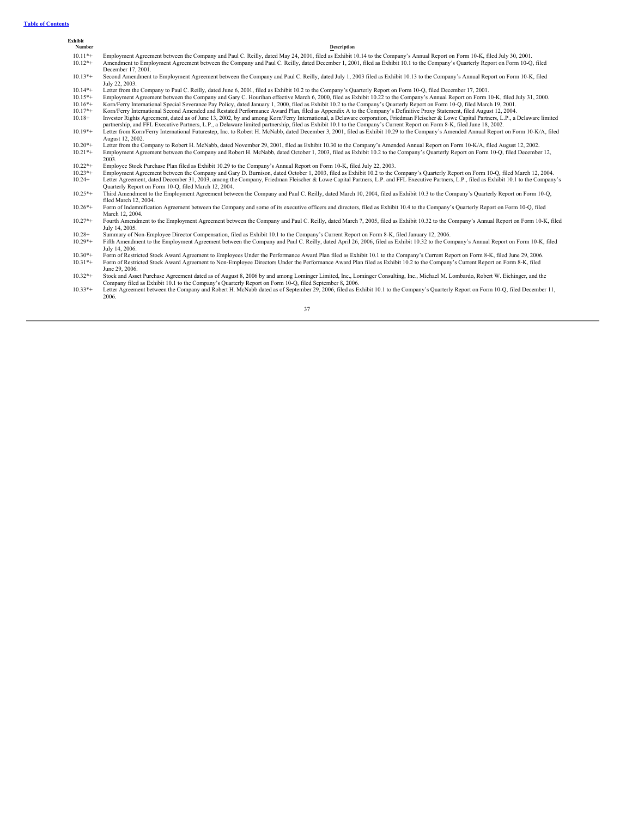2006.

**Exhibit Number Description** 10.11\*+ Employment Agreement between the Company and Paul C. Reilly, dated May 24, 2001, filed as Exhibit 10.14 to the Company's Annual Report on Form 10-K, filed July 30, 2001.  $L_{\text{m}}$ ,  $L_{\text{m}}$ ,  $L_{\text{m}}$ ,  $L_{\text{m}}$ ,  $L_{\text{m}}$ ,  $L_{\text{m}}$ ,  $L_{\text{m}}$ ,  $L_{\text{m}}$ ,  $L_{\text{m}}$ ,  $L_{\text{m}}$ ,  $L_{\text{m}}$ ,  $L_{\text{m}}$ ,  $L_{\text{m}}$ ,  $L_{\text{m}}$ ,  $L_{\text{m}}$ ,  $L_{\text{m}}$ ,  $L_{\text{m}}$ ,  $L_{\text{m}}$ ,  $L_{\text{m}}$ ,  $L_{\text{m}}$ , December 17, 2001. 10.13\*+ Second Amendment to Employment Agreement between the Company and Paul C. Reilly, dated July 1, 2003 filed as Exhibit 10.13 to the Company's Annual Report on Form 10-K, filed July 22, 2003. 10.14\*+ Letter from the Company to Paul C. Reilly, dated June 6, 2001, filed as Exhibit 10.2 to the Company's Quarterly Report on Form 10-Q, filed December 17, 2001.<br>10.15\*+ Employment Agreement between the Company and 10.17\*+ Korn/Ferry International Second Amended and Restated Performance Award Plan, filed as Appendix A to the Company's Definitive Proxy Statement, filed August 12, 2004.<br>10.18+ Investor Rights Agreement, dated as of Jun partnership, and FFL Executive Partners, L.P., a Delaware limited partnership, filed as Exhibit 10.1 to the Company's Current Report on Form 8-K, filed June 18, 2002. 10.19\*+ Letter from Korn/Ferry International Futurestep, Inc. to Robert H. McNabb, dated December 3, 2001, filed as Exhibit 10.29 to the Company's Amended Annual Report on Form 10-K/A, filed August 12, 2002. 10.20\*+ Letter from the Company to Robert H. McNabb, dated November 29, 2001, filed as Exhibit 10.30 to the Company's Amended Annual Report on Form 10-K/A, filed August 12, 2002.<br>10.21\*+ Employment Agreement between the Co 10.21\*+ Employment Agreement between the Company and Robert H. McNabb, dated October 1, 2003, filed as Exhibit 10.2 to the Company's Quarterly Report on Form 10-Q, filed December 12, 2003. 10.22\*+ Employee Stock Purchase Plan filed as Exhibit 10.29 to the Company's Annual Report on Form 10-K, filed July 22, 2003. 10.23\*+ Employment Agreement between the Company and Gary D. Burnison, dated October 1, 2003, filed as Exhibit 10.2 to the Company's Quarterly Report on Form 10-Q, filed March 12, 2004.<br>10.24+ Letter Agreement, dated Decem Quarterly Report on Form 10-Q, filed March 12, 2004. 10.25\*+ Third Amendment to the Employment Agreement between the Company and Paul C. Reilly, dated March 10, 2004, filed as Exhibit 10.3 to the Company's Quarterly Report on Form 10-Q, filed March 12, 2004. 10.26\*+ Form of Indemnification Agreement between the Company and some of its executive officers and directors, filed as Exhibit 10.4 to the Company's Quarterly Report on Form 10-Q, filed March 12, 2004. 10.27\*+ Fourth Amendment to the Employment Agreement between the Company and Paul C. Reilly, dated March 7, 2005, filed as Exhibit 10.32 to the Company's Annual Report on Form 10-K, filed July 14, 2005. 10.28+ Summary of Non-Employee Director Compensation, filed as Exhibit 10.1 to the Company's Current Report on Form 8-K, filed January 12, 2006.<br>10.29\*+ Fifth Amendment to the Employment Agreement between the Company and P Fifth Amendment to the Employment Agreement between the Company and Paul C. Reilly, dated April 26, 2006, filed as Exhibit 10.32 to the Company's Annual Report on Form 10-K, filed July 14, 2006. 10.30\*+ Form of Restricted Stock Award Agreement to Employees Under the Performance Award Plan filed as Exhibit 10.1 to the Company's Current Report on Form 8-K, filed June 29, 2006. 10.31\*+ Form of Restricted Stock Award Agreement to Non-Employee Directors Under the Performance Award Plan filed as Exhibit 10.2 to the Company's Current Report on Form 8-K, filed June 29, 2006. 10.32\*+ Stock and Asset Purchase Agreement dated as of August 8, 2006 by and among Lominger Limited, Inc., Lominger Consulting, Inc., Michael M. Lombardo, Robert W. Eichinger, and the Company filed as Exhibit 10.1 to the Company's Quarterly Report on Form 10-Q, filed September 8, 2006.<br>10.33\*+ Letter Agreement between the Company and Robert H. McNabb dated as of September 29, 2006, filed as Exhibit 10.1

37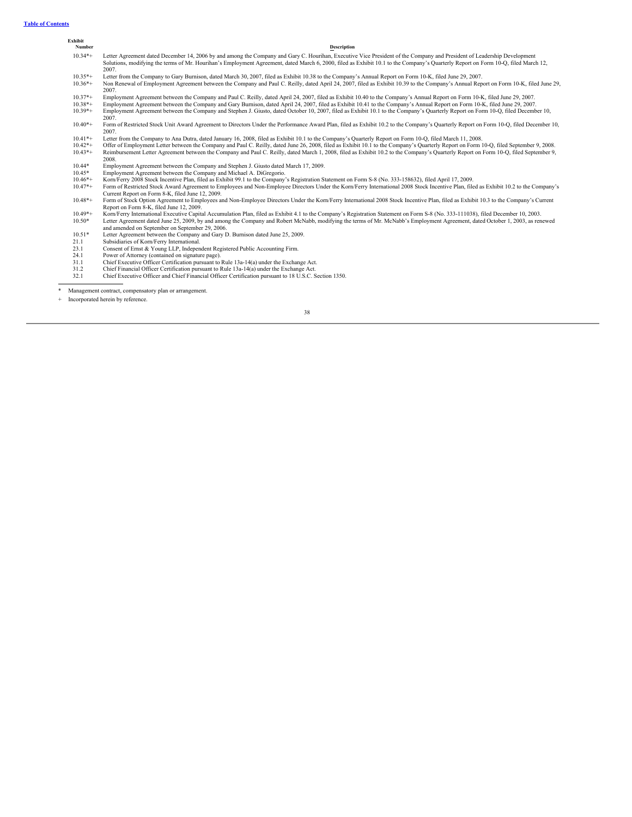| Exhibit<br>Number | <b>Description</b>                                                                                                                                                                                                                                                                                                                                           |
|-------------------|--------------------------------------------------------------------------------------------------------------------------------------------------------------------------------------------------------------------------------------------------------------------------------------------------------------------------------------------------------------|
| $10.34*+$         | Letter Agreement dated December 14, 2006 by and among the Company and Gary C. Hourihan, Executive Vice President of the Company and President of Leadership Development<br>Solutions, modifying the terms of Mr. Hourihan's Employment Agreement, dated March 6, 2000, filed as Exhibit 10.1 to the Company's Quarterly Report on Form 10-Q, filed March 12, |
|                   | 2007.                                                                                                                                                                                                                                                                                                                                                        |
| $10.35*+$         | Letter from the Company to Gary Burnison, dated March 30, 2007, filed as Exhibit 10.38 to the Company's Annual Report on Form 10-K, filed June 29, 2007.                                                                                                                                                                                                     |
| $10.36*+$         | Non Renewal of Employment Agreement between the Company and Paul C. Reilly, dated April 24, 2007, filed as Exhibit 10.39 to the Company's Annual Report on Form 10-K, filed June 29,<br>2007.                                                                                                                                                                |
| $10.37*+$         | Employment Agreement between the Company and Paul C. Reilly, dated April 24, 2007, filed as Exhibit 10.40 to the Company's Annual Report on Form 10-K, filed June 29, 2007.                                                                                                                                                                                  |
| $10.38*+$         | Employment Agreement between the Company and Gary Burnison, dated April 24, 2007, filed as Exhibit 10.41 to the Company's Annual Report on Form 10-K, filed June 29, 2007.                                                                                                                                                                                   |
| $10.39*+$         | Employment Agreement between the Company and Stephen J. Giusto, dated October 10, 2007, filed as Exhibit 10.1 to the Company's Quarterly Report on Form 10-Q, filed December 10,<br>2007.                                                                                                                                                                    |
| $10.40*+$         | Form of Restricted Stock Unit Award Agreement to Directors Under the Performance Award Plan, filed as Exhibit 10.2 to the Company's Quarterly Report on Form 10-Q, filed December 10,<br>2007.                                                                                                                                                               |
| $10.41*+$         | Letter from the Company to Ana Dutra, dated January 16, 2008, filed as Exhibit 10.1 to the Company's Quarterly Report on Form 10-Q, filed March 11, 2008.                                                                                                                                                                                                    |
| $10.42*+$         | Offer of Employment Letter between the Company and Paul C. Reilly, dated June 26, 2008, filed as Exhibit 10.1 to the Company's Quarterly Report on Form 10-Q, filed September 9, 2008.                                                                                                                                                                       |
| $10.43*+$         | Reimbursement Letter Agreement between the Company and Paul C. Reilly, dated March 1, 2008, filed as Exhibit 10.2 to the Company's Quarterly Report on Form 10-Q, filed September 9,<br>2008.                                                                                                                                                                |
| $10.44*$          | Employment Agreement between the Company and Stephen J. Giusto dated March 17, 2009.                                                                                                                                                                                                                                                                         |
| $10.45*$          | Employment Agreement between the Company and Michael A. DiGregorio.                                                                                                                                                                                                                                                                                          |
| $10.46*+$         | Korn/Ferry 2008 Stock Incentive Plan, filed as Exhibit 99.1 to the Company's Registration Statement on Form S-8 (No. 333-158632), filed April 17, 2009.                                                                                                                                                                                                      |
| $10.47*+$         | Form of Restricted Stock Award Agreement to Employees and Non-Employee Directors Under the Korn/Ferry International 2008 Stock Incentive Plan, filed as Exhibit 10.2 to the Company's<br>Current Report on Form 8-K, filed June 12, 2009.                                                                                                                    |
| $10.48*+$         | Form of Stock Option Agreement to Employees and Non-Employee Directors Under the Korn/Ferry International 2008 Stock Incentive Plan, filed as Exhibit 10.3 to the Company's Current<br>Report on Form 8-K, filed June 12, 2009.                                                                                                                              |
| $10.49*+$         | Korn/Ferry International Executive Capital Accumulation Plan, filed as Exhibit 4.1 to the Company's Registration Statement on Form S-8 (No. 333-111038), filed December 10, 2003.                                                                                                                                                                            |
| $10.50*$          | Letter Agreement dated June 25, 2009, by and among the Company and Robert McNabb, modifying the terms of Mr. McNabb's Employment Agreement, dated October 1, 2003, as renewed<br>and amended on September on September 29, 2006.                                                                                                                             |
| $10.51*$          | Letter Agreement between the Company and Gary D. Burnison dated June 25, 2009.                                                                                                                                                                                                                                                                               |
| 21.1              | Subsidiaries of Korn/Ferry International.                                                                                                                                                                                                                                                                                                                    |
| 23.1              | Consent of Ernst & Young LLP, Independent Registered Public Accounting Firm.                                                                                                                                                                                                                                                                                 |
| 24.1              | Power of Attorney (contained on signature page).                                                                                                                                                                                                                                                                                                             |
| 31.1              | Chief Executive Officer Certification pursuant to Rule 13a-14(a) under the Exchange Act.                                                                                                                                                                                                                                                                     |
| 31.2              | Chief Financial Officer Certification pursuant to Rule 13a-14(a) under the Exchange Act.                                                                                                                                                                                                                                                                     |
| 32.1              | Chief Executive Officer and Chief Financial Officer Certification pursuant to 18 U.S.C. Section 1350.                                                                                                                                                                                                                                                        |
|                   |                                                                                                                                                                                                                                                                                                                                                              |

\* Management contract, compensatory plan or arrangement.

+ Incorporated herein by reference.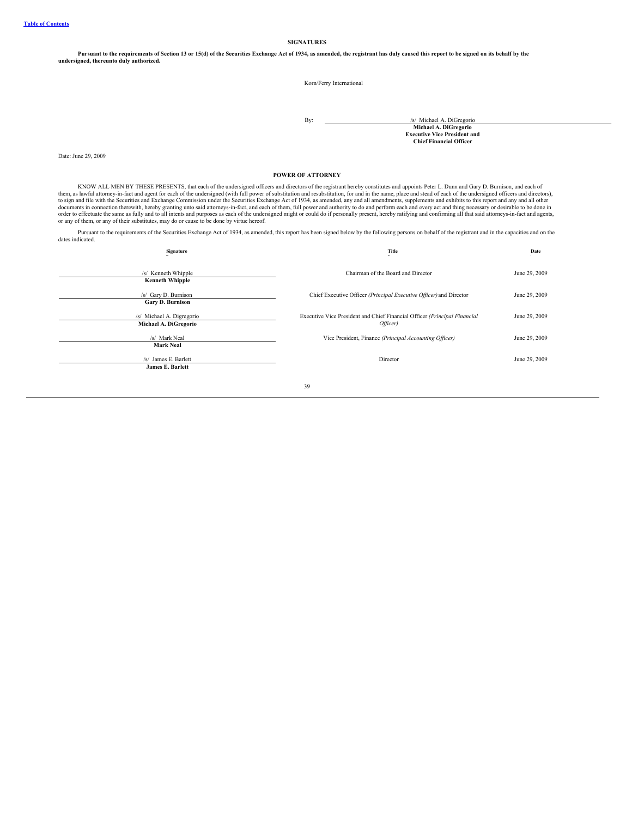**SIGNATURES**

Pursuant to the requirements of Section 13 or 15(d) of the Securities Exchange Act of 1934, as amended, the registrant has duly caused this report to be signed on its behalf by the<br>undersigned, thereunto duly authorized.

Korn/Ferry International

By:  $\frac{1}{s}$  Michael A. DiGregorio **Michael A. DiGregorio Executive Vice President and Chief Financial Officer**

Date: June 29, 2009

## **POWER OF ATTORNEY**

KNOW ALL MEN BY THESE PRESENTS, that each of the undersigned officers and directors of the registrant hereby constitutes and appoints Peter L. Dunn and Gary D. Burnison, and each of<br>them, as law will attomey-in-fact and ag

Pursuant to the requirements of the Securities Exchange Act of 1934, as amended, this report has been signed below by the following persons on behalf of the registrant and in the capacities and on the dates indicated.

| Signature                                          | Title                                                                                 |               |
|----------------------------------------------------|---------------------------------------------------------------------------------------|---------------|
| /s/ Kenneth Whipple<br><b>Kenneth Whipple</b>      | Chairman of the Board and Director                                                    | June 29, 2009 |
| /s/ Gary D. Burnison<br>Gary D. Burnison           | Chief Executive Officer (Principal Executive Officer) and Director                    | June 29, 2009 |
| /s/ Michael A. Digregorio<br>Michael A. DiGregorio | Executive Vice President and Chief Financial Officer (Principal Financial<br>Officer) | June 29, 2009 |
| /s/ Mark Neal<br><b>Mark Neal</b>                  | Vice President, Finance (Principal Accounting Officer)                                | June 29, 2009 |
| /s/ James E. Barlett<br><b>James E. Barlett</b>    | Director                                                                              | June 29, 2009 |
|                                                    | 39                                                                                    |               |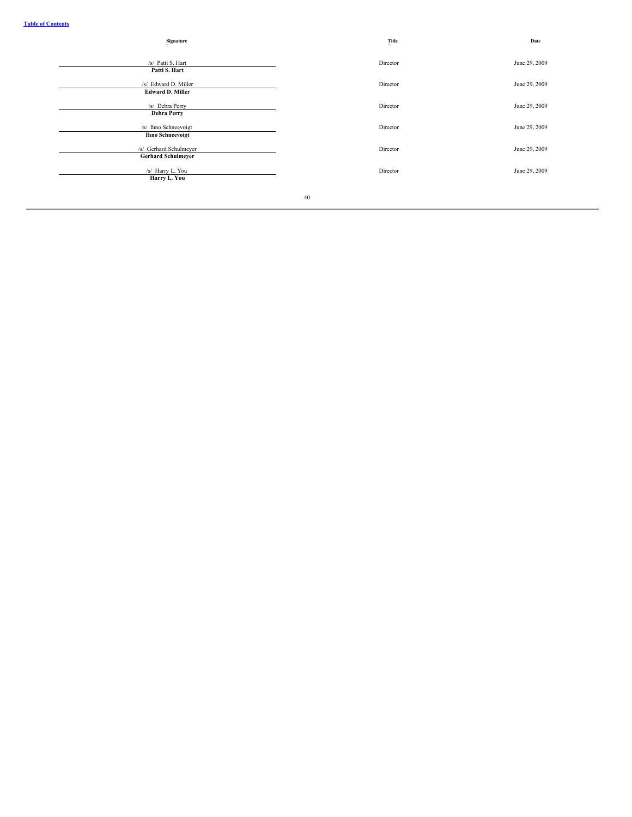| Signature                                           | Title    | Date          |
|-----------------------------------------------------|----------|---------------|
| /s/ Patti S. Hart<br>Patti S. Hart                  | Director | June 29, 2009 |
| /s/ Edward D. Miller<br><b>Edward D. Miller</b>     | Director | June 29, 2009 |
| /s/ Debra Perry<br><b>Debra Perry</b>               | Director | June 29, 2009 |
| /s/ Ihno Schneevoigt<br><b>Ihno Schneevoigt</b>     | Director | June 29, 2009 |
| /s/ Gerhard Schulmeyer<br><b>Gerhard Schulmeyer</b> | Director | June 29, 2009 |
| /s/ Harry L. You<br>Harry L. You                    | Director | June 29, 2009 |
|                                                     |          |               |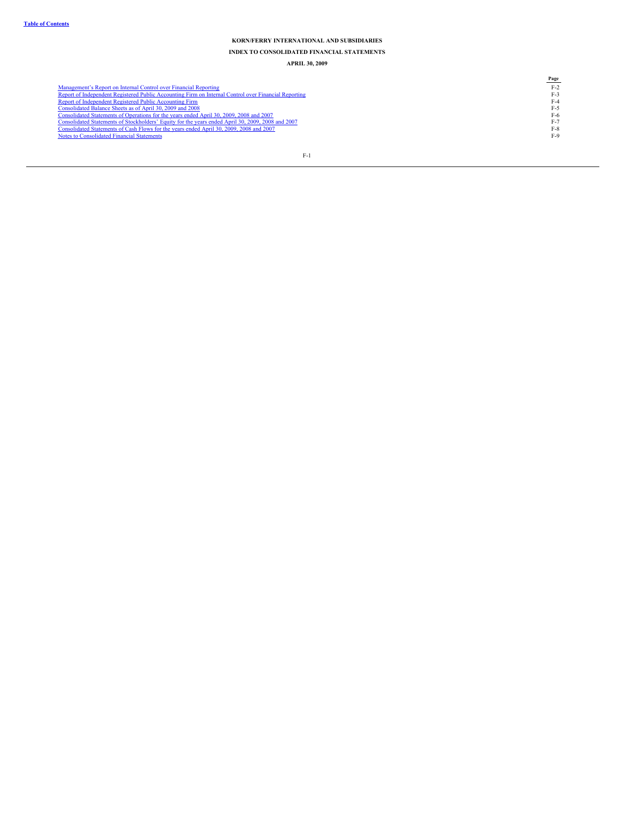**INDEX TO CONSOLIDATED FINANCIAL STATEMENTS**

**APRIL 30, 2009**

|                                                                                                      | Page  |
|------------------------------------------------------------------------------------------------------|-------|
| Management's Report on Internal Control over Financial Reporting                                     | $F-2$ |
| Report of Independent Registered Public Accounting Firm on Internal Control over Financial Reporting | $F-3$ |
| Report of Independent Registered Public Accounting Firm                                              | $F-4$ |
| Consolidated Balance Sheets as of April 30, 2009 and 2008                                            | F-5   |
| Consolidated Statements of Operations for the years ended April 30, 2009, 2008 and 2007              | F-6   |
| Consolidated Statements of Stockholders' Equity for the years ended April 30, 2009, 2008 and 2007    |       |
| Consolidated Statements of Cash Flows for the years ended April 30, 2009, 2008 and 2007              | $F-8$ |
| <b>Notes to Consolidated Financial Statements</b>                                                    | F-9   |
|                                                                                                      |       |
|                                                                                                      |       |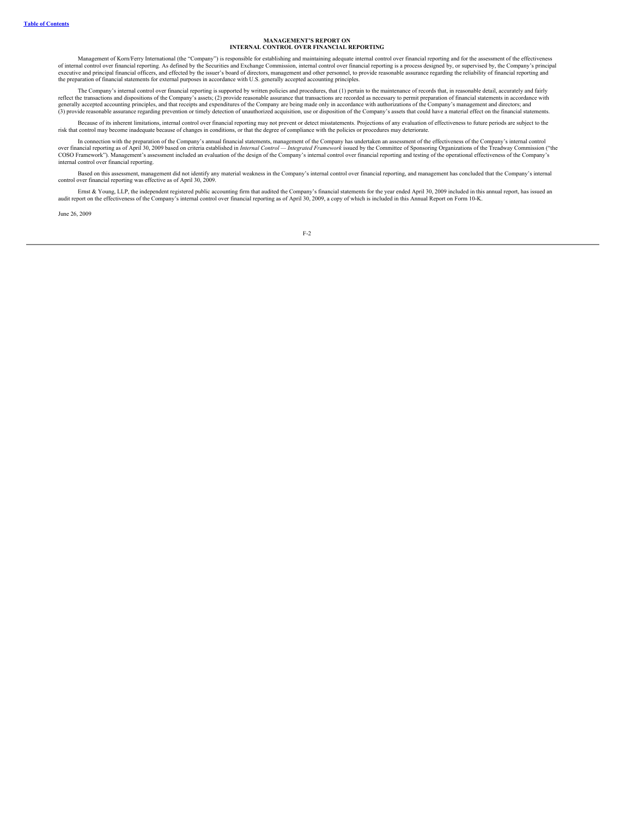#### <span id="page-43-0"></span>**MANAGEMENT'S REPORT ON INTERNAL CONTROL OVER FINANCIAL REPORTING**

Management of Korn/Ferry International (the "Company") is responsible for establishing and maintaining adequate internal control over financial reporting and for the assessment of the effectiveness of internal control over financial reporting. As defined by the Securities and Exchange Commission, internal control over financial reporting is a process designed by, or supervised by, the Company's principal expacinity a

The Company's internal control over financial reporting is supported by written policies and procedures, that (1) pertain to the maintenance of records that, in reasonable detail, accurately and fairly reflect the transactions and dispositions of the Company's assets; (2) provide reasonable assurance that transactions are recorded as necessary to permit preparation of financial statements in accordance with generally accepted accounting principles, and that receipts and expenditures of the Company are being made only in accordance with authorizations of the Company's management and directors; and<br>(3) provide reasonable assura

Because of its inherent limitations, internal control over financial reporting may not prevent or detect misstatements. Projections of any evaluation of effectiveness to future periods are subject to the risk that control may become inadequate because of changes in conditions, or that the degree of compliance with the policies or procedures may deteriorate.

In connection with the preparation of the Company's annual financial statements, management of the Company has undertaken an assessment of the effectiveness of the Company's internal control "<br>over financial reporting as o internal control over financial reporting.

Based on this assessment, management did not identify any material weakness in the Company's internal control over financial reporting, and management has concluded that the Company's internal control over financial reporting was effective as of April 30, 2009.

Ernst & Young, LLP, the independent registered public accounting firm that audited the Company's financial statements for the year ended April 30, 2009 included in this annual report, has issued an audit report on the effe

June 26, 2009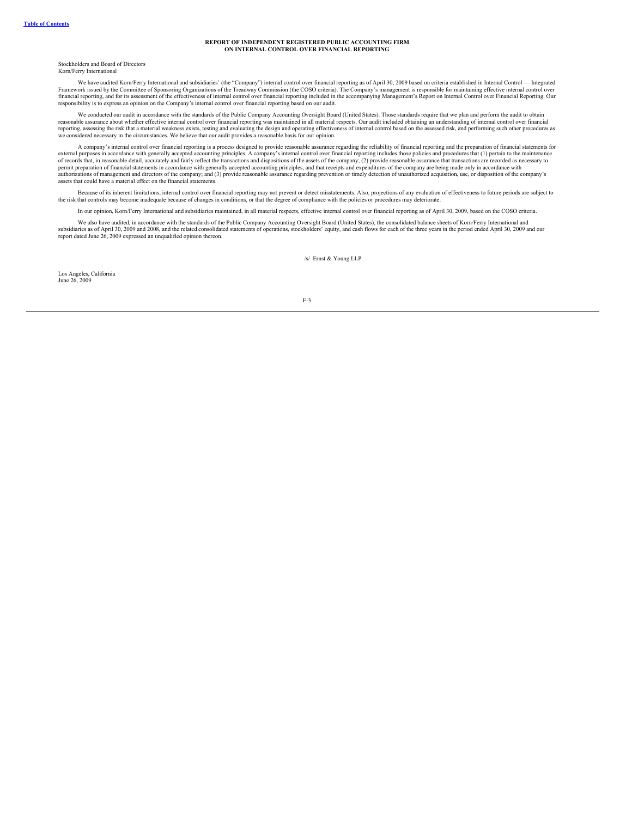#### **REPORT OF INDEPENDENT REGISTERED PUBLIC ACCOUNTING FIRM ON INTERNAL CONTROL OVER FINANCIAL REPORTING**

Stockholders and Board of Directors Korn/Ferry International

We have audited Korn/Ferry International and subsidiaries' (the "Company") internal control over financial reporting as of April 30, 2009 based on criteria established in Internal Control — Integrated Framework issued by the Committee of Sponsoring Organizations of the Treadway Commission (the COSO criteria). The Company's management is responsible for maintaining effective internal control over<br>financial reporting, and responsibility is to express an opinion on the Company's internal control over financial reporting based on our audit.

We conducted our audit in accordance with the standards of the Public Company Accounting Oversight Board (United States). Those standards require that we plan and perform the audit to obtain reasonable assurance about whether effective internal control over financial reporting was maintained in all material respects. Our audit included obtaining an understanding of internal control over financial<br>reporting, as we considered necessary in the circumstances. We believe that our audit provides a reasonable basis for our opinion.

A company's internal control over financial reporting is a process designed to provide reasonable assurance regarding the reliability of financial reporting and the preparation of financial statements for external purposes permit preparation of financial statements in accordance with generally accepted accounting principles, and that receipts and expenditures of the company are being made only in accordance with<br>authorizations of management assets that could have a material effect on the financial statements.

Because of its inherent limitations, internal control over financial reporting may not prevent or detect misstatements. Also, projections of any evaluation of effectiveness to future periods are subject to the risk that controls may become inadequate because of changes in conditions, or that the degree of compliance with the policies or procedures may deteriorate.

In our opinion, Korn/Ferry International and subsidiaries maintained, in all material respects, effective internal control over financial reporting as of April 30, 2009, based on the COSO criteria.

We also have audited, in accordance with the standards of the Public Company Accounting Oversight Board (United States), the consolidated balance sheets of Korn/Ferry International and<br>subsidiaries as of April 30, 2009 and report dated June 26, 2009 expressed an unqualified opinion thereon.

/s/ Ernst & Young LLP

Los Angeles, California June 26, 2009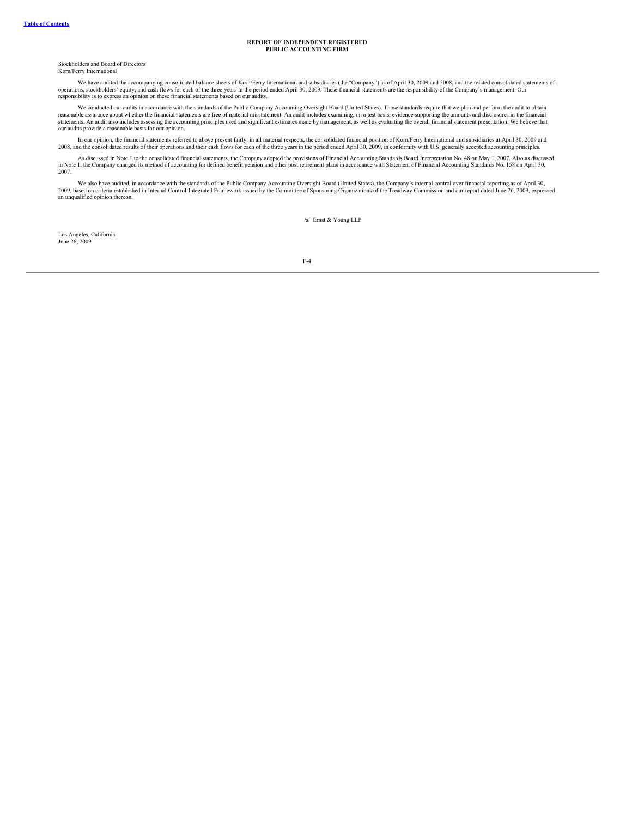#### **REPORT OF INDEPENDENT REGISTERED PUBLIC ACCOUNTING FIRM**

Stockholders and Board of Directors Korn/Ferry International

We have audited the accompanying consolidated balance sheets of Korn/Ferry International and subsidiaries (the "Company") as of April 30, 2009 and 2008, and the related consolidated statements of operations, stockholders'

We conducted our audits in accordance with the standards of the Public Company Accounting Oversight Board (United States). Those standards require that we plan and perform the audit to obtain reasonable assurance about whe statements. An audit also includes assessing the accounting principles used and significant estimates made by management, as well as evaluating the overall financial statement presentation. We believe that<br>our audits provi

In our opinion, the financial statements referred to above present fairly, in all material respects, the consolidated financial position of Korn/Ferry International and subsidiaries at April 30, 2009 and<br>2008, and the cons

As discussed in Note 1 to the consolidated financial statements, the Company adopted the provisions of Financial Accounting Standards Board Interpretation No. 48 on May 1, 2007. Also as discussed in Note 1, the Company changed its method of accounting for defined benefit pension and other post retirement plans in accordance with Statement of Financial Accounting Standards No. 158 on April 30, 2007.

We also have audited, in accordance with the standards of the Public Company Accounting Oversight Board (United States), the Company's internal control over financial reporting as of April 30,<br>2009, based on criteria estab an unqualified opinion thereon.

/s/ Ernst & Young LLP

Los Angeles, California June 26, 2009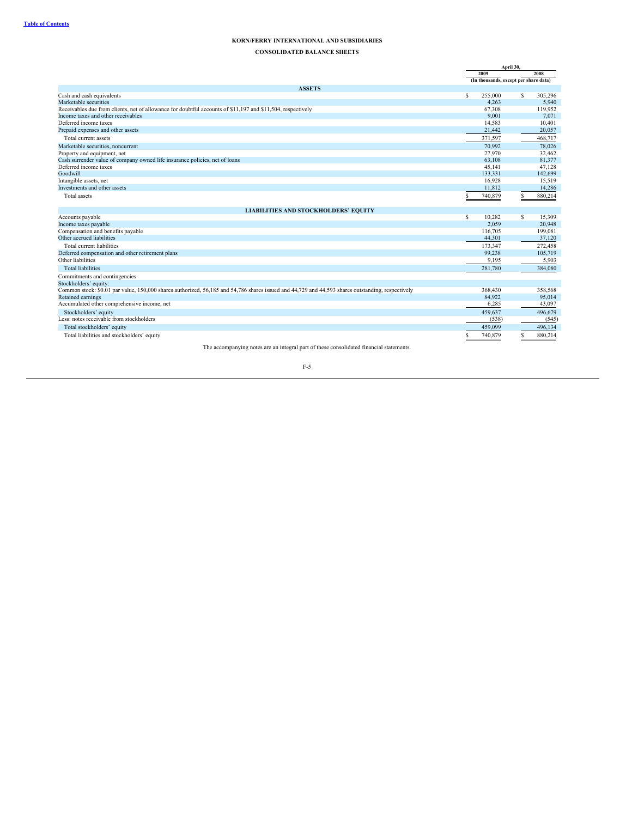<span id="page-46-0"></span>**CONSOLIDATED BALANCE SHEETS**

|                                                                                                                                                   | April 30, |                                       |   |         |
|---------------------------------------------------------------------------------------------------------------------------------------------------|-----------|---------------------------------------|---|---------|
|                                                                                                                                                   |           | 2009                                  |   | 2008    |
|                                                                                                                                                   |           | (In thousands, except per share data) |   |         |
| <b>ASSETS</b>                                                                                                                                     |           |                                       |   |         |
| Cash and cash equivalents                                                                                                                         | S         | 255,000                               | s | 305,296 |
| Marketable securities                                                                                                                             |           | 4,263                                 |   | 5.940   |
| Receivables due from clients, net of allowance for doubtful accounts of \$11,197 and \$11,504, respectively                                       |           | 67,308                                |   | 119,952 |
| Income taxes and other receivables                                                                                                                |           | 9,001                                 |   | 7,071   |
| Deferred income taxes                                                                                                                             |           | 14,583                                |   | 10,401  |
| Prepaid expenses and other assets                                                                                                                 |           | 21,442                                |   | 20,057  |
| Total current assets                                                                                                                              |           | 371,597                               |   | 468,717 |
| Marketable securities, noncurrent                                                                                                                 |           | 70,992                                |   | 78,026  |
| Property and equipment, net                                                                                                                       |           | 27,970                                |   | 32,462  |
| Cash surrender value of company owned life insurance policies, net of loans                                                                       |           | 63,108                                |   | 81,377  |
| Deferred income taxes                                                                                                                             |           | 45,141                                |   | 47,128  |
| Goodwill                                                                                                                                          |           | 133,331                               |   | 142,699 |
| Intangible assets, net                                                                                                                            |           | 16.928                                |   | 15,519  |
| Investments and other assets                                                                                                                      |           | 11,812                                |   | 14,286  |
| Total assets                                                                                                                                      |           | 740,879                               | s | 880,214 |
|                                                                                                                                                   |           |                                       |   |         |
| <b>LIABILITIES AND STOCKHOLDERS' EQUITY</b>                                                                                                       | s         |                                       | s |         |
| Accounts payable                                                                                                                                  |           | 10,282                                |   | 15,309  |
| Income taxes payable                                                                                                                              |           | 2,059                                 |   | 20,948  |
| Compensation and benefits payable<br>Other accrued liabilities                                                                                    |           | 116,705                               |   | 199,081 |
|                                                                                                                                                   |           | 44,301                                |   | 37,120  |
| Total current liabilities                                                                                                                         |           | 173,347                               |   | 272,458 |
| Deferred compensation and other retirement plans                                                                                                  |           | 99,238                                |   | 105,719 |
| Other liabilities                                                                                                                                 |           | 9,195                                 |   | 5,903   |
| <b>Total liabilities</b>                                                                                                                          |           | 281,780                               |   | 384,080 |
| Commitments and contingencies                                                                                                                     |           |                                       |   |         |
| Stockholders' equity:                                                                                                                             |           |                                       |   |         |
| Common stock: \$0.01 par value, 150,000 shares authorized, 56,185 and 54,786 shares issued and 44,729 and 44,593 shares outstanding, respectively |           | 368,430                               |   | 358,568 |
| <b>Retained earnings</b>                                                                                                                          |           | 84,922                                |   | 95,014  |
| Accumulated other comprehensive income, net                                                                                                       |           | 6,285                                 |   | 43,097  |
| Stockholders' equity                                                                                                                              |           | 459,637                               |   | 496,679 |
| Less: notes receivable from stockholders                                                                                                          |           | (538)                                 |   | (545)   |
| Total stockholders' equity                                                                                                                        |           | 459,099                               |   | 496,134 |
| Total liabilities and stockholders' equity                                                                                                        |           | 740,879                               | s | 880,214 |

The accompanying notes are an integral part of these consolidated financial statements.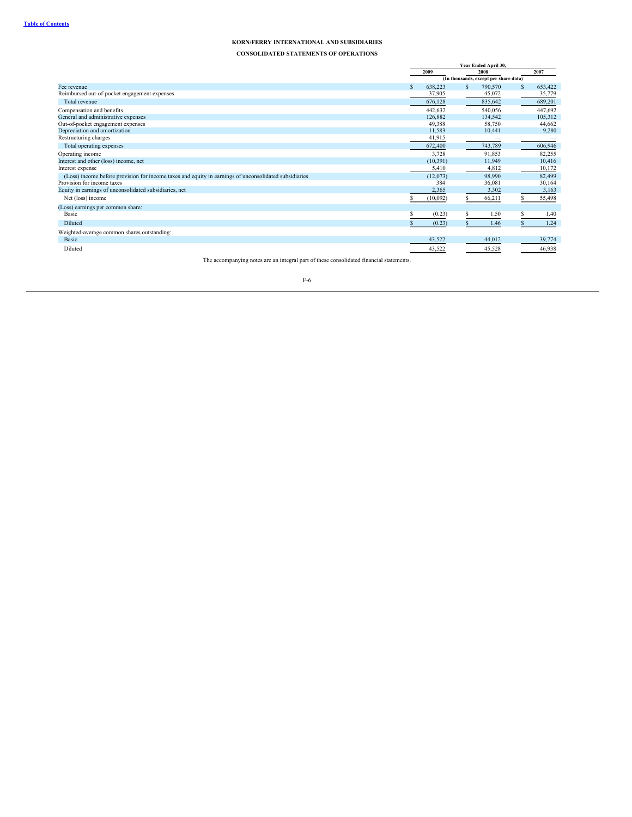**CONSOLIDATED STATEMENTS OF OPERATIONS**

|                                                                                                       |    | Year Ended April 30,                  |    |         |    |         |  |
|-------------------------------------------------------------------------------------------------------|----|---------------------------------------|----|---------|----|---------|--|
|                                                                                                       |    | 2009                                  |    | 2008    |    | 2007    |  |
|                                                                                                       |    | (In thousands, except per share data) |    |         |    |         |  |
| Fee revenue                                                                                           | S. | 638,223                               | S. | 790,570 | S. | 653,422 |  |
| Reimbursed out-of-pocket engagement expenses                                                          |    | 37,905                                |    | 45,072  |    | 35,779  |  |
| Total revenue                                                                                         |    | 676,128                               |    | 835,642 |    | 689,201 |  |
| Compensation and benefits                                                                             |    | 442,632                               |    | 540,056 |    | 447,692 |  |
| General and administrative expenses                                                                   |    | 126,882                               |    | 134,542 |    | 105,312 |  |
| Out-of-pocket engagement expenses                                                                     |    | 49,388                                |    | 58,750  |    | 44,662  |  |
| Depreciation and amortization                                                                         |    | 11,583                                |    | 10,441  |    | 9,280   |  |
| Restructuring charges                                                                                 |    | 41,915                                |    |         |    |         |  |
| Total operating expenses                                                                              |    | 672,400                               |    | 743,789 |    | 606,946 |  |
| Operating income                                                                                      |    | 3,728                                 |    | 91,853  |    | 82,255  |  |
| Interest and other (loss) income, net                                                                 |    | (10, 391)                             |    | 11,949  |    | 10,416  |  |
| Interest expense                                                                                      |    | 5,410                                 |    | 4,812   |    | 10,172  |  |
| (Loss) income before provision for income taxes and equity in earnings of unconsolidated subsidiaries |    | (12,073)                              |    | 98,990  |    | 82,499  |  |
| Provision for income taxes                                                                            |    | 384                                   |    | 36,081  |    | 30,164  |  |
| Equity in earnings of unconsolidated subsidiaries, net                                                |    | 2,365                                 |    | 3,302   |    | 3,163   |  |
| Net (loss) income                                                                                     |    | (10,092)                              | S  | 66,211  |    | 55,498  |  |
| (Loss) earnings per common share:                                                                     |    |                                       |    |         |    |         |  |
| Basic                                                                                                 |    | (0.23)                                |    | 1.50    |    | 1.40    |  |
| <b>Diluted</b>                                                                                        |    | (0.23)                                |    | 1.46    |    | 1.24    |  |
| Weighted-average common shares outstanding:                                                           |    |                                       |    |         |    |         |  |
| Basic                                                                                                 |    | 43,522                                |    | 44,012  |    | 39,774  |  |
| Diluted                                                                                               |    | 43,522                                |    | 45,528  |    | 46,938  |  |

The accompanying notes are an integral part of these consolidated financial statements.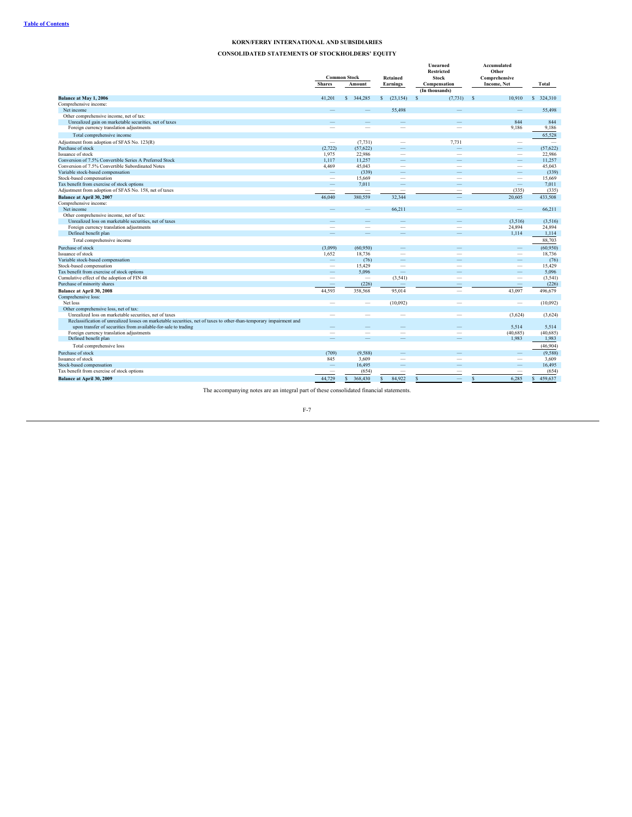# **CONSOLIDATED STATEMENTS OF STOCKHOLDERS' EQUITY**

|                                                                                                                     | <b>Common Stock</b><br>Retained |                          | Unearned<br><b>Restricted</b><br><b>Stock</b> | Accumulated<br>Other<br>Comprehensive |                          |               |
|---------------------------------------------------------------------------------------------------------------------|---------------------------------|--------------------------|-----------------------------------------------|---------------------------------------|--------------------------|---------------|
|                                                                                                                     | <b>Shares</b>                   | Amount                   | Earnings                                      | Compensation<br>(In thousands)        | <b>Income, Net</b>       | Total         |
| Balance at May 1, 2006                                                                                              | 41.201                          | \$ 344,285               | (23, 154)<br>s.                               | $\mathbf S$<br>(7, 731)               | 10,910<br><b>S</b>       | \$ 324,310    |
| Comprehensive income:                                                                                               |                                 |                          |                                               |                                       |                          |               |
| Net income                                                                                                          |                                 |                          | 55,498                                        |                                       |                          | 55,498        |
| Other comprehensive income, net of tax:                                                                             |                                 |                          |                                               |                                       |                          |               |
| Unrealized gain on marketable securities, net of taxes                                                              |                                 |                          |                                               |                                       | 844                      | 844           |
| Foreign currency translation adjustments                                                                            |                                 |                          |                                               |                                       | 9,186                    | 9,186         |
| Total comprehensive income                                                                                          |                                 |                          |                                               |                                       |                          | 65,528        |
| Adjustment from adoption of SFAS No. 123(R)                                                                         | $\overline{\phantom{a}}$        | (7, 731)                 | $\equiv$                                      | 7,731                                 | $\overline{\phantom{m}}$ | $\equiv$      |
| Purchase of stock                                                                                                   | (2, 722)                        | (57, 622)                |                                               | $\overline{\phantom{a}}$              | $\overline{\phantom{a}}$ | (57, 622)     |
| Issuance of stock                                                                                                   | 1.975                           | 22,986                   |                                               | $\overline{\phantom{0}}$              | $\overline{\phantom{m}}$ | 22.986        |
| Conversion of 7.5% Convertible Series A Preferred Stock                                                             | 1,117                           | 11,257                   | ÷                                             |                                       | $\qquad \qquad =$        | 11,257        |
| Conversion of 7.5% Convertible Subordinated Notes                                                                   | 4,469                           | 45,043                   | $\overline{\phantom{a}}$                      |                                       | $\overline{\phantom{a}}$ | 45,043        |
| Variable stock-based compensation                                                                                   |                                 | (339)                    |                                               |                                       | $\overline{\phantom{0}}$ | (339)         |
| Stock-based compensation                                                                                            | $\overline{\phantom{a}}$        | 15,669                   | $\overline{\phantom{a}}$                      | $\overline{\phantom{a}}$              | $\overline{\phantom{a}}$ | 15,669        |
| Tax benefit from exercise of stock options                                                                          |                                 | 7,011                    |                                               | -                                     | $\qquad \qquad -$        | 7,011         |
| Adjustment from adoption of SFAS No. 158, net of taxes                                                              |                                 |                          |                                               |                                       | (335)                    | (335)         |
| Balance at April 30, 2007                                                                                           | 46,040                          | 380,559                  | 32.344                                        |                                       | 20.605                   | 433,508       |
| Comprehensive income:                                                                                               |                                 |                          |                                               |                                       |                          |               |
| Net income                                                                                                          |                                 |                          | 66,211                                        | $\overline{\phantom{a}}$              | $\overline{\phantom{a}}$ | 66,211        |
| Other comprehensive income, net of tax:                                                                             |                                 |                          |                                               |                                       |                          |               |
| Unrealized loss on marketable securities, net of taxes                                                              |                                 |                          |                                               |                                       | (3,516)                  | (3,516)       |
| Foreign currency translation adjustments                                                                            |                                 |                          |                                               |                                       | 24,894                   | 24,894        |
| Defined benefit plan                                                                                                |                                 |                          |                                               |                                       | 1,114                    | 1,114         |
|                                                                                                                     |                                 |                          |                                               |                                       |                          | 88,703        |
| Total comprehensive income                                                                                          |                                 |                          |                                               |                                       |                          |               |
| Purchase of stock                                                                                                   | (3,099)                         | (60, 950)                |                                               |                                       | $\qquad \qquad$          | (60, 950)     |
| Issuance of stock                                                                                                   | 1.652                           | 18,736                   | $\overline{\phantom{a}}$                      | -                                     | $\overline{\phantom{a}}$ | 18.736        |
| Variable stock-based compensation                                                                                   |                                 | (76)                     | $\overline{\phantom{a}}$                      |                                       |                          | (76)          |
| Stock-based compensation                                                                                            |                                 | 15.429                   | $\overline{\phantom{0}}$                      |                                       | -                        | 15.429        |
| Tax benefit from exercise of stock options                                                                          |                                 | 5,096                    | $\equiv$                                      |                                       | $\overline{\phantom{a}}$ | 5,096         |
| Cumulative effect of the adoption of FIN 48                                                                         |                                 | $\overline{\phantom{a}}$ | (3, 541)                                      |                                       | $\overline{\phantom{a}}$ | (3, 541)      |
| Purchase of minority shares                                                                                         |                                 | (226)                    |                                               |                                       | $\qquad \qquad -$        | (226)         |
| Balance at April 30, 2008                                                                                           | 44.593                          | 358,568                  | 95.014                                        | $\overline{\phantom{a}}$              | 43,097                   | 496.679       |
| Comprehensive loss:                                                                                                 |                                 |                          |                                               |                                       |                          |               |
| Net loss                                                                                                            |                                 |                          | (10,092)                                      |                                       |                          | (10,092)      |
| Other comprehensive loss, net of tax:                                                                               |                                 |                          |                                               |                                       |                          |               |
| Unrealized loss on marketable securities, net of taxes                                                              |                                 |                          |                                               |                                       | (3,624)                  | (3,624)       |
| Reclassification of unrealized losses on marketable securities, net of taxes to other-than-temporary impairment and |                                 |                          |                                               |                                       |                          |               |
| upon transfer of securities from available-for-sale to trading                                                      |                                 |                          |                                               |                                       | 5.514                    | 5,514         |
| Foreign currency translation adjustments                                                                            |                                 |                          | $\overline{\phantom{a}}$                      |                                       | (40, 685)                | (40, 685)     |
| Defined benefit plan                                                                                                |                                 |                          |                                               |                                       | 1,983                    | 1,983         |
| Total comprehensive loss                                                                                            |                                 |                          |                                               |                                       |                          | (46,904)      |
| Purchase of stock                                                                                                   | (709)                           | (9, 588)                 | $\overline{\phantom{a}}$                      | -                                     |                          | (9, 588)      |
| Issuance of stock                                                                                                   | 845                             | 3.609                    | $\overline{\phantom{a}}$                      |                                       | -                        | 3,609         |
| Stock-based compensation                                                                                            |                                 | 16,495                   |                                               |                                       |                          | 16,495        |
| Tax benefit from exercise of stock options                                                                          |                                 | (654)                    | $\overline{\phantom{a}}$                      | $\overline{\phantom{a}}$              | $\overline{\phantom{a}}$ | (654)         |
| Balance at April 30, 2009                                                                                           | 44,729                          | 368,430<br>S.            | 84.922                                        | S                                     | 6.285<br>S               | 459,637<br>S. |

The accompanying notes are an integral part of these consolidated financial statements.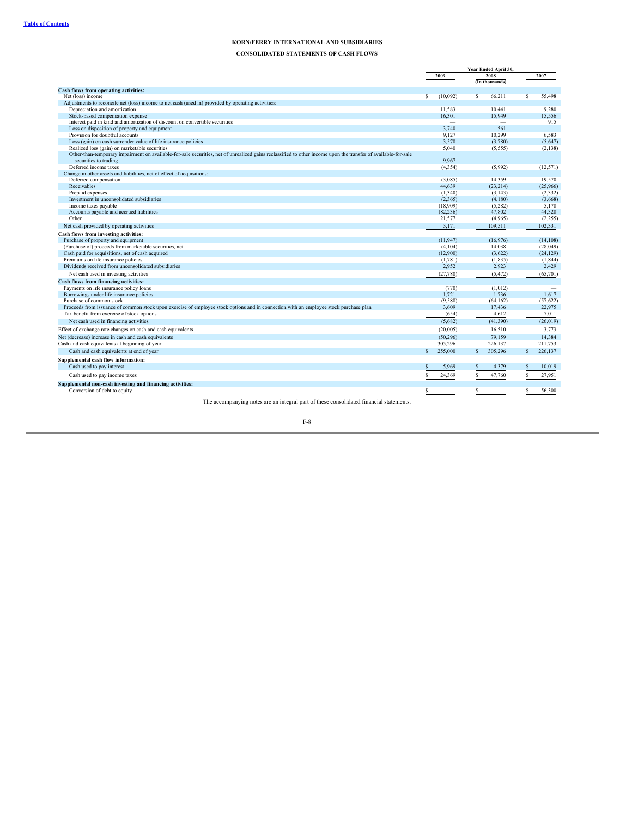**CONSOLIDATED STATEMENTS OF CASH FLOWS**

|                                                                                                                                                                                         | Year Ended April 30, |           |   |                |     |           |
|-----------------------------------------------------------------------------------------------------------------------------------------------------------------------------------------|----------------------|-----------|---|----------------|-----|-----------|
|                                                                                                                                                                                         |                      | 2009      |   | 2008           |     | 2007      |
|                                                                                                                                                                                         |                      |           |   | (In thousands) |     |           |
| Cash flows from operating activities:                                                                                                                                                   |                      |           |   |                |     |           |
| Net (loss) income                                                                                                                                                                       | s                    | (10.092)  | s | 66.211         | s   | 55,498    |
| Adjustments to reconcile net (loss) income to net cash (used in) provided by operating activities:                                                                                      |                      |           |   |                |     |           |
| Depreciation and amortization                                                                                                                                                           |                      | 11.583    |   | 10.441         |     | 9.280     |
| Stock-based compensation expense                                                                                                                                                        |                      | 16.301    |   | 15.949         |     | 15.556    |
| Interest paid in kind and amortization of discount on convertible securities                                                                                                            |                      |           |   |                |     | 915       |
| Loss on disposition of property and equipment                                                                                                                                           |                      | 3.740     |   | 561            |     | $\equiv$  |
| Provision for doubtful accounts                                                                                                                                                         |                      | 9.127     |   | 10,299         |     | 6,583     |
| Loss (gain) on cash surrender value of life insurance policies                                                                                                                          |                      | 3,578     |   | (3,780)        |     | (5,647)   |
| Realized loss (gain) on marketable securities                                                                                                                                           |                      | 5.040     |   | (5,555)        |     | (2, 138)  |
| Other-than-temporary impairment on available-for-sale securities, net of unrealized gains reclassified to other income upon the transfer of available-for-sale<br>securities to trading |                      | 9,967     |   |                |     |           |
| Deferred income taxes                                                                                                                                                                   |                      | (4, 354)  |   | (5,992)        |     | (12, 571) |
| Change in other assets and liabilities, net of effect of acquisitions:                                                                                                                  |                      |           |   |                |     |           |
| Deferred compensation                                                                                                                                                                   |                      | (3,085)   |   | 14.359         |     | 19.570    |
| Receivables                                                                                                                                                                             |                      | 44.639    |   | (23, 214)      |     | (25,966)  |
| Prepaid expenses                                                                                                                                                                        |                      | (1,340)   |   | (3, 143)       |     | (2, 332)  |
| Investment in unconsolidated subsidiaries                                                                                                                                               |                      | (2,365)   |   | (4,180)        |     | (3,668)   |
| Income taxes payable                                                                                                                                                                    |                      | (18,909)  |   | (5,282)        |     | 5.178     |
| Accounts payable and accrued liabilities                                                                                                                                                |                      | (82, 236) |   | 47,802         |     | 44,328    |
| Other                                                                                                                                                                                   |                      | 21,577    |   | (4,965)        |     | (2, 255)  |
| Net cash provided by operating activities                                                                                                                                               |                      | 3,171     |   | 109,511        |     | 102,331   |
| Cash flows from investing activities:                                                                                                                                                   |                      |           |   |                |     |           |
| Purchase of property and equipment                                                                                                                                                      |                      | (11.947)  |   | (16,976)       |     | (14, 108) |
| (Purchase of) proceeds from marketable securities, net                                                                                                                                  |                      | (4,104)   |   | 14,038         |     | (28,049)  |
| Cash paid for acquisitions, net of cash acquired                                                                                                                                        |                      | (12,900)  |   | (3,622)        |     | (24, 129) |
| Premiums on life insurance policies                                                                                                                                                     |                      | (1,781)   |   | (1, 835)       |     | (1, 844)  |
| Dividends received from unconsolidated subsidiaries                                                                                                                                     |                      | 2,952     |   | 2,923          |     | 2,429     |
| Net cash used in investing activities                                                                                                                                                   |                      | (27,780)  |   | (5, 472)       |     | (65, 701) |
| <b>Cash flows from financing activities:</b>                                                                                                                                            |                      |           |   |                |     |           |
| Payments on life insurance policy loans                                                                                                                                                 |                      | (770)     |   | (1,012)        |     |           |
| Borrowings under life insurance policies                                                                                                                                                |                      | 1,721     |   | 1,736          |     | 1,617     |
| Purchase of common stock                                                                                                                                                                |                      | (9,588)   |   | (64, 162)      |     | (57, 622) |
| Proceeds from issuance of common stock upon exercise of employee stock options and in connection with an employee stock purchase plan                                                   |                      | 3,609     |   | 17,436         |     | 22,975    |
| Tax benefit from exercise of stock options                                                                                                                                              |                      | (654)     |   | 4,612          |     | 7,011     |
| Net cash used in financing activities                                                                                                                                                   |                      | (5,682)   |   | (41,390)       |     | (26, 019) |
|                                                                                                                                                                                         |                      |           |   |                |     |           |
| Effect of exchange rate changes on cash and cash equivalents                                                                                                                            |                      | (20,005)  |   | 16,510         |     | 3,773     |
| Net (decrease) increase in cash and cash equivalents                                                                                                                                    |                      | (50, 296) |   | 79,159         |     | 14,384    |
| Cash and cash equivalents at beginning of year                                                                                                                                          |                      | 305,296   |   | 226,137        |     | 211,753   |
| Cash and cash equivalents at end of year                                                                                                                                                | $\mathbf{\hat{S}}$   | 255,000   | S | 305,296        | \$. | 226,137   |
| Supplemental cash flow information:                                                                                                                                                     |                      |           |   |                |     |           |
| Cash used to pay interest                                                                                                                                                               |                      | 5,969     |   | 4,379          |     | 10,019    |
| Cash used to pay income taxes                                                                                                                                                           | S                    | 24,369    | S | 47,760         |     | 27,951    |
| Supplemental non-cash investing and financing activities:                                                                                                                               |                      |           |   |                |     |           |
| Conversion of debt to equity                                                                                                                                                            |                      |           |   |                | s   | 56,300    |

The accompanying notes are an integral part of these consolidated financial statements.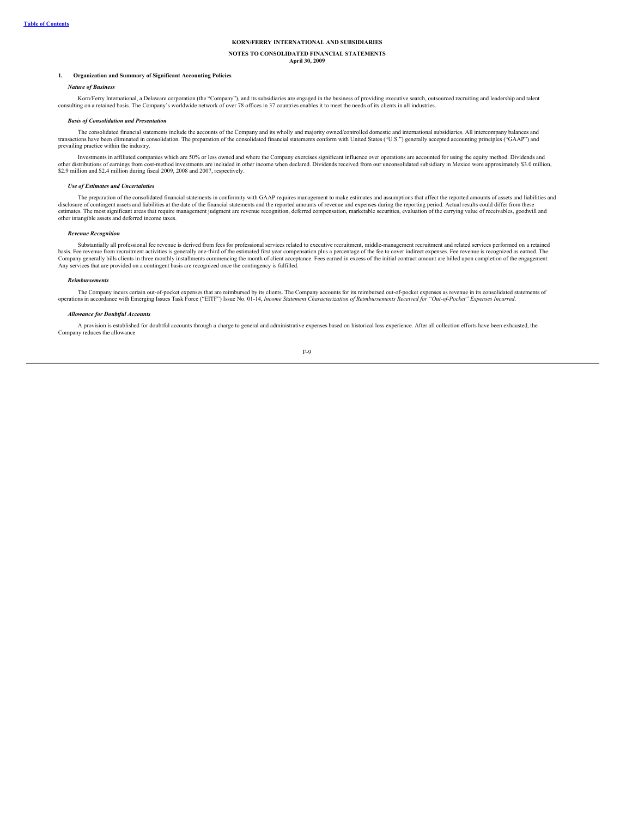## **NOTES TO CONSOLIDATED FINANCIAL STATEMENTS**

**April 30, 2009**

### **1. Organization and Summary of Significant Accounting Policies**

## *Nature of Business*

Korn/Ferry International, a Delaware corporation (the "Company"), and its subsidiaries are engaged in the business of providing executive search, outsourced recruiting and leadership and talent consulting on a retained basis. The Company's worldwide network of over 78 offices in 37 countries enables it to meet the needs of its clients in all industries.

#### *Basis of Consolidation and Presentation*

The consolidated financial statements include the accounts of the Company and its wholly and majority owned/controlled domestic and international subsidiaries. All intercompany balances and<br>transactions have been eliminate prevailing practice within the industry.

Investments in affiliated companies which are 50% or less owned and where the Company exercises significant influence over operations are accounted for using the equity method. Dividends and<br>other distributions of earnings \$2.9 million and \$2.4 million during fiscal 2009, 2008 and 2007, respectively.

#### *Use of Estimates and Uncertainties*

The preparation of the consolidated financial statements in conformity with GAAP requires management to make estimates and assumptions that affect the reported amounts of assets and liabilities and disclosure of contingent assets and liabilities at the date of the financial statements and the reported amounts of revenue and expenses during the reporting period. Actual results could differ from these discussed terms a estimates. The most significant areas that require management judgment are revenue recognition, deferred compensation, marketable securities, evaluation of the carrying value of receivables, goodwill and other intangible assets and deferred income taxes.

#### *Revenue Recognition*

Substantially all professional fee revenue is derived from fees for professional services related to executive recruitment, middle-management recruitment and related services performed on a retained basis. Fee revenue from recruitment activities is generally one-third of the estimated first year compensation plus a percentage of the fee to cover indirect expenses. Fee revenue is recognized as earned. The<br>Company gener Any services that are provided on a contingent basis are recognized once the contingency is fulfilled.

#### *Reimbursements*

The Company incurs certain out-of-pocket expenses that are reimbursed by its clients. The Company accounts for its reimbursed out-of-pocket expenses as revenue in its consolidated statements of operations in accordance with Emerging Issues Task Force ("EITF") Issue No. 01-14, Income Statement Characterization of Reimbursements Received for "Out-of-Pocket" Expenses Incurred.

#### *Allowance for Doubtful Accounts*

A provision is established for doubtful accounts through a charge to general and administrative expenses based on historical loss experience. After all collection efforts have been exhausted, the Company reduces the allowance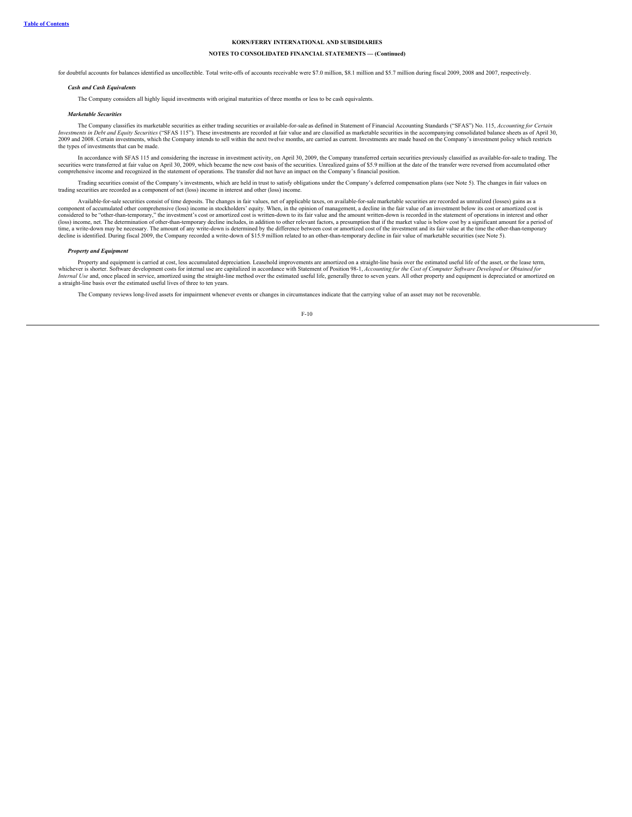#### **NOTES TO CONSOLIDATED FINANCIAL STATEMENTS — (Continued)**

for doubtful accounts for balances identified as uncollectible. Total write-offs of accounts receivable were \$7.0 million, \$8.1 million and \$5.7 million during fiscal 2009, 2008 and 2007, respectively.

#### *Cash and Cash Equivalents*

The Company considers all highly liquid investments with original maturities of three months or less to be cash equivalents.

#### *Marketable Secu*

The Company classifies its marketable securities as either trading securities or available-for-sale as defined in Statement of Financial Accounting Standards ("SFAS") No. 115, *Accounting for Certain* Investments in Debt and Equity Securities ("SFAS 115"). These investments are recorded at fair value and are classified as marketable securities in the accompanying consolidated balance sheets as of April 30,<br>2009 and 2008 the types of investments that can be made.

In accordance with SFAS 115 and considering the increase in investment activity, on April 30, 2009, the Company transferred certain securities previously classified as available-for-sale to trading. The securities were transferred at fair value on April 30, 2009, which became the new cost basis of the securities. Unrealized gains of \$5.9 million at the date of the transfer were reversed from accumulated other<br>comprehensiv

Trading securities consist of the Company's investments, which are held in trust to satisfy obligations under the Company's deferred compensation plans (see Note 5). The changes in fair values on trading securities are recorded as a component of net (loss) income in interest and other (loss) income.

Available-for-sale securities consist of time deposits. The changes in fair values, net of applicable taxes, on available-for-sale marketable securities are recorded as unrealized (losses) gains as a component of accumulated other comprehensive (loss) income in stockholders' equity. When, in the opinion of management, a decline in the fair value of an investment below its cost or amortized cost is<br>considered to be "oth (loss) income, net. The determination of other-than-temporary decline includes, in addition to other relevant factors, a presumption that if the market value is below cost by a significant amount for a period of<br>time, a wr decline is identified. During fiscal 2009, the Company recorded a write-down of \$15.9 million related to an other-than-temporary decline in fair value of marketable securities (see Note 5).

#### *Property and Equipment*

Property and equipment is carried at cost, less accumulated depreciation. Leasehold improvements are amortized on a straight-line basis over the estimated useful life of the asset, or the lease term, whichever is shorter. Software development costs for internal use are capitalized in accordance with Statement of Position 98-1, Accounting for the Cost of Computer Software Developed or Obtained for<br>Internal Use and, once a straight-line basis over the estimated useful lives of three to ten years.

The Company reviews long-lived assets for impairment whenever events or changes in circumstances indicate that the carrying value of an asset may not be recoverable.

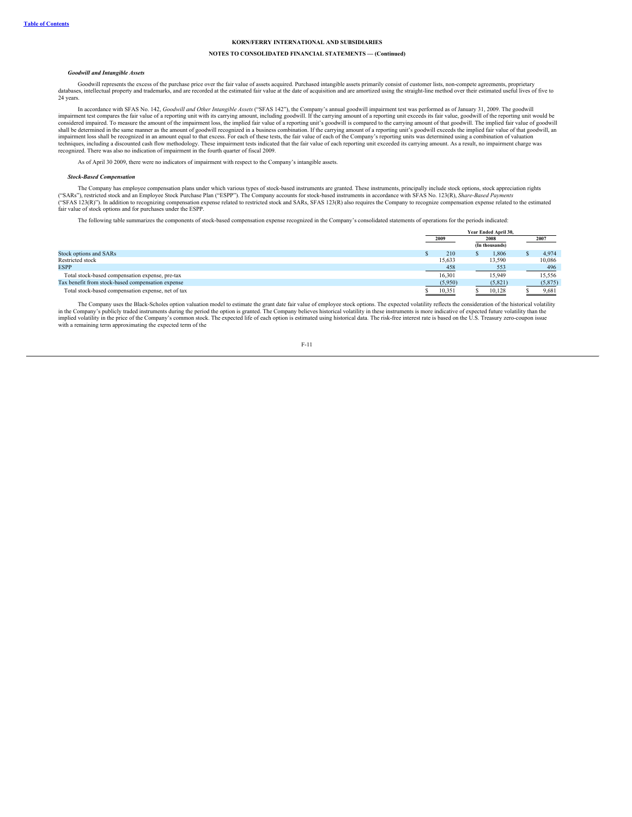#### **NOTES TO CONSOLIDATED FINANCIAL STATEMENTS — (Continued)**

#### *Goodwill and Intangible Assets*

Goodwill represents the excess of the purchase price over the fair value of assets acquired. Purchased intangible assets primarily consist of customer lists, non-compete agreements, proprietary<br>databases, intellectual prop 24 years.

In accordance with SFAS No. 142, *Goodwill and Other Intangible Assets* ("SFAS 142"), the Company's annual goodwill impairment test was performed as of January 31, 2009. The goodwill impairment test compares the fair value of a reporting unit with its carrying amount, including goodwill. If the carrying amount of a reporting unit exceeds its fair value, goodwill of the reporting unit would be considere techniques, including a discounted cash flow methodology. These impairment tests indicated that the fair value of each reporting unit exceeded its carrying amount. As a result, no impairment charge was<br>recognized. There wa

As of April 30 2009, there were no indicators of impairment with respect to the Company's intangible assets.

### *Stock-Based Compensation*

The Company has employee compensation plans under which various types of stock-based instruments are granted. These instruments, principally include stock options, stock appreciation rights ("SARs"), restricted stock and an Employee Stock Purchase Plan ("ESPP"). The Company accounts for stock-based instruments in accordance with SFAS No. 123(R), Share-Based Payments<br>("SFAS 123(R)"). In addition to recognizing fair value of stock options and for purchases under the ESPP.

The following table summarizes the components of stock-based compensation expense recognized in the Company's consolidated statements of operations for the periods indicated:

|                                                    | Year Ended April 30. |  |                        |  |         |
|----------------------------------------------------|----------------------|--|------------------------|--|---------|
|                                                    | 2009                 |  | 2008<br>(In thousands) |  | 2007    |
| Stock options and SARs                             | 210                  |  | 1.806                  |  | 4.974   |
| Restricted stock                                   | 15.633               |  | 13,590                 |  | 10.086  |
| <b>ESPP</b>                                        | 458                  |  | 553                    |  | 496     |
| Total stock-based compensation expense, pre-tax    | 16.301               |  | 15,949                 |  | 15.556  |
| Tax benefit from stock-based compensation expense  | (5,950)              |  | (5,821)                |  | (5,875) |
| Total stock-based compensation expense, net of tax | 10,351               |  | 10,128                 |  | 9,681   |

The Company uses the Black-Scholes option valuation model to estimate the grant date fair value of employee stock options. The expected volatility reflects the consideration of the historical volatility in the Company's publicly traded instruments during the period the option is granted. The Company believes historical volatility in these instruments is more indicative of expected future volatility than the<br>implied volati with a remaining term approximating the expected term of the

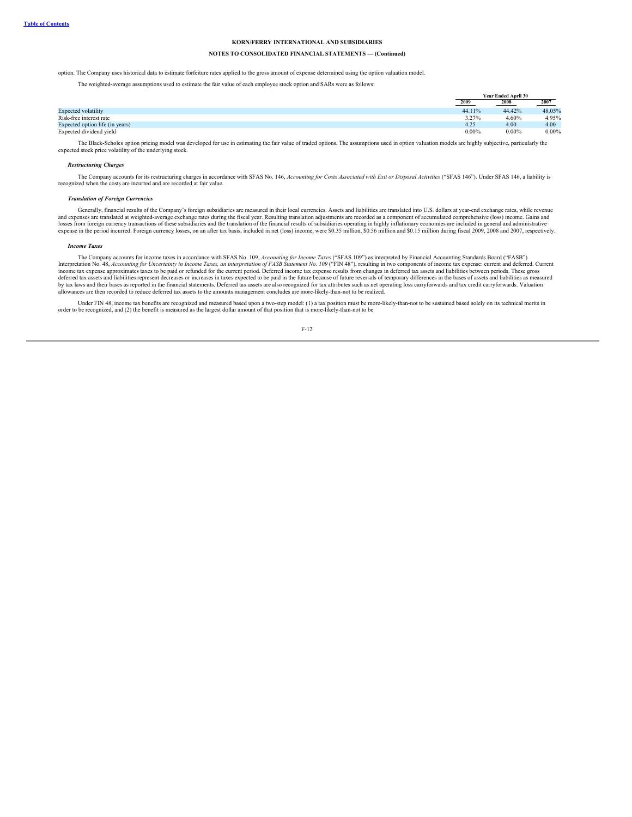### **NOTES TO CONSOLIDATED FINANCIAL STATEMENTS — (Continued)**

option. The Company uses historical data to estimate forfeiture rates applied to the gross amount of expense determined using the option valuation model.

The weighted-average assumptions used to estimate the fair value of each employee stock option and SARs were as follows:

|                                 | <b>Year Ended April 30</b> |          |              |
|---------------------------------|----------------------------|----------|--------------|
|                                 | 2009                       | 2008     | 2007<br>____ |
| <b>Expected volatility</b>      | 44.11%                     | 44.42%   | 48.05%       |
| Risk-free interest rate         | 3.27%                      | 4.60%    | 4.95%        |
| Expected option life (in years) | 4.25                       | 4.00     | 4.00         |
| Expected dividend yield         | $0.00\%$                   | $0.00\%$ | $0.00\%$     |

The Black-Scholes option pricing model was developed for use in estimating the fair value of traded options. The assumptions used in option valuation models are highly subjective, particularly the expected stock price volatility of the underlying stock.

#### *Restructuring Charges*

The Company accounts for its restructuring charges in accordance with SFAS No. 146, Accounting for Costs Associated with Exit or Disposal Activities ("SFAS 146"). Under SFAS 146, a liability is recognized when the costs are incurred and are recorded at fair value.

## *Translation of Foreign Currencies*

Generally, financial results of the Company's foreign subsidiaries are measured in their local currencies. Assets and liabilities are translated into U.S. dollars at year-end exchange rates, while revenue and expenses are translated at weighted-average exchange rates during the fiscal year. Resulting translation adjustments are recorded as a component of accumulated comprehensive (loss) income. Gains and<br>losses from foreign expense in the period incurred. Foreign currency losses, on an after tax basis, included in net (loss) income, were \$0.35 million, \$0.56 million and \$0.15 million during fiscal 2009, 2008 and 2007, respectively.

#### *Income Taxes*

The Company accounts for income taxes in accordance with SFAS No. 109, *Accounting for Income Taxes* ("SFAS 109") as interpreted by Financial Accounting Standards Board ("FASB") Interpretation No. 48, Accounting for Uncertainty in Income Taxes, an interpretation of FASB Statement No. 109 ("FIN 48"), resulting in two components of income tax expense: current and deferred. Current income tax expense approximates taxes to be paid or refunded for the current period. Deferred income tax expense results from changes in deferred tax assets and liabilities between periods. These gross<br>deferred tax assets by tax laws and their bases as reported in the financial statements. Deferred tax assets are also recognized for tax attributes such as net operating loss carryforwards and tax credit carryforwards. Valuation allowances ar

Under FIN 48, income tax benefits are recognized and measured based upon a two-step model: (1) a tax position must be more-likely-than-not to be sustained based solely on its technical merits in order to be recognized, and (2) the benefit is measured as the largest dollar amount of that position that is more-likely-than-not to be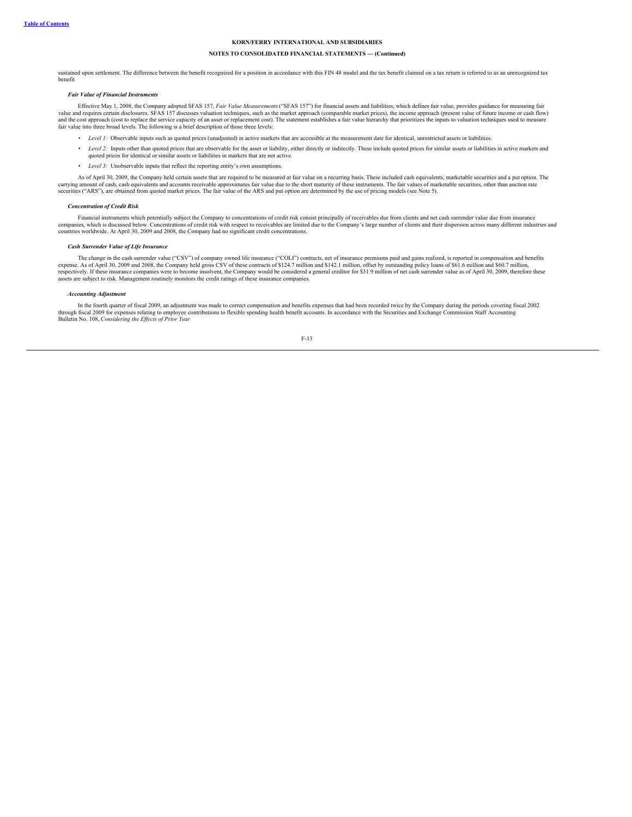#### **NOTES TO CONSOLIDATED FINANCIAL STATEMENTS — (Continued)**

sustained upon settlement. The difference between the benefit recognized for a position in accordance with this FIN 48 model and the tax benefit claimed on a tax return is referred to as an unrecognized tax benefit

#### *Fair Value of Financial Instruments*

Effective May 1, 2008, the Company adopted SFAS 157, *Fair Value Measurements*("SFAS 157") for financial assets and liabilities, which defines fair value, provides guidance for measuring fair value and requires certain disclosures. SFAS 157 discusses valuation techniques, such as the market approach (comparable market prices), the income approach (present value of future income or cash flow) and the cost approa fair value into three broad levels. The following is a brief description of those three levels:

- Level 1: Observable inputs such as quoted prices (unadjusted) in active markets that are accessible at the measurement date for identical, unrestricted assets or liabilities.
- Level 2: Inputs other than quoted prices that are observable for the asset or liability, either directly or indirectly. These include quoted prices for similar assets or liabilities in active markets and quoted prices for identical or similar assets or liabilities in markets that are not active.
- *Level 3:* Unobservable inputs that reflect the reporting entity's own assumptions.

As of April 30, 2009, the Company held certain assets that are required to be measured at fair value on a recurring basis. These included cash equivalents, marketable securities and a put option. The carrying amount of cash, cash equivalents and accounts receivable approximates fair value due to the short maturity of these instruments. The fair values of marketable securities, other than auction rate<br>securities ("ARS")

#### *Concentration of Credit Risk*

Financial instruments which potentially subject the Company to concentrations of credit risk consist principally of receivables due from clients and net cash surrender value due from insurance companies, which is discussed below. Concentrations of credit risk with respect to receivables are limited due to the Company's large number of clients and their dispersion across many different industries and<br>countries wo

#### *Cash Surrender Value of Life Insurance*

The change in the cash surrender value ("CSV") of company owned life insurance ("COLI") contracts, net of insurance premiums paid and gains realized, is reported in compensation and benefits expense. As of April 30, 2009 a respectively. If these insurance companies were to become insolvent, the Company would be considered a general creditor for \$31.9 million of net cash surrender value as of April 30, 2009, therefore these assets are subject to risk. Management routinely monitors the credit ratings of these insurance companies.

## *Accounting Adjustment*

In the fourth quarter of fiscal 2009, an adjustment was made to correct compensation and benefits expenses that had been recorded twice by the Company during the periods covering fiscal 2002 through fiscal 2009 for expenses relating to employee contributions to flexible spending health benefit accounts. In accordance with the Securities and Exchange Commission Staff Accounting<br>Bulletin No. 108, *Considering th* 

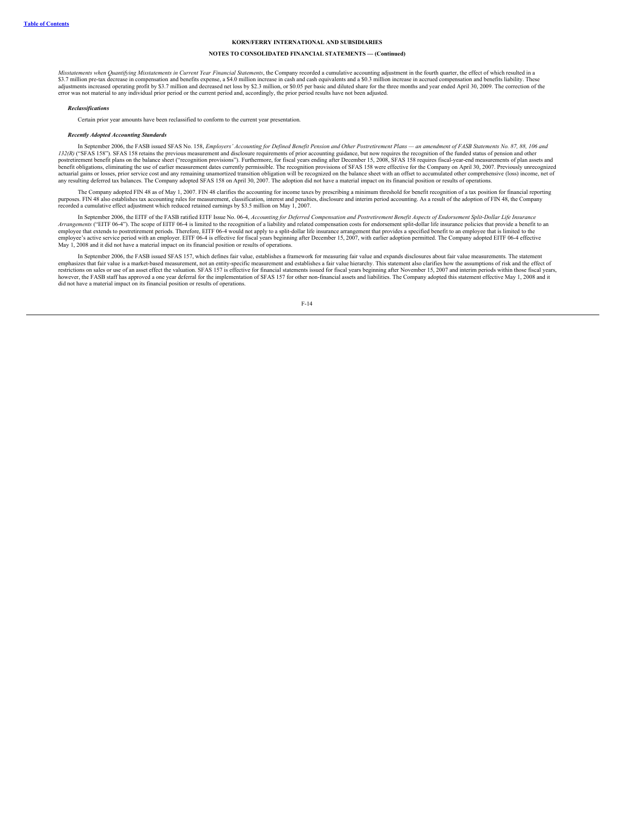#### **NOTES TO CONSOLIDATED FINANCIAL STATEMENTS — (Continued)**

Misstatements when Quantifying Misstatements in Current Year Financial Statements, the Company recorded a cumulative accounting adjustment in the fourth quarter, the effect of which resulted in a<br>\$3.7 million pre-tax decre adjustments increased operating profit by \$3.7 million and decreased net loss by \$2.3 million, or \$0.05 per basic and diluted share for the three months and year ended April 30, 2009. The correction of the error was not material to any individual prior period or the current period and, accordingly, the prior period results have not been adjusted.

#### *Reclassifications*

Certain prior year amounts have been reclassified to conform to the current year presentation.

#### *Recently Adopted Accounting Standards*

In September 2006, the FASB issued SFAS No. 158, Employers' Accounting for Defined Benefit Pension and Other Postretirement Plans - an amendment of FASB Statements No. 87, 88, 106 and *132(R)* ("SFAS 158"). SFAS 158 retains the previous measurement and disclosure requirements of prior accounting guidance, but now requires the recognition of the funded status of pension and other postretirement benefit plans on the balance sheet ("recognition provisions"). Furthermore, for fiscal years ending after December 15, 2008, SFAS 158 requires fiscal-year-end measurements of plan assets and<br>benefit obligati actuarial gains or losses, prior service cost and any remaining unamortized transition obligation will be recognized on the balance sheet with an offset to accumulated other comprehensive (loss) income, net of any resulting deferred tax balances. The Company adopted SFAS 158 on April 30, 2007. The adoption did not have a material impact on its financial position or results of operations

The Company adopted FIN 48 as of May 1, 2007. FIN 48 clarifies the accounting for income taxes by prescribing a minimum threshold for benefit recognition of a tax position for financial reporting<br>purposes. FIN 48 also esta recorded a cumulative effect adjustment which reduced retained earnings by \$3.5 million on May 1, 2007.

In September 2006, the EITF of the FASB ratified EITF Issue No. 06-4, Accounting for Deferred Compensation and Postretirement Benefit Aspects of Endorsement Split-Dollar Life Insurance<br>Arrangements ("EITF 06-4"). The scope employee that extends to postretirement periods. Therefore, EITF 06-4 would not apply to a split-dollar life insurance arrangement that provides a specified benefit to an employee that is limited to the<br>employee's active s May 1, 2008 and it did not have a material impact on its financial position or results of operations.

In September 2006, the FASB issued SFAS 157, which defines fair value, establishes a framework for measuring fair value and expands disclosures about fair value measurements. The statement emphasizes that fair value is a market-based measurement, not an entity-specific measurement and establishes a fair value hierarchy. This statement also clarifies how the assumptions of risk and the effect of<br>restrictions however, the FASB staff has approved a one year deferral for the implementation of SFAS 157 for other non-financial assets and liabilities. The Company adopted this statement effective May 1, 2008 and it<br>did not have a mat

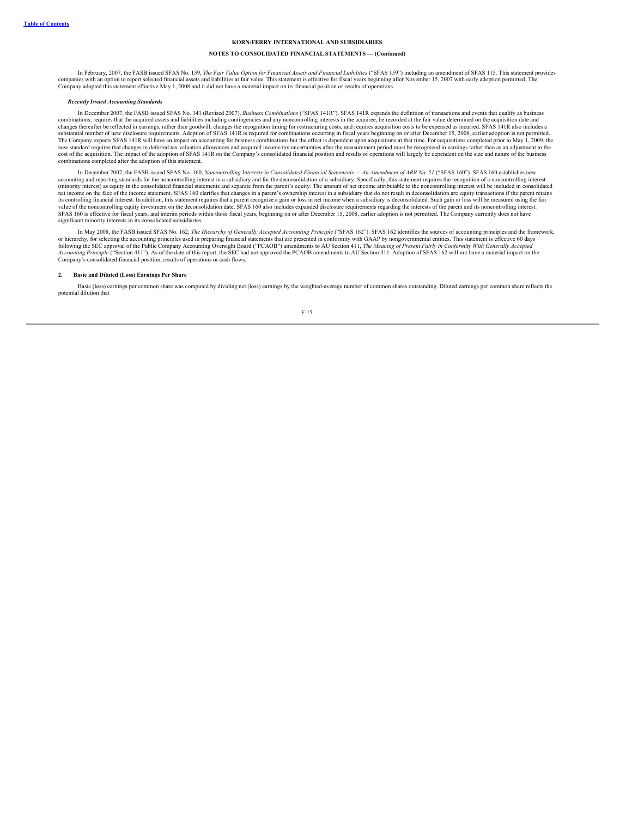#### **NOTES TO CONSOLIDATED FINANCIAL STATEMENTS — (Continued)**

In February, 2007, the FASB issued SFAS No. 159, *The Fair Value Option for Financial Assets and Financial Liabilities* ("SFAS 159") including an amendment of SFAS 115. This statement provides companies with an option to r Company adopted this statement effective May 1, 2008 and it did not have a material impact on its financial position or results of operations.

#### *Recently Issued Accounting Standards*

In December 2007, the FASB issued SFAS No. 141 (Revised 2007), *Business Combinations* ("SFAS 141R"). SFAS 141R expands the definition of transactions and events that qualify as business combinations; requires that the acquired assets and liabilities including contingencies and any noncontrolling interests in the acquiree, be recorded at the fair value determined on the acquisition date and changes thereafter be reflected in earnings, rather than goodwill; changes the recognition timing for restructuring costs; and requires acquisition costs to be expensed as incurred. SFAS 141R also includes a<br>substantial nu The Company expects SFAS 141R will have an impact on accounting for business combinations but the effect is dependent upon acquisitions at that time. For acquisitions completed prior to May 1, 2009, the<br>new standard requir cost of the acquisition. The impact of the adoption of SFAS 141R on the Company's consolidated financial position and results of operations will largely be dependent on the size and nature of the business<br>combinations comp

In December 2007, the FASB issued SFAS No. 160, Noncontrolling Interests in Consolidated Financial Statements — An Amendment of ARB No. 51 ("SFAS 160"). SFAS 160 establishes new<br>accounting and reporting standards for the n net income on the face of the income statement. SFAS 160 clarifies that changes in a parent's ownership interest in a subsidiary that do not result in deconsolidation are equity transactions if the parent retains in the pa its controlling financial interest. In addition, this statement requires that a parent recognize a gain or loss in net income when a subsidiary is deconsolidated. Such gain or loss will be measured using the fair<br>value of SFAS 160 is effective for fiscal years, and interim periods within those fiscal years, beginning on or after December 15, 2008, earlier adoption is not permitted. The Company currently does not have<br>significant minority in

In May 2008, the FASB issued SFAS No. 162, *The Hierarchy of Generally Accepted Accounting Principle* ("SFAS 162"). SFAS 162 identifies the sources of accounting principles and the framework, or hierarchy, for selecting th Accounting Principle ("Section 411"). As of the date of this report, the SEC had not approved the PCAOB amendments to AU Section 411. Adoption of SFAS 162 will not have a material impact on the Company's consolidated financial position, results of operations or cash flows.

#### **2. Basic and Diluted (Loss) Earnings Per Share**

Basic (loss) earnings per common share was computed by dividing net (loss) earnings by the weighted-average number of common shares outstanding. Diluted earnings per common share reflects the potential dilution that

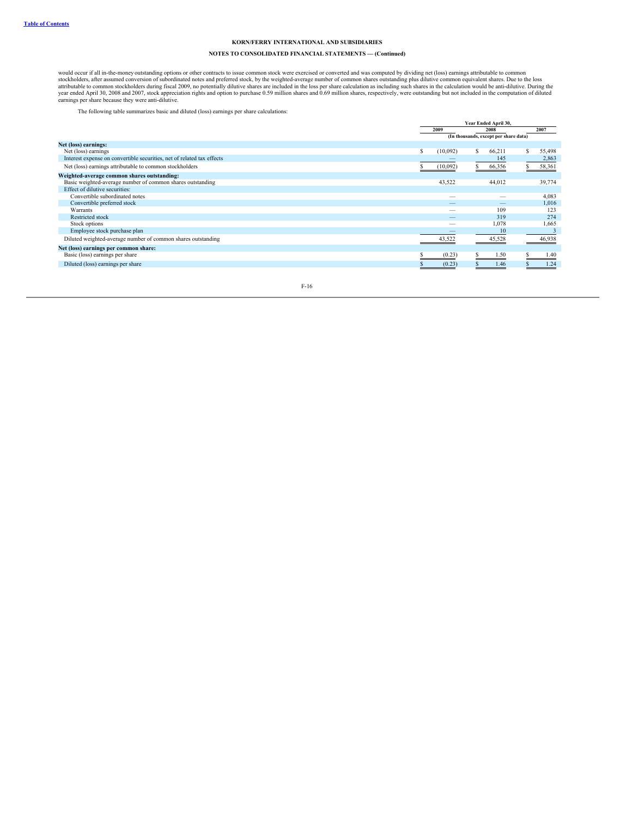### **NOTES TO CONSOLIDATED FINANCIAL STATEMENTS — (Continued)**

would occur if all in-the-money outstanding options or other contracts to issue common stock were exercised or converted and was computed by dividing net (loss) earnings attributable to common stockholders, after assumed c

The following table summarizes basic and diluted (loss) earnings per share calculations:

|                                                                        | Year Ended April 30, |          |   |                                       |      |        |
|------------------------------------------------------------------------|----------------------|----------|---|---------------------------------------|------|--------|
|                                                                        | 2008<br>2009         |          |   |                                       | 2007 |        |
|                                                                        |                      |          |   | (In thousands, except per share data) |      |        |
| Net (loss) earnings:                                                   |                      |          |   |                                       |      |        |
| Net (loss) earnings                                                    | s                    | (10,092) | s | 66,211                                |      | 55,498 |
| Interest expense on convertible securities, net of related tax effects |                      |          |   | 145                                   |      | 2,863  |
| Net (loss) earnings attributable to common stockholders                |                      | (10,092) |   | 66,356                                |      | 58,361 |
| Weighted-average common shares outstanding:                            |                      |          |   |                                       |      |        |
| Basic weighted-average number of common shares outstanding             |                      | 43,522   |   | 44,012                                |      | 39,774 |
| Effect of dilutive securities:                                         |                      |          |   |                                       |      |        |
| Convertible subordinated notes                                         |                      |          |   |                                       |      | 4,083  |
| Convertible preferred stock                                            |                      |          |   | --                                    |      | 1.016  |
| Warrants                                                               |                      |          |   | 109                                   |      | 123    |
| Restricted stock                                                       |                      |          |   | 319                                   |      | 274    |
| Stock options                                                          |                      |          |   | 1,078                                 |      | 1,665  |
| Employee stock purchase plan                                           |                      |          |   | 10                                    |      |        |
| Diluted weighted-average number of common shares outstanding           |                      | 43,522   |   | 45,528                                |      | 46,938 |
| Net (loss) earnings per common share:                                  |                      |          |   |                                       |      |        |
| Basic (loss) earnings per share                                        |                      | (0.23)   |   | 1.50                                  |      | 1.40   |
| Diluted (loss) earnings per share                                      |                      | (0.23)   |   | 1.46                                  |      | 1.24   |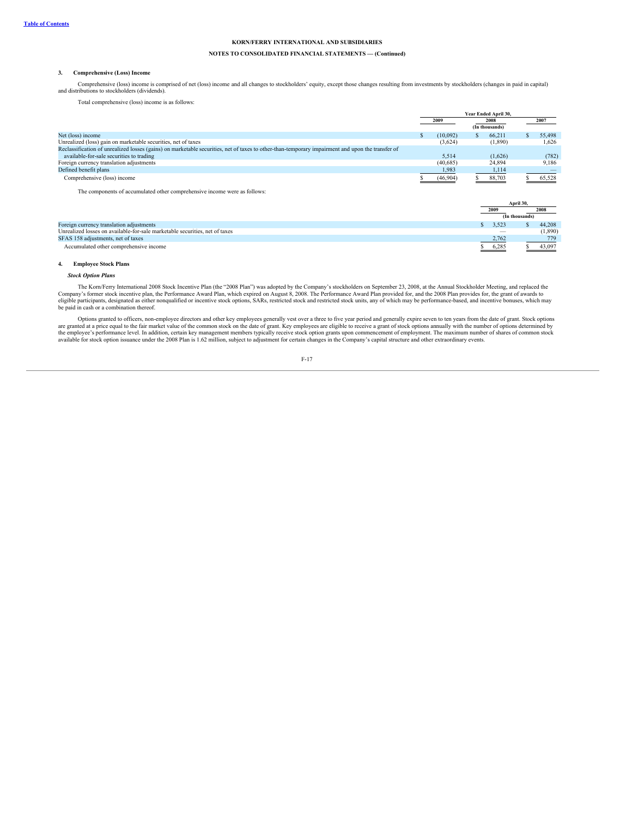#### **NOTES TO CONSOLIDATED FINANCIAL STATEMENTS — (Continued)**

#### **3. Comprehensive (Loss) Income**

Comprehensive (loss) income is comprised of net (loss) income and all changes to stockholders' equity, except those changes resulting from investments by stockholders (changes in paid in capital) and distributions to stockholders (dividends).

Total comprehensive (loss) income is as follows:

|                                                                                                                                                  |          | Year Ended April 30. |        |
|--------------------------------------------------------------------------------------------------------------------------------------------------|----------|----------------------|--------|
|                                                                                                                                                  | 2009     | 2008                 | 2007   |
|                                                                                                                                                  |          | (In thousands)       |        |
| Net (loss) income                                                                                                                                | (10.092) | 66.211               | 55,498 |
| Unrealized (loss) gain on marketable securities, net of taxes                                                                                    | (3,624)  | (1,890)              | 1,626  |
| Reclassification of unrealized losses (gains) on marketable securities, net of taxes to other-than-temporary impairment and upon the transfer of |          |                      |        |
| available-for-sale securities to trading                                                                                                         | 5.514    | (1.626)              | (782)  |
| Foreign currency translation adjustments                                                                                                         | (40.685) | 24.894               | 9.186  |
| Defined benefit plans                                                                                                                            | 1,983    | 1,114                |        |
| Comprehensive (loss) income                                                                                                                      | (46,904) | 88,703               | 65,528 |

The components of accumulated other comprehensive income were as follows:

|                                                                             |                          | April 30.      |         |
|-----------------------------------------------------------------------------|--------------------------|----------------|---------|
|                                                                             | 2009                     |                | 2008    |
|                                                                             |                          | (In thousands) |         |
| Foreign currency translation adjustments                                    | 3,523                    |                | 44,208  |
| Unrealized losses on available-for-sale marketable securities, net of taxes | $\overline{\phantom{m}}$ |                | (1,890) |
| SFAS 158 adjustments, net of taxes                                          | 2,762                    |                | 779     |
| Accumulated other comprehensive income                                      | 6,285                    |                | 43,097  |

### **4. Employee Stock Plans**

### *Stock Option Plans*

The Korn/Ferry International 2008 Stock Incentive Plan (the "2008 Plan") was adopted by the Company's stockholders on September 23, 2008, at the Annual Stockholder Meeting, and replaced the<br>Company's former stock incentive be paid in cash or a combination thereof.

Options granted to officers, non-employee directors and other key employees generally vest over a three to five year period and generally expire seven to ten years from the date of grant. Stock options are granted at a pri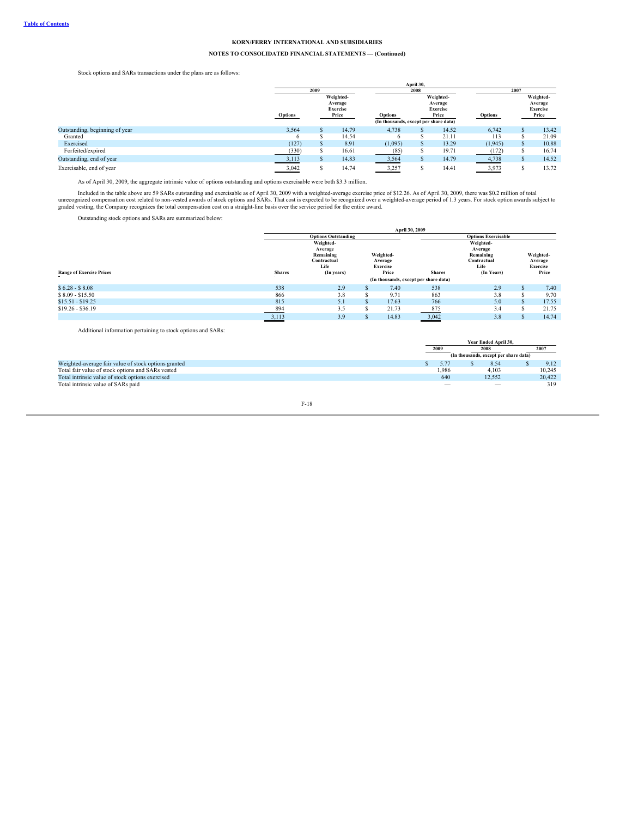### **NOTES TO CONSOLIDATED FINANCIAL STATEMENTS — (Continued)**

Stock options and SARs transactions under the plans are as follows:

|                                |                |      |                                         |                                                  | April 30, |                                         |         |      |                                         |
|--------------------------------|----------------|------|-----------------------------------------|--------------------------------------------------|-----------|-----------------------------------------|---------|------|-----------------------------------------|
|                                |                | 2009 |                                         |                                                  | 2008      |                                         |         | 2007 |                                         |
|                                |                |      | Weighted-<br>Average<br><b>Exercise</b> |                                                  |           | Weighted-<br>Average<br><b>Exercise</b> |         |      | Weighted-<br>Average<br><b>Exercise</b> |
|                                | <b>Options</b> |      | Price                                   | Options<br>(In thousands, except per share data) |           | Price                                   | Options |      | Price                                   |
| Outstanding, beginning of year | 3,564          |      | 14.79                                   | 4,738                                            | ж         | 14.52                                   | 6,742   |      | 13.42                                   |
| Granted                        | 6              |      | 14.54                                   | $\epsilon$                                       |           | 21.11                                   | 113     |      | 21.09                                   |
| Exercised                      | (127)          |      | 8.91                                    | (1,095)                                          |           | 13.29                                   | (1,945) |      | 10.88                                   |
| Forfeited/expired              | (330)          |      | 16.61                                   | (85)                                             | s         | 19.71                                   | (172)   |      | 16.74                                   |
| Outstanding, end of year       | 3,113          |      | 14.83                                   | 3,564                                            | S         | 14.79                                   | 4,738   |      | 14.52                                   |
| Exercisable, end of year       | 3,042          |      | 14.74                                   | 3,257                                            | S         | 14.41                                   | 3,973   |      | 13.72                                   |

As of April 30, 2009, the aggregate intrinsic value of options outstanding and options exercisable were both \$3.3 million.

Included in the table above are 59 SARs outstanding and exercisable as of April 30, 2009 with a weighted-average exercise price of \$12.26. As of April 30, 2009, there was \$0.2 million of total<br>unrecognized compensation cos

Outstanding stock options and SARs are summarized below:

|                                 |               |                                                           |    |                                                  | April 30, 2009                                         |                                                           |                                                  |
|---------------------------------|---------------|-----------------------------------------------------------|----|--------------------------------------------------|--------------------------------------------------------|-----------------------------------------------------------|--------------------------------------------------|
|                                 |               | <b>Options Outstanding</b>                                |    |                                                  |                                                        | <b>Options Exercisable</b>                                |                                                  |
|                                 |               | Weighted-                                                 |    |                                                  |                                                        | Weighted-                                                 |                                                  |
| <b>Range of Exercise Prices</b> | <b>Shares</b> | Average<br>Remaining<br>Contractual<br>Life<br>(In years) |    | Weighted-<br>Average<br><b>Exercise</b><br>Price | <b>Shares</b><br>(In thousands, except per share data) | Average<br>Remaining<br>Contractual<br>Life<br>(In Years) | Weighted-<br>Average<br><b>Exercise</b><br>Price |
| $$6.28 - $8.08$                 | 538           | 2.9                                                       |    | 7.40                                             | 538                                                    | 2.9                                                       | 7.40                                             |
| $$8.09 - $15.50$                | 866           | 3.8                                                       |    | 9.71                                             | 863                                                    | 3.8                                                       | 9.70                                             |
| $$15.51 - $19.25$               | 815           | 5.1                                                       | S. | 17.63                                            | 766                                                    | 5.0                                                       | 17.55                                            |
| $$19.26 - $36.19$               | 894           | 3.5                                                       | S  | 21.73                                            | 875                                                    | 3.4                                                       | 21.75                                            |
|                                 | 3,113         | 3.9                                                       |    | 14.83                                            | 3,042                                                  | 3.8                                                       | 14.74                                            |

Additional information pertaining to stock options and SARs:

|                                                      |       | Year Ended April 30.                  |        |  |
|------------------------------------------------------|-------|---------------------------------------|--------|--|
|                                                      | 2009  | 2008                                  | 2007   |  |
|                                                      |       | (In thousands, except per share data) |        |  |
| Weighted-average fair value of stock options granted | 5.77  | 8.54                                  | 9.12   |  |
| Total fair value of stock options and SARs vested    | 1.986 | 4.103                                 | 10.245 |  |
| Total intrinsic value of stock options exercised     | 640   | 12.552                                | 20,422 |  |
| Total intrinsic value of SARs paid                   |       | $\overline{\phantom{a}}$              | 319    |  |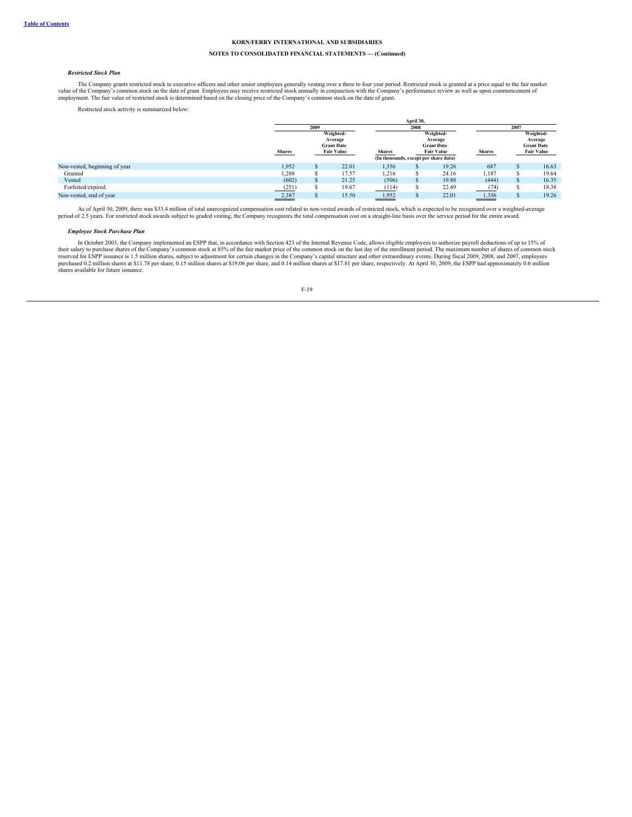#### **NOTES TO CONSOLIDATED FINANCIAL STATEMENTS — (Continued)**

#### *Restricted Stock Plan*

The Company grants restricted stock to executive officers and other senior employees generally vesting over a three to four year period. Restricted stock is granted at a price equal to the fair market<br>value of the Company

Restricted stock activity is summarized below:

|                               |               |      |                   |                                       | April 30, |                   |               |      |                   |
|-------------------------------|---------------|------|-------------------|---------------------------------------|-----------|-------------------|---------------|------|-------------------|
|                               |               | 2009 |                   |                                       | 2008      |                   |               | 2007 |                   |
|                               |               |      | Weighted-         |                                       |           | Weighted-         |               |      | Weighted-         |
|                               |               |      | Average           |                                       |           | Average           |               |      | Average           |
|                               |               |      | <b>Grant Date</b> |                                       |           | <b>Grant Date</b> |               |      | <b>Grant Date</b> |
|                               | <b>Shares</b> |      | <b>Fair Value</b> | <b>Shares</b>                         |           | <b>Fair Value</b> | <b>Shares</b> |      | <b>Fair Value</b> |
|                               |               |      |                   | (In thousands, except per share data) |           |                   |               |      |                   |
| Non-vested, beginning of year | 1,952         |      | 22.01             | 1,356                                 |           | 19.26             | 687           |      | 16.63             |
| Granted                       | 1,288         |      | 17.57             | 1,216                                 |           | 24.16             | 1,187         |      | 19.64             |
| Vested                        | (602)         |      | 21.25             | (506)                                 |           | 19.88             | (444)         |      | 16.35             |
| Forfeited/expired             | (251)         | э    | 19.67             | (114)                                 |           | 22.49             | (74)          |      | 18.38             |
| Non-vested, end of year       | 2,387         |      | 15.50             | 1,952                                 |           | 22.01             | 1,356         |      | 19.26             |

As of April 30, 2009, there was \$33.4 million of total unrecognized compensation cost related to non-vested awards of restricted stock, which is expected to be recognized over a weighted-average period of 2.5 years. For re

### *Employee Stock Purchase Plan*

In October 2003, the Company implemented an ESPP that, in accordance with Section 423 of the Internal Revenue Code, allows eligible employees to authorize payroll deductions of up to 15% of their salary to purchase shares of the Company's common stock at 85% of the fair market price of the common stock on the last day of the enrollment period. The maximum number of shares of common stock<br>reserved for ESPP iss purchased 0.2 million shares at \$11.78 per share, 0.15 million shares at \$19.06 per share, and 0.14 million shares at \$17.81 per share, respectively. At April 30, 2009, the ESPP had approximately 0.6 million<br>shares availab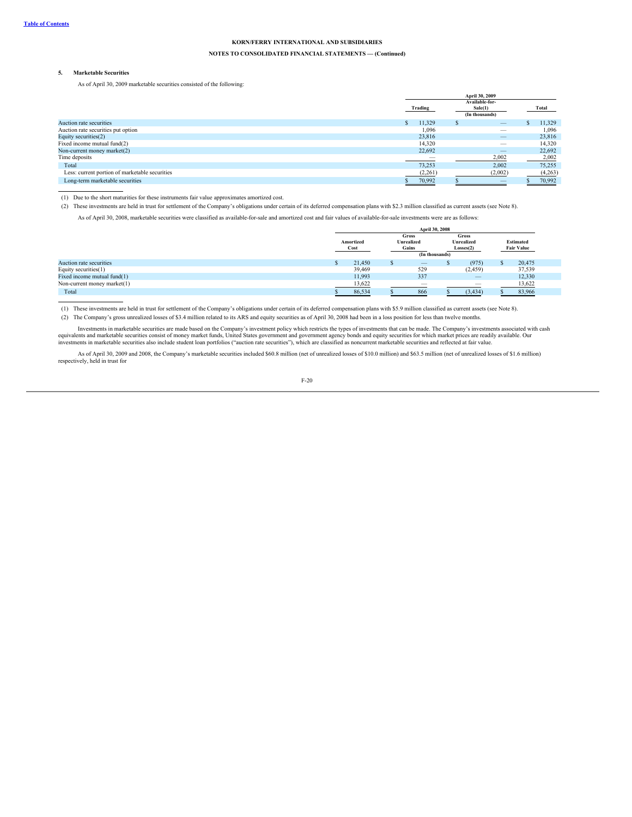#### **NOTES TO CONSOLIDATED FINANCIAL STATEMENTS — (Continued)**

## **5. Marketable Securities**

As of April 30, 2009 marketable securities consisted of the following:

|                                                |         | April 30, 2009                              |         |
|------------------------------------------------|---------|---------------------------------------------|---------|
|                                                | Trading | Available-for-<br>Sale(1)<br>(In thousands) | Total   |
| Auction rate securities                        | 11,329  | $\qquad \qquad \longleftarrow$              | 11,329  |
| Auction rate securities put option             | 1,096   | $-$                                         | 1,096   |
| Equity securities(2)                           | 23,816  | $\overline{\phantom{0}}$                    | 23,816  |
| Fixed income mutual fund(2)                    | 14.320  | -                                           | 14,320  |
| Non-current money market(2)                    | 22,692  |                                             | 22,692  |
| Time deposits                                  |         | 2,002                                       | 2,002   |
| Total                                          | 73.253  | 2,002                                       | 75,255  |
| Less: current portion of marketable securities | (2,261) | (2,002)                                     | (4,263) |
| Long-term marketable securities                | 70,992  |                                             | 70,992  |

(1) Due to the short maturities for these instruments fair value approximates amortized cost.

(2) These investments are held in trust for settlement of the Company's obligations under certain of its deferred compensation plans with \$2.3 million classified as current assets (see Note 8).

As of April 30, 2008, marketable securities were classified as available-for-sale and amortized cost and fair values of available-for-sale investments were are as follows:

|                                |                   | April 30, 2008                                 |                                  |                                       |  |
|--------------------------------|-------------------|------------------------------------------------|----------------------------------|---------------------------------------|--|
|                                | Amortized<br>Cost | Gross<br>Unrealized<br>Gains<br>(In thousands) | Gross<br>Unrealized<br>Losses(2) | <b>Estimated</b><br><b>Fair Value</b> |  |
| Auction rate securities        | 21,450            | $\qquad \qquad \longleftarrow$                 | (975)                            | 20,475                                |  |
| Equity securities(1)           | 39,469            | 529                                            | (2, 459)                         | 37,539                                |  |
| Fixed income mutual fund(1)    | 11,993            | 337                                            | $\overline{\phantom{m}}$         | 12,330                                |  |
| Non-current money market $(1)$ | 13,622            |                                                | __                               | 13,622                                |  |
| Total                          | 86,534            | 866                                            | (3, 434)                         | 83,966                                |  |

(1) These investments are held in trust for settlement of the Company's obligations under certain of its deferred compensation plans with \$5.9 million classified as current assets (see Note 8).

(2) The Company's gross unrealized losses of \$3.4 million related to its ARS and equity securities as of April 30, 2008 had been in a loss position for less than twelve months.

Investments in marketable securities are made based on the Company's investment policy which restricts the types of investment shat can be made. The Company's investments associated with cash equivalents and marketable sec

As of April 30, 2009 and 2008, the Company's marketable securities included \$60.8 million (net of unrealized losses of \$10.0 million) and \$63.5 million (net of unrealized losses of \$1.6 million) respectively, held in trust for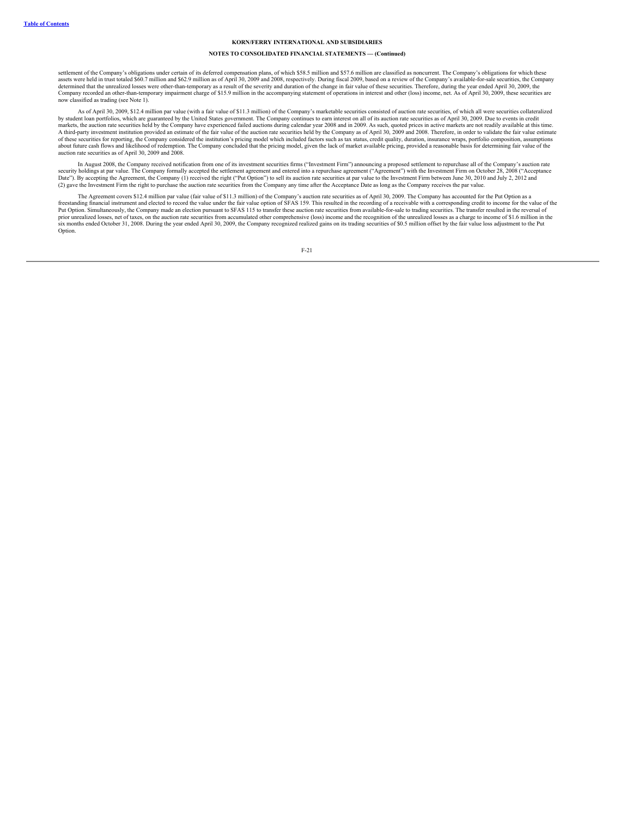#### **NOTES TO CONSOLIDATED FINANCIAL STATEMENTS — (Continued)**

settlement of the Company's obligations under certain of its deferred compensation plans, of which \$58.5 million and \$57.6 million are classified as noncurrent. The Company's obligations for which these<br>assets were held in determined that the unrealized losses were other-than-temporary as a result of the severity and duration of the change in fair value of these securities. Therefore, during the year ended April 30, 2009, the<br>Company recorde now classified as trading (see Note 1).

As of April 30, 2009, \$12.4 million par value (with a fair value of \$11.3 million) of the Company's marketable securities consisted of auction rate securities, of which all were securities collateralized by student loan portfolios, which are guaranteed by the United States government. The Company continues to earn interest on all of its auction rate securities as of April 30, 2009. Due to events in credit responses in a ma about future cash flows and likelihood of redemption. The Company concluded that the pricing model, given the lack of market available pricing, provided a reasonable basis for determining fair value of the auction rate securities as of April 30, 2009 and 2008.

In August 2008, the Company received notification from one of its investment securities firms ("Investment Firm") announcing a proposed settlement to repurchase all of the Company's auction rate security holdings at par value. The Company formally accepted the settlement agreement and entered into a repurchase agreement ("Agreement") with the Investment Firm on October 28, 2008 ("Acceptance Date"). By accepting the Agreement, the Company (1) received the right ("Put Option") to sell its auction rate securities at par value to the Investment Firm between June 30, 2010 and July 2, 2012 and<br>(2) gave the Investme

The Agreement covers \$12.4 million par value (fair value of \$11.3 million) of the Company's auction rate securities as of April 30, 2009. The Company has accounted for the Put Option as a freestanding financial instrument and elected to record the value under the fair value option of SFAS 159. This resulted in the recording of a receivable with a corresponding credit to income for the value of the<br>Put Optio prior unrealized losses, net of taxes, on the auction rate securities from accumulated other comprehensive (loss) income and the recognition of the unrealized losses as a charge to income of \$1.6 million in the<br>six months Option.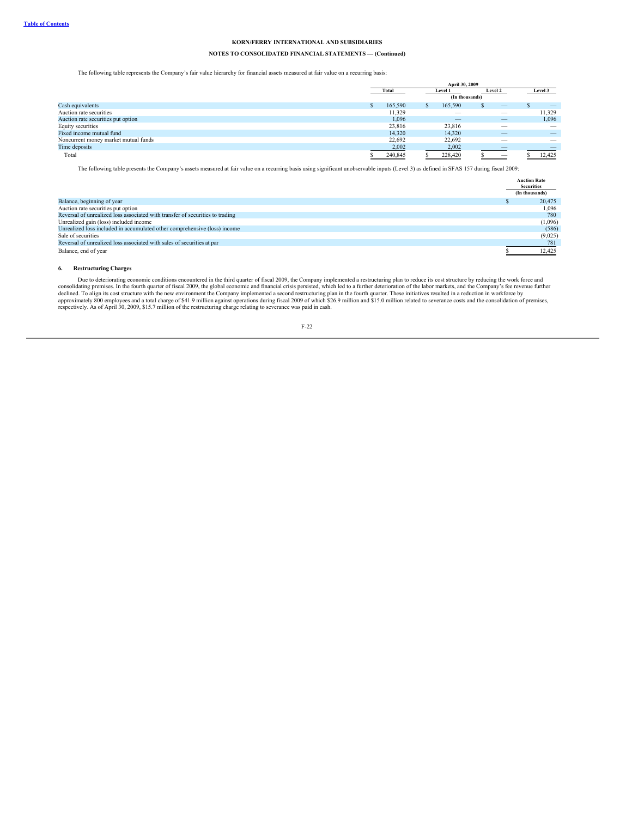## **NOTES TO CONSOLIDATED FINANCIAL STATEMENTS — (Continued)**

The following table represents the Company's fair value hierarchy for financial assets measured at fair value on a recurring basis:

|                                      |                |         |  | April 30, 2009 |         |                                 |  |         |
|--------------------------------------|----------------|---------|--|----------------|---------|---------------------------------|--|---------|
|                                      |                | Total   |  | Level 1        | Level 2 |                                 |  | Level 3 |
|                                      | (In thousands) |         |  |                |         |                                 |  |         |
| Cash equivalents                     | э              | 165,590 |  | 165,590        |         | $\overline{\phantom{m}}$        |  | $-$     |
| Auction rate securities              |                | 11,329  |  |                |         | $\hspace{0.1mm}-\hspace{0.1mm}$ |  | 11,329  |
| Auction rate securities put option   |                | 1,096   |  | $-$            |         | $\overline{\phantom{m}}$        |  | 1,096   |
| Equity securities                    |                | 23,816  |  | 23,816         |         |                                 |  | $-$     |
| Fixed income mutual fund             |                | 14.320  |  | 14,320         |         | $\overline{\phantom{a}}$        |  | $-$     |
| Noncurrent money market mutual funds |                | 22,692  |  | 22,692         |         |                                 |  | _       |
| Time deposits                        |                | 2,002   |  | 2,002          |         | $\overline{\phantom{a}}$        |  |         |
| Total                                |                | 240,845 |  | 228,420        |         | $\overline{\phantom{a}}$        |  | 12,425  |

The following table presents the Company's assets measured at fair value on a recurring basis using significant unobservable inputs (Level 3) as defined in SFAS 157 during fiscal 2009:

|                                                                               | Aucuva isan       |
|-------------------------------------------------------------------------------|-------------------|
|                                                                               | <b>Securities</b> |
|                                                                               | (In thousands)    |
| Balance, beginning of year                                                    | 20,475            |
| Auction rate securities put option                                            | 1,096             |
| Reversal of unrealized loss associated with transfer of securities to trading | 780               |
| Unrealized gain (loss) included income                                        | (1,096)           |
| Unrealized loss included in accumulated other comprehensive (loss) income     | (586)             |
| Sale of securities                                                            | (9,025)           |
| Reversal of unrealized loss associated with sales of securities at par        | 781               |
| Balance, end of year                                                          | 12,425            |

**Auction Rate**

## **6. Restructuring Charges**

Due to deteriorating economic conditions encountered in the third quarter of fiscal 2009, the Company implemented a restructuring plan to reduce its cost structure by reducing the work force and<br>consolidating premises. In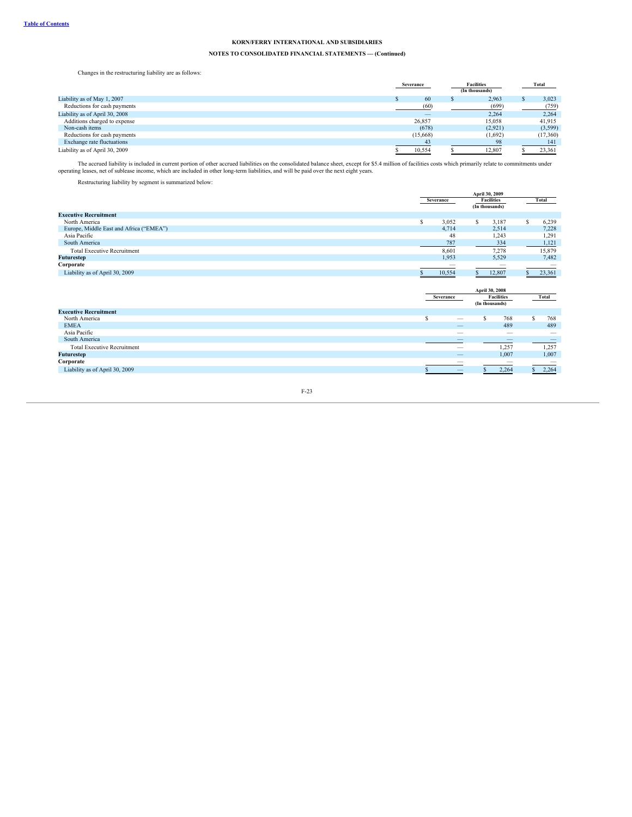## **NOTES TO CONSOLIDATED FINANCIAL STATEMENTS — (Continued)**

Changes in the restructuring liability are as follows:

|                                | Severance | <b>Facilities</b><br>(In thousands) | Total    |
|--------------------------------|-----------|-------------------------------------|----------|
| Liability as of May 1, 2007    | 60        | 2.963                               | 3.023    |
| Reductions for cash payments   | (60)      | (699)                               | (759)    |
| Liability as of April 30, 2008 |           | 2,264                               | 2,264    |
| Additions charged to expense   | 26,857    | 15,058                              | 41.915   |
| Non-cash items                 | (678)     | (2.921)                             | (3,599)  |
| Reductions for cash payments   | (15,668)  | (1,692)                             | (17,360) |
| Exchange rate fluctuations     | 43        | 98                                  | 141      |
| Liability as of April 30, 2009 | 10,554    | 12.807                              | 23,361   |

The accrued liability is included in current portion of other accrued liabilities on the consolidated balance sheet, except for \$5.4 million of facilities costs which primarily relate to commitments under operating leases,

Restructuring liability by segment is summarized below:

|                                             |    | Severance                |   | April 30, 2009<br><b>Facilities</b><br>(In thousands) |   | Total    |
|---------------------------------------------|----|--------------------------|---|-------------------------------------------------------|---|----------|
| <b>Executive Recruitment</b>                |    |                          |   |                                                       |   |          |
| North America                               | s  | 3,052                    | s | 3,187                                                 | s | 6,239    |
| Europe, Middle East and Africa ("EMEA")     |    | 4,714                    |   | 2,514                                                 |   | 7,228    |
| Asia Pacific                                |    | 48                       |   | 1,243                                                 |   | 1,291    |
| South America                               |    | 787                      |   | 334                                                   |   | 1,121    |
| <b>Total Executive Recruitment</b>          |    | 8,601                    |   | 7,278                                                 |   | 15,879   |
| <b>Futurestep</b>                           |    | 1,953                    |   | 5,529                                                 |   | 7,482    |
| Corporate                                   |    | -                        |   | $\overline{\phantom{a}}$                              |   |          |
| Liability as of April 30, 2009              |    | 10,554                   |   | 12,807                                                |   | 23,361   |
|                                             |    |                          |   |                                                       |   |          |
|                                             |    | Severance                |   | April 30, 2008<br><b>Facilities</b><br>(In thousands) |   | Total    |
| <b>Executive Recruitment</b>                |    |                          |   |                                                       |   |          |
| North America                               | \$ | $\overline{\phantom{m}}$ | s | 768                                                   |   | S<br>768 |
| <b>EMEA</b>                                 |    |                          |   | 489                                                   |   | 489      |
| Asia Pacific                                |    | $\overline{\phantom{a}}$ |   | $\overline{\phantom{a}}$                              |   |          |
| South America                               |    |                          |   |                                                       |   |          |
| <b>Total Executive Recruitment</b>          |    | $\overline{\phantom{a}}$ |   | 1,257                                                 |   | 1,257    |
| <b>Futurestep</b>                           |    | $\qquad \qquad - \qquad$ |   | 1,007                                                 |   | 1,007    |
| Corporate<br>Liability as of April 30, 2009 |    |                          |   | 2,264                                                 |   | 2,264    |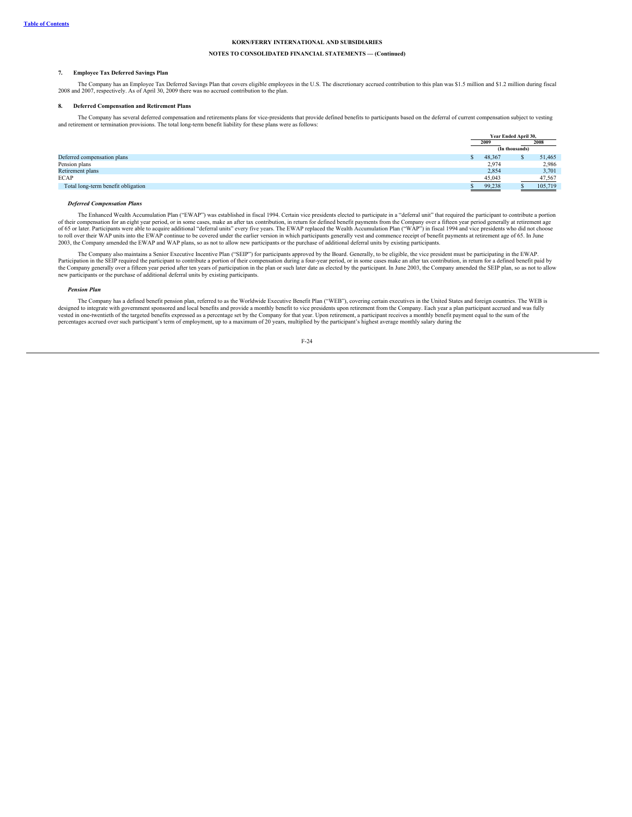#### **NOTES TO CONSOLIDATED FINANCIAL STATEMENTS — (Continued)**

#### **7. Employee Tax Deferred Savings Plan**

The Company has an Employee Tax Deferred Savings Plan that covers eligible employees in the U.S. The discretionary accrued contribution to this plan was \$1.5 million and \$1.2 million during fiscal 2008 and 2007, respectively. As of April 30, 2009 there was no accrued contribution to the plan.

### **8. Deferred Compensation and Retirement Plans**

The Company has several deferred compensation and retirements plans for vice-presidents that provide defined benefits to participants based on the deferral of current compensation subject to vesting<br>and retirement or termi

|                                    | Year Ended April 30. |                |  |         |  |
|------------------------------------|----------------------|----------------|--|---------|--|
|                                    |                      | 2009           |  | 2008    |  |
|                                    |                      | (In thousands) |  |         |  |
| Deferred compensation plans        |                      | 48.367         |  | 51.465  |  |
| Pension plans                      |                      | 2,974          |  | 2,986   |  |
| Retirement plans                   |                      | 2.854          |  | 3,701   |  |
| ECAP                               |                      | 45,043         |  | 47,567  |  |
| Total long-term benefit obligation |                      | 99,238         |  | 105,719 |  |

### *Deferred Compensation Plans*

The Enhanced Wealth Accumulation Plan ("EWAP") was established in fiscal 1994. Certain vice presidents elected to participate in a "deferral unit" that required the participant to contribute a portion of their compensation for an eight year period, or in some cases, make an after tax contribution, in return for defined benefit payments from the Company over a fifteen year period generally at retirement age of 65 or late

The Company also maintains a Senior Executive Incentive Plan ("SEIP") for participants approved by the Board. Generally, to be eligible, the vice president must be participating in the EWAP. Participation in the SEIP required the participant to contribute a portion of their compensation during a four-year period, or in some cases make an after tax contribution, in return for a defined benefit paid by the Company generally over a fifteen year period after ten years of participation in the plan or such later date as elected by the participant. In June 2003, the Company amended the SEIP plan, so as not to allow<br>new partic

#### *Pension Plan*

The Company has a defined benefit pension plan, referred to as the Worldwide Executive Benefit Plan ("WEB"), covering certain executives in the United States and foreign countries. The WEB is<br>designed to integrate with gov vested in one-twentieth of the targeted benefits expressed as a percentage set by the Company for that year. Upon retirement, a participant receives a monthly benefit payment equal to the sum of the<br>percentages accrued ove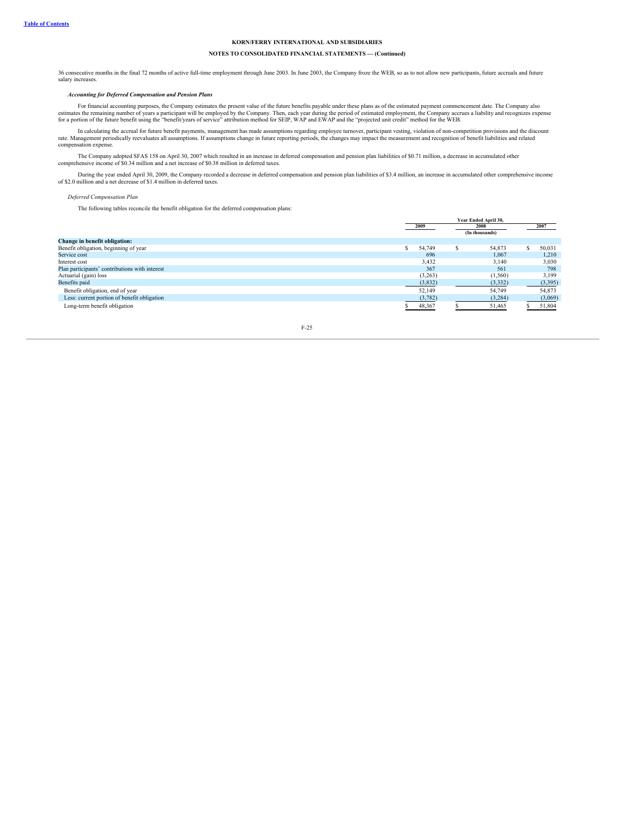### **NOTES TO CONSOLIDATED FINANCIAL STATEMENTS — (Continued)**

36 consecutive months in the final 72 months of active full-time employment through June 2003. In June 2003, the Company froze the WEB, so as to not allow new participants, future accruals and future salary increases.

## *Accounting for Deferred Compensation and Pension Plans*

For financial accounting purposes, the Company estimates the present value of the future benefits payable under these plans as of the estimated payment commencement date. The Company also estimates the remaining number of years a participant will be employed by the Company. Then, each year during the period of estimated employment, the Company accrues a liability and recognizes expense<br>for a portion of the

In calculating the accrual for future benefit payments, management has made assumptions regarding employee turnover, participant vesting, violation of non-competition provisions and the discount rate. Management periodically reevaluates all assumptions. If assumptions change in future reporting periods, the changes may impact the measurement and recognition of benefit liabilities and related compensation expense.

The Company adopted SFAS 158 on April 30, 2007 which resulted in an increase in deferred compensation and pension plan liabilities of \$0.71 million, a decrease in accumulated other comprehensive income of \$0.34 million and a net increase of \$0.38 million in deferred taxes.

During the year ended April 30, 2009, the Company recorded a decrease in deferred compensation and pension plan liabilities of \$3.4 million, an increase in accumulated other comprehensive income of \$2.0 million and a net d

#### *Deferred Compensation Plan*

The following tables reconcile the benefit obligation for the deferred compensation plans:

|                                                | Year Ended April 30, |                        |          |  |         |
|------------------------------------------------|----------------------|------------------------|----------|--|---------|
|                                                | 2009                 | 2008<br>(In thousands) |          |  | 2007    |
| Change in benefit obligation:                  |                      |                        |          |  |         |
| Benefit obligation, beginning of year          | 54,749               | S                      | 54,873   |  | 50,031  |
| Service cost                                   | 696                  |                        | 1,067    |  | 1,210   |
| Interest cost                                  | 3,432                |                        | 3,140    |  | 3,030   |
| Plan participants' contributions with interest | 367                  |                        | 561      |  | 798     |
| Actuarial (gain) loss                          | (3,263)              |                        | (1, 560) |  | 3,199   |
| Benefits paid                                  | (3,832)              |                        | (3,332)  |  | (3,395) |
| Benefit obligation, end of year                | 52,149               |                        | 54,749   |  | 54,873  |
| Less: current portion of benefit obligation    | (3,782)              |                        | (3,284)  |  | (3,069) |
| Long-term benefit obligation                   | 48,367               |                        | 51,465   |  | 51,804  |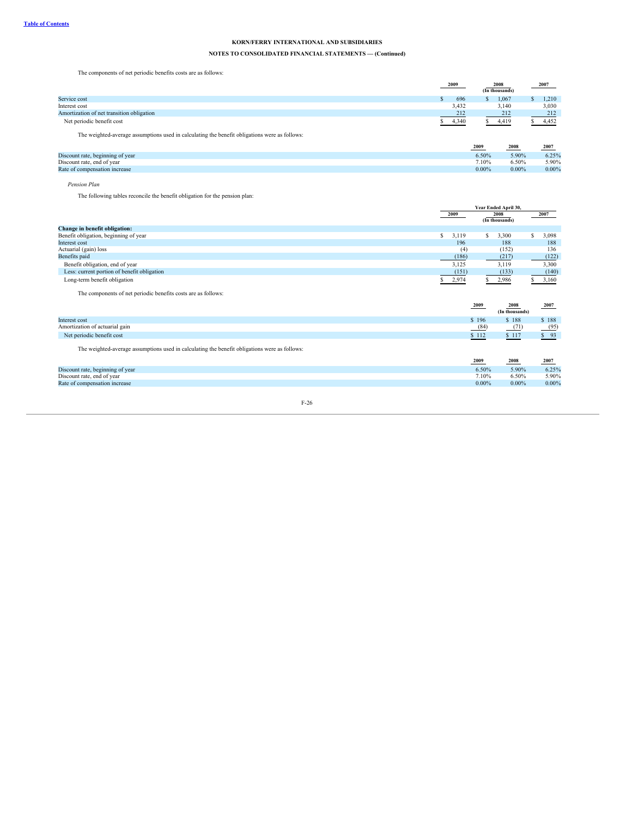## **NOTES TO CONSOLIDATED FINANCIAL STATEMENTS — (Continued)**

The components of net periodic benefits costs are as follows:

|                                                                                               | 2009  |      | 2008<br>(In thousands) | 2007  |
|-----------------------------------------------------------------------------------------------|-------|------|------------------------|-------|
| Service cost                                                                                  | 696   |      | 1.067                  | 1.210 |
| Interest cost                                                                                 | 3,432 |      | 3,140                  | 3,030 |
| Amortization of net transition obligation                                                     | 212   |      | 212                    | 212   |
| Net periodic benefit cost                                                                     | 4,340 |      | 4,419                  | 4,452 |
| The weighted-average assumptions used in calculating the benefit obligations were as follows: |       |      |                        |       |
|                                                                                               |       | 2009 | 2008                   | 2007  |

| Discount rate, beginning of year | 6.50% | 5.90%    | 6.25%    |
|----------------------------------|-------|----------|----------|
| Discount rate, end of year       | 7.10% | 6.50%    | 5.90%    |
| Rate of compensation increase    | 0.00% | $0.00\%$ | $0.00\%$ |
|                                  |       |          |          |

## *Pension Plan*

The following tables reconcile the benefit obligation for the pension plan:

|                                                                                               |            | Year Ended April 30, |                |             |
|-----------------------------------------------------------------------------------------------|------------|----------------------|----------------|-------------|
|                                                                                               | 2009       |                      | 2008           | 2007        |
|                                                                                               |            |                      | (In thousands) |             |
| Change in benefit obligation:                                                                 |            |                      |                |             |
| Benefit obligation, beginning of year                                                         | S<br>3,119 | s                    | 3,300          | S.<br>3,098 |
| Interest cost                                                                                 | 196        |                      | 188            | 188         |
| Actuarial (gain) loss                                                                         |            | (4)                  | (152)          | 136         |
| Benefits paid                                                                                 | (186)      |                      | (217)          | (122)       |
| Benefit obligation, end of year                                                               | 3,125      |                      | 3,119          | 3,300       |
| Less: current portion of benefit obligation                                                   | (151)      |                      | (133)          | (140)       |
| Long-term benefit obligation                                                                  | 2,974      | s                    | 2,986          | 3,160       |
|                                                                                               |            |                      |                |             |
| The components of net periodic benefits costs are as follows:                                 |            |                      |                |             |
|                                                                                               |            |                      |                |             |
|                                                                                               |            | 2009                 | 2008           | 2007        |
|                                                                                               |            |                      | (In thousands) |             |
| Interest cost                                                                                 |            | \$196                | \$188          | \$188       |
| Amortization of actuarial gain                                                                |            | (84)                 | (71)           | (95)        |
| Net periodic benefit cost                                                                     |            | \$112                | \$117          | \$93        |
|                                                                                               |            |                      |                |             |
| The weighted-average assumptions used in calculating the benefit obligations were as follows: |            |                      |                |             |
|                                                                                               |            |                      |                |             |
|                                                                                               |            | 2009                 | 2008           | 2007        |
| Discount rate, beginning of year                                                              |            | 6.50%                | 5.90%          | 6.25%       |
| Discount rate, end of year                                                                    |            | 7.10%                | 6.50%          | 5.90%       |
| Rate of compensation increase                                                                 |            | $0.00\%$             | $0.00\%$       | $0.00\%$    |
|                                                                                               |            |                      |                |             |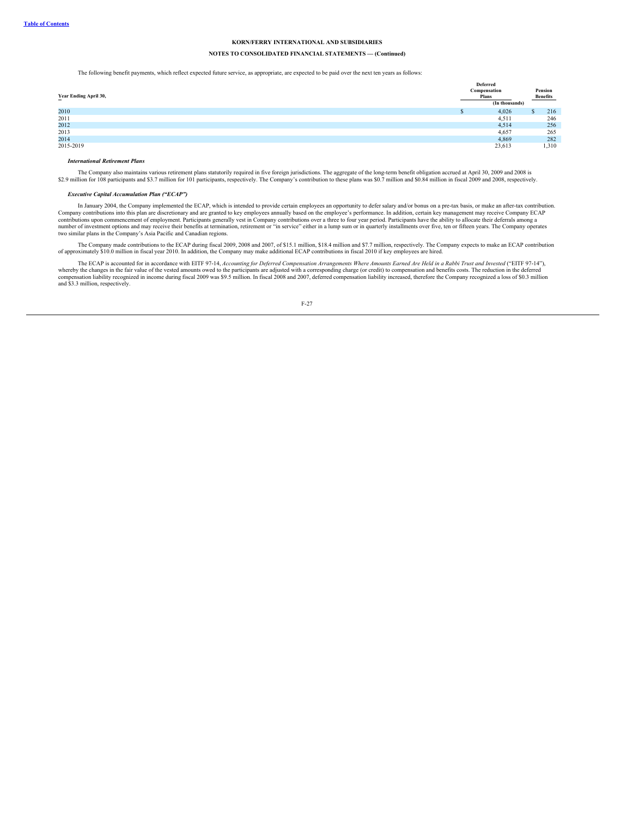#### **NOTES TO CONSOLIDATED FINANCIAL STATEMENTS — (Continued)**

The following benefit payments, which reflect expected future service, as appropriate, are expected to be paid over the next ten years as follows:

| Year Ending April 30,<br>$\qquad \qquad$ | <b>Deferred</b><br>Compensation<br>Plans<br>(In thousands) | Pension<br><b>Benefits</b> |       |
|------------------------------------------|------------------------------------------------------------|----------------------------|-------|
| 2010                                     | 4,026                                                      |                            | 216   |
| 2011                                     | 4,511                                                      |                            | 246   |
| 2012                                     | 4,514                                                      |                            | 256   |
| 2013                                     | 4,657                                                      |                            | 265   |
| 2014                                     | 4,869                                                      |                            | 282   |
| 2015-2019                                | 23,613                                                     |                            | 1,310 |

#### *International Retirement Plans*

The Company also maintains various retirement plans statutorily required in five foreign jurisdictions. The aggregate of the long-term benefit obligation accrued at April 30, 2009 and 2008 is<br>S2.9 million for 108 participa

#### *Executive Capital Accumulation Plan ("ECAP")*

In January 2004, the Company implemented the ECAP, which is intended to provide certain employees an opportunity to defer salary and/or bonus on a pre-tax basis, or make an after-tax contribution.<br>Company contributions int contributions upon commencement of employment. Participants generally vest in Company contributions over a three to four year period. Participants have the ability to allocate their deferrals among a<br>number of investment o two similar plans in the Company's Asia Pacific and Canadian regions.

The Company made contributions to the ECAP during fiscal 2009, 2008 and 2007, of \$15.1 million, \$18.4 million and \$7.7 million, respectively. The Company expects to make an ECAP contribution<br>of approximately \$10.0 million

The ECAP is accounted for in accordance with EITF 97-14, *Accounting for Deferred Compensation Arrangements Where Amounts Earned Are Held in a Rabbi Trust and Invested ("EITF 97-14"), where the charges in the fair value of* 

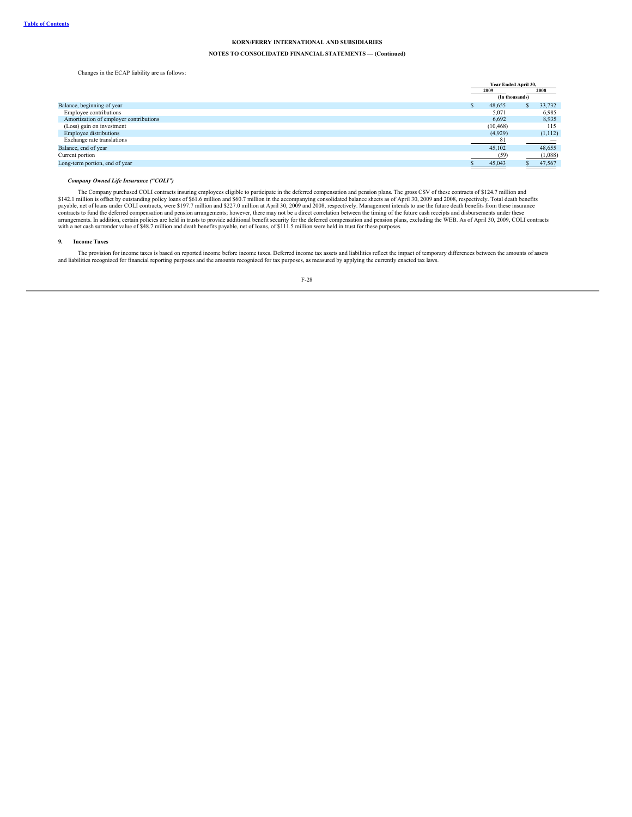## **NOTES TO CONSOLIDATED FINANCIAL STATEMENTS — (Continued)**

Changes in the ECAP liability are as follows:

|                                        | Year Ended April 30, |         |  |  |  |
|----------------------------------------|----------------------|---------|--|--|--|
|                                        | 2009                 | 2008    |  |  |  |
|                                        | (In thousands)       |         |  |  |  |
| Balance, beginning of year             | 48,655               | 33,732  |  |  |  |
| Employee contributions                 | 5,071                | 6,985   |  |  |  |
| Amortization of employer contributions | 6,692                | 8,935   |  |  |  |
| (Loss) gain on investment              | (10, 468)            | 115     |  |  |  |
| <b>Employee distributions</b>          | (4,929)              | (1,112) |  |  |  |
| Exchange rate translations             | 81                   |         |  |  |  |
| Balance, end of year                   | 45.102               | 48,655  |  |  |  |
| Current portion                        | (59)                 | (1,088) |  |  |  |
| Long-term portion, end of year         | 45,043               | 47,567  |  |  |  |
|                                        |                      |         |  |  |  |

## *Company Owned Life Insurance ("COLI")*

The Company purchased COLI contracts insuring employees eligible to participate in the deferred compensation and pension plans. The gross CSV of these contracts of \$124.7 million and<br>\$142.1 million ins offset by outstandin

#### **9. Income Taxes**

The provision for income taxes is based on reported income before income taxes. Deferred income tax assets and liabilities reflect the impact of temporary differences between the amounts of assets and liabilities recognized for financial reporting purposes and the amounts recognized for tax purposes, as measured by applying the currently enacted tax laws.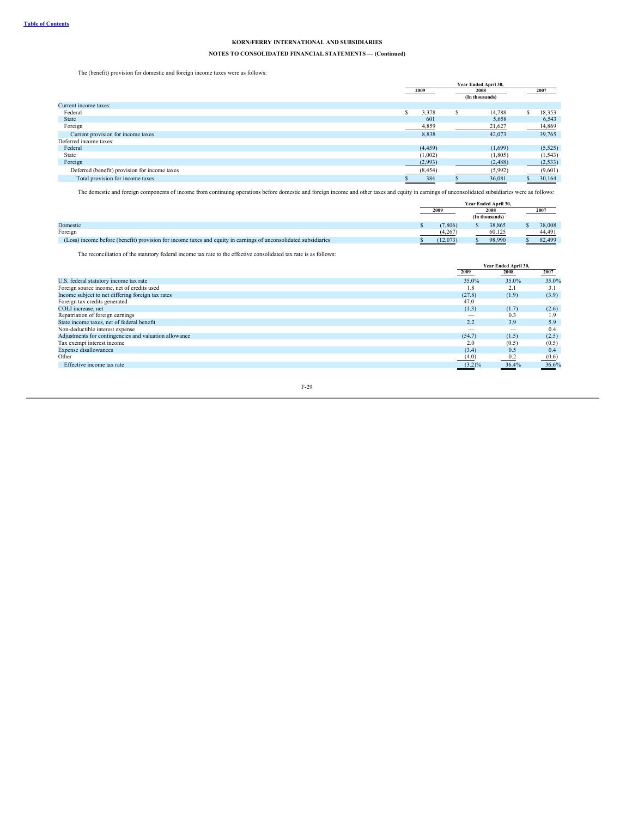## **NOTES TO CONSOLIDATED FINANCIAL STATEMENTS — (Continued)**

The (benefit) provision for domestic and foreign income taxes were as follows:

|                                               | Year Ended April 30, |              |   |                |      |          |
|-----------------------------------------------|----------------------|--------------|---|----------------|------|----------|
|                                               |                      | 2009<br>2008 |   |                | 2007 |          |
|                                               |                      |              |   | (In thousands) |      |          |
| Current income taxes:                         |                      |              |   |                |      |          |
| Federal                                       |                      | 3,378        | ъ | 14,788         | \$   | 18,353   |
| State                                         |                      | 601          |   | 5,658          |      | 6,543    |
| Foreign                                       |                      | 4,859        |   | 21,627         |      | 14,869   |
| Current provision for income taxes            |                      | 8,838        |   | 42,073         |      | 39,765   |
| Deferred income taxes:                        |                      |              |   |                |      |          |
| Federal                                       |                      | (4, 459)     |   | (1,699)        |      | (5,525)  |
| State                                         |                      | (1,002)      |   | (1,805)        |      | (1, 543) |
| Foreign                                       |                      | (2,993)      |   | (2,488)        |      | (2, 533) |
| Deferred (benefit) provision for income taxes |                      | (8, 454)     |   | (5,992)        |      | (9,601)  |
| Total provision for income taxes              |                      | 384          |   | 36,081         |      | 30,164   |

The domestic and foreign components of income from continuing operations before domestic and foreign income and other taxes and equity in earnings of unconsolidated subsidiaries were as follows:

|                                                                                                                 | Year Ended April 30. |  |                |      |        |  |
|-----------------------------------------------------------------------------------------------------------------|----------------------|--|----------------|------|--------|--|
|                                                                                                                 | 2009<br>2008         |  |                | 2007 |        |  |
|                                                                                                                 |                      |  | (In thousands) |      |        |  |
| Domestic                                                                                                        | (7,806)              |  | 38.865         |      | 38,008 |  |
| Foreign                                                                                                         | (4.267)              |  | 60.125         |      | 44.491 |  |
| (Loss) income before (benefit) provision for income taxes and equity in earnings of unconsolidated subsidiaries | (12,073)             |  | 98,990         |      | 82,499 |  |

The reconciliation of the statutory federal income tax rate to the effective consolidated tax rate is as follows:

|                                                       | Year Ended April 30,     |       |       |
|-------------------------------------------------------|--------------------------|-------|-------|
|                                                       | 2009                     | 2008  | 2007  |
| U.S. federal statutory income tax rate                | 35.0%                    | 35.0% | 35.0% |
| Foreign source income, net of credits used            | 1.8                      |       | 3.1   |
| Income subject to net differing foreign tax rates     | (27.8)                   | (1.9) | (3.9) |
| Foreign tax credits generated                         | 47.0                     |       |       |
| COLI increase, net                                    | (1.3)                    | (1.7) | (2.6) |
| Repatriation of foreign earnings                      | $\overline{\phantom{a}}$ | 0.3   | 1.9   |
| State income taxes, net of federal benefit            | 2.2                      | 3.9   | 5.9   |
| Non-deductible interest expense                       |                          | __    | 0.4   |
| Adjustments for contingencies and valuation allowance | (54.7)                   | (1.5) | (2.5) |
| Tax exempt interest income                            | 2.0                      | (0.5) | (0.5) |
| <b>Expense disallowances</b>                          | (3.4)                    | 0.5   | 0.4   |
| Other                                                 | (4.0)                    | 0.2   | (0.6) |
| Effective income tax rate                             | $(3.2)\%$                | 36.4% | 36.6% |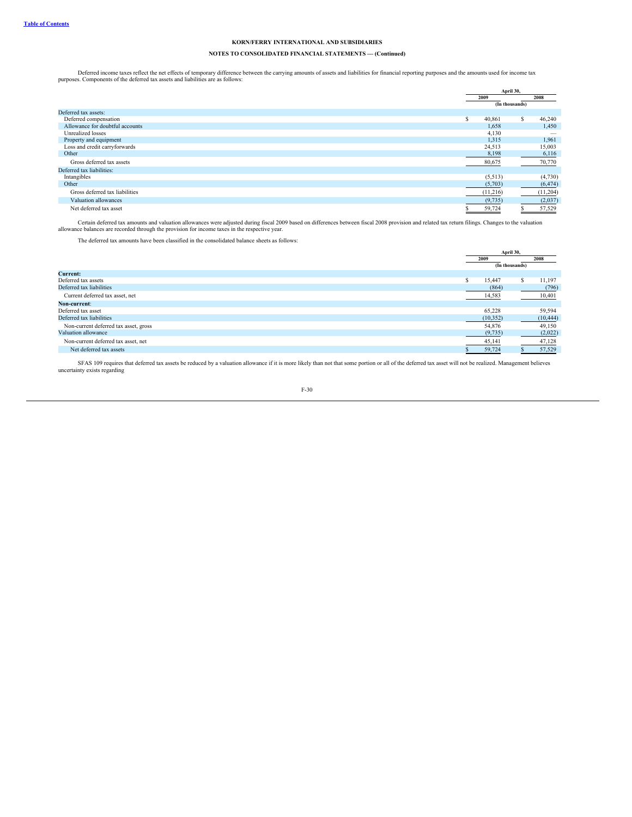## **NOTES TO CONSOLIDATED FINANCIAL STATEMENTS — (Continued)**

Deferred income taxes reflect the net effects of temporary difference between the carrying amounts of assets and liabilities for financial reporting purposes and the amounts used for income tax<br>purposes. Components of the

|                                 |   | April 30,      |   |          |
|---------------------------------|---|----------------|---|----------|
|                                 |   | 2009           |   | 2008     |
|                                 |   | (In thousands) |   |          |
| Deferred tax assets:            |   |                |   |          |
| Deferred compensation           | S | 40,861         | s | 46,240   |
| Allowance for doubtful accounts |   | 1,658          |   | 1,450    |
| <b>Unrealized</b> losses        |   | 4,130          |   |          |
| Property and equipment          |   | 1,315          |   | 1,961    |
| Loss and credit carryforwards   |   | 24,513         |   | 15,003   |
| Other                           |   | 8,198          |   | 6,116    |
| Gross deferred tax assets       |   | 80,675         |   | 70,770   |
| Deferred tax liabilities:       |   |                |   |          |
| Intangibles                     |   | (5,513)        |   | (4,730)  |
| Other                           |   | (5,703)        |   | (6, 474) |
| Gross deferred tax liabilities  |   | (11,216)       |   | (11,204) |
| Valuation allowances            |   | (9,735)        |   | (2,037)  |
| Net deferred tax asset          |   | 59,724         |   | 57,529   |

Certain deferred tax amounts and valuation allowances were adjusted during fiscal 2009 based on differences between fiscal 2008 provision and related tax return filings. Changes to the valuation allowance balances are reco

The deferred tax amounts have been classified in the consolidated balance sheets as follows:

|                                       | April 30,      |             |  |
|---------------------------------------|----------------|-------------|--|
|                                       | 2009           | 2008        |  |
|                                       | (In thousands) |             |  |
| Current:                              |                |             |  |
| Deferred tax assets<br>S.             | 15,447         | 11,197<br>ς |  |
| Deferred tax liabilities              | (864)          | (796)       |  |
| Current deferred tax asset, net       | 14,583         | 10,401      |  |
| Non-current:                          |                |             |  |
| Deferred tax asset                    | 65.228         | 59,594      |  |
| Deferred tax liabilities              | (10, 352)      | (10, 444)   |  |
| Non-current deferred tax asset, gross | 54,876         | 49,150      |  |
| Valuation allowance                   | (9, 735)       | (2,022)     |  |
| Non-current deferred tax asset, net   | 45,141         | 47,128      |  |
| Net deferred tax assets               | 59,724         | 57,529      |  |

SFAS 109 requires that deferred tax assets be reduced by a valuation allowance if it is more likely than not that some portion or all of the deferred tax asset will not be realized. Management believes uncertainty exists r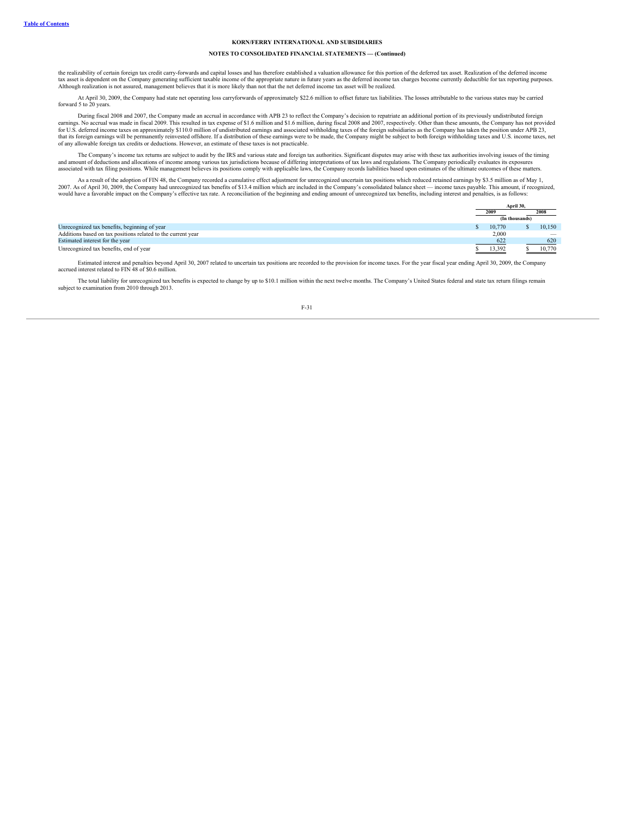#### **NOTES TO CONSOLIDATED FINANCIAL STATEMENTS — (Continued)**

the realizability of certain foreign tax credit carry-forwards and capital losses and has therefore established a valuation allowance for this portion of the deferred tax asset. Realization of the deferred income<br>tax asset Although realization is not assured, management believes that it is more likely than not that the net deferred income tax asset will be realized.

At April 30, 2009, the Company had state net operating loss carryforwards of approximately \$22.6 million to offset future tax liabilities. The losses attributable to the various states may be carried forward 5 to 20 years.

During fiscal 2008 and 2007, the Company made an accrual in accordance with APB 23 to reflect the Company's decision to repatriate an additional portion of its previously undistributed foreign<br>earnings. No accrual was made of any allowable foreign tax credits or deductions. However, an estimate of these taxes is not practicable.

The Company's income tax returns are subject to audit by the IRS and various state and foreign tax authorities. Significant disputes may arise with these tax authorities involving issues of the timing and amount of deductions and allocations of income among various tax jurisdictions because of differing interpretations of tax laws and regulations. The Company periodically evaluates its exposures<br>associated with tax fili

As a result of the adoption of FIN 48, the Company recorded a cumulative effect adjustment for unrecognized uncertain tax positions which reduced retained earnings by \$3.5 million as of May 1, 2007. As of April 30, 2009, the Company had unrecognized tax benefits of \$13.4 million which are included in the Company's consolidated balance sheet — income taxes payable. This amount, if recognized,<br>would have a favorab

|                                                              |        | April 30.      |        |
|--------------------------------------------------------------|--------|----------------|--------|
|                                                              | 2009   |                | 2008   |
|                                                              |        | (In thousands) |        |
| Unrecognized tax benefits, beginning of year                 | 10,770 |                | 10,150 |
| Additions based on tax positions related to the current year | 2.000  |                |        |
| Estimated interest for the year                              | 622    |                | 620    |
| Unrecognized tax benefits, end of year                       | 13.392 |                | 10.770 |

Estimated interest and penalties beyond April 30, 2007 related to uncertain tax positions are recorded to the provision for income taxes. For the year fiscal year ending April 30, 2009, the Company accrued interest related to FIN 48 of \$0.6 million.

The total liability for unrecognized tax benefits is expected to change by up to \$10.1 million within the next twelve months. The Company's United States federal and state tax return filings remain subject to examination from 2010 through 2013.

# F-31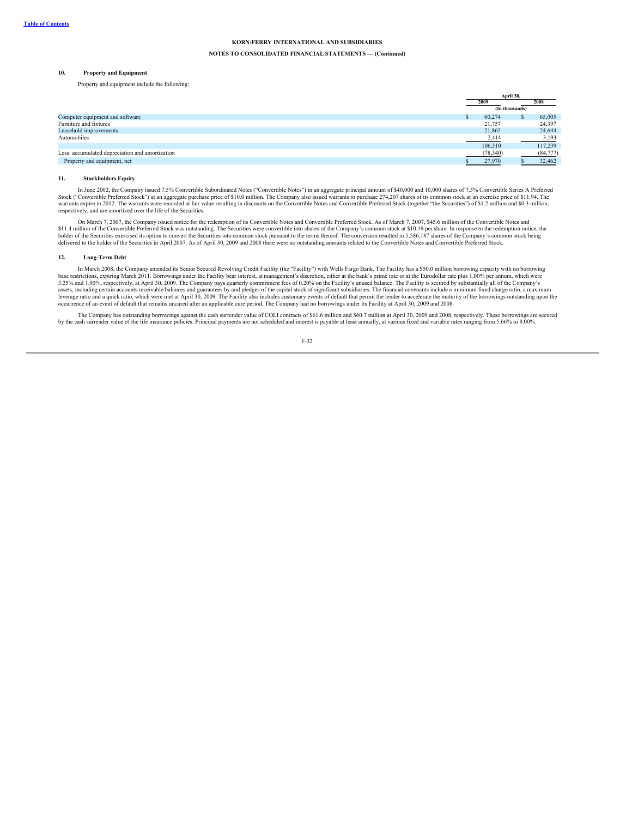#### **NOTES TO CONSOLIDATED FINANCIAL STATEMENTS — (Continued)**

#### **10. Property and Equipment**

Property and equipment include the following:

|                                                 |          | April 30,      |           |
|-------------------------------------------------|----------|----------------|-----------|
|                                                 | 2009     |                | 2008      |
|                                                 |          | (In thousands) |           |
| Computer equipment and software                 | 60,274   |                | 65,005    |
| Furniture and fixtures                          | 21,757   |                | 24,397    |
| Leasehold improvements                          | 21,865   |                | 24,644    |
| Automobiles                                     | 2,414    |                | 3,193     |
|                                                 | 106.310  |                | 117,239   |
| Less: accumulated depreciation and amortization | (78,340) |                | (84, 777) |
| Property and equipment, net                     | 27,970   |                | 32,462    |

#### **11. Stockholders Equity**

In June 2002, the Company issued 7.5% Convertible Subordinated Notes ("Convertible Notes") in an aggregate principal amount of \$40,000 and 10,000 shares of 7.5% Convertible Series A Preferred Stock") at an aggregate purcha warrants expire in 2012. The warrants were recorded at fair value resulting in discounts on the Convertible Notes and Convertible Preferred Stock (together "the Securities") of \$1.2 million and \$0.3 million, respectively, and are amortized over the life of the Securities.

On March 7, 2007, the Company issued notice for the redemption of its Convertible Notes and Convertible Preferred Stock. As of March 7, 2007, \$45.6 million of the Convertible Prefered Stock was outstanding. The Securities

#### **12. Long-Term Debt**

In March 2008, the Company amended its Senior Secured Revolving Credit Facility (the "Facility") with Wells Fargo Bank. The Facility has a \$50.0 million borrowing capacity with no borrowing<br>base restrictions, expiring Marc 3.25% and 1.90%, respectively, at April 30, 2009. The Company pays quarterly commitment fees of 0.20% on the Facility's unused balance. The Facility is secured by substantially all of the Company's assets, including certain accounts receivable balances and guarantees by and pledges of the capital stock of significant subsidiaries. The financial covenants include a minimum fixed charge ratio, a maximum<br>leverage ratio occurrence of an event of default that remains uncured after an applicable cure period. The Company had no borrowings under its Facility at April 30, 2009 and 2008.

The Company has outstanding borrowings against the cash surrender value of COLI contracts of \$61.6 million and \$60.7 million at April 30, 2009 and 2008, respectively. These borrowings are secured<br>by the cash surrender valu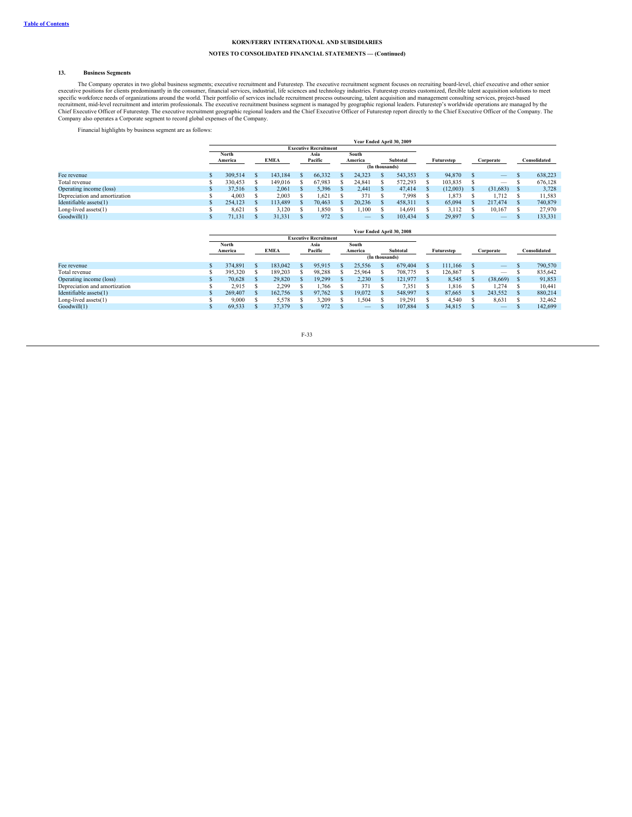## **NOTES TO CONSOLIDATED FINANCIAL STATEMENTS — (Continued)**

# **13. Business Segments**

The Company operates in two global business segments; executive recruitment and Futurestep. The executive recruitment segment focuses on recruiting board-level, chief executive and other senior executive positions for clie Company also operates a Corporate segment to record global expenses of the Company.

Financial highlights by business segment are as follows:

|                               |                  |             |                              |   |                  |                | Year Ended April 30, 2009 |            |                          |              |  |  |
|-------------------------------|------------------|-------------|------------------------------|---|------------------|----------------|---------------------------|------------|--------------------------|--------------|--|--|
|                               |                  |             | <b>Executive Recruitment</b> |   |                  |                |                           |            |                          |              |  |  |
|                               | North<br>America | <b>EMEA</b> | Asia<br>Pacific              |   | South<br>America |                | Subtotal                  | Futurestep | Corporate                | Consolidated |  |  |
|                               |                  |             |                              |   |                  | (In thousands) |                           |            |                          |              |  |  |
| Fee revenue                   | 309.514          | 143.184     | 66.332                       |   | 24.323           |                | 543.353                   | 94,870     | $\overline{\phantom{0}}$ | 638,223      |  |  |
| Total revenue                 | 330,453          | 149,016     | 67.983                       |   | 24.841           |                | 572.293                   | 103.835    | $\overline{\phantom{a}}$ | 676,128      |  |  |
| Operating income (loss)       | 37.516           | 2.061       | 5.396                        | æ | 2.441            | N.             | 47,414                    | (12.003)   | (31,683)                 | 3,728        |  |  |
| Depreciation and amortization | 4.003            | 2.003       | 1.621                        |   | 371              |                | 7.998                     | 1.873      | 1,712                    | 11,583       |  |  |
| Identifiable assets(1)        | 254.123          | 113.489     | 70.463                       |   | 20.236           |                | 458.311                   | 65,094     | 217,474                  | 740,879      |  |  |
| Long-lived assets(1)          | 8.621            | 3.120       | 1.850                        |   | 1.100            |                | 14,691                    | 3.112      | 10.167                   | 27,970       |  |  |
| Goodwill(1)                   | 71.131           | 31.331      | 972                          |   | $-$              |                | 103.434                   | 29.897     |                          | 133,331      |  |  |
|                               |                  |             |                              |   |                  |                |                           |            |                          |              |  |  |

|                               |                        |  |         |  |                              |                |         |  | Year Ended April 30, 2008 |  |            |  |                          |     |              |
|-------------------------------|------------------------|--|---------|--|------------------------------|----------------|---------|--|---------------------------|--|------------|--|--------------------------|-----|--------------|
|                               |                        |  |         |  | <b>Executive Recruitment</b> |                |         |  |                           |  |            |  |                          |     |              |
|                               | North                  |  |         |  | Asia                         |                | South   |  |                           |  |            |  |                          |     |              |
|                               | <b>EMEA</b><br>America |  |         |  | Pacific                      |                | America |  | Subtotal                  |  | Futurestep |  | Corporate                |     | Consolidated |
|                               |                        |  |         |  |                              | (In thousands) |         |  |                           |  |            |  |                          |     |              |
| Fee revenue                   | 374,891                |  | 183,042 |  | 95.915                       |                | 25.556  |  | 679,404                   |  | 111.166    |  | $\qquad \qquad =\qquad$  |     | 790,570      |
| Total revenue                 | 395.320                |  | 189.203 |  | 98.288                       |                | 25,964  |  | 708,775                   |  | 126,867    |  |                          |     | 835,642      |
| Operating income (loss)       | 70.628                 |  | 29,820  |  | 19.299                       |                | 2.230   |  | 121,977                   |  | 8,545      |  | (38,669)                 | - 5 | 91,853       |
| Depreciation and amortization | 2.915                  |  | 2.299   |  | 1,766                        |                | 371     |  | 7,351                     |  | 1.816      |  | 1.274                    |     | 10.441       |
| Identifiable assets(1)        | 269,407                |  | 162,756 |  | 97,762                       |                | 19.072  |  | 548,997                   |  | 87,665     |  | 243.552                  |     | 880.214      |
| Long-lived assets $(1)$       | 9,000                  |  | 5.578   |  | 3.209                        |                | 1.504   |  | 19.291                    |  | 4.540      |  | 8.631                    |     | 32,462       |
| Goodwill(1)                   | 69.533                 |  | 37,379  |  | 972                          |                |         |  | 107.884                   |  | 34.815     |  | $\overline{\phantom{m}}$ |     | 142,699      |

# F-33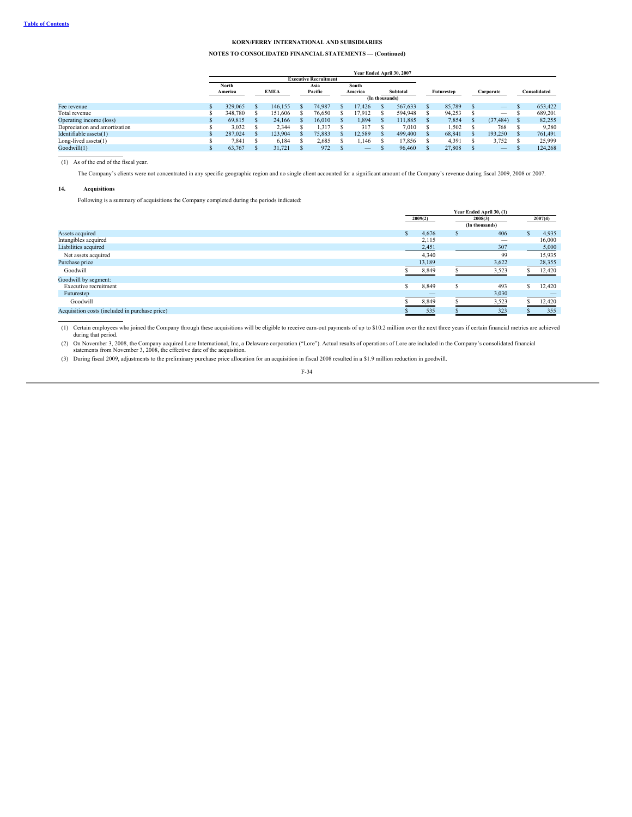## **NOTES TO CONSOLIDATED FINANCIAL STATEMENTS — (Continued)**

|                               |                  |  |             |  |                              |  |                  |                | Year Ended April 30, 2007 |  |            |           |                          |          |              |
|-------------------------------|------------------|--|-------------|--|------------------------------|--|------------------|----------------|---------------------------|--|------------|-----------|--------------------------|----------|--------------|
|                               |                  |  |             |  | <b>Executive Recruitment</b> |  |                  |                |                           |  |            |           |                          |          |              |
|                               | North<br>America |  | <b>EMEA</b> |  | Asia<br>Pacific              |  | South<br>America |                | Subtotal                  |  | Futurestep | Corporate |                          |          | Consolidated |
|                               |                  |  |             |  |                              |  |                  | (In thousands) |                           |  |            |           |                          |          |              |
| Fee revenue                   | 329,065          |  | 146.155     |  | 74.987                       |  | 7.426            |                | 567.633                   |  | 85,789     |           | $\qquad \qquad -$        |          | 653,422      |
| Total revenue                 | 348,780          |  | 151,606     |  | 76.650                       |  | 7.912            |                | 594,948                   |  | 94.253     |           | $\overline{\phantom{m}}$ |          | 689.201      |
| Operating income (loss)       | 69.815           |  | 24,166      |  | 16.010                       |  | 1.894            |                | 111.885                   |  | 7.854      |           | (37.484)                 | <b>D</b> | 82,255       |
| Depreciation and amortization | 3.032            |  | 2.344       |  | 1.317                        |  | 317              |                | 7.010                     |  | 1.502      |           | 768                      |          | 9,280        |
| Identifiable assets(1)        | 287.024          |  | 123,904     |  | 75.883                       |  | 12.589           |                | 499,400                   |  | 68.841     |           | 193.250                  |          | 761.491      |
| Long-lived assets $(1)$       | 7.841            |  | 6.184       |  | 2.685                        |  | 1.146            |                | 17.856                    |  | 4,391      |           | 3.752                    |          | 25,999       |
| Goodwill(1)                   | 63.767           |  | 31.721      |  | 972                          |  |                  |                | 96,460                    |  | 27,808     |           | $\overline{\phantom{m}}$ |          | 124,268      |

(1) As of the end of the fiscal year.

The Company's clients were not concentrated in any specific geographic region and no single client accounted for a significant amount of the Company's revenue during fiscal 2009, 2008 or 2007.

# **14. Acquisitions**

Following is a summary of acquisitions the Company completed during the periods indicated:

|                                                |   | 2009(2) | 2008(3) |                |    | 2007(4) |
|------------------------------------------------|---|---------|---------|----------------|----|---------|
|                                                |   |         |         | (In thousands) |    |         |
| Assets acquired                                |   | 4,676   |         | 406            |    | 4,935   |
| Intangibles acquired                           |   | 2,115   |         | –              |    | 16,000  |
| Liabilities acquired                           |   | 2,451   |         | 307            |    | 5,000   |
| Net assets acquired                            |   | 4,340   |         | 99             |    | 15,935  |
| Purchase price                                 |   | 13,189  |         | 3,622          |    | 28,355  |
| Goodwill                                       |   | 8,849   |         | 3,523          |    | 12,420  |
| Goodwill by segment:                           |   |         |         |                |    |         |
| Executive recruitment                          | Ś | 8,849   |         | 493            | 'N | 12,420  |
| Futurestep                                     |   |         |         | 3,030          |    |         |
| Goodwill                                       |   | 8,849   |         | 3,523          |    | 12,420  |
| Acquisition costs (included in purchase price) |   | 535     |         | 323            |    | 355     |
|                                                |   |         |         |                |    |         |

(1) Certain employees who joined the Company through these acquisitions will be eligible to receive earn-out payments of up to \$10.2 million over the next three years if certain financial metrics are achieved during that period.

(2) On November 3, 2008, the Company acquired Lore International, Inc, a Delaware corporation ("Lore"). Actual results of operations of Lore are included in the Company's consolidated financial statements from November 3,

(3) During fiscal 2009, adjustments to the preliminary purchase price allocation for an acquisition in fiscal 2008 resulted in a \$1.9 million reduction in goodwill.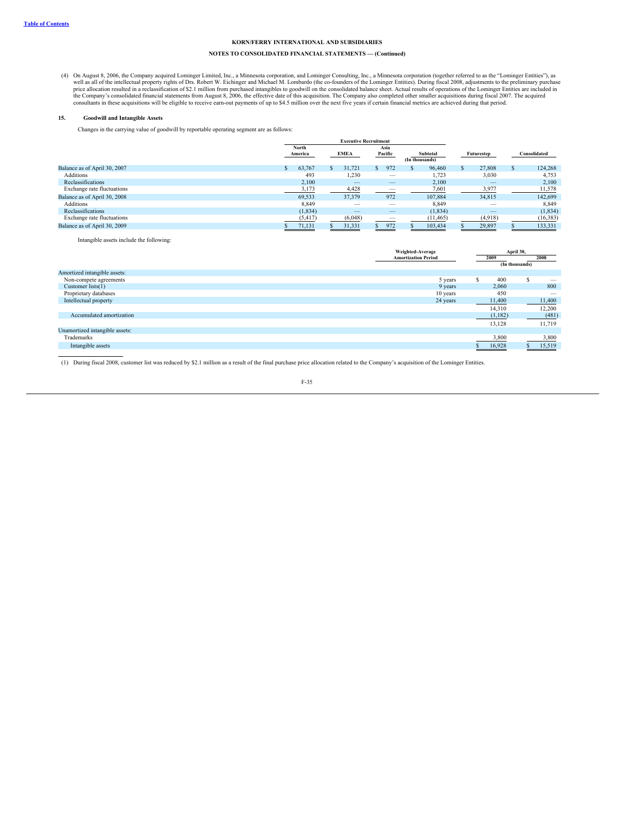## **NOTES TO CONSOLIDATED FINANCIAL STATEMENTS — (Continued)**

(4) On August 8, 2006, the Company acquired Lominger Limited, Inc., a Minnesota corporation, and Lominger Consulting, Inc., a Minnesota corporation (together referred to as the "Lominger Entities"), as well as all of the i

# **15. Goodwill and Intangible Assets**

Changes in the carrying value of goodwill by reportable operating segment are as follows:

|                              |                  | <b>Executive Recruitment</b> |  |                          |                |           |    |            |              |
|------------------------------|------------------|------------------------------|--|--------------------------|----------------|-----------|----|------------|--------------|
|                              | North<br>America | <b>EMEA</b>                  |  | Asia<br>Pacific          | (In thousands) | Subtotal  |    | Futurestep | Consolidated |
| Balance as of April 30, 2007 | 63.767           | 31.721                       |  | 972                      |                | 96,460    | S. | 27,808     | 124,268      |
| Additions                    | 493              | 1,230                        |  | $\overline{\phantom{a}}$ |                | 1,723     |    | 3,030      | 4,753        |
| Reclassifications            | 2.100            |                              |  | $-$                      |                | 2.100     |    | $-$        | 2,100        |
| Exchange rate fluctuations   | 3,173            | 4,428                        |  | $-$                      |                | 7,601     |    | 3,977      | 11,578       |
| Balance as of April 30, 2008 | 69.533           | 37,379                       |  | 972                      |                | 107.884   |    | 34,815     | 142,699      |
| <b>Additions</b>             | 8,849            |                              |  |                          |                | 8.849     |    |            | 8,849        |
| Reclassifications            | (1, 834)         |                              |  | $\overline{\phantom{a}}$ |                | (1,834)   |    |            | (1, 834)     |
| Exchange rate fluctuations   | (5, 417)         | (6,048)                      |  |                          |                | (11, 465) |    | (4,918)    | (16, 383)    |
| Balance as of April 30, 2009 | 71,131           | 31,331                       |  | 972                      |                | 103,434   |    | 29,897     | 133,331      |

Intangible assets include the following:

|                                | Weighted-Average           |         | April 30,      |
|--------------------------------|----------------------------|---------|----------------|
|                                | <b>Amortization Period</b> | 2009    | 2008           |
|                                |                            |         | (In thousands) |
| Amortized intangible assets:   |                            |         |                |
| Non-compete agreements         | 5 years                    | 400     | э              |
| Customer lists(1)              | 9 years                    | 2,060   | 800            |
| Proprietary databases          | 10 years                   | 450     |                |
| Intellectual property          | 24 years                   | 11,400  | 11,400         |
|                                |                            | 14,310  | 12,200         |
| Accumulated amortization       |                            | (1,182) | (481)          |
|                                |                            | 13,128  | 11,719         |
| Unamortized intangible assets: |                            |         |                |
| Trademarks                     |                            | 3,800   | 3,800          |
| Intangible assets              |                            | 16,928  | 15,519         |
|                                |                            |         |                |

(1) During fiscal 2008, customer list was reduced by \$2.1 million as a result of the final purchase price allocation related to the Company's acquisition of the Lominger Entities.

## F-35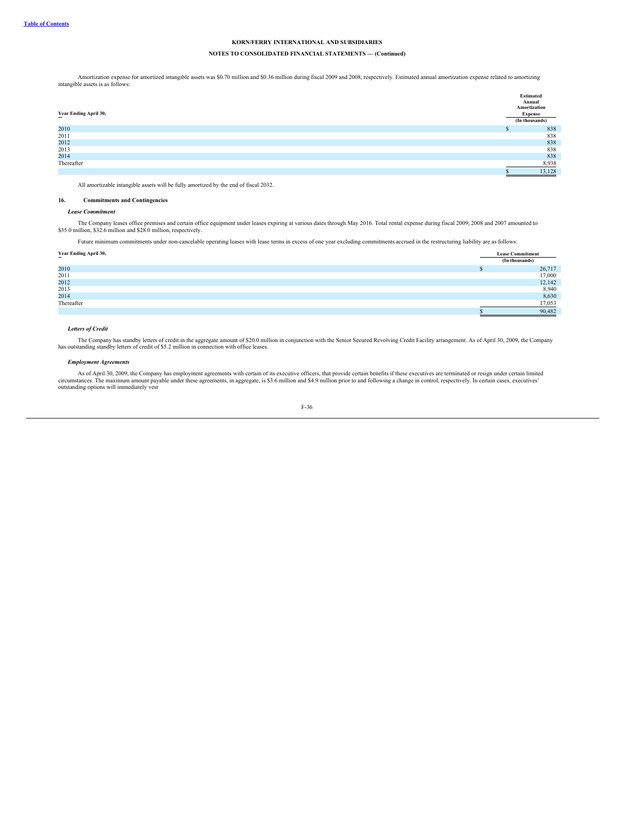## **NOTES TO CONSOLIDATED FINANCIAL STATEMENTS — (Continued)**

Amortization expense for amortized intangible assets was \$0.70 million and \$0.36 million during fiscal 2009 and 2008, respectively. Estimated annual amortization expense related to amortizing intangible assets is as follows:

|                       | Estimated      |
|-----------------------|----------------|
|                       | Annual         |
|                       | Amortization   |
| Year Ending April 30, | <b>Expense</b> |
|                       | (In thousands) |
| 2010                  | 838            |
| 2011                  | 838            |
| 2012                  | 838            |
|                       | 838            |
| $\frac{2013}{2014}$   | 838            |
| Thereafter            | 8,938          |
|                       | 13,128         |

All amortizable intangible assets will be fully amortized by the end of fiscal 2032.

#### **16. Commitments and Contingencies**

# *Lease Commitment*

The Company leases office premises and certain office equipment under leases expiring at various dates through May 2016. Total rental expense during fiscal 2009, 2008 and 2007 amounted to \$35.0 million, \$32.6 million and \$28.0 million, respectively.

Future minimum commitments under non-cancelable operating leases with lease terms in excess of one year excluding commitments accrued in the restructuring liability are as follows:

| Year Ending April 30, |  | <b>Lease Commitment</b> |
|-----------------------|--|-------------------------|
|                       |  | (In thousands)          |
| 2010                  |  | 26,717                  |
| 2011                  |  | 17,000                  |
| 2012                  |  | 12,142                  |
| 2013                  |  | 8,940                   |
| 2014                  |  | 8,630                   |
| Thereafter            |  | 17,053                  |
|                       |  | 90,482                  |

# *Letters of Credit*

The Company has standby letters of credit in the aggregate amount of \$20.0 million in conjunction with the Senior Secured Revolving Credit Facility arrangement. As of April 30, 2009, the Company has outstanding standby let

## *Employment Agreements*

As of April 30, 2009, the Company has employment agreements with certain of its executive officers, that provide certain benefits if these executives are terminated or resign under certain limited circumstances. The maximu

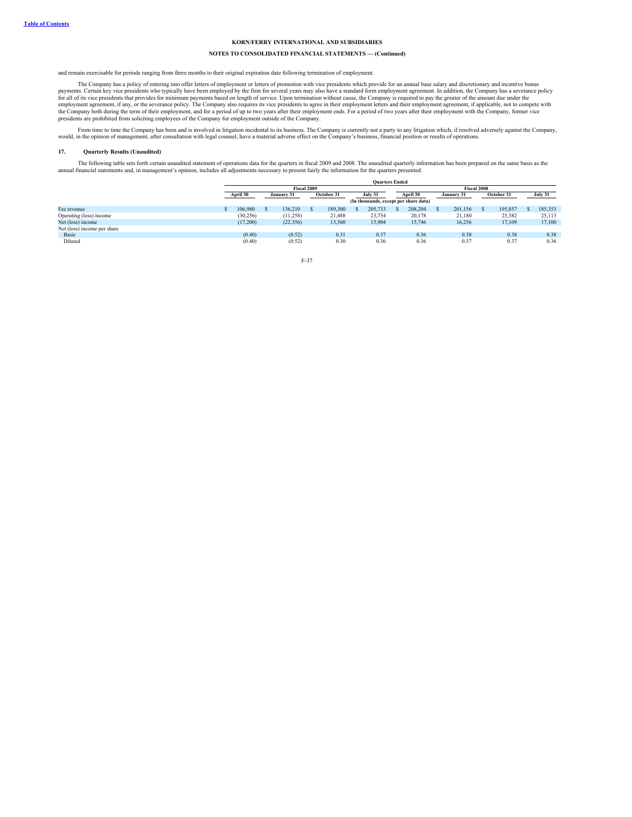#### **NOTES TO CONSOLIDATED FINANCIAL STATEMENTS — (Continued)**

and remain exercisable for periods ranging from three months to their original expiration date following termination of employment.

The Company has a policy of entering into offer letters of employment or letters of promotion with vice presidents which provide for an annual base salary and iscretionary and incentive bonus payments. Certain key vice presidents who typically have been employed by the firm for several years may also have a standard form employment agreement. In addition, the Company has a severance policy<br>for all of its vice p employment agreement, if any, or the severance policy. The Company also requires its vice presidents to agree in their employment letters and their employment agreement, if applicable, not to compete with<br>the Company both presidents are prohibited from soliciting employees of the Company for employment outside of the Company.

From time to time the Company has been and is involved in litigation incidental to its business. The Company is currently not a party to any litigation which, if resolved adversely against the Company, would, in the opinio

## **17. Quarterly Results (Unaudited)**

The following table sets forth certain unaudited statement of operations data for the quarters in fiscal 2009 and 2008. The unaudited quarterly information has been prepared on the same basis as the annual financial statements and, in management's opinion, includes all adjustments necessary to present fairly the information for the quarters presented.

|                             | <b>Ouarters Ended</b> |          |  |            |  |            |         |                                       |             |          |  |            |            |         |  |                |
|-----------------------------|-----------------------|----------|--|------------|--|------------|---------|---------------------------------------|-------------|----------|--|------------|------------|---------|--|----------------|
|                             | Fiscal 2009           |          |  |            |  |            |         |                                       | Fiscal 2008 |          |  |            |            |         |  |                |
|                             |                       | April 30 |  | January 31 |  | October 31 | July 31 |                                       |             | April 30 |  | January 31 | October 31 |         |  | <b>July 31</b> |
|                             |                       |          |  |            |  |            |         | (In thousands, except per share data) |             |          |  |            |            |         |  |                |
| Fee revenue                 |                       | 106.980  |  | 136,210    |  | 189,300    |         | 205,733                               |             | 208,204  |  | 201.156    |            | 195.857 |  | 185,353        |
| Operating (loss) income     |                       | (30.256) |  | (11,258)   |  | 21.488     |         | 23.754                                |             | 20.178   |  | 21.180     |            | 25.382  |  | 25.113         |
| Net (loss) income           |                       | (17,200) |  | (22, 356)  |  | 13,560     |         | 15.904                                |             | 15,746   |  | 16,256     |            | 17,109  |  | 17,100         |
| Net (loss) income per share |                       |          |  |            |  |            |         |                                       |             |          |  |            |            |         |  |                |
| Basic                       |                       | (0.40)   |  | (0.52)     |  | 0.31       |         | 0.37                                  |             | 0.36     |  | 0.38       |            | 0.38    |  | 0.38           |
| Diluted                     |                       | (0.40)   |  | (0.52)     |  | 0.30       |         | 0.36                                  |             | 0.36     |  | 0.37       |            | 0.37    |  | 0.36           |

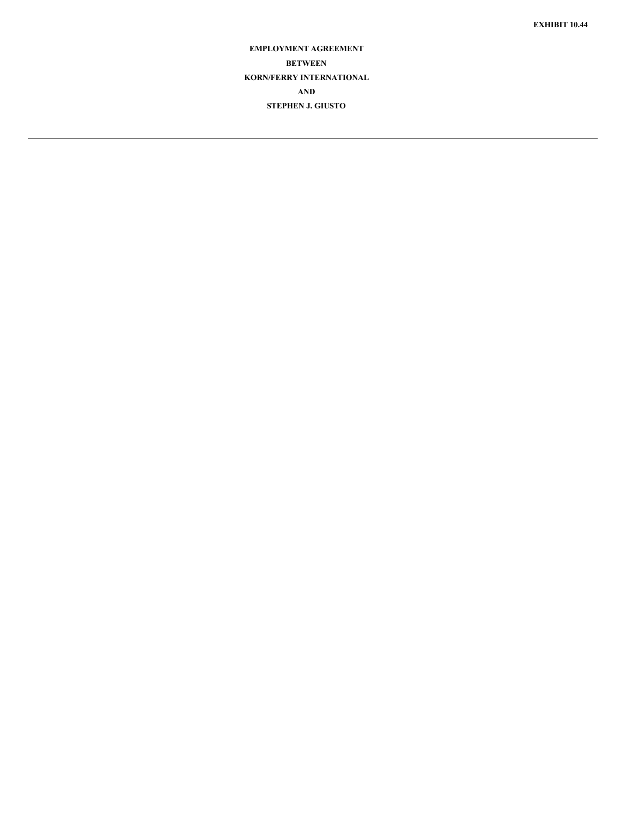**EMPLOYMENT AGREEMENT BETWEEN KORN/FERRY INTERNATIONAL AND STEPHEN J. GIUSTO**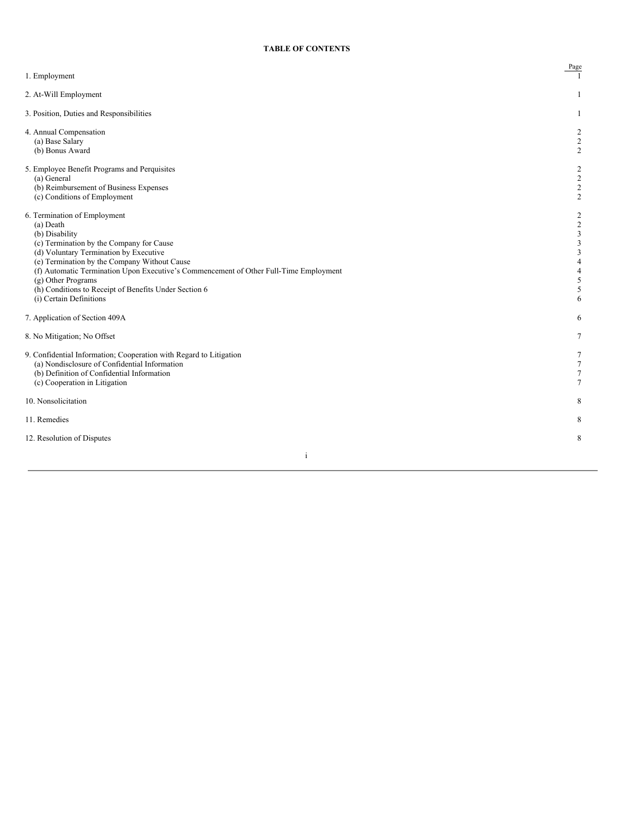| 1. Employment                                                                                                                                                                                                                                                                                                                                                                                        | Page                                                                                               |
|------------------------------------------------------------------------------------------------------------------------------------------------------------------------------------------------------------------------------------------------------------------------------------------------------------------------------------------------------------------------------------------------------|----------------------------------------------------------------------------------------------------|
| 2. At-Will Employment                                                                                                                                                                                                                                                                                                                                                                                | 1                                                                                                  |
| 3. Position, Duties and Responsibilities                                                                                                                                                                                                                                                                                                                                                             | -1                                                                                                 |
| 4. Annual Compensation<br>(a) Base Salary<br>(b) Bonus Award                                                                                                                                                                                                                                                                                                                                         | 2<br>$\overline{2}$<br>2                                                                           |
| 5. Employee Benefit Programs and Perquisites<br>(a) General<br>(b) Reimbursement of Business Expenses<br>(c) Conditions of Employment                                                                                                                                                                                                                                                                | $\overline{c}$<br>$\overline{2}$<br>$\overline{2}$<br>2                                            |
| 6. Termination of Employment<br>(a) Death<br>(b) Disability<br>(c) Termination by the Company for Cause<br>(d) Voluntary Termination by Executive<br>(e) Termination by the Company Without Cause<br>(f) Automatic Termination Upon Executive's Commencement of Other Full-Time Employment<br>(g) Other Programs<br>(h) Conditions to Receipt of Benefits Under Section 6<br>(i) Certain Definitions | $\overline{c}$<br>$\overline{2}$<br>$\overline{3}$<br>3<br>3<br>4<br>$\overline{4}$<br>5<br>5<br>6 |
| 7. Application of Section 409A                                                                                                                                                                                                                                                                                                                                                                       | 6                                                                                                  |
| 8. No Mitigation; No Offset                                                                                                                                                                                                                                                                                                                                                                          | 7                                                                                                  |
| 9. Confidential Information; Cooperation with Regard to Litigation<br>(a) Nondisclosure of Confidential Information<br>(b) Definition of Confidential Information<br>(c) Cooperation in Litigation                                                                                                                                                                                                   | 7<br>$\tau$<br>$\tau$<br>$\tau$                                                                    |
| 10. Nonsolicitation                                                                                                                                                                                                                                                                                                                                                                                  | 8                                                                                                  |
| 11. Remedies                                                                                                                                                                                                                                                                                                                                                                                         | 8                                                                                                  |
| 12. Resolution of Disputes                                                                                                                                                                                                                                                                                                                                                                           | 8                                                                                                  |
| $\mathbf{i}$                                                                                                                                                                                                                                                                                                                                                                                         |                                                                                                    |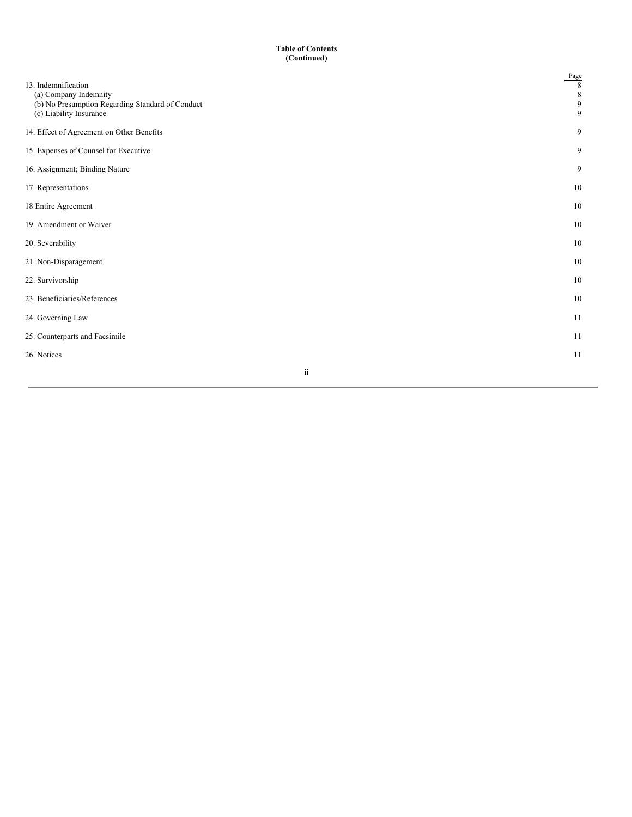| 13. Indemnification<br>(a) Company Indemnity<br>(b) No Presumption Regarding Standard of Conduct<br>(c) Liability Insurance | Page<br>8<br>8<br>9<br>9 |
|-----------------------------------------------------------------------------------------------------------------------------|--------------------------|
| 14. Effect of Agreement on Other Benefits                                                                                   | 9                        |
| 15. Expenses of Counsel for Executive                                                                                       | 9                        |
| 16. Assignment; Binding Nature                                                                                              | 9                        |
| 17. Representations                                                                                                         | 10                       |
| 18 Entire Agreement                                                                                                         | 10                       |
| 19. Amendment or Waiver                                                                                                     | 10                       |
| 20. Severability                                                                                                            | 10                       |
| 21. Non-Disparagement                                                                                                       | 10                       |
| 22. Survivorship                                                                                                            | 10                       |
| 23. Beneficiaries/References                                                                                                | 10                       |
| 24. Governing Law                                                                                                           | 11                       |
| 25. Counterparts and Facsimile                                                                                              | 11                       |
| 26. Notices                                                                                                                 | 11                       |
| $\rm ii$                                                                                                                    |                          |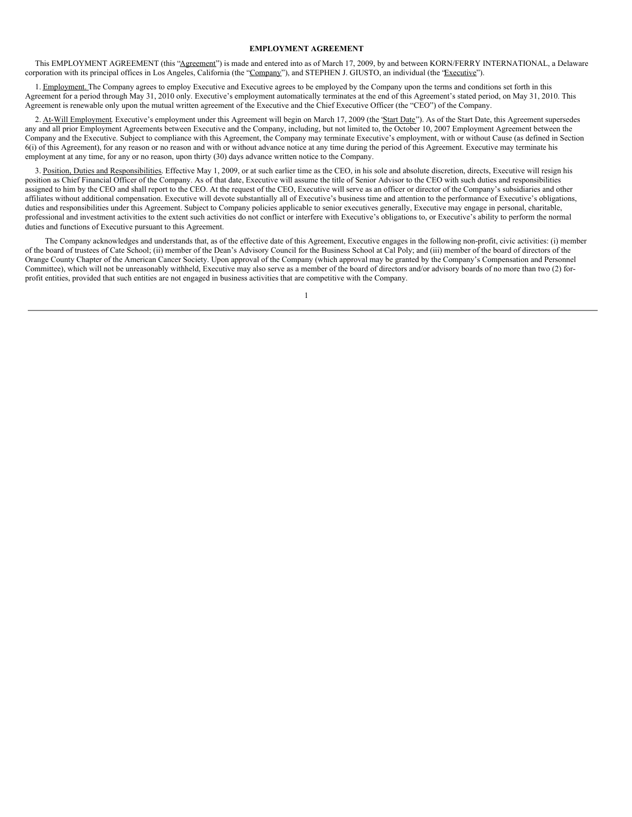# **EMPLOYMENT AGREEMENT**

This EMPLOYMENT AGREEMENT (this "Agreement") is made and entered into as of March 17, 2009, by and between KORN/FERRY INTERNATIONAL, a Delaware corporation with its principal offices in Los Angeles, California (the "Company"), and STEPHEN J. GIUSTO, an individual (the "Executive").

1. Employment. The Company agrees to employ Executive and Executive agrees to be employed by the Company upon the terms and conditions set forth in this Agreement for a period through May 31, 2010 only. Executive's employment automatically terminates at the end of this Agreement's stated period, on May 31, 2010. This Agreement is renewable only upon the mutual written agreement of the Executive and the Chief Executive Officer (the "CEO") of the Company.

2. At-Will Employment. Executive's employment under this Agreement will begin on March 17, 2009 (the 'Start Date''). As of the Start Date, this Agreement supersedes any and all prior Employment Agreements between Executive and the Company, including, but not limited to, the October 10, 2007 Employment Agreement between the Company and the Executive. Subject to compliance with this Agreement, the Company may terminate Executive's employment, with or without Cause (as defined in Section 6(i) of this Agreement), for any reason or no reason and with or without advance notice at any time during the period of this Agreement. Executive may terminate his employment at any time, for any or no reason, upon thirty (30) days advance written notice to the Company.

3. Position, Duties and Responsibilities. Effective May 1, 2009, or at such earlier time as the CEO, in his sole and absolute discretion, directs, Executive will resign his position as Chief Financial Officer of the Company. As of that date, Executive will assume the title of Senior Advisor to the CEO with such duties and responsibilities assigned to him by the CEO and shall report to the CEO. At the request of the CEO, Executive will serve as an officer or director of the Company's subsidiaries and other affiliates without additional compensation. Executive will devote substantially all of Executive's business time and attention to the performance of Executive's obligations, duties and responsibilities under this Agreement. Subject to Company policies applicable to senior executives generally, Executive may engage in personal, charitable, professional and investment activities to the extent such activities do not conflict or interfere with Executive's obligations to, or Executive's ability to perform the normal duties and functions of Executive pursuant to this Agreement.

The Company acknowledges and understands that, as of the effective date of this Agreement, Executive engages in the following non-profit, civic activities: (i) member of the board of trustees of Cate School; (ii) member of the Dean's Advisory Council for the Business School at Cal Poly; and (iii) member of the board of directors of the Orange County Chapter of the American Cancer Society. Upon approval of the Company (which approval may be granted by the Company's Compensation and Personnel Committee), which will not be unreasonably withheld, Executive may also serve as a member of the board of directors and/or advisory boards of no more than two (2) forprofit entities, provided that such entities are not engaged in business activities that are competitive with the Company.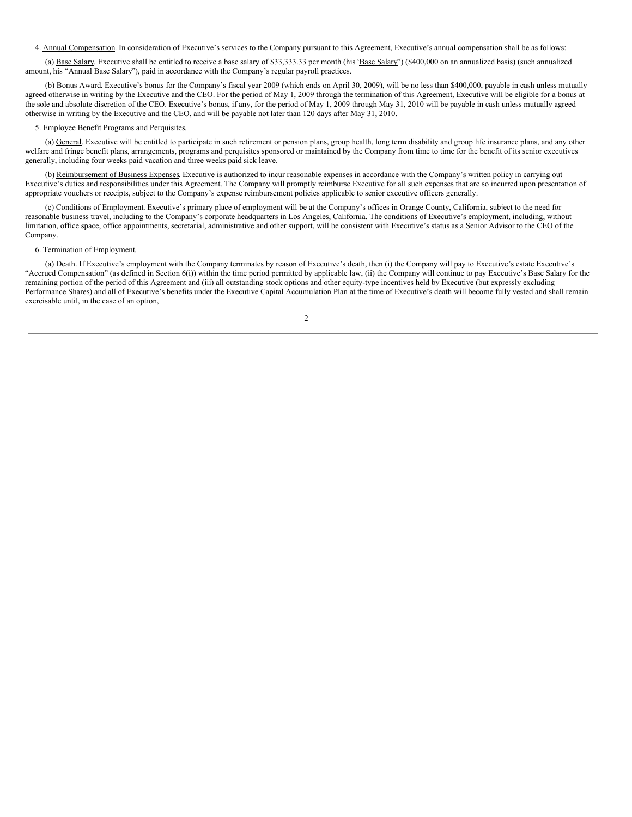#### 4. Annual Compensation. In consideration of Executive's services to the Company pursuant to this Agreement, Executive's annual compensation shall be as follows:

(a) Base Salary. Executive shall be entitled to receive a base salary of \$33,333.33 per month (his 'Base Salary') (\$400,000 on an annualized basis) (such annualized amount, his "Annual Base Salary"), paid in accordance with the Company's regular payroll practices.

(b) Bonus Award. Executive's bonus for the Company's fiscal year 2009 (which ends on April 30, 2009), will be no less than \$400,000, payable in cash unless mutually agreed otherwise in writing by the Executive and the CEO. For the period of May 1, 2009 through the termination of this Agreement, Executive will be eligible for a bonus at the sole and absolute discretion of the CEO. Executive's bonus, if any, for the period of May 1, 2009 through May 31, 2010 will be payable in cash unless mutually agreed otherwise in writing by the Executive and the CEO, and will be payable not later than 120 days after May 31, 2010.

# 5. Employee Benefit Programs and Perquisites.

(a) General. Executive will be entitled to participate in such retirement or pension plans, group health, long term disability and group life insurance plans, and any other welfare and fringe benefit plans, arrangements, programs and perquisites sponsored or maintained by the Company from time to time for the benefit of its senior executives generally, including four weeks paid vacation and three weeks paid sick leave.

(b) Reimbursement of Business Expenses. Executive is authorized to incur reasonable expenses in accordance with the Company's written policy in carrying out Executive's duties and responsibilities under this Agreement. The Company will promptly reimburse Executive for all such expenses that are so incurred upon presentation of appropriate vouchers or receipts, subject to the Company's expense reimbursement policies applicable to senior executive officers generally.

(c) Conditions of Employment. Executive's primary place of employment will be at the Company's offices in Orange County, California, subject to the need for reasonable business travel, including to the Company's corporate headquarters in Los Angeles, California. The conditions of Executive's employment, including, without limitation, office space, office appointments, secretarial, administrative and other support, will be consistent with Executive's status as a Senior Advisor to the CEO of the Company.

# 6. Termination of Employment.

(a) Death. If Executive's employment with the Company terminates by reason of Executive's death, then (i) the Company will pay to Executive's estate Executive's "Accrued Compensation" (as defined in Section 6(i)) within the time period permitted by applicable law, (ii) the Company will continue to pay Executive's Base Salary for the remaining portion of the period of this Agreement and (iii) all outstanding stock options and other equity-type incentives held by Executive (but expressly excluding Performance Shares) and all of Executive's benefits under the Executive Capital Accumulation Plan at the time of Executive's death will become fully vested and shall remain exercisable until, in the case of an option,

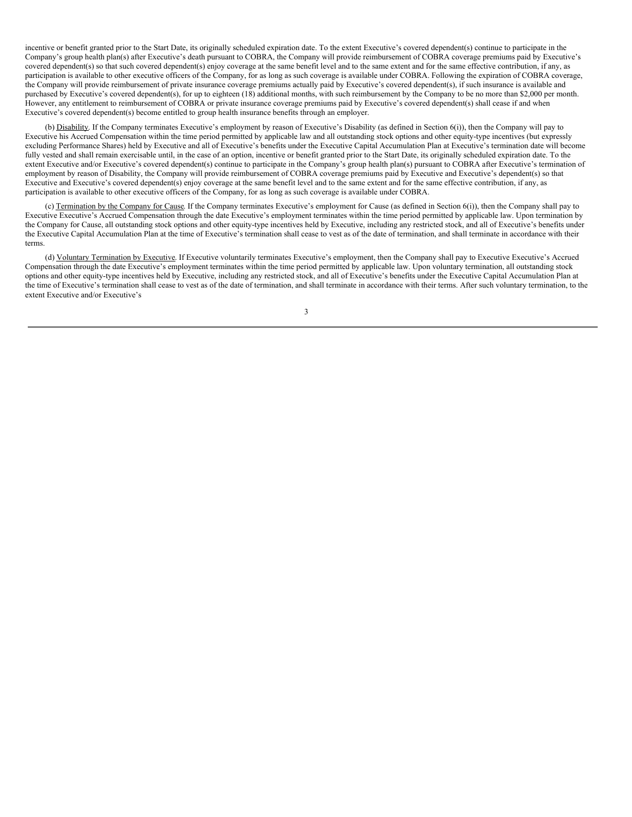incentive or benefit granted prior to the Start Date, its originally scheduled expiration date. To the extent Executive's covered dependent(s) continue to participate in the Company's group health plan(s) after Executive's death pursuant to COBRA, the Company will provide reimbursement of COBRA coverage premiums paid by Executive's covered dependent(s) so that such covered dependent(s) enjoy coverage at the same benefit level and to the same extent and for the same effective contribution, if any, as participation is available to other executive officers of the Company, for as long as such coverage is available under COBRA. Following the expiration of COBRA coverage, the Company will provide reimbursement of private insurance coverage premiums actually paid by Executive's covered dependent(s), if such insurance is available and purchased by Executive's covered dependent(s), for up to eighteen (18) additional months, with such reimbursement by the Company to be no more than \$2,000 per month. However, any entitlement to reimbursement of COBRA or private insurance coverage premiums paid by Executive's covered dependent(s) shall cease if and when Executive's covered dependent(s) become entitled to group health insurance benefits through an employer.

(b) Disability. If the Company terminates Executive's employment by reason of Executive's Disability (as defined in Section 6(i)), then the Company will pay to Executive his Accrued Compensation within the time period permitted by applicable law and all outstanding stock options and other equity-type incentives (but expressly excluding Performance Shares) held by Executive and all of Executive's benefits under the Executive Capital Accumulation Plan at Executive's termination date will become fully vested and shall remain exercisable until, in the case of an option, incentive or benefit granted prior to the Start Date, its originally scheduled expiration date. To the extent Executive and/or Executive's covered dependent(s) continue to participate in the Company's group health plan(s) pursuant to COBRA after Executive's termination of employment by reason of Disability, the Company will provide reimbursement of COBRA coverage premiums paid by Executive and Executive's dependent(s) so that Executive and Executive's covered dependent(s) enjoy coverage at the same benefit level and to the same extent and for the same effective contribution, if any, as participation is available to other executive officers of the Company, for as long as such coverage is available under COBRA.

(c) Termination by the Company for Cause. If the Company terminates Executive's employment for Cause (as defined in Section 6(i)), then the Company shall pay to Executive Executive's Accrued Compensation through the date Executive's employment terminates within the time period permitted by applicable law. Upon termination by the Company for Cause, all outstanding stock options and other equity-type incentives held by Executive, including any restricted stock, and all of Executive's benefits under the Executive Capital Accumulation Plan at the time of Executive's termination shall cease to vest as of the date of termination, and shall terminate in accordance with their terms.

(d) Voluntary Termination by Executive. If Executive voluntarily terminates Executive's employment, then the Company shall pay to Executive's Accrued Compensation through the date Executive's employment terminates within the time period permitted by applicable law. Upon voluntary termination, all outstanding stock options and other equity-type incentives held by Executive, including any restricted stock, and all of Executive's benefits under the Executive Capital Accumulation Plan at the time of Executive's termination shall cease to vest as of the date of termination, and shall terminate in accordance with their terms. After such voluntary termination, to the extent Executive and/or Executive's

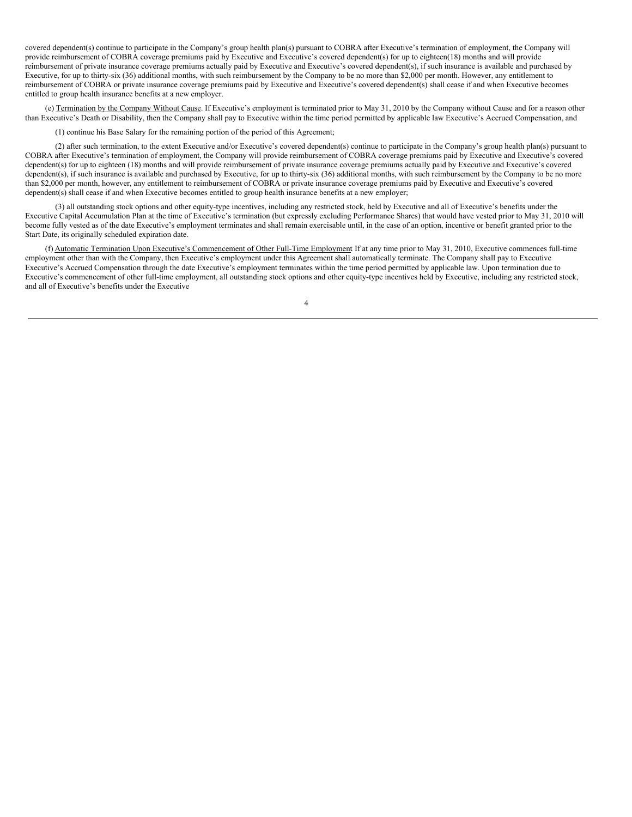covered dependent(s) continue to participate in the Company's group health plan(s) pursuant to COBRA after Executive's termination of employment, the Company will provide reimbursement of COBRA coverage premiums paid by Executive and Executive's covered dependent(s) for up to eighteen(18) months and will provide reimbursement of private insurance coverage premiums actually paid by Executive and Executive's covered dependent(s), if such insurance is available and purchased by Executive, for up to thirty-six (36) additional months, with such reimbursement by the Company to be no more than \$2,000 per month. However, any entitlement to reimbursement of COBRA or private insurance coverage premiums paid by Executive and Executive's covered dependent(s) shall cease if and when Executive becomes entitled to group health insurance benefits at a new employer.

(e) Termination by the Company Without Cause. If Executive's employment is terminated prior to May 31, 2010 by the Company without Cause and for a reason other than Executive's Death or Disability, then the Company shall pay to Executive within the time period permitted by applicable law Executive's Accrued Compensation, and

(1) continue his Base Salary for the remaining portion of the period of this Agreement;

(2) after such termination, to the extent Executive and/or Executive's covered dependent(s) continue to participate in the Company's group health plan(s) pursuant to COBRA after Executive's termination of employment, the Company will provide reimbursement of COBRA coverage premiums paid by Executive and Executive's covered dependent(s) for up to eighteen (18) months and will provide reimbursement of private insurance coverage premiums actually paid by Executive and Executive's covered dependent(s), if such insurance is available and purchased by Executive, for up to thirty-six (36) additional months, with such reimbursement by the Company to be no more than \$2,000 per month, however, any entitlement to reimbursement of COBRA or private insurance coverage premiums paid by Executive and Executive's covered dependent(s) shall cease if and when Executive becomes entitled to group health insurance benefits at a new employer;

(3) all outstanding stock options and other equity-type incentives, including any restricted stock, held by Executive and all of Executive's benefits under the Executive Capital Accumulation Plan at the time of Executive's termination (but expressly excluding Performance Shares) that would have vested prior to May 31, 2010 will become fully vested as of the date Executive's employment terminates and shall remain exercisable until, in the case of an option, incentive or benefit granted prior to the Start Date, its originally scheduled expiration date.

(f) Automatic Termination Upon Executive's Commencement of Other Full-Time Employment If at any time prior to May 31, 2010, Executive commences full-time employment other than with the Company, then Executive's employment under this Agreement shall automatically terminate. The Company shall pay to Executive Executive's Accrued Compensation through the date Executive's employment terminates within the time period permitted by applicable law. Upon termination due to Executive's commencement of other full-time employment, all outstanding stock options and other equity-type incentives held by Executive, including any restricted stock, and all of Executive's benefits under the Executive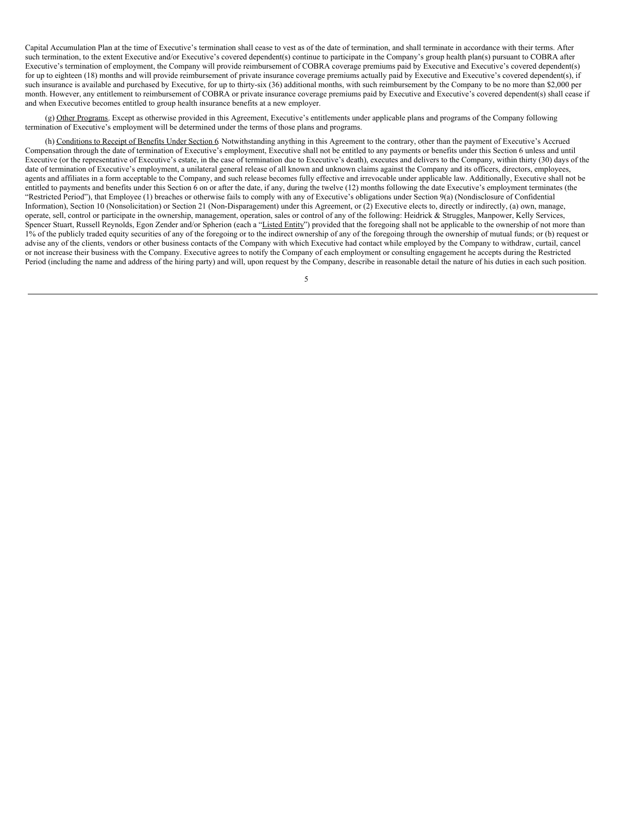Capital Accumulation Plan at the time of Executive's termination shall cease to vest as of the date of termination, and shall terminate in accordance with their terms. After such termination, to the extent Executive and/or Executive's covered dependent(s) continue to participate in the Company's group health plan(s) pursuant to COBRA after Executive's termination of employment, the Company will provide reimbursement of COBRA coverage premiums paid by Executive and Executive's covered dependent(s) for up to eighteen (18) months and will provide reimbursement of private insurance coverage premiums actually paid by Executive and Executive's covered dependent(s), if such insurance is available and purchased by Executive, for up to thirty-six (36) additional months, with such reimbursement by the Company to be no more than \$2,000 per month. However, any entitlement to reimbursement of COBRA or private insurance coverage premiums paid by Executive and Executive's covered dependent(s) shall cease if and when Executive becomes entitled to group health insurance benefits at a new employer.

(g) Other Programs. Except as otherwise provided in this Agreement, Executive's entitlements under applicable plans and programs of the Company following termination of Executive's employment will be determined under the terms of those plans and programs.

(h) Conditions to Receipt of Benefits Under Section 6. Notwithstanding anything in this Agreement to the contrary, other than the payment of Executive's Accrued Compensation through the date of termination of Executive's employment, Executive shall not be entitled to any payments or benefits under this Section 6 unless and until Executive (or the representative of Executive's estate, in the case of termination due to Executive's death), executes and delivers to the Company, within thirty (30) days of the date of termination of Executive's employment, a unilateral general release of all known and unknown claims against the Company and its officers, directors, employees, agents and affiliates in a form acceptable to the Company, and such release becomes fully effective and irrevocable under applicable law. Additionally, Executive shall not be entitled to payments and benefits under this Section 6 on or after the date, if any, during the twelve (12) months following the date Executive's employment terminates (the "Restricted Period"), that Employee (1) breaches or otherwise fails to comply with any of Executive's obligations under Section 9(a) (Nondisclosure of Confidential Information), Section 10 (Nonsolicitation) or Section 21 (Non-Disparagement) under this Agreement, or (2) Executive elects to, directly or indirectly, (a) own, manage, operate, sell, control or participate in the ownership, management, operation, sales or control of any of the following: Heidrick & Struggles, Manpower, Kelly Services, Spencer Stuart, Russell Reynolds, Egon Zender and/or Spherion (each a "Listed Entity") provided that the foregoing shall not be applicable to the ownership of not more than 1% of the publicly traded equity securities of any of the foregoing or to the indirect ownership of any of the foregoing through the ownership of mutual funds; or (b) request or advise any of the clients, vendors or other business contacts of the Company with which Executive had contact while employed by the Company to withdraw, curtail, cancel or not increase their business with the Company. Executive agrees to notify the Company of each employment or consulting engagement he accepts during the Restricted Period (including the name and address of the hiring party) and will, upon request by the Company, describe in reasonable detail the nature of his duties in each such position.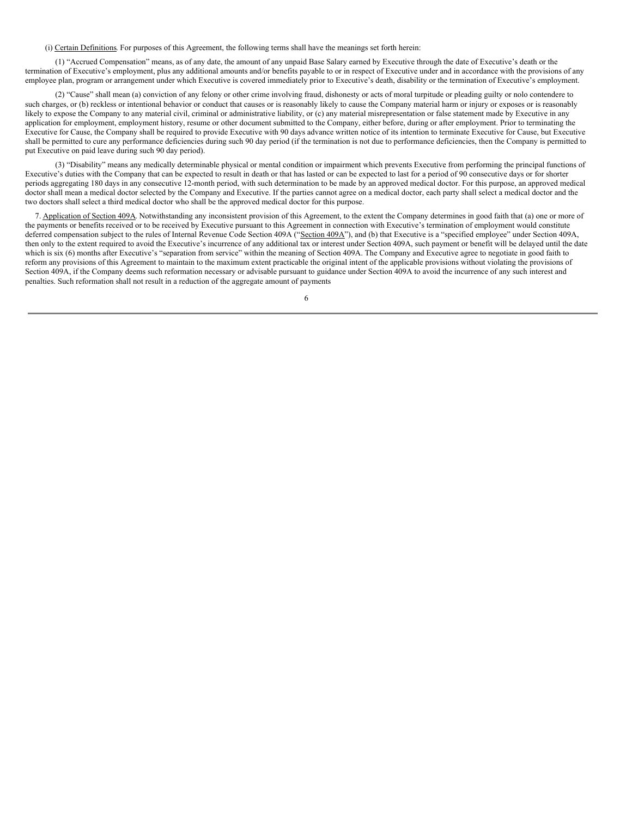(i) Certain Definitions. For purposes of this Agreement, the following terms shall have the meanings set forth herein:

(1) "Accrued Compensation" means, as of any date, the amount of any unpaid Base Salary earned by Executive through the date of Executive's death or the termination of Executive's employment, plus any additional amounts and/or benefits payable to or in respect of Executive under and in accordance with the provisions of any employee plan, program or arrangement under which Executive is covered immediately prior to Executive's death, disability or the termination of Executive's employment.

(2) "Cause" shall mean (a) conviction of any felony or other crime involving fraud, dishonesty or acts of moral turpitude or pleading guilty or nolo contendere to such charges, or (b) reckless or intentional behavior or conduct that causes or is reasonably likely to cause the Company material harm or injury or exposes or is reasonably likely to expose the Company to any material civil, criminal or administrative liability, or (c) any material misrepresentation or false statement made by Executive in any application for employment, employment history, resume or other document submitted to the Company, either before, during or after employment. Prior to terminating the Executive for Cause, the Company shall be required to provide Executive with 90 days advance written notice of its intention to terminate Executive for Cause, but Executive shall be permitted to cure any performance deficiencies during such 90 day period (if the termination is not due to performance deficiencies, then the Company is permitted to put Executive on paid leave during such 90 day period).

(3) "Disability" means any medically determinable physical or mental condition or impairment which prevents Executive from performing the principal functions of Executive's duties with the Company that can be expected to result in death or that has lasted or can be expected to last for a period of 90 consecutive days or for shorter periods aggregating 180 days in any consecutive 12-month period, with such determination to be made by an approved medical doctor. For this purpose, an approved medical doctor shall mean a medical doctor selected by the Company and Executive. If the parties cannot agree on a medical doctor, each party shall select a medical doctor and the two doctors shall select a third medical doctor who shall be the approved medical doctor for this purpose.

7. Application of Section 409A. Notwithstanding any inconsistent provision of this Agreement, to the extent the Company determines in good faith that (a) one or more of the payments or benefits received or to be received by Executive pursuant to this Agreement in connection with Executive's termination of employment would constitute deferred compensation subject to the rules of Internal Revenue Code Section 409A ("Section 409A"), and (b) that Executive is a "specified employee" under Section 409A, then only to the extent required to avoid the Executive's incurrence of any additional tax or interest under Section 409A, such payment or benefit will be delayed until the date which is six (6) months after Executive's "separation from service" within the meaning of Section 409A. The Company and Executive agree to negotiate in good faith to reform any provisions of this Agreement to maintain to the maximum extent practicable the original intent of the applicable provisions without violating the provisions of Section 409A, if the Company deems such reformation necessary or advisable pursuant to guidance under Section 409A to avoid the incurrence of any such interest and penalties. Such reformation shall not result in a reduction of the aggregate amount of payments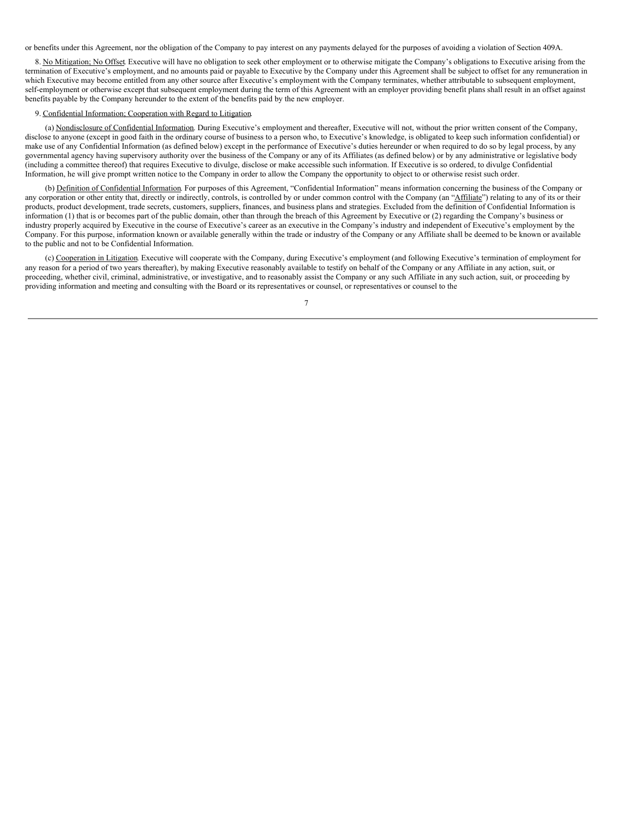or benefits under this Agreement, nor the obligation of the Company to pay interest on any payments delayed for the purposes of avoiding a violation of Section 409A.

8. No Mitigation; No Offset. Executive will have no obligation to seek other employment or to otherwise mitigate the Company's obligations to Executive arising from the termination of Executive's employment, and no amounts paid or payable to Executive by the Company under this Agreement shall be subject to offset for any remuneration in which Executive may become entitled from any other source after Executive's employment with the Company terminates, whether attributable to subsequent employment, self-employment or otherwise except that subsequent employment during the term of this Agreement with an employer providing benefit plans shall result in an offset against benefits payable by the Company hereunder to the extent of the benefits paid by the new employer.

# 9. Confidential Information; Cooperation with Regard to Litigation.

(a) Nondisclosure of Confidential Information. During Executive's employment and thereafter, Executive will not, without the prior written consent of the Company, disclose to anyone (except in good faith in the ordinary course of business to a person who, to Executive's knowledge, is obligated to keep such information confidential) or make use of any Confidential Information (as defined below) except in the performance of Executive's duties hereunder or when required to do so by legal process, by any governmental agency having supervisory authority over the business of the Company or any of its Affiliates (as defined below) or by any administrative or legislative body (including a committee thereof) that requires Executive to divulge, disclose or make accessible such information. If Executive is so ordered, to divulge Confidential Information, he will give prompt written notice to the Company in order to allow the Company the opportunity to object to or otherwise resist such order.

(b) Definition of Confidential Information. For purposes of this Agreement, "Confidential Information" means information concerning the business of the Company or any corporation or other entity that, directly or indirectly, controls, is controlled by or under common control with the Company (an "Affiliate") relating to any of its or their products, product development, trade secrets, customers, suppliers, finances, and business plans and strategies. Excluded from the definition of Confidential Information is information (1) that is or becomes part of the public domain, other than through the breach of this Agreement by Executive or (2) regarding the Company's business or industry properly acquired by Executive in the course of Executive's career as an executive in the Company's industry and independent of Executive's employment by the Company. For this purpose, information known or available generally within the trade or industry of the Company or any Affiliate shall be deemed to be known or available to the public and not to be Confidential Information.

(c) Cooperation in Litigation. Executive will cooperate with the Company, during Executive's employment (and following Executive's termination of employment for any reason for a period of two years thereafter), by making Executive reasonably available to testify on behalf of the Company or any Affiliate in any action, suit, or proceeding, whether civil, criminal, administrative, or investigative, and to reasonably assist the Company or any such Affiliate in any such action, suit, or proceeding by providing information and meeting and consulting with the Board or its representatives or counsel, or representatives or counsel to the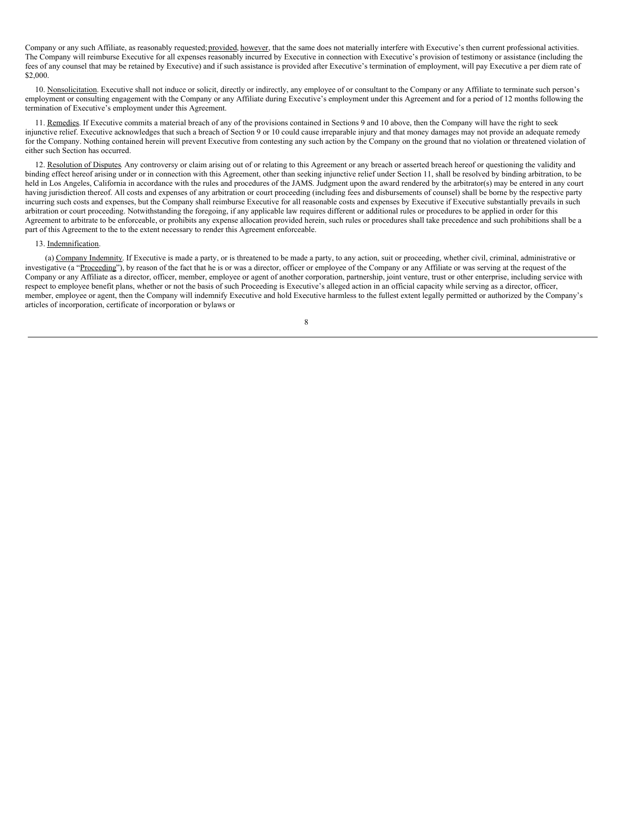Company or any such Affiliate, as reasonably requested; provided, however, that the same does not materially interfere with Executive's then current professional activities. The Company will reimburse Executive for all expenses reasonably incurred by Executive in connection with Executive's provision of testimony or assistance (including the fees of any counsel that may be retained by Executive) and if such assistance is provided after Executive's termination of employment, will pay Executive a per diem rate of \$2,000.

10. Nonsolicitation. Executive shall not induce or solicit, directly or indirectly, any employee of or consultant to the Company or any Affiliate to terminate such person's employment or consulting engagement with the Company or any Affiliate during Executive's employment under this Agreement and for a period of 12 months following the termination of Executive's employment under this Agreement.

11. Remedies. If Executive commits a material breach of any of the provisions contained in Sections 9 and 10 above, then the Company will have the right to seek injunctive relief. Executive acknowledges that such a breach of Section 9 or 10 could cause irreparable injury and that money damages may not provide an adequate remedy for the Company. Nothing contained herein will prevent Executive from contesting any such action by the Company on the ground that no violation or threatened violation of either such Section has occurred.

12. Resolution of Disputes. Any controversy or claim arising out of or relating to this Agreement or any breach or asserted breach hereof or questioning the validity and binding effect hereof arising under or in connection with this Agreement, other than seeking injunctive relief under Section 11, shall be resolved by binding arbitration, to be held in Los Angeles, California in accordance with the rules and procedures of the JAMS. Judgment upon the award rendered by the arbitrator(s) may be entered in any court having jurisdiction thereof. All costs and expenses of any arbitration or court proceeding (including fees and disbursements of counsel) shall be borne by the respective party incurring such costs and expenses, but the Company shall reimburse Executive for all reasonable costs and expenses by Executive if Executive substantially prevails in such arbitration or court proceeding. Notwithstanding the foregoing, if any applicable law requires different or additional rules or procedures to be applied in order for this Agreement to arbitrate to be enforceable, or prohibits any expense allocation provided herein, such rules or procedures shall take precedence and such prohibitions shall be a part of this Agreement to the to the extent necessary to render this Agreement enforceable.

## 13. Indemnification.

(a) Company Indemnity. If Executive is made a party, or is threatened to be made a party, to any action, suit or proceeding, whether civil, criminal, administrative or investigative (a "Proceeding"), by reason of the fact that he is or was a director, officer or employee of the Company or any Affiliate or was serving at the request of the Company or any Affiliate as a director, officer, member, employee or agent of another corporation, partnership, joint venture, trust or other enterprise, including service with respect to employee benefit plans, whether or not the basis of such Proceeding is Executive's alleged action in an official capacity while serving as a director, officer, member, employee or agent, then the Company will indemnify Executive and hold Executive harmless to the fullest extent legally permitted or authorized by the Company's articles of incorporation, certificate of incorporation or bylaws or

| I            |
|--------------|
| ï<br>×<br>۰, |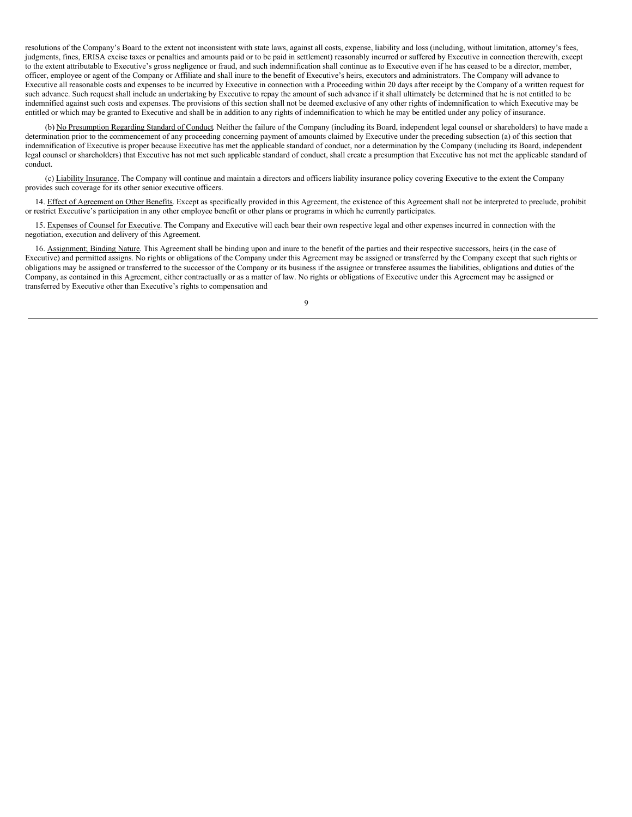resolutions of the Company's Board to the extent not inconsistent with state laws, against all costs, expense, liability and loss (including, without limitation, attorney's fees, judgments, fines, ERISA excise taxes or penalties and amounts paid or to be paid in settlement) reasonably incurred or suffered by Executive in connection therewith, except to the extent attributable to Executive's gross negligence or fraud, and such indemnification shall continue as to Executive even if he has ceased to be a director, member, officer, employee or agent of the Company or Affiliate and shall inure to the benefit of Executive's heirs, executors and administrators. The Company will advance to Executive all reasonable costs and expenses to be incurred by Executive in connection with a Proceeding within 20 days after receipt by the Company of a written request for such advance. Such request shall include an undertaking by Executive to repay the amount of such advance if it shall ultimately be determined that he is not entitled to be indemnified against such costs and expenses. The provisions of this section shall not be deemed exclusive of any other rights of indemnification to which Executive may be entitled or which may be granted to Executive and shall be in addition to any rights of indemnification to which he may be entitled under any policy of insurance.

(b) No Presumption Regarding Standard of Conduct. Neither the failure of the Company (including its Board, independent legal counsel or shareholders) to have made a determination prior to the commencement of any proceeding concerning payment of amounts claimed by Executive under the preceding subsection (a) of this section that indemnification of Executive is proper because Executive has met the applicable standard of conduct, nor a determination by the Company (including its Board, independent legal counsel or shareholders) that Executive has not met such applicable standard of conduct, shall create a presumption that Executive has not met the applicable standard of conduct.

(c) Liability Insurance. The Company will continue and maintain a directors and officers liability insurance policy covering Executive to the extent the Company provides such coverage for its other senior executive officers.

14. Effect of Agreement on Other Benefits. Except as specifically provided in this Agreement, the existence of this Agreement shall not be interpreted to preclude, prohibit or restrict Executive's participation in any other employee benefit or other plans or programs in which he currently participates.

15. Expenses of Counsel for Executive. The Company and Executive will each bear their own respective legal and other expenses incurred in connection with the negotiation, execution and delivery of this Agreement.

16. Assignment; Binding Nature. This Agreement shall be binding upon and inure to the benefit of the parties and their respective successors, heirs (in the case of Executive) and permitted assigns. No rights or obligations of the Company under this Agreement may be assigned or transferred by the Company except that such rights or obligations may be assigned or transferred to the successor of the Company or its business if the assignee or transferee assumes the liabilities, obligations and duties of the Company, as contained in this Agreement, either contractually or as a matter of law. No rights or obligations of Executive under this Agreement may be assigned or transferred by Executive other than Executive's rights to compensation and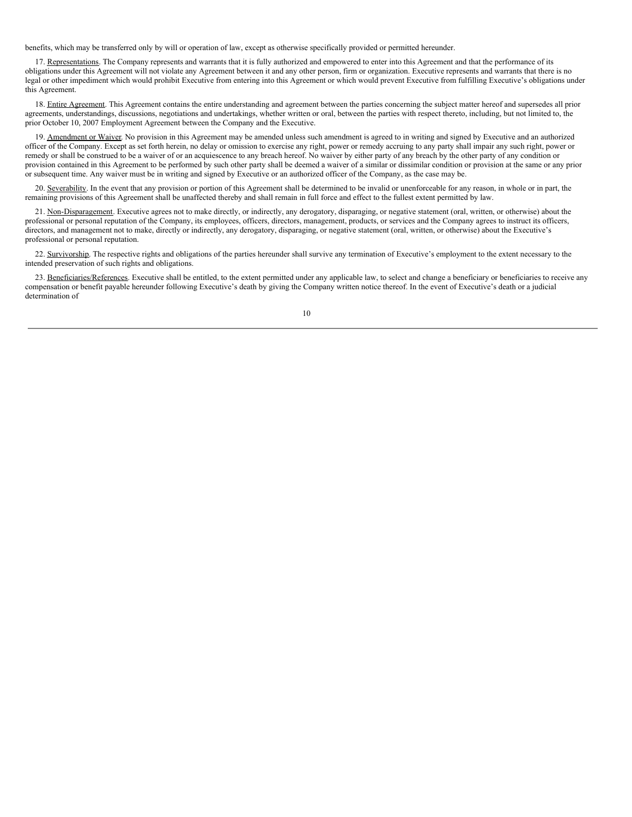benefits, which may be transferred only by will or operation of law, except as otherwise specifically provided or permitted hereunder.

17. Representations. The Company represents and warrants that it is fully authorized and empowered to enter into this Agreement and that the performance of its obligations under this Agreement will not violate any Agreement between it and any other person, firm or organization. Executive represents and warrants that there is no legal or other impediment which would prohibit Executive from entering into this Agreement or which would prevent Executive from fulfilling Executive's obligations under this Agreement.

18. Entire Agreement. This Agreement contains the entire understanding and agreement between the parties concerning the subject matter hereof and supersedes all prior agreements, understandings, discussions, negotiations and undertakings, whether written or oral, between the parties with respect thereto, including, but not limited to, the prior October 10, 2007 Employment Agreement between the Company and the Executive.

19. Amendment or Waiver. No provision in this Agreement may be amended unless such amendment is agreed to in writing and signed by Executive and an authorized officer of the Company. Except as set forth herein, no delay or omission to exercise any right, power or remedy accruing to any party shall impair any such right, power or remedy or shall be construed to be a waiver of or an acquiescence to any breach hereof. No waiver by either party of any breach by the other party of any condition or provision contained in this Agreement to be performed by such other party shall be deemed a waiver of a similar or dissimilar condition or provision at the same or any prior or subsequent time. Any waiver must be in writing and signed by Executive or an authorized officer of the Company, as the case may be.

20. Severability. In the event that any provision or portion of this Agreement shall be determined to be invalid or unenforceable for any reason, in whole or in part, the remaining provisions of this Agreement shall be unaffected thereby and shall remain in full force and effect to the fullest extent permitted by law.

21. Non-Disparagement. Executive agrees not to make directly, or indirectly, any derogatory, disparaging, or negative statement (oral, written, or otherwise) about the professional or personal reputation of the Company, its employees, officers, directors, management, products, or services and the Company agrees to instruct its officers, directors, and management not to make, directly or indirectly, any derogatory, disparaging, or negative statement (oral, written, or otherwise) about the Executive's professional or personal reputation.

22. Survivorship. The respective rights and obligations of the parties hereunder shall survive any termination of Executive's employment to the extent necessary to the intended preservation of such rights and obligations.

23. Beneficiaries/References. Executive shall be entitled, to the extent permitted under any applicable law, to select and change a beneficiary or beneficiaries to receive any compensation or benefit payable hereunder following Executive's death by giving the Company written notice thereof. In the event of Executive's death or a judicial determination of

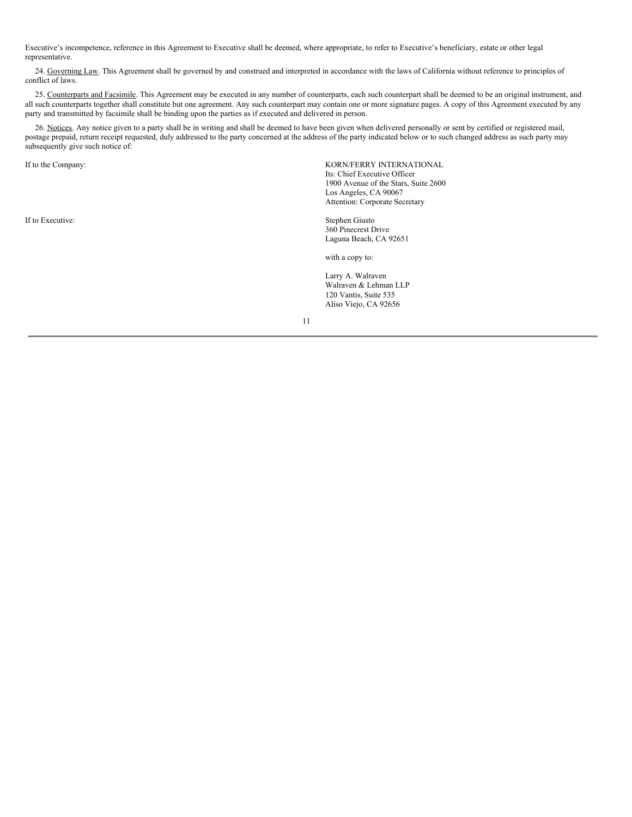Executive's incompetence, reference in this Agreement to Executive shall be deemed, where appropriate, to refer to Executive's beneficiary, estate or other legal representative.

24. Governing Law. This Agreement shall be governed by and construed and interpreted in accordance with the laws of California without reference to principles of conflict of laws.

25. Counterparts and Facsimile. This Agreement may be executed in any number of counterparts, each such counterpart shall be deemed to be an original instrument, and all such counterparts together shall constitute but one agreement. Any such counterpart may contain one or more signature pages. A copy of this Agreement executed by any party and transmitted by facsimile shall be binding upon the parties as if executed and delivered in person.

26. Notices. Any notice given to a party shall be in writing and shall be deemed to have been given when delivered personally or sent by certified or registered mail, postage prepaid, return receipt requested, duly addressed to the party concerned at the address of the party indicated below or to such changed address as such party may subsequently give such notice of:

If to Executive: Stephen Giusto

If to the Company: KORN/FERRY INTERNATIONAL Its: Chief Executive Officer 1900 Avenue of the Stars, Suite 2600 Los Angeles, CA 90067 Attention: Corporate Secretary

> 360 Pinecrest Drive Laguna Beach, CA 92651

with a copy to:

Larry A. Walraven Walraven & Lehman LLP 120 Vantis, Suite 535 Aliso Viejo, CA 92656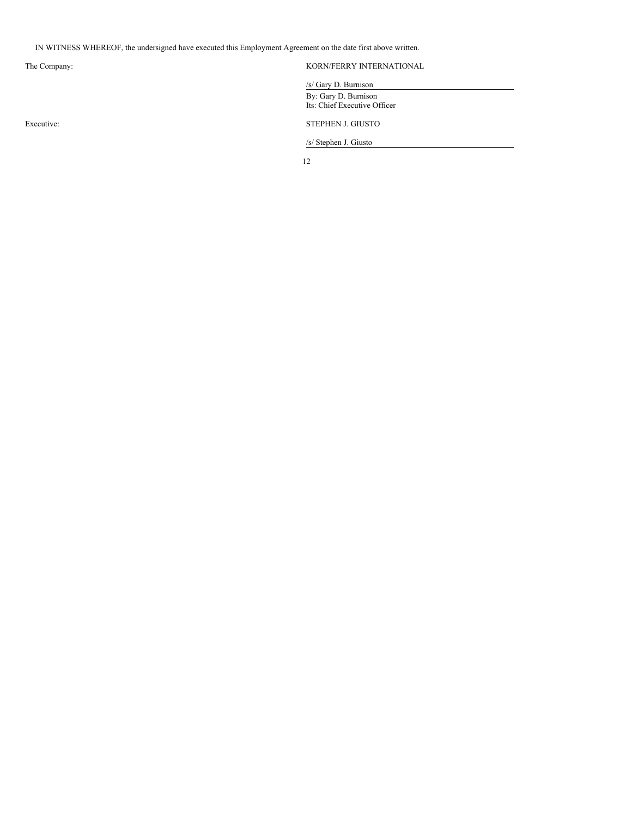IN WITNESS WHEREOF, the undersigned have executed this Employment Agreement on the date first above written.

The Company: KORN/FERRY INTERNATIONAL

/s/ Gary D. Burnison By: Gary D. Burnison Its: Chief Executive Officer

Executive: STEPHEN J. GIUSTO

/s/ Stephen J. Giusto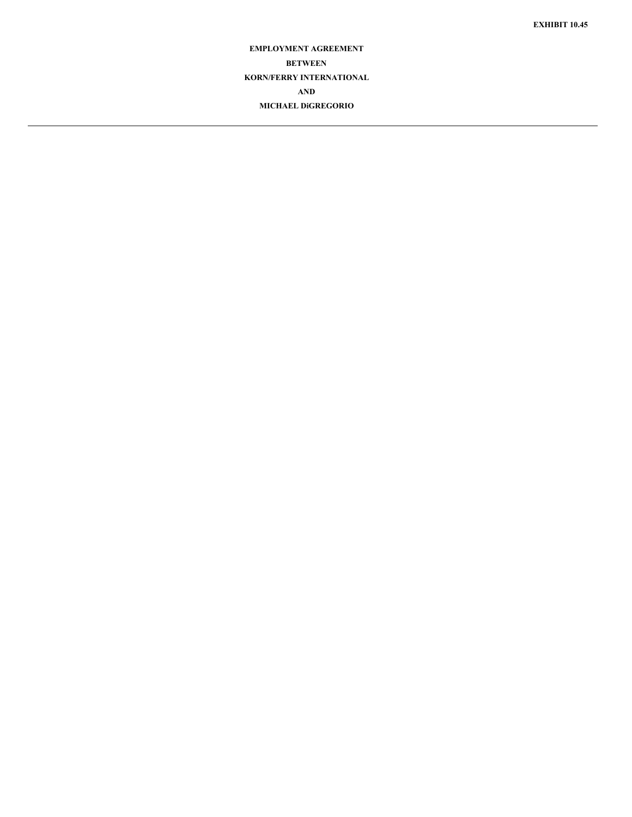**EMPLOYMENT AGREEMENT BETWEEN KORN/FERRY INTERNATIONAL AND MICHAEL DiGREGORIO**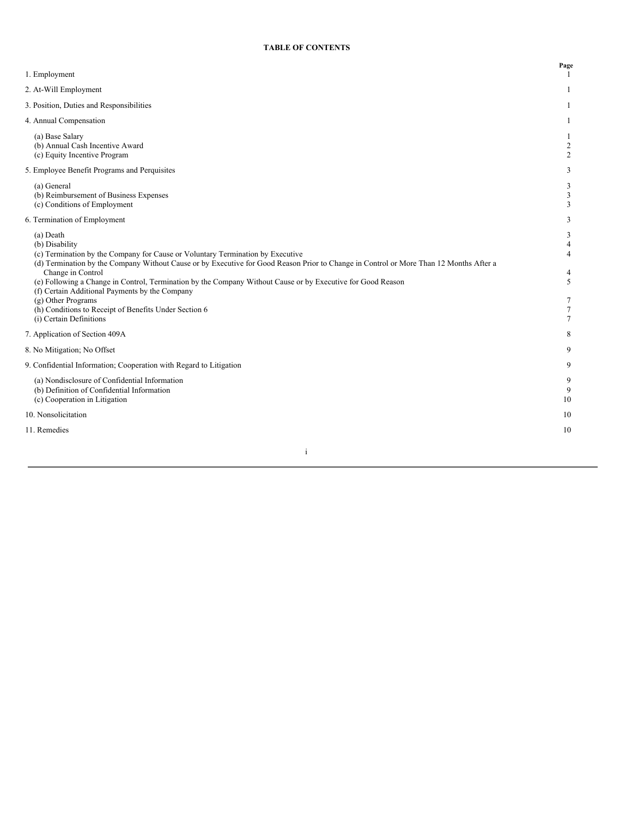| 1. Employment                                                                                                                                                                                                                                                                                | Page                       |
|----------------------------------------------------------------------------------------------------------------------------------------------------------------------------------------------------------------------------------------------------------------------------------------------|----------------------------|
| 2. At-Will Employment                                                                                                                                                                                                                                                                        | 1                          |
| 3. Position, Duties and Responsibilities                                                                                                                                                                                                                                                     |                            |
| 4. Annual Compensation                                                                                                                                                                                                                                                                       | Ι.                         |
| (a) Base Salary<br>(b) Annual Cash Incentive Award<br>(c) Equity Incentive Program                                                                                                                                                                                                           | 1<br>2<br>2                |
| 5. Employee Benefit Programs and Perquisites                                                                                                                                                                                                                                                 | 3                          |
| (a) General<br>(b) Reimbursement of Business Expenses<br>(c) Conditions of Employment                                                                                                                                                                                                        | 3<br>3<br>3                |
| 6. Termination of Employment                                                                                                                                                                                                                                                                 | 3                          |
| (a) Death<br>(b) Disability<br>(c) Termination by the Company for Cause or Voluntary Termination by Executive<br>(d) Termination by the Company Without Cause or by Executive for Good Reason Prior to Change in Control or More Than 12 Months After a                                      | 3<br>4<br>4                |
| Change in Control<br>(e) Following a Change in Control, Termination by the Company Without Cause or by Executive for Good Reason<br>(f) Certain Additional Payments by the Company<br>(g) Other Programs<br>(h) Conditions to Receipt of Benefits Under Section 6<br>(i) Certain Definitions | 4<br>5<br>7<br>7<br>$\tau$ |
| 7. Application of Section 409A                                                                                                                                                                                                                                                               | 8                          |
| 8. No Mitigation; No Offset                                                                                                                                                                                                                                                                  | 9.                         |
| 9. Confidential Information; Cooperation with Regard to Litigation                                                                                                                                                                                                                           | 9                          |
| (a) Nondisclosure of Confidential Information<br>(b) Definition of Confidential Information<br>(c) Cooperation in Litigation                                                                                                                                                                 | 9<br>9<br>10               |
| 10. Nonsolicitation                                                                                                                                                                                                                                                                          | 10                         |
| 11. Remedies                                                                                                                                                                                                                                                                                 | 10                         |

i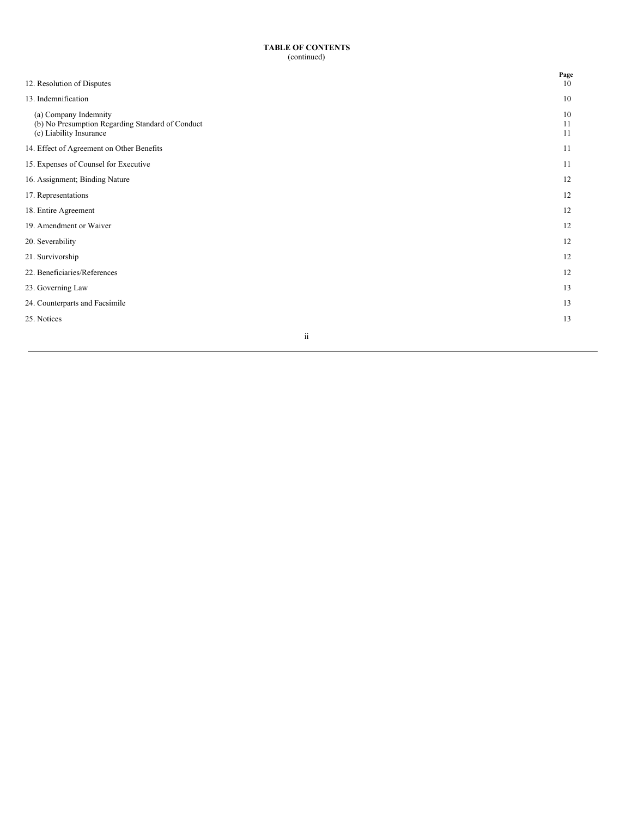# **TABLE OF CONTENTS** (continued)

| 12. Resolution of Disputes                                                                           | Page<br>10     |
|------------------------------------------------------------------------------------------------------|----------------|
| 13. Indemnification                                                                                  | 10             |
| (a) Company Indemnity<br>(b) No Presumption Regarding Standard of Conduct<br>(c) Liability Insurance | 10<br>11<br>11 |
| 14. Effect of Agreement on Other Benefits                                                            | 11             |
| 15. Expenses of Counsel for Executive                                                                | 11             |
| 16. Assignment; Binding Nature                                                                       | 12             |
| 17. Representations                                                                                  | 12             |
| 18. Entire Agreement                                                                                 | 12             |
| 19. Amendment or Waiver                                                                              | 12             |
| 20. Severability                                                                                     | 12             |
| 21. Survivorship                                                                                     | 12             |
| 22. Beneficiaries/References                                                                         | 12             |
| 23. Governing Law                                                                                    | 13             |
| 24. Counterparts and Facsimile                                                                       | 13             |
| 25. Notices                                                                                          | 13             |
|                                                                                                      |                |

# ii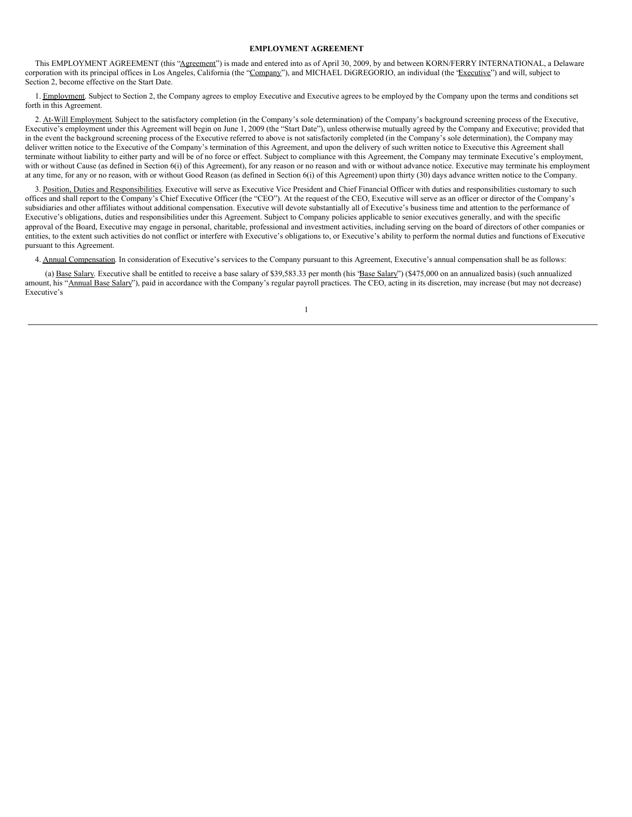# **EMPLOYMENT AGREEMENT**

This EMPLOYMENT AGREEMENT (this "Agreement") is made and entered into as of April 30, 2009, by and between KORN/FERRY INTERNATIONAL, a Delaware corporation with its principal offices in Los Angeles, California (the "Company"), and MICHAEL DiGREGORIO, an individual (the "Executive") and will, subject to Section 2, become effective on the Start Date.

1. Employment. Subject to Section 2, the Company agrees to employ Executive and Executive agrees to be employed by the Company upon the terms and conditions set forth in this Agreement.

2. At-Will Employment. Subject to the satisfactory completion (in the Company's sole determination) of the Company's background screening process of the Executive, Executive's employment under this Agreement will begin on June 1, 2009 (the "Start Date"), unless otherwise mutually agreed by the Company and Executive; provided that in the event the background screening process of the Executive referred to above is not satisfactorily completed (in the Company's sole determination), the Company may deliver written notice to the Executive of the Company's termination of this Agreement, and upon the delivery of such written notice to Executive this Agreement shall terminate without liability to either party and will be of no force or effect. Subject to compliance with this Agreement, the Company may terminate Executive's employment, with or without Cause (as defined in Section 6(i) of this Agreement), for any reason or no reason and with or without advance notice. Executive may terminate his employment at any time, for any or no reason, with or without Good Reason (as defined in Section 6(i) of this Agreement) upon thirty (30) days advance written notice to the Company.

3. Position, Duties and Responsibilities. Executive will serve as Executive Vice President and Chief Financial Officer with duties and responsibilities customary to such offices and shall report to the Company's Chief Executive Officer (the "CEO"). At the request of the CEO, Executive will serve as an officer or director of the Company's subsidiaries and other affiliates without additional compensation. Executive will devote substantially all of Executive's business time and attention to the performance of Executive's obligations, duties and responsibilities under this Agreement. Subject to Company policies applicable to senior executives generally, and with the specific approval of the Board, Executive may engage in personal, charitable, professional and investment activities, including serving on the board of directors of other companies or entities, to the extent such activities do not conflict or interfere with Executive's obligations to, or Executive's ability to perform the normal duties and functions of Executive pursuant to this Agreement.

4. Annual Compensation. In consideration of Executive's services to the Company pursuant to this Agreement, Executive's annual compensation shall be as follows:

(a) Base Salary. Executive shall be entitled to receive a base salary of \$39,583.33 per month (his 'Base Salary') (\$475,000 on an annualized basis) (such annualized amount, his "Annual Base Salary"), paid in accordance with the Company's regular payroll practices. The CEO, acting in its discretion, may increase (but may not decrease) Executive's

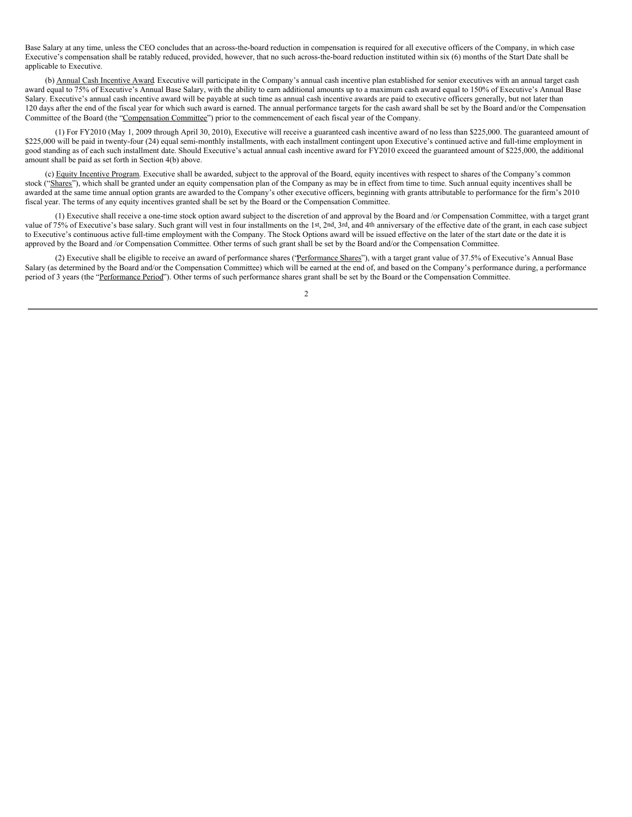Base Salary at any time, unless the CEO concludes that an across-the-board reduction in compensation is required for all executive officers of the Company, in which case Executive's compensation shall be ratably reduced, provided, however, that no such across-the-board reduction instituted within six (6) months of the Start Date shall be applicable to Executive.

(b) Annual Cash Incentive Award Executive will participate in the Company's annual cash incentive plan established for senior executives with an annual target cash award equal to 75% of Executive's Annual Base Salary, with the ability to earn additional amounts up to a maximum cash award equal to 150% of Executive's Annual Base Salary. Executive's annual cash incentive award will be payable at such time as annual cash incentive awards are paid to executive officers generally, but not later than 120 days after the end of the fiscal year for which such award is earned. The annual performance targets for the cash award shall be set by the Board and/or the Compensation Committee of the Board (the "Compensation Committee") prior to the commencement of each fiscal year of the Company.

(1) For FY2010 (May 1, 2009 through April 30, 2010), Executive will receive a guaranteed cash incentive award of no less than \$225,000. The guaranteed amount of \$225,000 will be paid in twenty-four (24) equal semi-monthly installments, with each installment contingent upon Executive's continued active and full-time employment in good standing as of each such installment date. Should Executive's actual annual cash incentive award for FY2010 exceed the guaranteed amount of \$225,000, the additional amount shall be paid as set forth in Section 4(b) above.

(c) Equity Incentive Program. Executive shall be awarded, subject to the approval of the Board, equity incentives with respect to shares of the Company's common stock ("Shares"), which shall be granted under an equity compensation plan of the Company as may be in effect from time to time. Such annual equity incentives shall be awarded at the same time annual option grants are awarded to the Company's other executive officers, beginning with grants attributable to performance for the firm's 2010 fiscal year. The terms of any equity incentives granted shall be set by the Board or the Compensation Committee.

(1) Executive shall receive a one-time stock option award subject to the discretion of and approval by the Board and /or Compensation Committee, with a target grant value of 75% of Executive's base salary. Such grant will vest in four installments on the 1st, 2nd, 3rd, and 4th anniversary of the effective date of the grant, in each case subject to Executive's continuous active full-time employment with the Company. The Stock Options award will be issued effective on the later of the start date or the date it is approved by the Board and /or Compensation Committee. Other terms of such grant shall be set by the Board and/or the Compensation Committee.

(2) Executive shall be eligible to receive an award of performance shares ('Performance Shares''), with a target grant value of 37.5% of Executive's Annual Base Salary (as determined by the Board and/or the Compensation Committee) which will be earned at the end of, and based on the Company's performance during, a performance period of 3 years (the "Performance Period"). Other terms of such performance shares grant shall be set by the Board or the Compensation Committee.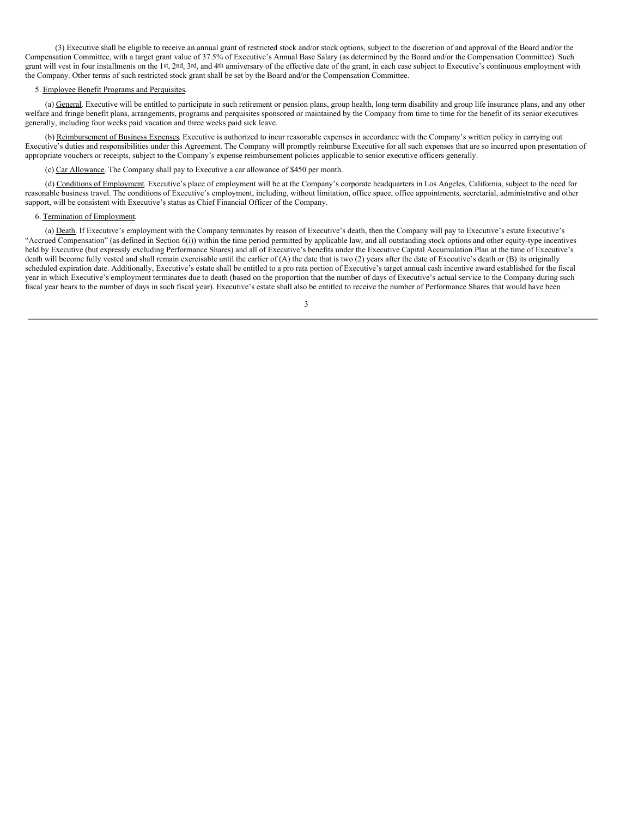(3) Executive shall be eligible to receive an annual grant of restricted stock and/or stock options, subject to the discretion of and approval of the Board and/or the Compensation Committee, with a target grant value of 37.5% of Executive's Annual Base Salary (as determined by the Board and/or the Compensation Committee). Such grant will vest in four installments on the 1st, 2nd, 3rd, and 4th anniversary of the effective date of the grant, in each case subject to Executive's continuous employment with the Company. Other terms of such restricted stock grant shall be set by the Board and/or the Compensation Committee.

# 5. Employee Benefit Programs and Perquisites.

(a) General. Executive will be entitled to participate in such retirement or pension plans, group health, long term disability and group life insurance plans, and any other welfare and fringe benefit plans, arrangements, programs and perquisites sponsored or maintained by the Company from time to time for the benefit of its senior executives generally, including four weeks paid vacation and three weeks paid sick leave.

(b) Reimbursement of Business Expenses. Executive is authorized to incur reasonable expenses in accordance with the Company's written policy in carrying out Executive's duties and responsibilities under this Agreement. The Company will promptly reimburse Executive for all such expenses that are so incurred upon presentation of appropriate vouchers or receipts, subject to the Company's expense reimbursement policies applicable to senior executive officers generally.

(c) Car Allowance. The Company shall pay to Executive a car allowance of \$450 per month.

(d) Conditions of Employment. Executive's place of employment will be at the Company's corporate headquarters in Los Angeles, California, subject to the need for reasonable business travel. The conditions of Executive's employment, including, without limitation, office space, office appointments, secretarial, administrative and other support, will be consistent with Executive's status as Chief Financial Officer of the Company.

# 6. Termination of Employment.

(a) Death. If Executive's employment with the Company terminates by reason of Executive's death, then the Company will pay to Executive's estate Executive's "Accrued Compensation" (as defined in Section 6(i)) within the time period permitted by applicable law, and all outstanding stock options and other equity-type incentives held by Executive (but expressly excluding Performance Shares) and all of Executive's benefits under the Executive Capital Accumulation Plan at the time of Executive's death will become fully vested and shall remain exercisable until the earlier of (A) the date that is two (2) years after the date of Executive's death or (B) its originally scheduled expiration date. Additionally, Executive's estate shall be entitled to a pro rata portion of Executive's target annual cash incentive award established for the fiscal year in which Executive's employment terminates due to death (based on the proportion that the number of days of Executive's actual service to the Company during such fiscal year bears to the number of days in such fiscal year). Executive's estate shall also be entitled to receive the number of Performance Shares that would have been

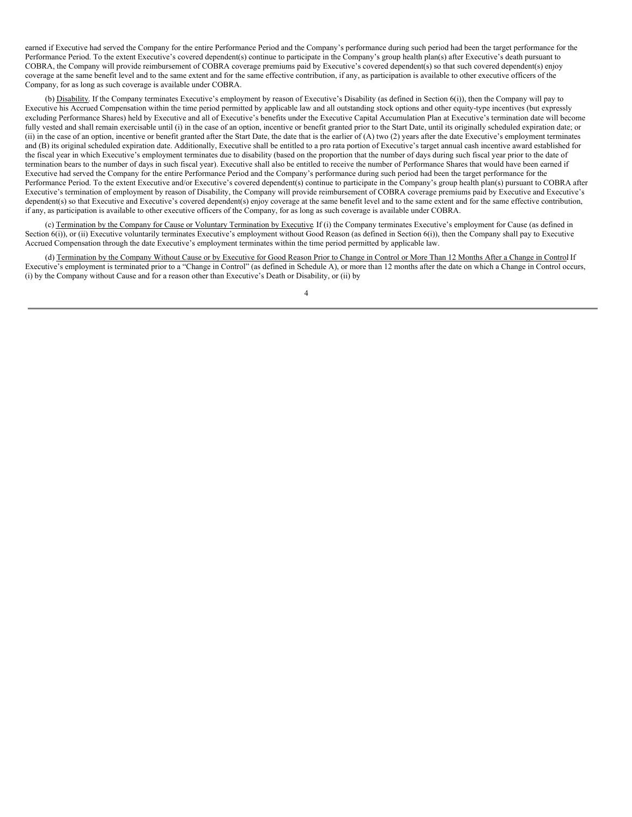earned if Executive had served the Company for the entire Performance Period and the Company's performance during such period had been the target performance for the Performance Period. To the extent Executive's covered dependent(s) continue to participate in the Company's group health plan(s) after Executive's death pursuant to COBRA, the Company will provide reimbursement of COBRA coverage premiums paid by Executive's covered dependent(s) so that such covered dependent(s) enjoy coverage at the same benefit level and to the same extent and for the same effective contribution, if any, as participation is available to other executive officers of the Company, for as long as such coverage is available under COBRA.

(b) Disability. If the Company terminates Executive's employment by reason of Executive's Disability (as defined in Section 6(i)), then the Company will pay to Executive his Accrued Compensation within the time period permitted by applicable law and all outstanding stock options and other equity-type incentives (but expressly excluding Performance Shares) held by Executive and all of Executive's benefits under the Executive Capital Accumulation Plan at Executive's termination date will become fully vested and shall remain exercisable until (i) in the case of an option, incentive or benefit granted prior to the Start Date, until its originally scheduled expiration date; or (ii) in the case of an option, incentive or benefit granted after the Start Date, the date that is the earlier of (A) two (2) years after the date Executive's employment terminates and (B) its original scheduled expiration date. Additionally, Executive shall be entitled to a pro rata portion of Executive's target annual cash incentive award established for the fiscal year in which Executive's employment terminates due to disability (based on the proportion that the number of days during such fiscal year prior to the date of termination bears to the number of days in such fiscal year). Executive shall also be entitled to receive the number of Performance Shares that would have been earned if Executive had served the Company for the entire Performance Period and the Company's performance during such period had been the target performance for the Performance Period. To the extent Executive and/or Executive's covered dependent(s) continue to participate in the Company's group health plan(s) pursuant to COBRA after Executive's termination of employment by reason of Disability, the Company will provide reimbursement of COBRA coverage premiums paid by Executive and Executive's dependent(s) so that Executive and Executive's covered dependent(s) enjoy coverage at the same benefit level and to the same extent and for the same effective contribution, if any, as participation is available to other executive officers of the Company, for as long as such coverage is available under COBRA.

(c) Termination by the Company for Cause or Voluntary Termination by Executive If (i) the Company terminates Executive's employment for Cause (as defined in Section 6(i)), or (ii) Executive voluntarily terminates Executive's employment without Good Reason (as defined in Section 6(i)), then the Company shall pay to Executive Accrued Compensation through the date Executive's employment terminates within the time period permitted by applicable law.

(d) Termination by the Company Without Cause or by Executive for Good Reason Prior to Change in Control or More Than 12 Months After a Change in Control If Executive's employment is terminated prior to a "Change in Control" (as defined in Schedule A), or more than 12 months after the date on which a Change in Control occurs, (i) by the Company without Cause and for a reason other than Executive's Death or Disability, or (ii) by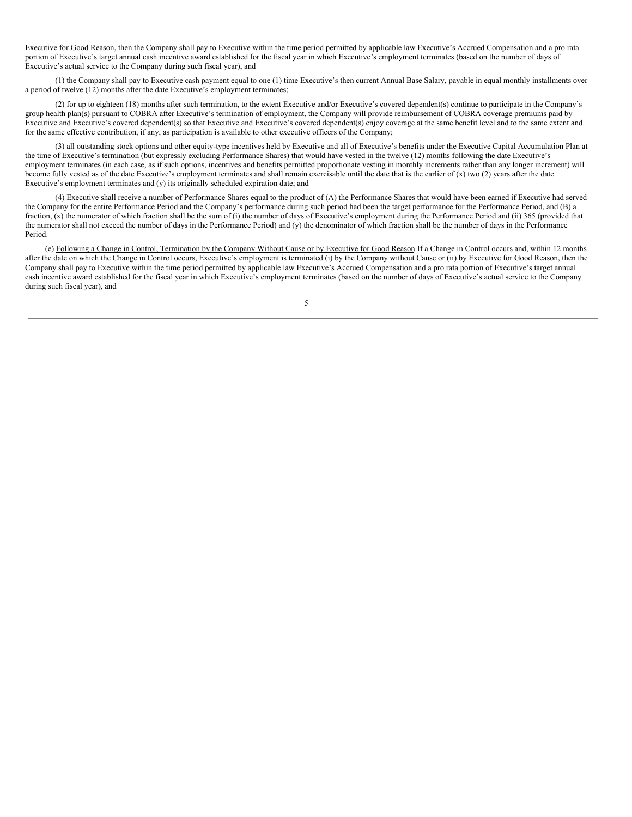Executive for Good Reason, then the Company shall pay to Executive within the time period permitted by applicable law Executive's Accrued Compensation and a pro rata portion of Executive's target annual cash incentive award established for the fiscal year in which Executive's employment terminates (based on the number of days of Executive's actual service to the Company during such fiscal year), and

(1) the Company shall pay to Executive cash payment equal to one (1) time Executive's then current Annual Base Salary, payable in equal monthly installments over a period of twelve (12) months after the date Executive's employment terminates;

(2) for up to eighteen (18) months after such termination, to the extent Executive and/or Executive's covered dependent(s) continue to participate in the Company's group health plan(s) pursuant to COBRA after Executive's termination of employment, the Company will provide reimbursement of COBRA coverage premiums paid by Executive and Executive's covered dependent(s) so that Executive and Executive's covered dependent(s) enjoy coverage at the same benefit level and to the same extent and for the same effective contribution, if any, as participation is available to other executive officers of the Company;

(3) all outstanding stock options and other equity-type incentives held by Executive and all of Executive's benefits under the Executive Capital Accumulation Plan at the time of Executive's termination (but expressly excluding Performance Shares) that would have vested in the twelve (12) months following the date Executive's employment terminates (in each case, as if such options, incentives and benefits permitted proportionate vesting in monthly increments rather than any longer increment) will become fully vested as of the date Executive's employment terminates and shall remain exercisable until the date that is the earlier of  $(x)$  two (2) years after the date Executive's employment terminates and (y) its originally scheduled expiration date; and

(4) Executive shall receive a number of Performance Shares equal to the product of (A) the Performance Shares that would have been earned if Executive had served the Company for the entire Performance Period and the Company's performance during such period had been the target performance for the Performance Period, and (B) a fraction, (x) the numerator of which fraction shall be the sum of (i) the number of days of Executive's employment during the Performance Period and (ii) 365 (provided that the numerator shall not exceed the number of days in the Performance Period) and (y) the denominator of which fraction shall be the number of days in the Performance Period.

(e) Following a Change in Control, Termination by the Company Without Cause or by Executive for Good Reason. If a Change in Control occurs and, within 12 months after the date on which the Change in Control occurs, Executive's employment is terminated (i) by the Company without Cause or (ii) by Executive for Good Reason, then the Company shall pay to Executive within the time period permitted by applicable law Executive's Accrued Compensation and a pro rata portion of Executive's target annual cash incentive award established for the fiscal year in which Executive's employment terminates (based on the number of days of Executive's actual service to the Company during such fiscal year), and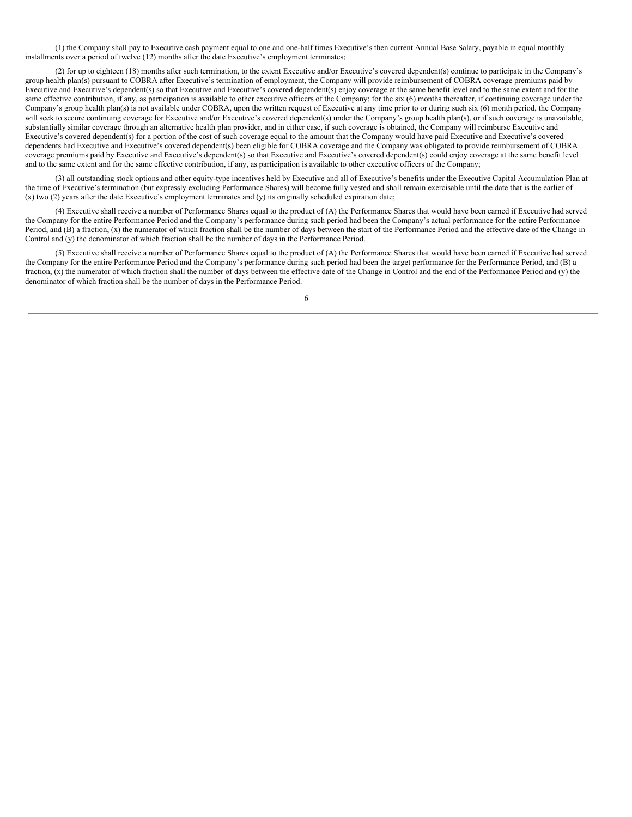(1) the Company shall pay to Executive cash payment equal to one and one-half times Executive's then current Annual Base Salary, payable in equal monthly installments over a period of twelve (12) months after the date Executive's employment terminates;

(2) for up to eighteen (18) months after such termination, to the extent Executive and/or Executive's covered dependent(s) continue to participate in the Company's group health plan(s) pursuant to COBRA after Executive's termination of employment, the Company will provide reimbursement of COBRA coverage premiums paid by Executive and Executive's dependent(s) so that Executive and Executive's covered dependent(s) enjoy coverage at the same benefit level and to the same extent and for the same effective contribution, if any, as participation is available to other executive officers of the Company; for the six (6) months thereafter, if continuing coverage under the Company's group health plan(s) is not available under COBRA, upon the written request of Executive at any time prior to or during such six (6) month period, the Company will seek to secure continuing coverage for Executive and/or Executive's covered dependent(s) under the Company's group health plan(s), or if such coverage is unavailable, substantially similar coverage through an alternative health plan provider, and in either case, if such coverage is obtained, the Company will reimburse Executive and Executive's covered dependent(s) for a portion of the cost of such coverage equal to the amount that the Company would have paid Executive and Executive's covered dependents had Executive and Executive's covered dependent(s) been eligible for COBRA coverage and the Company was obligated to provide reimbursement of COBRA coverage premiums paid by Executive and Executive's dependent(s) so that Executive and Executive's covered dependent(s) could enjoy coverage at the same benefit level and to the same extent and for the same effective contribution, if any, as participation is available to other executive officers of the Company;

(3) all outstanding stock options and other equity-type incentives held by Executive and all of Executive's benefits under the Executive Capital Accumulation Plan at the time of Executive's termination (but expressly excluding Performance Shares) will become fully vested and shall remain exercisable until the date that is the earlier of (x) two (2) years after the date Executive's employment terminates and (y) its originally scheduled expiration date;

(4) Executive shall receive a number of Performance Shares equal to the product of (A) the Performance Shares that would have been earned if Executive had served the Company for the entire Performance Period and the Company's performance during such period had been the Company's actual performance for the entire Performance Period, and (B) a fraction, (x) the numerator of which fraction shall be the number of days between the start of the Performance Period and the effective date of the Change in Control and (y) the denominator of which fraction shall be the number of days in the Performance Period.

(5) Executive shall receive a number of Performance Shares equal to the product of (A) the Performance Shares that would have been earned if Executive had served the Company for the entire Performance Period and the Company's performance during such period had been the target performance for the Performance Period, and (B) a fraction, (x) the numerator of which fraction shall the number of days between the effective date of the Change in Control and the end of the Performance Period and (y) the denominator of which fraction shall be the number of days in the Performance Period.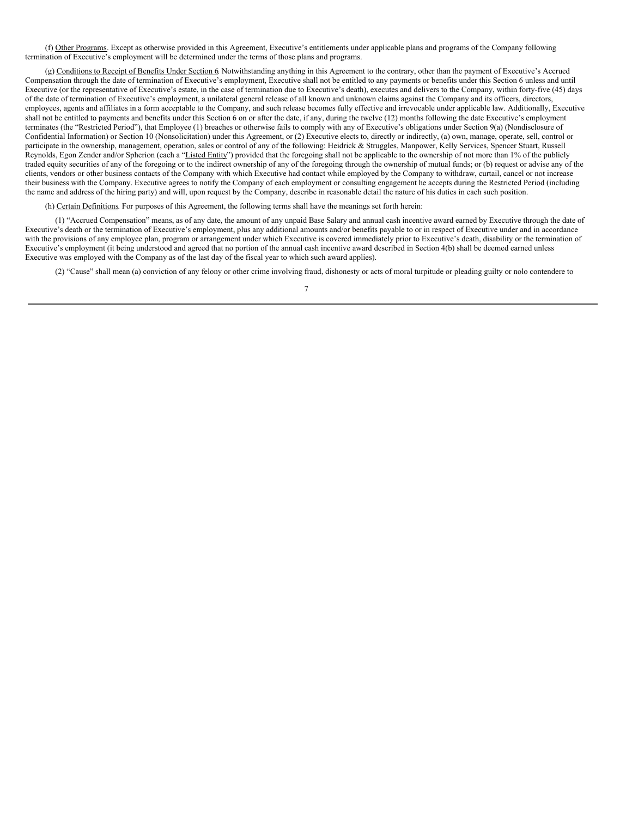(f) Other Programs. Except as otherwise provided in this Agreement, Executive's entitlements under applicable plans and programs of the Company following termination of Executive's employment will be determined under the terms of those plans and programs.

(g) Conditions to Receipt of Benefits Under Section 6. Notwithstanding anything in this Agreement to the contrary, other than the payment of Executive's Accrued Compensation through the date of termination of Executive's employment, Executive shall not be entitled to any payments or benefits under this Section 6 unless and until Executive (or the representative of Executive's estate, in the case of termination due to Executive's death), executes and delivers to the Company, within forty-five (45) days of the date of termination of Executive's employment, a unilateral general release of all known and unknown claims against the Company and its officers, directors, employees, agents and affiliates in a form acceptable to the Company, and such release becomes fully effective and irrevocable under applicable law. Additionally, Executive shall not be entitled to payments and benefits under this Section 6 on or after the date, if any, during the twelve (12) months following the date Executive's employment terminates (the "Restricted Period"), that Employee (1) breaches or otherwise fails to comply with any of Executive's obligations under Section 9(a) (Nondisclosure of Confidential Information) or Section 10 (Nonsolicitation) under this Agreement, or (2) Executive elects to, directly or indirectly, (a) own, manage, operate, sell, control or participate in the ownership, management, operation, sales or control of any of the following: Heidrick & Struggles, Manpower, Kelly Services, Spencer Stuart, Russell Reynolds, Egon Zender and/or Spherion (each a "Listed Entity") provided that the foregoing shall not be applicable to the ownership of not more than 1% of the publicly traded equity securities of any of the foregoing or to the indirect ownership of any of the foregoing through the ownership of mutual funds; or (b) request or advise any of the clients, vendors or other business contacts of the Company with which Executive had contact while employed by the Company to withdraw, curtail, cancel or not increase their business with the Company. Executive agrees to notify the Company of each employment or consulting engagement he accepts during the Restricted Period (including the name and address of the hiring party) and will, upon request by the Company, describe in reasonable detail the nature of his duties in each such position.

(h) Certain Definitions. For purposes of this Agreement, the following terms shall have the meanings set forth herein:

(1) "Accrued Compensation" means, as of any date, the amount of any unpaid Base Salary and annual cash incentive award earned by Executive through the date of Executive's death or the termination of Executive's employment, plus any additional amounts and/or benefits payable to or in respect of Executive under and in accordance with the provisions of any employee plan, program or arrangement under which Executive is covered immediately prior to Executive's death, disability or the termination of Executive's employment (it being understood and agreed that no portion of the annual cash incentive award described in Section 4(b) shall be deemed earned unless Executive was employed with the Company as of the last day of the fiscal year to which such award applies).

(2) "Cause" shall mean (a) conviction of any felony or other crime involving fraud, dishonesty or acts of moral turpitude or pleading guilty or nolo contendere to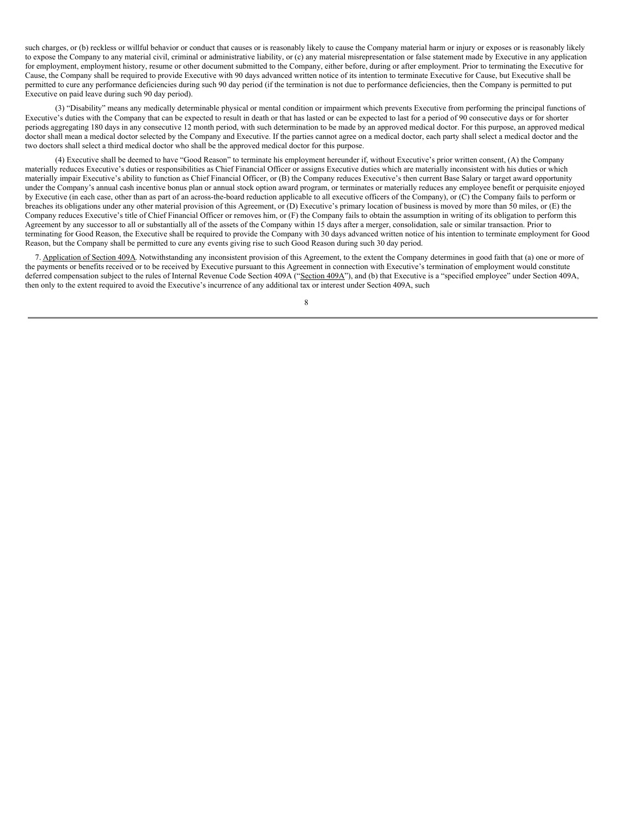such charges, or (b) reckless or willful behavior or conduct that causes or is reasonably likely to cause the Company material harm or injury or exposes or is reasonably likely to expose the Company to any material civil, criminal or administrative liability, or (c) any material misrepresentation or false statement made by Executive in any application for employment, employment history, resume or other document submitted to the Company, either before, during or after employment. Prior to terminating the Executive for Cause, the Company shall be required to provide Executive with 90 days advanced written notice of its intention to terminate Executive for Cause, but Executive shall be permitted to cure any performance deficiencies during such 90 day period (if the termination is not due to performance deficiencies, then the Company is permitted to put Executive on paid leave during such 90 day period).

(3) "Disability" means any medically determinable physical or mental condition or impairment which prevents Executive from performing the principal functions of Executive's duties with the Company that can be expected to result in death or that has lasted or can be expected to last for a period of 90 consecutive days or for shorter periods aggregating 180 days in any consecutive 12 month period, with such determination to be made by an approved medical doctor. For this purpose, an approved medical doctor shall mean a medical doctor selected by the Company and Executive. If the parties cannot agree on a medical doctor, each party shall select a medical doctor and the two doctors shall select a third medical doctor who shall be the approved medical doctor for this purpose.

(4) Executive shall be deemed to have "Good Reason" to terminate his employment hereunder if, without Executive's prior written consent, (A) the Company materially reduces Executive's duties or responsibilities as Chief Financial Officer or assigns Executive duties which are materially inconsistent with his duties or which materially impair Executive's ability to function as Chief Financial Officer, or (B) the Company reduces Executive's then current Base Salary or target award opportunity under the Company's annual cash incentive bonus plan or annual stock option award program, or terminates or materially reduces any employee benefit or perquisite enjoyed by Executive (in each case, other than as part of an across-the-board reduction applicable to all executive officers of the Company), or (C) the Company fails to perform or breaches its obligations under any other material provision of this Agreement, or (D) Executive's primary location of business is moved by more than 50 miles, or (E) the Company reduces Executive's title of Chief Financial Officer or removes him, or (F) the Company fails to obtain the assumption in writing of its obligation to perform this Agreement by any successor to all or substantially all of the assets of the Company within 15 days after a merger, consolidation, sale or similar transaction. Prior to terminating for Good Reason, the Executive shall be required to provide the Company with 30 days advanced written notice of his intention to terminate employment for Good Reason, but the Company shall be permitted to cure any events giving rise to such Good Reason during such 30 day period.

7. Application of Section 409A. Notwithstanding any inconsistent provision of this Agreement, to the extent the Company determines in good faith that (a) one or more of the payments or benefits received or to be received by Executive pursuant to this Agreement in connection with Executive's termination of employment would constitute deferred compensation subject to the rules of Internal Revenue Code Section 409A ("Section 409A"), and (b) that Executive is a "specified employee" under Section 409A, then only to the extent required to avoid the Executive's incurrence of any additional tax or interest under Section 409A, such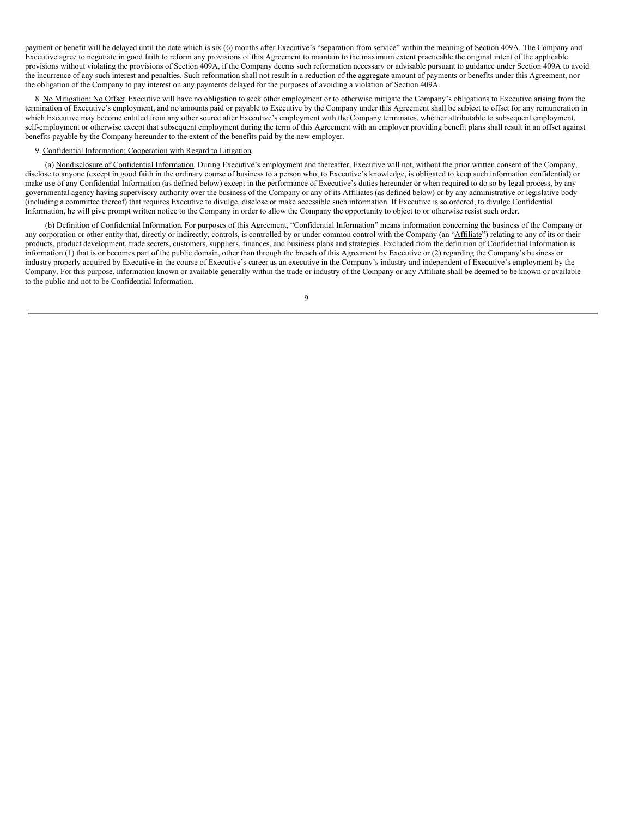payment or benefit will be delayed until the date which is six (6) months after Executive's "separation from service" within the meaning of Section 409A. The Company and Executive agree to negotiate in good faith to reform any provisions of this Agreement to maintain to the maximum extent practicable the original intent of the applicable provisions without violating the provisions of Section 409A, if the Company deems such reformation necessary or advisable pursuant to guidance under Section 409A to avoid the incurrence of any such interest and penalties. Such reformation shall not result in a reduction of the aggregate amount of payments or benefits under this Agreement, nor the obligation of the Company to pay interest on any payments delayed for the purposes of avoiding a violation of Section 409A.

8. No Mitigation; No Offset. Executive will have no obligation to seek other employment or to otherwise mitigate the Company's obligations to Executive arising from the termination of Executive's employment, and no amounts paid or payable to Executive by the Company under this Agreement shall be subject to offset for any remuneration in which Executive may become entitled from any other source after Executive's employment with the Company terminates, whether attributable to subsequent employment, self-employment or otherwise except that subsequent employment during the term of this Agreement with an employer providing benefit plans shall result in an offset against benefits payable by the Company hereunder to the extent of the benefits paid by the new employer.

# 9. Confidential Information; Cooperation with Regard to Litigation.

(a) Nondisclosure of Confidential Information. During Executive's employment and thereafter, Executive will not, without the prior written consent of the Company, disclose to anyone (except in good faith in the ordinary course of business to a person who, to Executive's knowledge, is obligated to keep such information confidential) or make use of any Confidential Information (as defined below) except in the performance of Executive's duties hereunder or when required to do so by legal process, by any governmental agency having supervisory authority over the business of the Company or any of its Affiliates (as defined below) or by any administrative or legislative body (including a committee thereof) that requires Executive to divulge, disclose or make accessible such information. If Executive is so ordered, to divulge Confidential Information, he will give prompt written notice to the Company in order to allow the Company the opportunity to object to or otherwise resist such order.

(b) Definition of Confidential Information. For purposes of this Agreement, "Confidential Information" means information concerning the business of the Company or any corporation or other entity that, directly or indirectly, controls, is controlled by or under common control with the Company (an "Affiliate") relating to any of its or their products, product development, trade secrets, customers, suppliers, finances, and business plans and strategies. Excluded from the definition of Confidential Information is information (1) that is or becomes part of the public domain, other than through the breach of this Agreement by Executive or (2) regarding the Company's business or industry properly acquired by Executive in the course of Executive's career as an executive in the Company's industry and independent of Executive's employment by the Company. For this purpose, information known or available generally within the trade or industry of the Company or any Affiliate shall be deemed to be known or available to the public and not to be Confidential Information.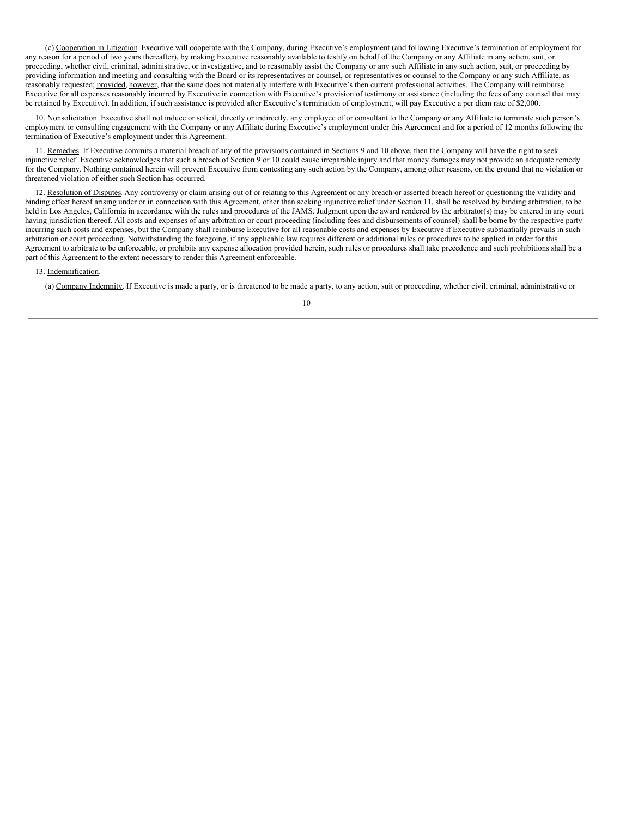(c) Cooperation in Litigation. Executive will cooperate with the Company, during Executive's employment (and following Executive's termination of employment for any reason for a period of two years thereafter), by making Executive reasonably available to testify on behalf of the Company or any Affiliate in any action, suit, or proceeding, whether civil, criminal, administrative, or investigative, and to reasonably assist the Company or any such Affiliate in any such action, suit, or proceeding by providing information and meeting and consulting with the Board or its representatives or counsel, or representatives or counsel to the Company or any such Affiliate, as reasonably requested; provided, however, that the same does not materially interfere with Executive's then current professional activities. The Company will reimburse Executive for all expenses reasonably incurred by Executive in connection with Executive's provision of testimony or assistance (including the fees of any counsel that may be retained by Executive). In addition, if such assistance is provided after Executive's termination of employment, will pay Executive a per diem rate of \$2,000.

10. Nonsolicitation. Executive shall not induce or solicit, directly or indirectly, any employee of or consultant to the Company or any Affiliate to terminate such person's employment or consulting engagement with the Company or any Affiliate during Executive's employment under this Agreement and for a period of 12 months following the termination of Executive's employment under this Agreement.

11. Remedies. If Executive commits a material breach of any of the provisions contained in Sections 9 and 10 above, then the Company will have the right to seek injunctive relief. Executive acknowledges that such a breach of Section 9 or 10 could cause irreparable injury and that money damages may not provide an adequate remedy for the Company. Nothing contained herein will prevent Executive from contesting any such action by the Company, among other reasons, on the ground that no violation or threatened violation of either such Section has occurred.

12. Resolution of Disputes. Any controversy or claim arising out of or relating to this Agreement or any breach or asserted breach hereof or questioning the validity and binding effect hereof arising under or in connection with this Agreement, other than seeking injunctive relief under Section 11, shall be resolved by binding arbitration, to be held in Los Angeles, California in accordance with the rules and procedures of the JAMS. Judgment upon the award rendered by the arbitrator(s) may be entered in any court having jurisdiction thereof. All costs and expenses of any arbitration or court proceeding (including fees and disbursements of counsel) shall be borne by the respective party incurring such costs and expenses, but the Company shall reimburse Executive for all reasonable costs and expenses by Executive if Executive substantially prevails in such arbitration or court proceeding. Notwithstanding the foregoing, if any applicable law requires different or additional rules or procedures to be applied in order for this Agreement to arbitrate to be enforceable, or prohibits any expense allocation provided herein, such rules or procedures shall take precedence and such prohibitions shall be a part of this Agreement to the extent necessary to render this Agreement enforceable.

13. Indemnification.

(a) Company Indemnity. If Executive is made a party, or is threatened to be made a party, to any action, suit or proceeding, whether civil, criminal, administrative or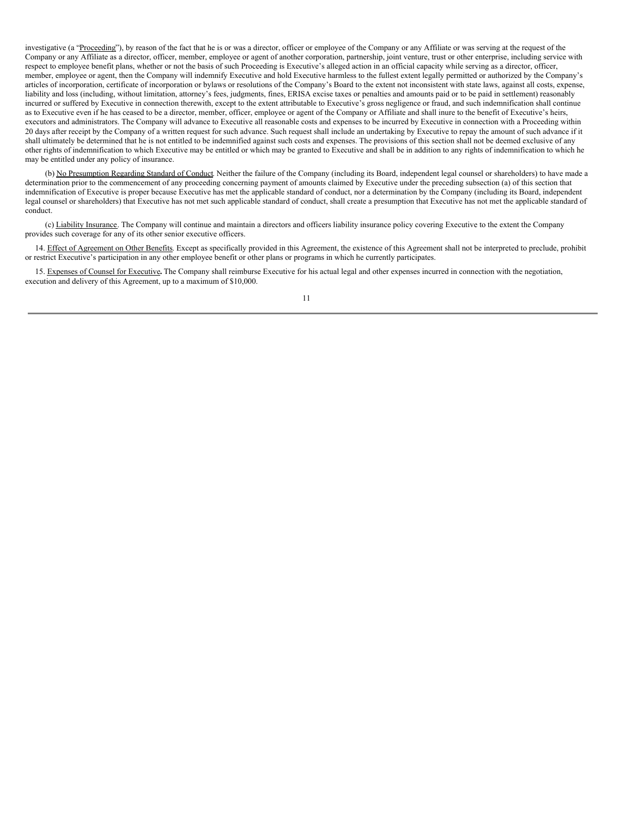investigative (a "Proceeding"), by reason of the fact that he is or was a director, officer or employee of the Company or any Affiliate or was serving at the request of the Company or any Affiliate as a director, officer, member, employee or agent of another corporation, partnership, joint venture, trust or other enterprise, including service with respect to employee benefit plans, whether or not the basis of such Proceeding is Executive's alleged action in an official capacity while serving as a director, officer, member, employee or agent, then the Company will indemnify Executive and hold Executive harmless to the fullest extent legally permitted or authorized by the Company's articles of incorporation, certificate of incorporation or bylaws or resolutions of the Company's Board to the extent not inconsistent with state laws, against all costs, expense, liability and loss (including, without limitation, attorney's fees, judgments, fines, ERISA excise taxes or penalties and amounts paid or to be paid in settlement) reasonably incurred or suffered by Executive in connection therewith, except to the extent attributable to Executive's gross negligence or fraud, and such indemnification shall continue as to Executive even if he has ceased to be a director, member, officer, employee or agent of the Company or Affiliate and shall inure to the benefit of Executive's heirs, executors and administrators. The Company will advance to Executive all reasonable costs and expenses to be incurred by Executive in connection with a Proceeding within 20 days after receipt by the Company of a written request for such advance. Such request shall include an undertaking by Executive to repay the amount of such advance if it shall ultimately be determined that he is not entitled to be indemnified against such costs and expenses. The provisions of this section shall not be deemed exclusive of any other rights of indemnification to which Executive may be entitled or which may be granted to Executive and shall be in addition to any rights of indemnification to which he may be entitled under any policy of insurance.

(b) No Presumption Regarding Standard of Conduct. Neither the failure of the Company (including its Board, independent legal counsel or shareholders) to have made a determination prior to the commencement of any proceeding concerning payment of amounts claimed by Executive under the preceding subsection (a) of this section that indemnification of Executive is proper because Executive has met the applicable standard of conduct, nor a determination by the Company (including its Board, independent legal counsel or shareholders) that Executive has not met such applicable standard of conduct, shall create a presumption that Executive has not met the applicable standard of conduct.

(c) Liability Insurance. The Company will continue and maintain a directors and officers liability insurance policy covering Executive to the extent the Company provides such coverage for any of its other senior executive officers.

14. Effect of Agreement on Other Benefits. Except as specifically provided in this Agreement, the existence of this Agreement shall not be interpreted to preclude, prohibit or restrict Executive's participation in any other employee benefit or other plans or programs in which he currently participates.

15. Expenses of Counsel for Executive**.** The Company shall reimburse Executive for his actual legal and other expenses incurred in connection with the negotiation, execution and delivery of this Agreement, up to a maximum of \$10,000.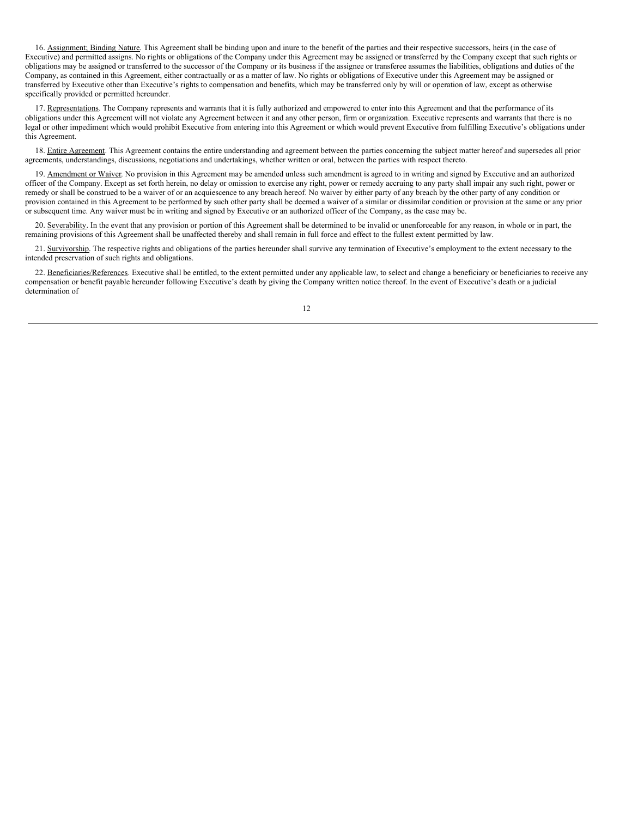16. Assignment; Binding Nature. This Agreement shall be binding upon and inure to the benefit of the parties and their respective successors, heirs (in the case of Executive) and permitted assigns. No rights or obligations of the Company under this Agreement may be assigned or transferred by the Company except that such rights or obligations may be assigned or transferred to the successor of the Company or its business if the assignee or transferee assumes the liabilities, obligations and duties of the Company, as contained in this Agreement, either contractually or as a matter of law. No rights or obligations of Executive under this Agreement may be assigned or transferred by Executive other than Executive's rights to compensation and benefits, which may be transferred only by will or operation of law, except as otherwise specifically provided or permitted hereunder.

17. Representations. The Company represents and warrants that it is fully authorized and empowered to enter into this Agreement and that the performance of its obligations under this Agreement will not violate any Agreement between it and any other person, firm or organization. Executive represents and warrants that there is no legal or other impediment which would prohibit Executive from entering into this Agreement or which would prevent Executive from fulfilling Executive's obligations under this Agreement.

18. Entire Agreement. This Agreement contains the entire understanding and agreement between the parties concerning the subject matter hereof and supersedes all prior agreements, understandings, discussions, negotiations and undertakings, whether written or oral, between the parties with respect thereto.

19. Amendment or Waiver. No provision in this Agreement may be amended unless such amendment is agreed to in writing and signed by Executive and an authorized officer of the Company. Except as set forth herein, no delay or omission to exercise any right, power or remedy accruing to any party shall impair any such right, power or remedy or shall be construed to be a waiver of or an acquiescence to any breach hereof. No waiver by either party of any breach by the other party of any condition or provision contained in this Agreement to be performed by such other party shall be deemed a waiver of a similar or dissimilar condition or provision at the same or any prior or subsequent time. Any waiver must be in writing and signed by Executive or an authorized officer of the Company, as the case may be.

20. Severability. In the event that any provision or portion of this Agreement shall be determined to be invalid or unenforceable for any reason, in whole or in part, the remaining provisions of this Agreement shall be unaffected thereby and shall remain in full force and effect to the fullest extent permitted by law.

21. Survivorship. The respective rights and obligations of the parties hereunder shall survive any termination of Executive's employment to the extent necessary to the intended preservation of such rights and obligations.

22. Beneficiaries/References. Executive shall be entitled, to the extent permitted under any applicable law, to select and change a beneficiary or beneficiaries to receive any compensation or benefit payable hereunder following Executive's death by giving the Company written notice thereof. In the event of Executive's death or a judicial determination of

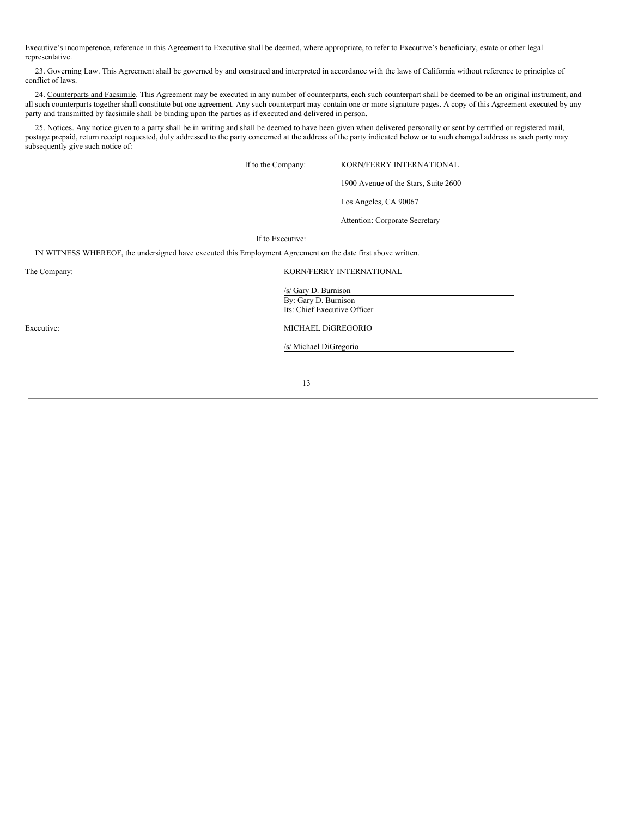Executive's incompetence, reference in this Agreement to Executive shall be deemed, where appropriate, to refer to Executive's beneficiary, estate or other legal representative.

23. Governing Law. This Agreement shall be governed by and construed and interpreted in accordance with the laws of California without reference to principles of conflict of laws.

24. Counterparts and Facsimile. This Agreement may be executed in any number of counterparts, each such counterpart shall be deemed to be an original instrument, and all such counterparts together shall constitute but one agreement. Any such counterpart may contain one or more signature pages. A copy of this Agreement executed by any party and transmitted by facsimile shall be binding upon the parties as if executed and delivered in person.

25. Notices. Any notice given to a party shall be in writing and shall be deemed to have been given when delivered personally or sent by certified or registered mail, postage prepaid, return receipt requested, duly addressed to the party concerned at the address of the party indicated below or to such changed address as such party may subsequently give such notice of:

If to the Company: KORN/FERRY INTERNATIONAL

1900 Avenue of the Stars, Suite 2600

Los Angeles, CA 90067

Attention: Corporate Secretary

If to Executive:

IN WITNESS WHEREOF, the undersigned have executed this Employment Agreement on the date first above written.

The Company: The Company: The Company: The Company: The Company: The Company: The Company: The Company: The Company: The Company: The Company: The Company: The Company: The Company: The Company: The Company: The Company: T

/s/ Gary D. Burnison By: Gary D. Burnison Its: Chief Executive Officer

Executive: MICHAEL DiGREGORIO

/s/ Michael DiGregorio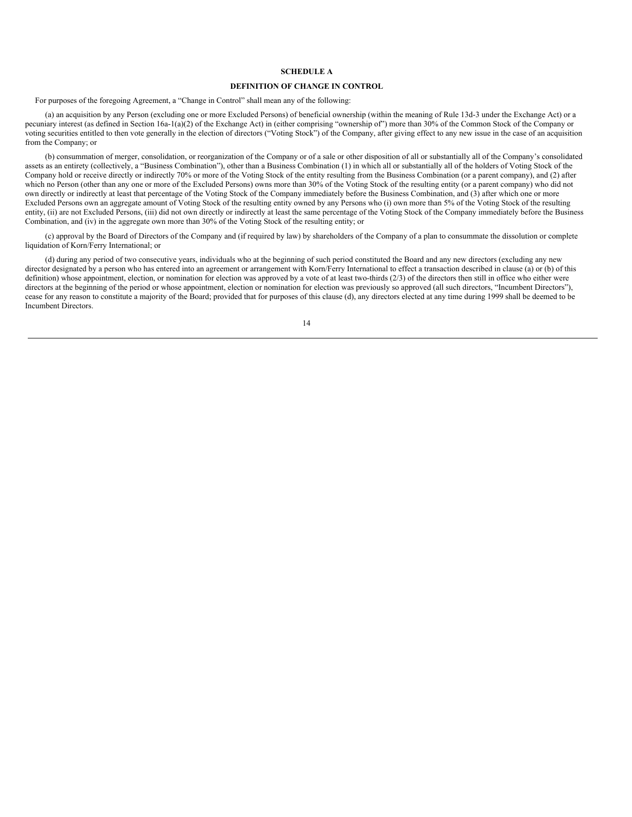### **SCHEDULE A**

## **DEFINITION OF CHANGE IN CONTROL**

For purposes of the foregoing Agreement, a "Change in Control" shall mean any of the following:

(a) an acquisition by any Person (excluding one or more Excluded Persons) of beneficial ownership (within the meaning of Rule 13d-3 under the Exchange Act) or a pecuniary interest (as defined in Section 16a-1(a)(2) of the Exchange Act) in (either comprising "ownership of") more than 30% of the Common Stock of the Company or voting securities entitled to then vote generally in the election of directors ("Voting Stock") of the Company, after giving effect to any new issue in the case of an acquisition from the Company; or

(b) consummation of merger, consolidation, or reorganization of the Company or of a sale or other disposition of all or substantially all of the Company's consolidated assets as an entirety (collectively, a "Business Combination"), other than a Business Combination (1) in which all or substantially all of the holders of Voting Stock of the Company hold or receive directly or indirectly 70% or more of the Voting Stock of the entity resulting from the Business Combination (or a parent company), and (2) after which no Person (other than any one or more of the Excluded Persons) owns more than 30% of the Voting Stock of the resulting entity (or a parent company) who did not own directly or indirectly at least that percentage of the Voting Stock of the Company immediately before the Business Combination, and (3) after which one or more Excluded Persons own an aggregate amount of Voting Stock of the resulting entity owned by any Persons who (i) own more than 5% of the Voting Stock of the resulting entity, (ii) are not Excluded Persons, (iii) did not own directly or indirectly at least the same percentage of the Voting Stock of the Company immediately before the Business Combination, and (iv) in the aggregate own more than 30% of the Voting Stock of the resulting entity; or

(c) approval by the Board of Directors of the Company and (if required by law) by shareholders of the Company of a plan to consummate the dissolution or complete liquidation of Korn/Ferry International; or

(d) during any period of two consecutive years, individuals who at the beginning of such period constituted the Board and any new directors (excluding any new director designated by a person who has entered into an agreement or arrangement with Korn/Ferry International to effect a transaction described in clause (a) or (b) of this definition) whose appointment, election, or nomination for election was approved by a vote of at least two-thirds (2/3) of the directors then still in office who either were directors at the beginning of the period or whose appointment, election or nomination for election was previously so approved (all such directors, "Incumbent Directors"), cease for any reason to constitute a majority of the Board; provided that for purposes of this clause (d), any directors elected at any time during 1999 shall be deemed to be Incumbent Directors.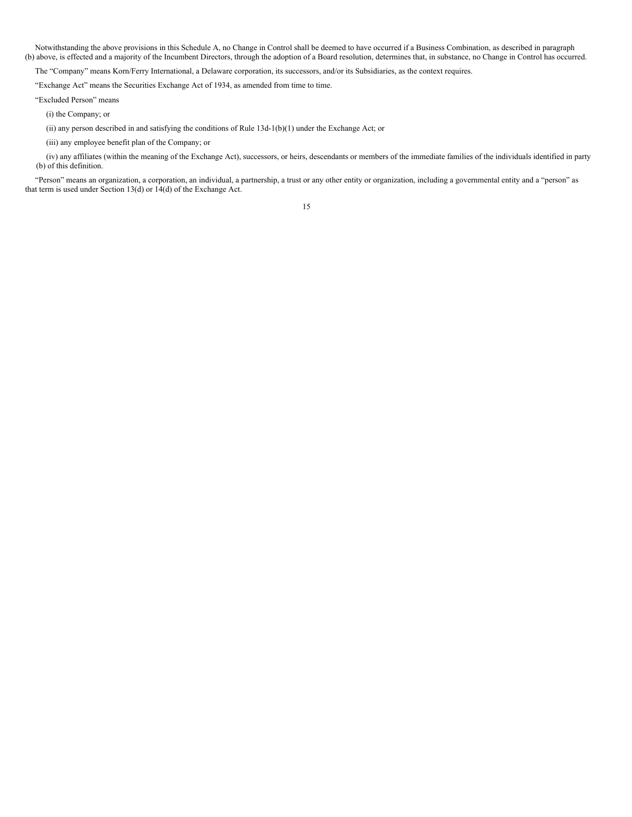Notwithstanding the above provisions in this Schedule A, no Change in Control shall be deemed to have occurred if a Business Combination, as described in paragraph (b) above, is effected and a majority of the Incumbent Directors, through the adoption of a Board resolution, determines that, in substance, no Change in Control has occurred.

The "Company" means Korn/Ferry International, a Delaware corporation, its successors, and/or its Subsidiaries, as the context requires.

"Exchange Act" means the Securities Exchange Act of 1934, as amended from time to time.

"Excluded Person" means

(i) the Company; or

(ii) any person described in and satisfying the conditions of Rule 13d-1(b)(1) under the Exchange Act; or

(iii) any employee benefit plan of the Company; or

(iv) any affiliates (within the meaning of the Exchange Act), successors, or heirs, descendants or members of the immediate families of the individuals identified in party (b) of this definition.

"Person" means an organization, a corporation, an individual, a partnership, a trust or any other entity or organization, including a governmental entity and a "person" as that term is used under Section 13(d) or  $14$ (d) of the Exchange Act.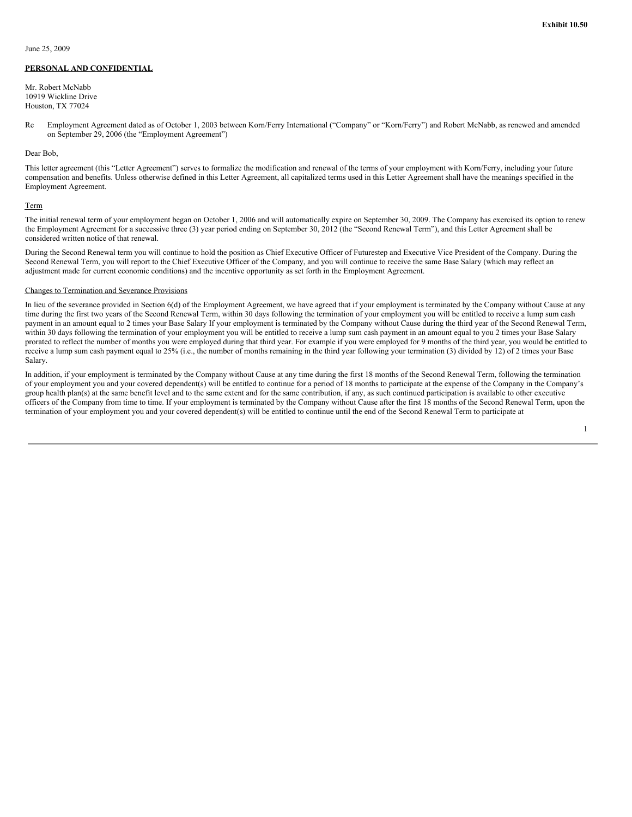June 25, 2009

## **PERSONAL AND CONFIDENTIAL**

Mr. Robert McNabb 10919 Wickline Drive Houston, TX 77024

Re Employment Agreement dated as of October 1, 2003 between Korn/Ferry International ("Company" or "Korn/Ferry") and Robert McNabb, as renewed and amended on September 29, 2006 (the "Employment Agreement")

### Dear Bob,

This letter agreement (this "Letter Agreement") serves to formalize the modification and renewal of the terms of your employment with Korn/Ferry, including your future compensation and benefits. Unless otherwise defined in this Letter Agreement, all capitalized terms used in this Letter Agreement shall have the meanings specified in the Employment Agreement.

### Term

The initial renewal term of your employment began on October 1, 2006 and will automatically expire on September 30, 2009. The Company has exercised its option to renew the Employment Agreement for a successive three (3) year period ending on September 30, 2012 (the "Second Renewal Term"), and this Letter Agreement shall be considered written notice of that renewal.

During the Second Renewal term you will continue to hold the position as Chief Executive Officer of Futurestep and Executive Vice President of the Company. During the Second Renewal Term, you will report to the Chief Executive Officer of the Company, and you will continue to receive the same Base Salary (which may reflect an adjustment made for current economic conditions) and the incentive opportunity as set forth in the Employment Agreement.

#### Changes to Termination and Severance Provisions

In lieu of the severance provided in Section 6(d) of the Employment Agreement, we have agreed that if your employment is terminated by the Company without Cause at any time during the first two years of the Second Renewal Term, within 30 days following the termination of your employment you will be entitled to receive a lump sum cash payment in an amount equal to 2 times your Base Salary If your employment is terminated by the Company without Cause during the third year of the Second Renewal Term, within 30 days following the termination of your employment you will be entitled to receive a lump sum cash payment in an amount equal to you 2 times your Base Salary prorated to reflect the number of months you were employed during that third year. For example if you were employed for 9 months of the third year, you would be entitled to receive a lump sum cash payment equal to 25% (i.e., the number of months remaining in the third year following your termination (3) divided by 12) of 2 times your Base Salary.

In addition, if your employment is terminated by the Company without Cause at any time during the first 18 months of the Second Renewal Term, following the termination of your employment you and your covered dependent(s) will be entitled to continue for a period of 18 months to participate at the expense of the Company in the Company's group health plan(s) at the same benefit level and to the same extent and for the same contribution, if any, as such continued participation is available to other executive officers of the Company from time to time. If your employment is terminated by the Company without Cause after the first 18 months of the Second Renewal Term, upon the termination of your employment you and your covered dependent(s) will be entitled to continue until the end of the Second Renewal Term to participate at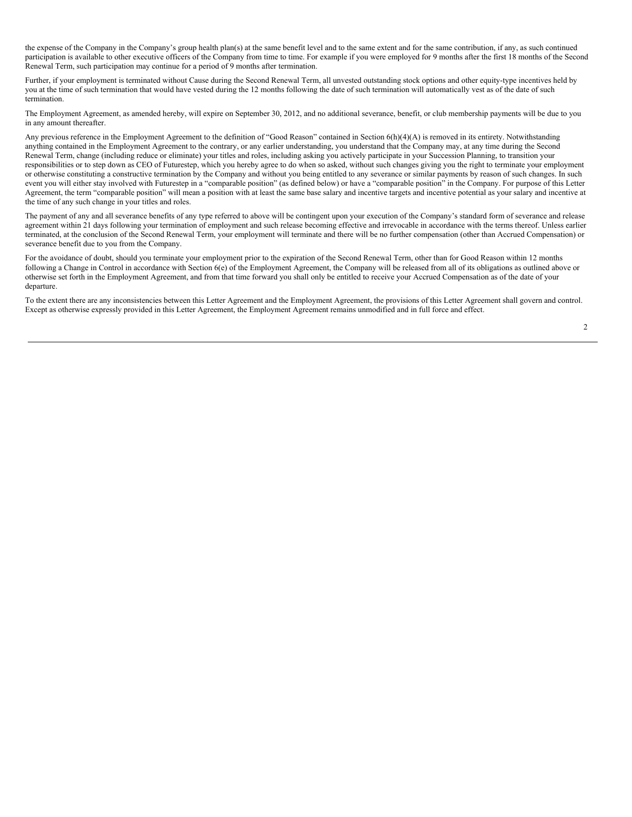the expense of the Company in the Company's group health plan(s) at the same benefit level and to the same extent and for the same contribution, if any, as such continued participation is available to other executive officers of the Company from time to time. For example if you were employed for 9 months after the first 18 months of the Second Renewal Term, such participation may continue for a period of 9 months after termination.

Further, if your employment is terminated without Cause during the Second Renewal Term, all unvested outstanding stock options and other equity-type incentives held by you at the time of such termination that would have vested during the 12 months following the date of such termination will automatically vest as of the date of such termination.

The Employment Agreement, as amended hereby, will expire on September 30, 2012, and no additional severance, benefit, or club membership payments will be due to you in any amount thereafter.

Any previous reference in the Employment Agreement to the definition of "Good Reason" contained in Section 6(h)(4)(A) is removed in its entirety. Notwithstanding anything contained in the Employment Agreement to the contrary, or any earlier understanding, you understand that the Company may, at any time during the Second Renewal Term, change (including reduce or eliminate) your titles and roles, including asking you actively participate in your Succession Planning, to transition your responsibilities or to step down as CEO of Futurestep, which you hereby agree to do when so asked, without such changes giving you the right to terminate your employment or otherwise constituting a constructive termination by the Company and without you being entitled to any severance or similar payments by reason of such changes. In such event you will either stay involved with Futurestep in a "comparable position" (as defined below) or have a "comparable position" in the Company. For purpose of this Letter Agreement, the term "comparable position" will mean a position with at least the same base salary and incentive targets and incentive potential as your salary and incentive at the time of any such change in your titles and roles.

The payment of any and all severance benefits of any type referred to above will be contingent upon your execution of the Company's standard form of severance and release agreement within 21 days following your termination of employment and such release becoming effective and irrevocable in accordance with the terms thereof. Unless earlier terminated, at the conclusion of the Second Renewal Term, your employment will terminate and there will be no further compensation (other than Accrued Compensation) or severance benefit due to you from the Company.

For the avoidance of doubt, should you terminate your employment prior to the expiration of the Second Renewal Term, other than for Good Reason within 12 months following a Change in Control in accordance with Section 6(e) of the Employment Agreement, the Company will be released from all of its obligations as outlined above or otherwise set forth in the Employment Agreement, and from that time forward you shall only be entitled to receive your Accrued Compensation as of the date of your departure.

To the extent there are any inconsistencies between this Letter Agreement and the Employment Agreement, the provisions of this Letter Agreement shall govern and control. Except as otherwise expressly provided in this Letter Agreement, the Employment Agreement remains unmodified and in full force and effect.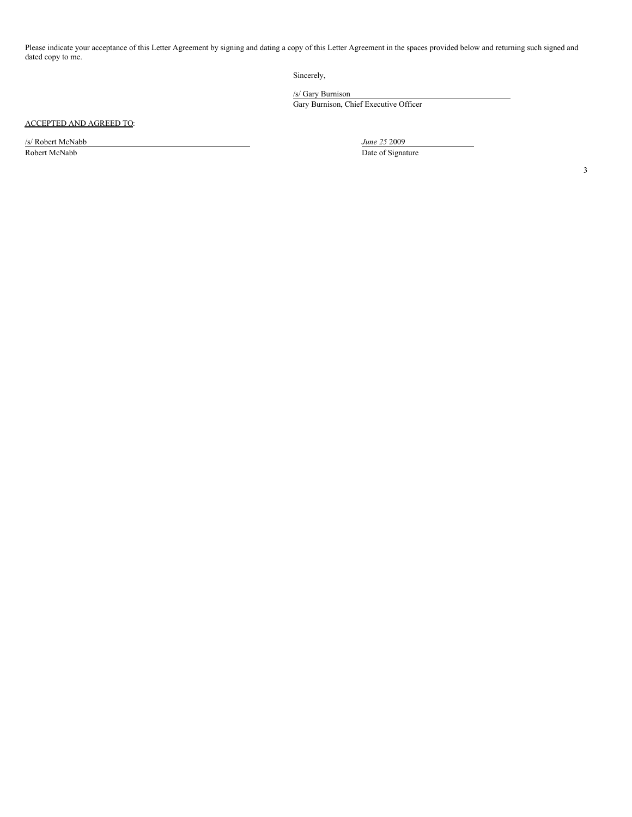Please indicate your acceptance of this Letter Agreement by signing and dating a copy of this Letter Agreement in the spaces provided below and returning such signed and dated copy to me.

Sincerely,

/s/ Gary Burnison Gary Burnison, Chief Executive Officer

ACCEPTED AND AGREED TO:

/s/ Robert McNabb *June 25* 2009

Robert McNabb Date of Signature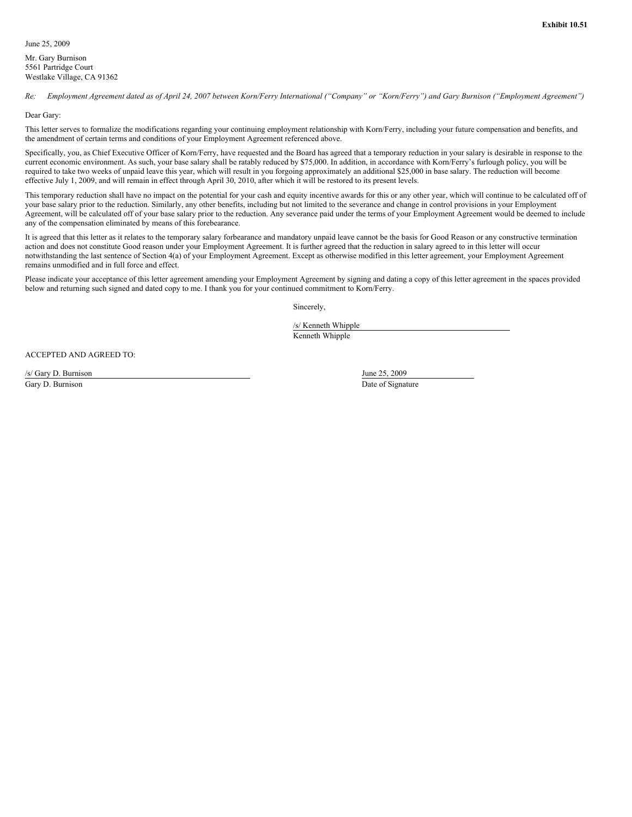June 25, 2009

Mr. Gary Burnison 5561 Partridge Court Westlake Village, CA 91362

Re: Employment Agreement dated as of April 24, 2007 between Korn/Ferry International ("Company" or "Korn/Ferry") and Gary Burnison ("Employment Agreement")

Dear Gary:

This letter serves to formalize the modifications regarding your continuing employment relationship with Korn/Ferry, including your future compensation and benefits, and the amendment of certain terms and conditions of your Employment Agreement referenced above.

Specifically, you, as Chief Executive Officer of Korn/Ferry, have requested and the Board has agreed that a temporary reduction in your salary is desirable in response to the current economic environment. As such, your base salary shall be ratably reduced by \$75,000. In addition, in accordance with Korn/Ferry's furlough policy, you will be required to take two weeks of unpaid leave this year, which will result in you forgoing approximately an additional \$25,000 in base salary. The reduction will become effective July 1, 2009, and will remain in effect through April 30, 2010, after which it will be restored to its present levels.

This temporary reduction shall have no impact on the potential for your cash and equity incentive awards for this or any other year, which will continue to be calculated off of your base salary prior to the reduction. Similarly, any other benefits, including but not limited to the severance and change in control provisions in your Employment Agreement, will be calculated off of your base salary prior to the reduction. Any severance paid under the terms of your Employment Agreement would be deemed to include any of the compensation eliminated by means of this forebearance.

It is agreed that this letter as it relates to the temporary salary forbearance and mandatory unpaid leave cannot be the basis for Good Reason or any constructive termination action and does not constitute Good reason under your Employment Agreement. It is further agreed that the reduction in salary agreed to in this letter will occur notwithstanding the last sentence of Section 4(a) of your Employment Agreement. Except as otherwise modified in this letter agreement, your Employment Agreement remains unmodified and in full force and effect.

Please indicate your acceptance of this letter agreement amending your Employment Agreement by signing and dating a copy of this letter agreement in the spaces provided below and returning such signed and dated copy to me. I thank you for your continued commitment to Korn/Ferry.

Sincerely,

/s/ Kenneth Whipple Kenneth Whipple

ACCEPTED AND AGREED TO:

/s/ Gary D. Burnison June 25, 2009

Gary D. Burnison Date of Signature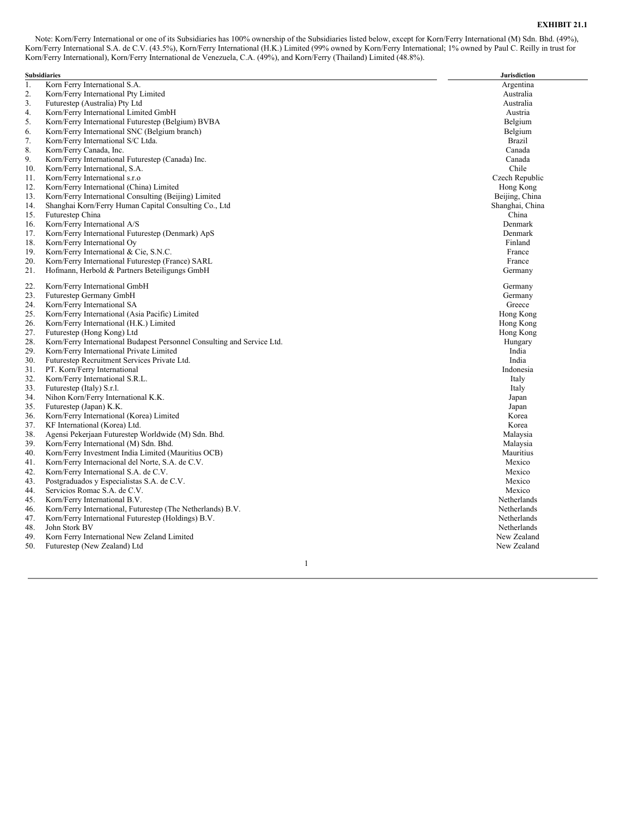# **EXHIBIT 21.1**

Note: Korn/Ferry International or one of its Subsidiaries has 100% ownership of the Subsidiaries listed below, except for Korn/Ferry International (M) Sdn. Bhd. (49%), Korn/Ferry International S.A. de C.V. (43.5%), Korn/Ferry International (H.K.) Limited (99% owned by Korn/Ferry International; 1% owned by Paul C. Reilly in trust for Korn/Ferry International), Korn/Ferry International de Venezuela, C.A. (49%), and Korn/Ferry (Thailand) Limited (48.8%).

| <b>Subsidiaries</b> |                                                                         | <b>Jurisdiction</b> |
|---------------------|-------------------------------------------------------------------------|---------------------|
| 1.                  | Korn Ferry International S.A.                                           | Argentina           |
| 2.                  | Korn/Ferry International Pty Limited                                    | Australia           |
| 3.                  | Futurestep (Australia) Pty Ltd                                          | Australia           |
| 4.                  | Korn/Ferry International Limited GmbH                                   | Austria             |
| 5.                  | Korn/Ferry International Futurestep (Belgium) BVBA                      | Belgium             |
| 6.                  | Korn/Ferry International SNC (Belgium branch)                           | Belgium             |
| 7.                  | Korn/Ferry International S/C Ltda.                                      | <b>Brazil</b>       |
| 8.                  | Korn/Ferry Canada, Inc.                                                 | Canada              |
| 9.                  | Korn/Ferry International Futurestep (Canada) Inc.                       | Canada              |
| 10.                 | Korn/Ferry International, S.A.                                          | Chile               |
| 11.                 | Korn/Ferry International s.r.o                                          | Czech Republic      |
| 12.                 | Korn/Ferry International (China) Limited                                | Hong Kong           |
| 13.                 | Korn/Ferry International Consulting (Beijing) Limited                   | Beijing, China      |
| 14.                 | Shanghai Korn/Ferry Human Capital Consulting Co., Ltd                   | Shanghai, China     |
| 15.                 | Futurestep China                                                        | China               |
| 16.                 | Korn/Ferry International A/S                                            | Denmark             |
| 17.                 | Korn/Ferry International Futurestep (Denmark) ApS                       | Denmark             |
| 18.                 | Korn/Ferry International Oy                                             | Finland             |
| 19.                 | Korn/Ferry International & Cie, S.N.C.                                  | France              |
| 20.                 | Korn/Ferry International Futurestep (France) SARL                       | France              |
| 21.                 | Hofmann, Herbold & Partners Beteiligungs GmbH                           | Germany             |
|                     |                                                                         |                     |
| 22.                 | Korn/Ferry International GmbH                                           | Germany             |
| 23.                 | Futurestep Germany GmbH                                                 | Germany             |
| 24.                 | Korn/Ferry International SA                                             | Greece              |
| 25.                 | Korn/Ferry International (Asia Pacific) Limited                         | Hong Kong           |
| 26.                 | Korn/Ferry International (H.K.) Limited                                 | Hong Kong           |
| 27.                 | Futurestep (Hong Kong) Ltd                                              | Hong Kong           |
| 28.                 | Korn/Ferry International Budapest Personnel Consulting and Service Ltd. | Hungary             |
| 29.                 | Korn/Ferry International Private Limited                                | India               |
| 30.                 | Futurestep Recruitment Services Private Ltd.                            | India               |
| 31.                 | PT. Korn/Ferry International                                            | Indonesia           |
| 32.                 | Korn/Ferry International S.R.L.                                         | Italy               |
| 33.                 | Futurestep (Italy) S.r.l.                                               | Italy               |
| 34.                 | Nihon Korn/Ferry International K.K.                                     | Japan               |
| 35.                 | Futurestep (Japan) K.K.                                                 | Japan               |
| 36.                 | Korn/Ferry International (Korea) Limited                                | Korea               |
| 37.                 | KF International (Korea) Ltd.                                           | Korea               |
| 38.                 | Agensi Pekerjaan Futurestep Worldwide (M) Sdn. Bhd.                     | Malaysia            |
| 39.                 | Korn/Ferry International (M) Sdn. Bhd.                                  | Malaysia            |
| 40.                 | Korn/Ferry Investment India Limited (Mauritius OCB)                     | Mauritius           |
| 41.                 | Korn/Ferry Internacional del Norte, S.A. de C.V.                        | Mexico              |
| 42.                 | Korn/Ferry International S.A. de C.V.                                   | Mexico              |
| 43.                 | Postgraduados y Especialistas S.A. de C.V.                              | Mexico              |
| 44.                 | Servicios Romac S.A. de C.V.                                            | Mexico              |
| 45.                 | Korn/Ferry International B.V.                                           | Netherlands         |
| 46.                 | Korn/Ferry International, Futurestep (The Netherlands) B.V.             | Netherlands         |
| 47.                 | Korn/Ferry International Futurestep (Holdings) B.V.                     | Netherlands         |
| 48.                 | John Stork BV                                                           | Netherlands         |
| 49.                 | Korn Ferry International New Zeland Limited                             | New Zealand         |
| 50.                 | Futurestep (New Zealand) Ltd                                            | New Zealand         |
|                     |                                                                         |                     |

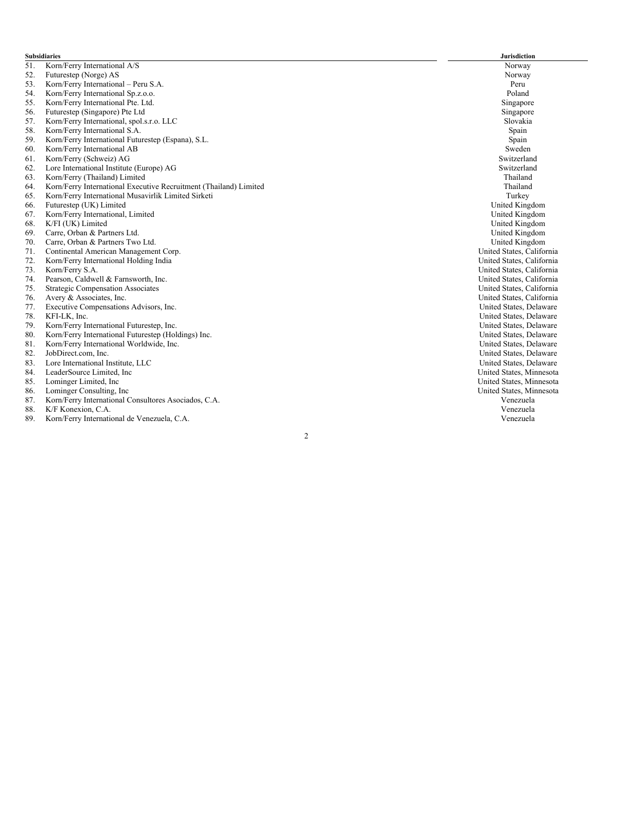| <b>Subsidiaries</b> |                                                                   | Jurisdiction              |
|---------------------|-------------------------------------------------------------------|---------------------------|
| 51.                 | Korn/Ferry International A/S                                      | Norway                    |
| 52.                 | Futurestep (Norge) AS                                             | Norway                    |
| 53.                 | Korn/Ferry International - Peru S.A.                              | Peru                      |
| 54.                 | Korn/Ferry International Sp.z.o.o.                                | Poland                    |
| 55.                 | Korn/Ferry International Pte. Ltd.                                | Singapore                 |
| 56.                 | Futurestep (Singapore) Pte Ltd                                    | Singapore                 |
| 57.                 | Korn/Ferry International, spol.s.r.o. LLC                         | Slovakia                  |
| 58.                 | Korn/Ferry International S.A.                                     | Spain                     |
| 59.                 | Korn/Ferry International Futurestep (Espana), S.L.                | Spain                     |
| 60.                 | Korn/Ferry International AB                                       | Sweden                    |
| 61.                 | Korn/Ferry (Schweiz) AG                                           | Switzerland               |
| 62.                 | Lore International Institute (Europe) AG                          | Switzerland               |
| 63.                 | Korn/Ferry (Thailand) Limited                                     | Thailand                  |
| 64.                 | Korn/Ferry International Executive Recruitment (Thailand) Limited | Thailand                  |
| 65.                 | Korn/Ferry International Musavirlik Limited Sirketi               | Turkey                    |
| 66.                 | Futurestep (UK) Limited                                           | United Kingdom            |
| 67.                 | Korn/Ferry International, Limited                                 | United Kingdom            |
| 68.                 | K/FI (UK) Limited                                                 | United Kingdom            |
| 69.                 | Carre, Orban & Partners Ltd.                                      | United Kingdom            |
| 70.                 | Carre, Orban & Partners Two Ltd.                                  | United Kingdom            |
| 71.                 | Continental American Management Corp.                             | United States, California |
| 72.                 | Korn/Ferry International Holding India                            | United States, California |
| 73.                 | Korn/Ferry S.A.                                                   | United States, California |
| 74.                 | Pearson, Caldwell & Farnsworth, Inc.                              | United States, California |
| 75.                 | <b>Strategic Compensation Associates</b>                          | United States, California |
| 76.                 | Avery & Associates, Inc.                                          | United States, California |
| 77.                 | Executive Compensations Advisors, Inc.                            | United States, Delaware   |
| 78.                 | KFI-LK, Inc.                                                      | United States, Delaware   |
| 79.                 | Korn/Ferry International Futurestep, Inc.                         | United States, Delaware   |
| 80.                 | Korn/Ferry International Futurestep (Holdings) Inc.               | United States, Delaware   |
| 81.                 | Korn/Ferry International Worldwide, Inc.                          | United States, Delaware   |
| 82.                 | JobDirect.com, Inc.                                               | United States, Delaware   |
| 83.                 | Lore International Institute, LLC                                 | United States, Delaware   |
| 84.                 | LeaderSource Limited, Inc.                                        | United States, Minnesota  |
| 85.                 | Lominger Limited, Inc.                                            | United States, Minnesota  |
| 86.                 | Lominger Consulting, Inc.                                         | United States, Minnesota  |
| 87.                 | Korn/Ferry International Consultores Asociados, C.A.              | Venezuela                 |
| 88.                 | K/F Konexion, C.A.                                                | Venezuela                 |
| 89.                 | Korn/Ferry International de Venezuela, C.A.                       | Venezuela                 |

89. 9. Korn/Ferry International de Venezuela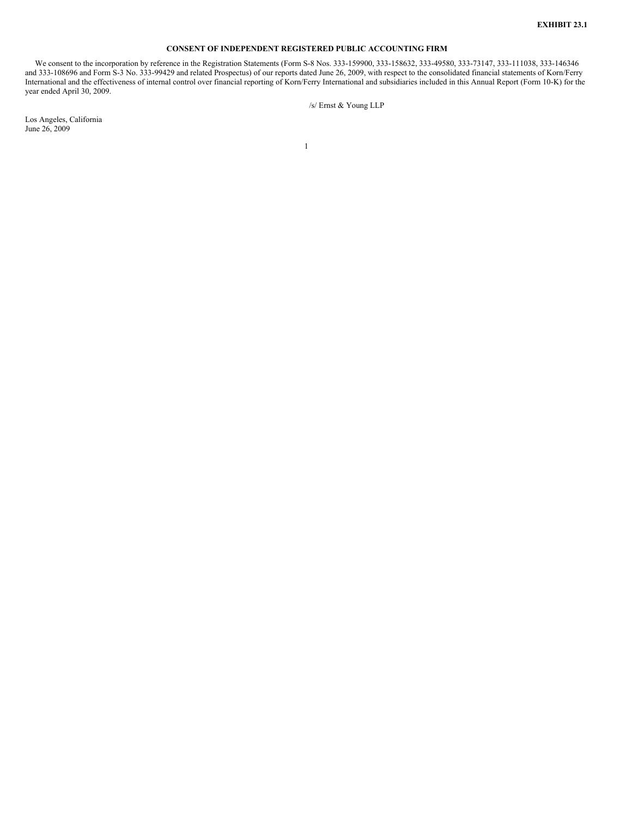## **CONSENT OF INDEPENDENT REGISTERED PUBLIC ACCOUNTING FIRM**

We consent to the incorporation by reference in the Registration Statements (Form S-8 Nos. 333-159900, 333-158632, 333-49580, 333-73147, 333-111038, 333-146346 and 333-108696 and Form S-3 No. 333-99429 and related Prospectus) of our reports dated June 26, 2009, with respect to the consolidated financial statements of Korn/Ferry International and the effectiveness of internal control over financial reporting of Korn/Ferry International and subsidiaries included in this Annual Report (Form 10-K) for the year ended April 30, 2009.

/s/ Ernst & Young LLP

Los Angeles, California June 26, 2009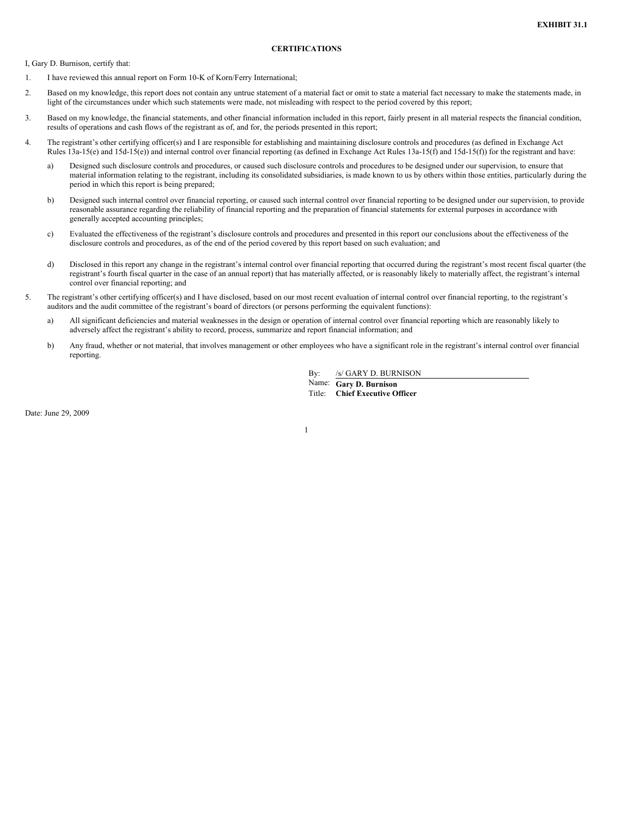## **CERTIFICATIONS**

I, Gary D. Burnison, certify that:

- 1. I have reviewed this annual report on Form 10-K of Korn/Ferry International;
- 2. Based on my knowledge, this report does not contain any untrue statement of a material fact or omit to state a material fact necessary to make the statements made, in light of the circumstances under which such statements were made, not misleading with respect to the period covered by this report;
- 3. Based on my knowledge, the financial statements, and other financial information included in this report, fairly present in all material respects the financial condition, results of operations and cash flows of the registrant as of, and for, the periods presented in this report;
- 4. The registrant's other certifying officer(s) and I are responsible for establishing and maintaining disclosure controls and procedures (as defined in Exchange Act Rules 13a-15(e) and 15d-15(e)) and internal control over financial reporting (as defined in Exchange Act Rules 13a-15(f) and 15d-15(f)) for the registrant and have:
	- a) Designed such disclosure controls and procedures, or caused such disclosure controls and procedures to be designed under our supervision, to ensure that material information relating to the registrant, including its consolidated subsidiaries, is made known to us by others within those entities, particularly during the period in which this report is being prepared;
	- b) Designed such internal control over financial reporting, or caused such internal control over financial reporting to be designed under our supervision, to provide reasonable assurance regarding the reliability of financial reporting and the preparation of financial statements for external purposes in accordance with generally accepted accounting principles;
	- c) Evaluated the effectiveness of the registrant's disclosure controls and procedures and presented in this report our conclusions about the effectiveness of the disclosure controls and procedures, as of the end of the period covered by this report based on such evaluation; and
	- d) Disclosed in this report any change in the registrant's internal control over financial reporting that occurred during the registrant's most recent fiscal quarter (the registrant's fourth fiscal quarter in the case of an annual report) that has materially affected, or is reasonably likely to materially affect, the registrant's internal control over financial reporting; and
- 5. The registrant's other certifying officer(s) and I have disclosed, based on our most recent evaluation of internal control over financial reporting, to the registrant's auditors and the audit committee of the registrant's board of directors (or persons performing the equivalent functions):
	- a) All significant deficiencies and material weaknesses in the design or operation of internal control over financial reporting which are reasonably likely to adversely affect the registrant's ability to record, process, summarize and report financial information; and
	- b) Any fraud, whether or not material, that involves management or other employees who have a significant role in the registrant's internal control over financial reporting.

1

By: /s/ GARY D. BURNISON

Name: **Gary D. Burnison**

Title: **Chief Executive Officer**

Date: June 29, 2009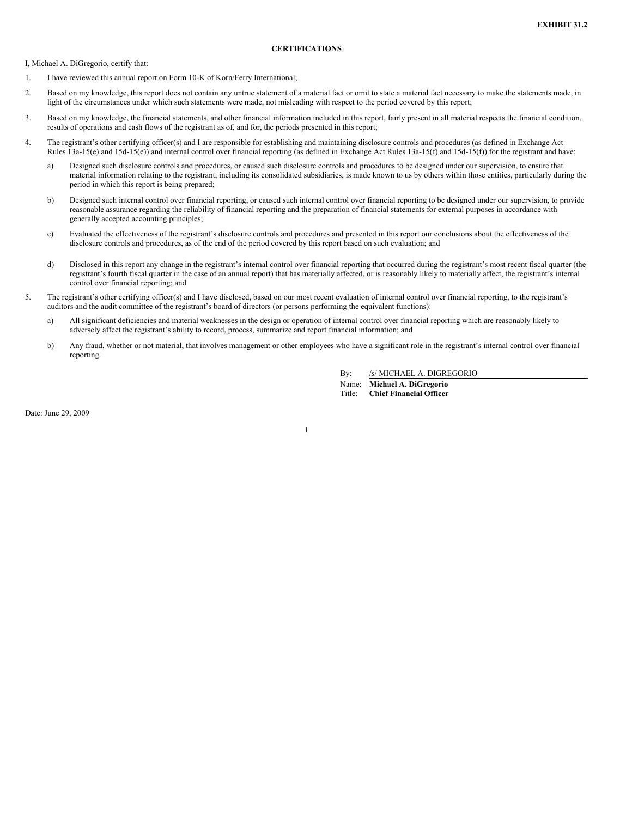## **CERTIFICATIONS**

I, Michael A. DiGregorio, certify that:

- 1. I have reviewed this annual report on Form 10-K of Korn/Ferry International;
- 2. Based on my knowledge, this report does not contain any untrue statement of a material fact or omit to state a material fact necessary to make the statements made, in light of the circumstances under which such statements were made, not misleading with respect to the period covered by this report;
- 3. Based on my knowledge, the financial statements, and other financial information included in this report, fairly present in all material respects the financial condition, results of operations and cash flows of the registrant as of, and for, the periods presented in this report;
- 4. The registrant's other certifying officer(s) and I are responsible for establishing and maintaining disclosure controls and procedures (as defined in Exchange Act Rules 13a-15(e) and 15d-15(e)) and internal control over financial reporting (as defined in Exchange Act Rules 13a-15(f) and 15d-15(f)) for the registrant and have:
	- a) Designed such disclosure controls and procedures, or caused such disclosure controls and procedures to be designed under our supervision, to ensure that material information relating to the registrant, including its consolidated subsidiaries, is made known to us by others within those entities, particularly during the period in which this report is being prepared;
	- b) Designed such internal control over financial reporting, or caused such internal control over financial reporting to be designed under our supervision, to provide reasonable assurance regarding the reliability of financial reporting and the preparation of financial statements for external purposes in accordance with generally accepted accounting principles;
	- c) Evaluated the effectiveness of the registrant's disclosure controls and procedures and presented in this report our conclusions about the effectiveness of the disclosure controls and procedures, as of the end of the period covered by this report based on such evaluation; and
	- d) Disclosed in this report any change in the registrant's internal control over financial reporting that occurred during the registrant's most recent fiscal quarter (the registrant's fourth fiscal quarter in the case of an annual report) that has materially affected, or is reasonably likely to materially affect, the registrant's internal control over financial reporting; and
- 5. The registrant's other certifying officer(s) and I have disclosed, based on our most recent evaluation of internal control over financial reporting, to the registrant's auditors and the audit committee of the registrant's board of directors (or persons performing the equivalent functions):
	- a) All significant deficiencies and material weaknesses in the design or operation of internal control over financial reporting which are reasonably likely to adversely affect the registrant's ability to record, process, summarize and report financial information; and
	- b) Any fraud, whether or not material, that involves management or other employees who have a significant role in the registrant's internal control over financial reporting.

1

By: /s/ MICHAEL A. DIGREGORIO

Name: **Michael A. DiGregorio** Title: **Chief Financial Officer**

Date: June 29, 2009